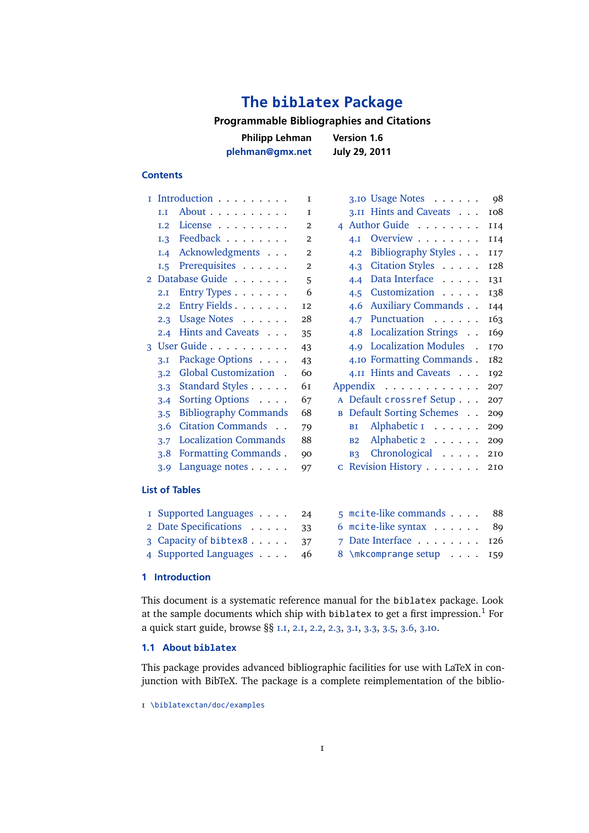# **The [biblatex](http://sourceforge.net/projects/biblatex/) Package**

## **Programmable Bibliographies and Citations**

**Philipp Lehman [plehman@gmx.net](mailto:plehman@gmx.net) Version 1.6**

**Contents**

**July 29, 2011**

#### 1 Introduction . . . . . . . . . 1 1.1 About . . . . . . . . . . 1 [1.2 License](#page-1-0) . . . . . . . . . 2 [1.3 Feedback](#page-1-0) . . . . . . . . 2 [1.4 Acknowledgments](#page-1-0) . . . 2 [1.5 Prerequisites](#page-1-0) . . . . . . 2 [2 Database Guide](#page-4-0) . . . . . . . 5 [2.1 Entry Types](#page-5-0) . . . . . . . 6 [2.2 Entry Fields](#page-11-0) . . . . . . . 12 [2.3 Usage Notes](#page-27-0) . . . . . . 28 [2.4 Hints and Caveats](#page-34-0) . . . 35 [3 User Guide](#page-42-0) . . . . . . . . . . 43 [3.1 Package Options](#page-42-0) . . . . 43 [3.2 Global Customization](#page-59-0) . 60 [3.3 Standard Styles](#page-60-0) . . . . . 61 [3.4 Sorting Options](#page-66-0) . . . . 67 [3.5 Bibliography Commands](#page-67-0) 68 [3.6 Citation Commands](#page-78-0) . . 79 [3.7 Localization Commands](#page-87-0) 88 [3.8 Formatting Commands](#page-89-0) . 90 [3.9 Language notes](#page-96-0) . . . . . 97 [3.10 Usage Notes](#page-97-0) . . . . . . 98 [3.11 Hints and Caveats](#page-107-0) . . . 108 [4 Author Guide](#page-113-0) . . . . . . . . 1 14 [4.1 Overview](#page-113-0) . . . . . . . . 1 14 [4.2 Bibliography Styles](#page-116-0) . . . 1 17 [4.3 Citation Styles](#page-127-0) . . . . . 128 [4.4 Data Interface](#page-130-0) . . . . . 131 [4.5 Customization](#page-137-0) . . . . . 138 [4.6 Auxiliary Commands](#page-143-0) . . 144 [4.7 Punctuation](#page-162-0) . . . . . . 163 [4.8 Localization Strings](#page-168-0) . . 169 [4.9 Localization Modules](#page-169-0) . 170 [4.10 Formatting Commands](#page-181-0) . 182 [4.11 Hints and Caveats](#page-191-0) . . . 192 [Appendix](#page-206-0) . . . . . . . . . . . . 207 a Default [crossref](#page-206-0) Setup . . . 207 b [Default Sorting Schemes](#page-208-0) . . 209 BI Alphabetic I . . . . . . 209 b[2 Alphabetic 2](#page-208-0) . . . . . . 209 B<sub>3</sub> Chronological . . . . . 210 c [Revision History](#page-209-0) . . . . . . . 210 **List of Tables**

| I Supported Languages 24 | 5 moite-like commands 88      |  |
|--------------------------|-------------------------------|--|
| 2 Date Specifications 33 | 6 mcite-like syntax 89        |  |
| 3 Capacity of bibtex8 37 | 7 Date Interface $\ldots$ 126 |  |
| 4 Supported Languages 46 | 8 \mkcomprange setup 159      |  |
|                          |                               |  |

#### **1 Introduction**

This document is a systematic reference manual for the biblatex package. Look at the sample documents which ship with biblatex to get a first impression.<sup>1</sup> For a quick start guide, browse §§ 1.1, [2.1,](#page-5-0) [2.2,](#page-11-0) [2.3,](#page-27-0) [3.1,](#page-42-0) [3.3,](#page-60-0) [3.5,](#page-67-0) [3.6,](#page-78-0) [3.10.](#page-97-0)

## **1.1 About biblatex**

This package provides advanced bibliographic facilities for use with LaTeX in conjunction with BibTeX. The package is a complete reimplementation of the biblio-

<sup>1</sup> [\biblatexctan/doc/examples](http://www.ctan.org/tex-archive/macros/latex/contrib/biblatex//doc/examples)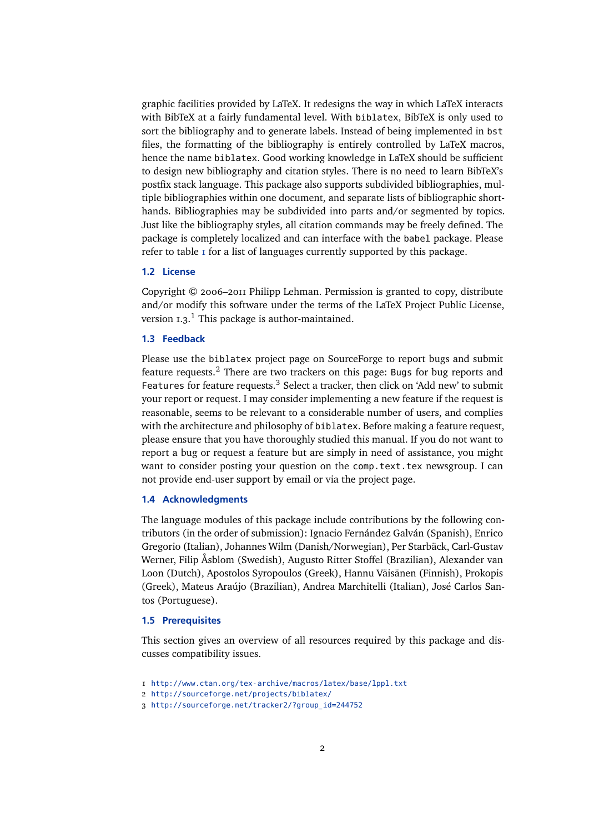<span id="page-1-0"></span>graphic facilities provided by LaTeX. It redesigns the way in which LaTeX interacts with BibTeX at a fairly fundamental level. With biblatex, BibTeX is only used to sort the bibliography and to generate labels. Instead of being implemented in bst files, the formatting of the bibliography is entirely controlled by LaTeX macros, hence the name biblatex. Good working knowledge in LaTeX should be sufficient to design new bibliography and citation styles. There is no need to learn BibTeX's postfix stack language. This package also supports subdivided bibliographies, multiple bibliographies within one document, and separate lists of bibliographic shorthands. Bibliographies may be subdivided into parts and/or segmented by topics. Just like the bibliography styles, all citation commands may be freely defined. The package is completely localized and can interface with the babel package. Please refer to table  $I$  for a list of languages currently supported by this package.

#### **1.2 License**

Copyright © 2006–2011 Philipp Lehman. Permission is granted to copy, distribute and/or modify this software under the terms of the LaTeX Project Public License, version  $1.3$ .<sup>1</sup> This package is author-maintained.

#### **1.3 Feedback**

Please use the biblatex project page on SourceForge to report bugs and submit feature requests.<sup>2</sup> There are two trackers on this page: Bugs for bug reports and Features for feature requests.<sup>3</sup> Select a tracker, then click on 'Add new' to submit your report or request. I may consider implementing a new feature if the request is reasonable, seems to be relevant to a considerable number of users, and complies with the architecture and philosophy of biblatex. Before making a feature request, please ensure that you have thoroughly studied this manual. If you do not want to report a bug or request a feature but are simply in need of assistance, you might want to consider posting your question on the comp.text.tex newsgroup. I can not provide end-user support by email or via the project page.

#### **1.4 Acknowledgments**

The language modules of this package include contributions by the following contributors (in the order of submission): Ignacio Fernández Galván (Spanish), Enrico Gregorio (Italian), Johannes Wilm (Danish/Norwegian), Per Starbäck, Carl-Gustav Werner, Filip Åsblom (Swedish), Augusto Ritter Stoffel (Brazilian), Alexander van Loon (Dutch), Apostolos Syropoulos (Greek), Hannu Väisänen (Finnish), Prokopis (Greek), Mateus Araújo (Brazilian), Andrea Marchitelli (Italian), José Carlos Santos (Portuguese).

#### **1.5 Prerequisites**

This section gives an overview of all resources required by this package and discusses compatibility issues.

<sup>1</sup> <http://www.ctan.org/tex-archive/macros/latex/base/lppl.txt>

<sup>2</sup> <http://sourceforge.net/projects/biblatex/>

<sup>3</sup> [http://sourceforge.net/tracker2/?group\\_id=244752](http://sourceforge.net/tracker2/?group_id=244752)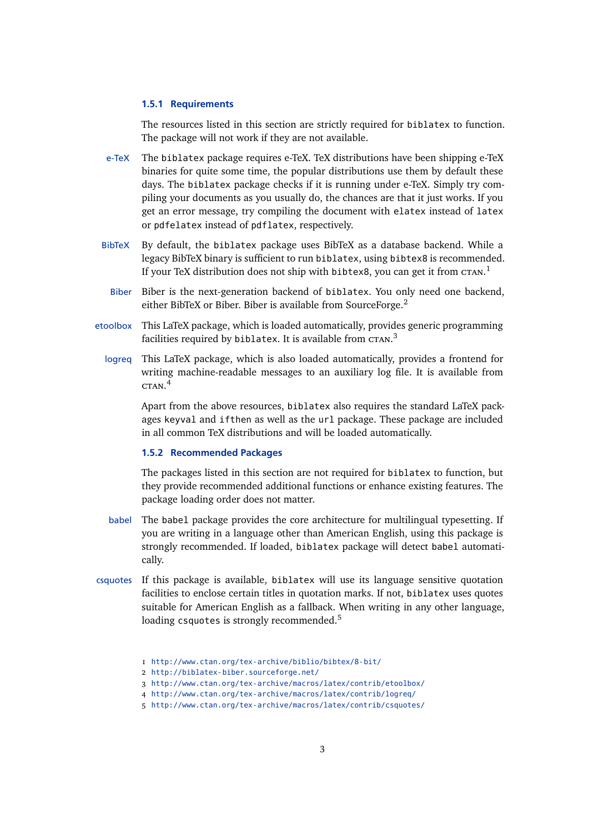#### **1.5.1 Requirements**

The resources listed in this section are strictly required for biblatex to function. The package will not work if they are not available.

- e-TeX The biblatex package requires e-TeX. TeX distributions have been shipping e-TeX binaries for quite some time, the popular distributions use them by default these days. The biblatex package checks if it is running under e-TeX. Simply try compiling your documents as you usually do, the chances are that it just works. If you get an error message, try compiling the document with elatex instead of latex or pdfelatex instead of pdflatex, respectively.
- BibTeX By default, the biblatex package uses BibTeX as a database backend. While a legacy BibTeX binary is sufficient to run biblatex, using bibtex8 is recommended. If your TeX distribution does not ship with bibtex8, you can get it from  $c$ та $\mathrm{s}$ .
- Biber Biber is the next-generation backend of biblatex. You only need one backend, either BibTeX or Biber. Biber is available from SourceForge.<sup>2</sup>
- etoolbox This LaTeX package, which is loaded automatically, provides generic programming facilities required by <code>biblatex</code>. It is available from <code>cra</code>n. $^3$ 
	- logreq This LaTeX package, which is also loaded automatically, provides a frontend for writing machine-readable messages to an auxiliary log file. It is available from ctan. 4

Apart from the above resources, biblatex also requires the standard LaTeX packages keyval and ifthen as well as the url package. These package are included in all common TeX distributions and will be loaded automatically.

## **1.5.2 Recommended Packages**

The packages listed in this section are not required for biblatex to function, but they provide recommended additional functions or enhance existing features. The package loading order does not matter.

- babel The babel package provides the core architecture for multilingual typesetting. If you are writing in a language other than American English, using this package is strongly recommended. If loaded, biblatex package will detect babel automatically.
- csquotes If this package is available, biblatex will use its language sensitive quotation facilities to enclose certain titles in quotation marks. If not, biblatex uses quotes suitable for American English as a fallback. When writing in any other language, loading csquotes is strongly recommended.<sup>5</sup>

<sup>1</sup> <http://www.ctan.org/tex-archive/biblio/bibtex/8-bit/>

<sup>2</sup> <http://biblatex-biber.sourceforge.net/>

<sup>3</sup> <http://www.ctan.org/tex-archive/macros/latex/contrib/etoolbox/>

<sup>4</sup> <http://www.ctan.org/tex-archive/macros/latex/contrib/logreq/>

<sup>5</sup> <http://www.ctan.org/tex-archive/macros/latex/contrib/csquotes/>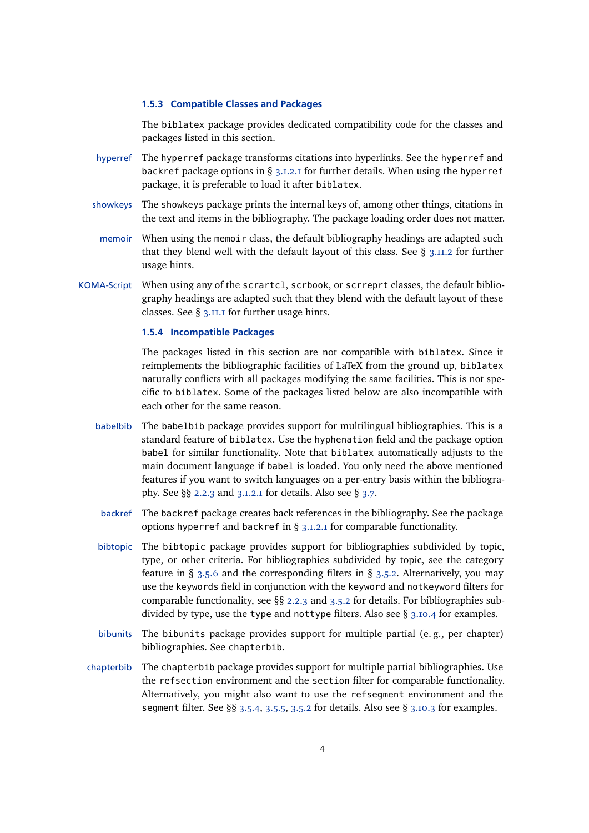#### **1.5.3 Compatible Classes and Packages**

The biblatex package provides dedicated compatibility code for the classes and packages listed in this section.

- hyperref The hyperref package transforms citations into hyperlinks. See the hyperref and backref package options in § [3.1.2.1](#page-43-0) for further details. When using the hyperref package, it is preferable to load it after biblatex.
- showkeys The showkeys package prints the internal keys of, among other things, citations in the text and items in the bibliography. The package loading order does not matter.
- memoir When using the memoir class, the default bibliography headings are adapted such that they blend well with the default layout of this class. See  $\S$  [3.11.2](#page-108-0) for further usage hints.
- KOMA-Script When using any of the scrartcl, scrbook, or scrreprt classes, the default bibliography headings are adapted such that they blend with the default layout of these classes. See § [3.11.1](#page-107-0) for further usage hints.

## **1.5.4 Incompatible Packages**

The packages listed in this section are not compatible with biblatex. Since it reimplements the bibliographic facilities of LaTeX from the ground up, biblatex naturally conflicts with all packages modifying the same facilities. This is not specific to biblatex. Some of the packages listed below are also incompatible with each other for the same reason.

- babelbib The babelbib package provides support for multilingual bibliographies. This is a standard feature of biblatex. Use the hyphenation field and the package option babel for similar functionality. Note that biblatex automatically adjusts to the main document language if babel is loaded. You only need the above mentioned features if you want to switch languages on a per-entry basis within the bibliography. See §§ [2.2.3](#page-22-0) and [3.1.2.1](#page-43-0) for details. Also see § [3.7.](#page-87-0)
- backref The backref package creates back references in the bibliography. See the package options hyperref and backref in § [3.1.2.1](#page-43-0) for comparable functionality.
- bibtopic The bibtopic package provides support for bibliographies subdivided by topic, type, or other criteria. For bibliographies subdivided by topic, see the category feature in § [3.5.6](#page-73-0) and the corresponding filters in § [3.5.2.](#page-68-0) Alternatively, you may use the keywords field in conjunction with the keyword and notkeyword filters for comparable functionality, see §§ [2.2.3](#page-22-0) and [3.5.2](#page-68-0) for details. For bibliographies subdivided by type, use the type and nottype filters. Also see  $\S$  [3.10.4](#page-101-0) for examples.
- bibunits The bibunits package provides support for multiple partial (e. g., per chapter) bibliographies. See chapterbib.
- chapterbib The chapterbib package provides support for multiple partial bibliographies. Use the refsection environment and the section filter for comparable functionality. Alternatively, you might also want to use the refsegment environment and the segment filter. See §§ [3.5.4,](#page-72-0) [3.5.5,](#page-73-0) [3.5.2](#page-68-0) for details. Also see § [3.10.3](#page-99-0) for examples.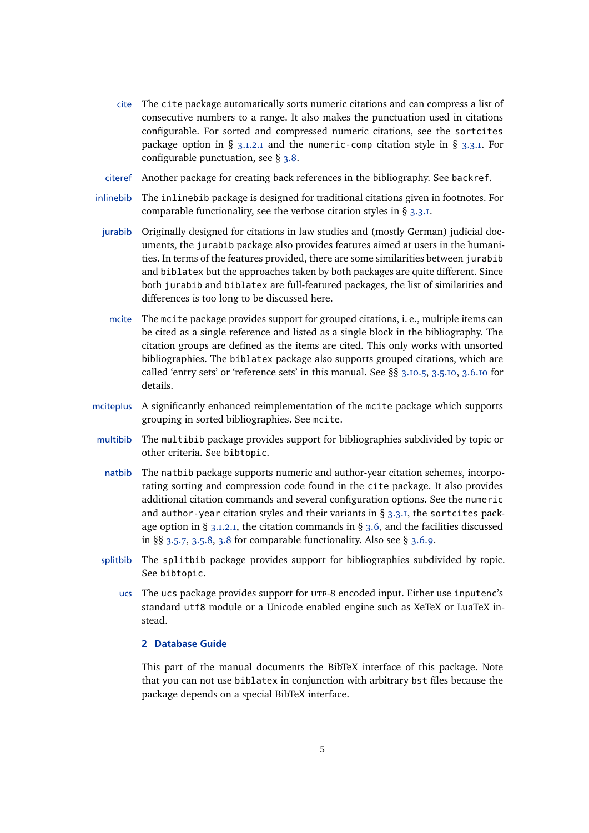- <span id="page-4-0"></span>cite The cite package automatically sorts numeric citations and can compress a list of consecutive numbers to a range. It also makes the punctuation used in citations configurable. For sorted and compressed numeric citations, see the sortcites package option in § [3.1.2.1](#page-43-0) and the numeric-comp citation style in § [3.3.1.](#page-60-0) For configurable punctuation, see § [3.8.](#page-89-0)
- citeref Another package for creating back references in the bibliography. See backref.
- inlinebib The inlinebib package is designed for traditional citations given in footnotes. For comparable functionality, see the verbose citation styles in § [3.3.1.](#page-60-0)
	- jurabib Originally designed for citations in law studies and (mostly German) judicial documents, the jurabib package also provides features aimed at users in the humanities. In terms of the features provided, there are some similarities between jurabib and biblatex but the approaches taken by both packages are quite different. Since both jurabib and biblatex are full-featured packages, the list of similarities and differences is too long to be discussed here.
	- mcite The mcite package provides support for grouped citations, i. e., multiple items can be cited as a single reference and listed as a single block in the bibliography. The citation groups are defined as the items are cited. This only works with unsorted bibliographies. The biblatex package also supports grouped citations, which are called 'entry sets' or 'reference sets' in this manual. See §§ [3.10.5,](#page-104-0) [3.5.10,](#page-77-0) [3.6.10](#page-86-0) for details.
- mciteplus A significantly enhanced reimplementation of the mcite package which supports grouping in sorted bibliographies. See mcite.
- multibib The multibib package provides support for bibliographies subdivided by topic or other criteria. See bibtopic.
	- natbib The natbib package supports numeric and author-year citation schemes, incorporating sorting and compression code found in the cite package. It also provides additional citation commands and several configuration options. See the numeric and author-year citation styles and their variants in §  $3.3.1$ , the sortcites package option in  $\S$  [3.1.2.1,](#page-43-0) the citation commands in  $\S$  [3.6,](#page-78-0) and the facilities discussed in §§ [3.5.7,](#page-74-0) [3.5.8,](#page-76-0) [3.8](#page-89-0) for comparable functionality. Also see § [3.6.9.](#page-86-0)
- splitbib The splitbib package provides support for bibliographies subdivided by topic. See bibtopic.
	- ucs The ucs package provides support for UTF-8 encoded input. Either use inputenc's standard utf8 module or a Unicode enabled engine such as XeTeX or LuaTeX instead.

## **2 Database Guide**

This part of the manual documents the BibTeX interface of this package. Note that you can not use biblatex in conjunction with arbitrary bst files because the package depends on a special BibTeX interface.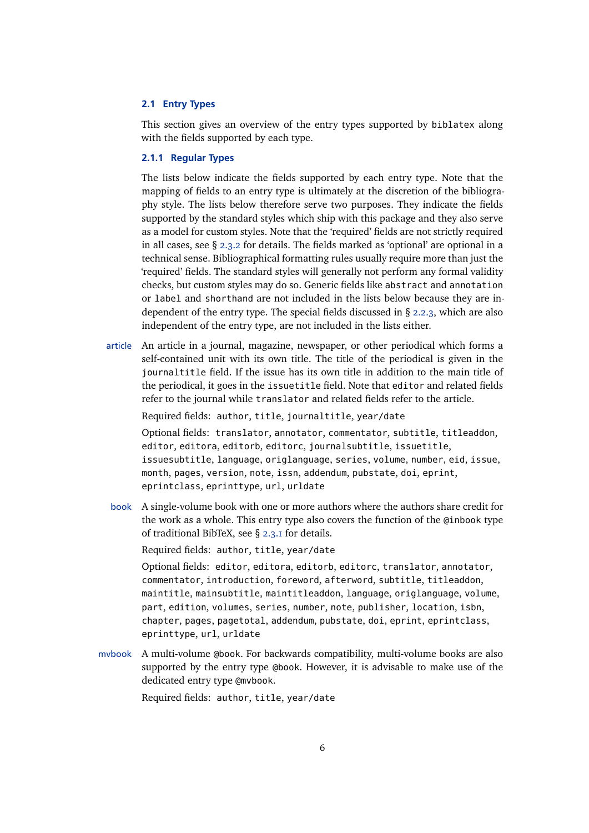## <span id="page-5-0"></span>**2.1 Entry Types**

This section gives an overview of the entry types supported by biblatex along with the fields supported by each type.

## **2.1.1 Regular Types**

The lists below indicate the fields supported by each entry type. Note that the mapping of fields to an entry type is ultimately at the discretion of the bibliography style. The lists below therefore serve two purposes. They indicate the fields supported by the standard styles which ship with this package and they also serve as a model for custom styles. Note that the 'required' fields are not strictly required in all cases, see § [2.3.2](#page-27-0) for details. The fields marked as 'optional' are optional in a technical sense. Bibliographical formatting rules usually require more than just the 'required' fields. The standard styles will generally not perform any formal validity checks, but custom styles may do so. Generic fields like abstract and annotation or label and shorthand are not included in the lists below because they are independent of the entry type. The special fields discussed in  $\S$  [2.2.3,](#page-22-0) which are also independent of the entry type, are not included in the lists either.

article An article in a journal, magazine, newspaper, or other periodical which forms a self-contained unit with its own title. The title of the periodical is given in the journaltitle field. If the issue has its own title in addition to the main title of the periodical, it goes in the issuetitle field. Note that editor and related fields refer to the journal while translator and related fields refer to the article.

Required fields: author, title, journaltitle, year/date

Optional fields: translator, annotator, commentator, subtitle, titleaddon, editor, editora, editorb, editorc, journalsubtitle, issuetitle, issuesubtitle, language, origlanguage, series, volume, number, eid, issue, month, pages, version, note, issn, addendum, pubstate, doi, eprint, eprintclass, eprinttype, url, urldate

book A single-volume book with one or more authors where the authors share credit for the work as a whole. This entry type also covers the function of the @inbook type of traditional BibTeX, see § [2.3.1](#page-27-0) for details.

Required fields: author, title, year/date

Optional fields: editor, editora, editorb, editorc, translator, annotator, commentator, introduction, foreword, afterword, subtitle, titleaddon, maintitle, mainsubtitle, maintitleaddon, language, origlanguage, volume, part, edition, volumes, series, number, note, publisher, location, isbn, chapter, pages, pagetotal, addendum, pubstate, doi, eprint, eprintclass, eprinttype, url, urldate

mvbook A multi-volume @book. For backwards compatibility, multi-volume books are also supported by the entry type @book. However, it is advisable to make use of the dedicated entry type @mvbook.

Required fields: author, title, year/date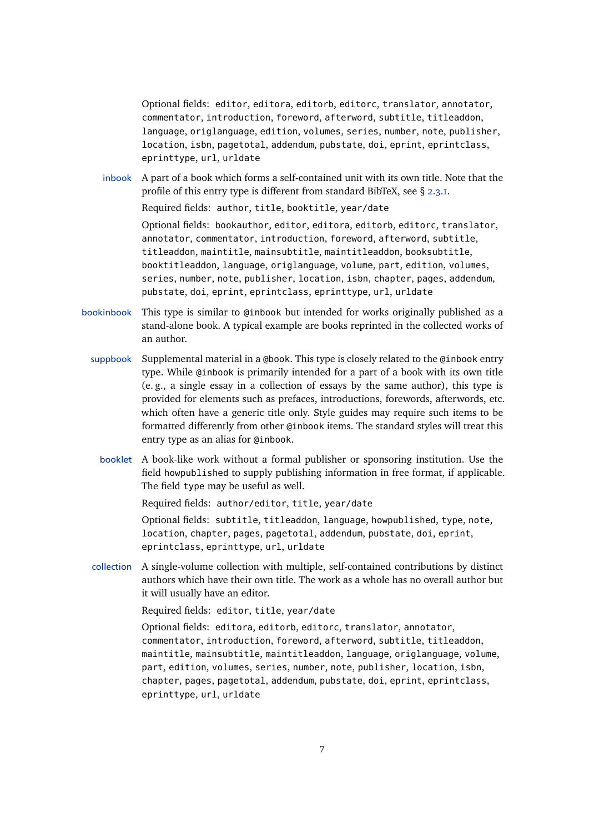Optional fields: editor, editora, editorb, editorc, translator, annotator, commentator, introduction, foreword, afterword, subtitle, titleaddon, language, origlanguage, edition, volumes, series, number, note, publisher, location, isbn, pagetotal, addendum, pubstate, doi, eprint, eprintclass, eprinttype, url, urldate

inbook A part of a book which forms a self-contained unit with its own title. Note that the profile of this entry type is different from standard BibTeX, see  $\S$  [2.3.1.](#page-27-0)

Required fields: author, title, booktitle, year/date

Optional fields: bookauthor, editor, editora, editorb, editorc, translator, annotator, commentator, introduction, foreword, afterword, subtitle, titleaddon, maintitle, mainsubtitle, maintitleaddon, booksubtitle, booktitleaddon, language, origlanguage, volume, part, edition, volumes, series, number, note, publisher, location, isbn, chapter, pages, addendum, pubstate, doi, eprint, eprintclass, eprinttype, url, urldate

- bookinbook This type is similar to @inbook but intended for works originally published as a stand-alone book. A typical example are books reprinted in the collected works of an author.
	- suppbook Supplemental material in a @book. This type is closely related to the @inbook entry type. While @inbook is primarily intended for a part of a book with its own title (e. g., a single essay in a collection of essays by the same author), this type is provided for elements such as prefaces, introductions, forewords, afterwords, etc. which often have a generic title only. Style guides may require such items to be formatted differently from other @inbook items. The standard styles will treat this entry type as an alias for @inbook.
		- booklet A book-like work without a formal publisher or sponsoring institution. Use the field howpublished to supply publishing information in free format, if applicable. The field type may be useful as well.

Required fields: author/editor, title, year/date

Optional fields: subtitle, titleaddon, language, howpublished, type, note, location, chapter, pages, pagetotal, addendum, pubstate, doi, eprint, eprintclass, eprinttype, url, urldate

collection A single-volume collection with multiple, self-contained contributions by distinct authors which have their own title. The work as a whole has no overall author but it will usually have an editor.

Required fields: editor, title, year/date

Optional fields: editora, editorb, editorc, translator, annotator, commentator, introduction, foreword, afterword, subtitle, titleaddon, maintitle, mainsubtitle, maintitleaddon, language, origlanguage, volume, part, edition, volumes, series, number, note, publisher, location, isbn, chapter, pages, pagetotal, addendum, pubstate, doi, eprint, eprintclass, eprinttype, url, urldate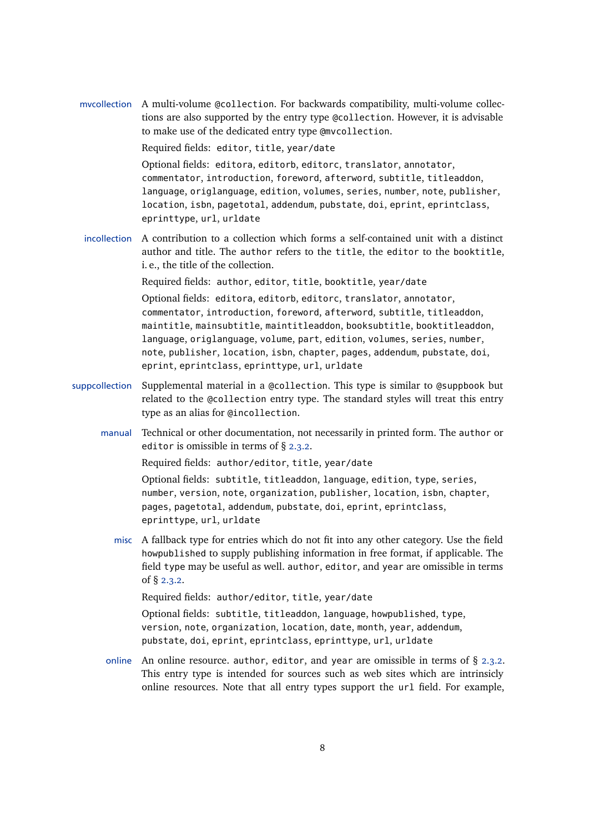mvcollection A multi-volume @collection. For backwards compatibility, multi-volume collections are also supported by the entry type @collection. However, it is advisable to make use of the dedicated entry type @mvcollection.

Required fields: editor, title, year/date

Optional fields: editora, editorb, editorc, translator, annotator, commentator, introduction, foreword, afterword, subtitle, titleaddon, language, origlanguage, edition, volumes, series, number, note, publisher, location, isbn, pagetotal, addendum, pubstate, doi, eprint, eprintclass, eprinttype, url, urldate

incollection A contribution to a collection which forms a self-contained unit with a distinct author and title. The author refers to the title, the editor to the booktitle, i. e., the title of the collection.

> Required fields: author, editor, title, booktitle, year/date Optional fields: editora, editorb, editorc, translator, annotator, commentator, introduction, foreword, afterword, subtitle, titleaddon, maintitle, mainsubtitle, maintitleaddon, booksubtitle, booktitleaddon, language, origlanguage, volume, part, edition, volumes, series, number, note, publisher, location, isbn, chapter, pages, addendum, pubstate, doi, eprint, eprintclass, eprinttype, url, urldate

- suppcollection Supplemental material in a @collection. This type is similar to @suppbook but related to the @collection entry type. The standard styles will treat this entry type as an alias for @incollection.
	- manual Technical or other documentation, not necessarily in printed form. The author or editor is omissible in terms of § [2.3.2.](#page-27-0)

Required fields: author/editor, title, year/date

Optional fields: subtitle, titleaddon, language, edition, type, series, number, version, note, organization, publisher, location, isbn, chapter, pages, pagetotal, addendum, pubstate, doi, eprint, eprintclass, eprinttype, url, urldate

misc A fallback type for entries which do not fit into any other category. Use the field howpublished to supply publishing information in free format, if applicable. The field type may be useful as well. author, editor, and year are omissible in terms of § [2.3.2.](#page-27-0)

Required fields: author/editor, title, year/date

Optional fields: subtitle, titleaddon, language, howpublished, type, version, note, organization, location, date, month, year, addendum, pubstate, doi, eprint, eprintclass, eprinttype, url, urldate

online An online resource, author, editor, and year are omissible in terms of  $\S$  [2.3.2.](#page-27-0) This entry type is intended for sources such as web sites which are intrinsicly online resources. Note that all entry types support the url field. For example,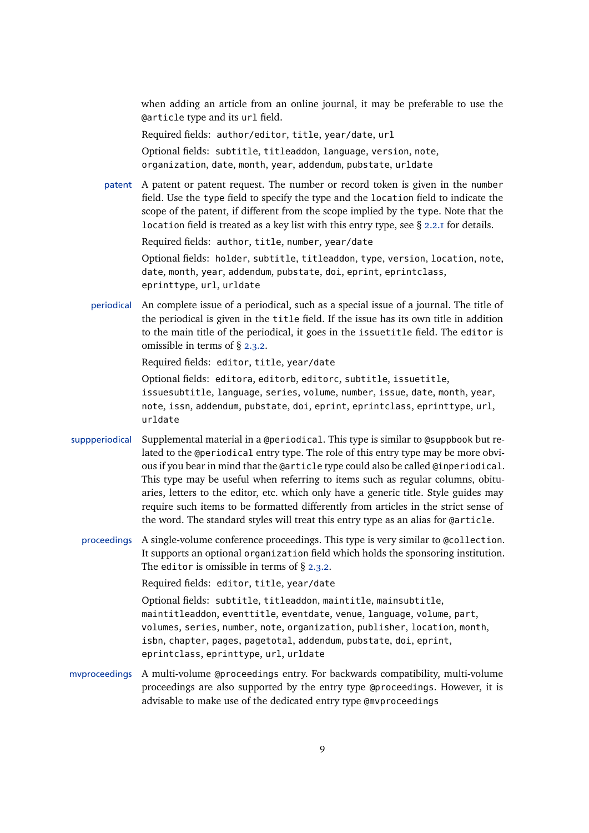when adding an article from an online journal, it may be preferable to use the @article type and its url field.

Required fields: author/editor, title, year/date, url

Optional fields: subtitle, titleaddon, language, version, note, organization, date, month, year, addendum, pubstate, urldate

patent A patent or patent request. The number or record token is given in the number field. Use the type field to specify the type and the location field to indicate the scope of the patent, if different from the scope implied by the type. Note that the location field is treated as a key list with this entry type, see § [2.2.1](#page-11-0) for details.

Required fields: author, title, number, year/date

Optional fields: holder, subtitle, titleaddon, type, version, location, note, date, month, year, addendum, pubstate, doi, eprint, eprintclass, eprinttype, url, urldate

periodical An complete issue of a periodical, such as a special issue of a journal. The title of the periodical is given in the title field. If the issue has its own title in addition to the main title of the periodical, it goes in the issuetitle field. The editor is omissible in terms of § [2.3.2.](#page-27-0)

Required fields: editor, title, year/date

Optional fields: editora, editorb, editorc, subtitle, issuetitle, issuesubtitle, language, series, volume, number, issue, date, month, year, note, issn, addendum, pubstate, doi, eprint, eprintclass, eprinttype, url, urldate

- suppperiodical Supplemental material in a @periodical. This type is similar to @suppbook but related to the @periodical entry type. The role of this entry type may be more obvious if you bear in mind that the @article type could also be called @inperiodical. This type may be useful when referring to items such as regular columns, obituaries, letters to the editor, etc. which only have a generic title. Style guides may require such items to be formatted differently from articles in the strict sense of the word. The standard styles will treat this entry type as an alias for @article.
	- proceedings A single-volume conference proceedings. This type is very similar to @collection. It supports an optional organization field which holds the sponsoring institution. The editor is omissible in terms of  $\S$  [2.3.2.](#page-27-0)

Required fields: editor, title, year/date

Optional fields: subtitle, titleaddon, maintitle, mainsubtitle, maintitleaddon, eventtitle, eventdate, venue, language, volume, part, volumes, series, number, note, organization, publisher, location, month, isbn, chapter, pages, pagetotal, addendum, pubstate, doi, eprint, eprintclass, eprinttype, url, urldate

mvproceedings A multi-volume @proceedings entry. For backwards compatibility, multi-volume proceedings are also supported by the entry type @proceedings. However, it is advisable to make use of the dedicated entry type @mvproceedings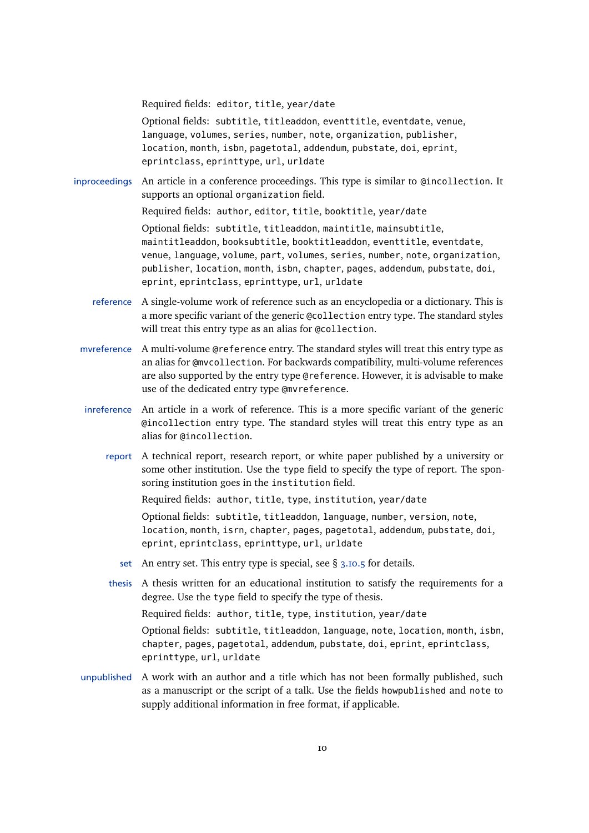Required fields: editor, title, year/date

Optional fields: subtitle, titleaddon, eventtitle, eventdate, venue, language, volumes, series, number, note, organization, publisher, location, month, isbn, pagetotal, addendum, pubstate, doi, eprint, eprintclass, eprinttype, url, urldate

inproceedings An article in a conference proceedings. This type is similar to @incollection. It supports an optional organization field.

Required fields: author, editor, title, booktitle, year/date

Optional fields: subtitle, titleaddon, maintitle, mainsubtitle, maintitleaddon, booksubtitle, booktitleaddon, eventtitle, eventdate, venue, language, volume, part, volumes, series, number, note, organization, publisher, location, month, isbn, chapter, pages, addendum, pubstate, doi, eprint, eprintclass, eprinttype, url, urldate

- reference A single-volume work of reference such as an encyclopedia or a dictionary. This is a more specific variant of the generic @collection entry type. The standard styles will treat this entry type as an alias for @collection.
- mvreference A multi-volume @reference entry. The standard styles will treat this entry type as an alias for @mvcollection. For backwards compatibility, multi-volume references are also supported by the entry type @reference. However, it is advisable to make use of the dedicated entry type @mvreference.
- inreference An article in a work of reference. This is a more specific variant of the generic @incollection entry type. The standard styles will treat this entry type as an alias for @incollection.
	- report A technical report, research report, or white paper published by a university or some other institution. Use the type field to specify the type of report. The sponsoring institution goes in the institution field.

Required fields: author, title, type, institution, year/date

Optional fields: subtitle, titleaddon, language, number, version, note, location, month, isrn, chapter, pages, pagetotal, addendum, pubstate, doi, eprint, eprintclass, eprinttype, url, urldate

- set An entry set. This entry type is special, see  $\S$  [3.10.5](#page-104-0) for details.
- thesis A thesis written for an educational institution to satisfy the requirements for a degree. Use the type field to specify the type of thesis.

Required fields: author, title, type, institution, year/date

Optional fields: subtitle, titleaddon, language, note, location, month, isbn, chapter, pages, pagetotal, addendum, pubstate, doi, eprint, eprintclass, eprinttype, url, urldate

unpublished A work with an author and a title which has not been formally published, such as a manuscript or the script of a talk. Use the fields howpublished and note to supply additional information in free format, if applicable.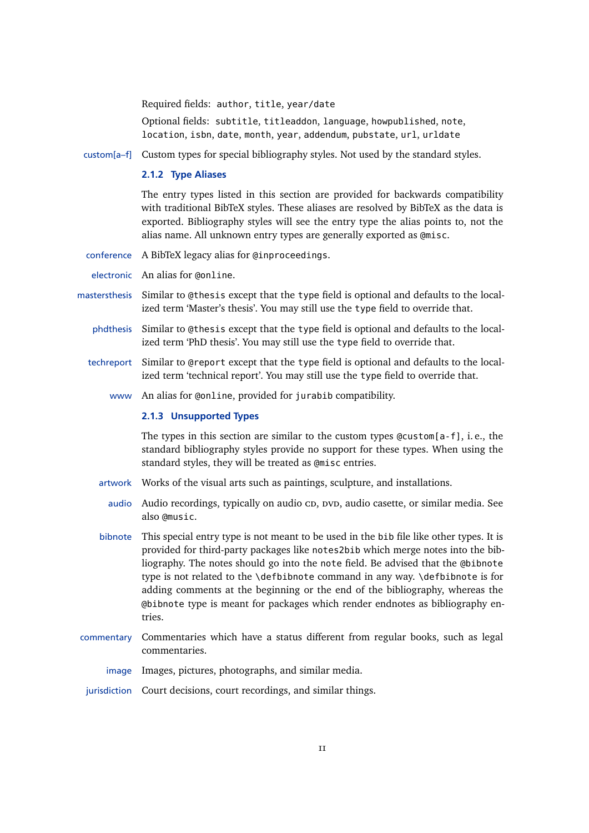Required fields: author, title, year/date

Optional fields: subtitle, titleaddon, language, howpublished, note, location, isbn, date, month, year, addendum, pubstate, url, urldate

<span id="page-10-0"></span>custom[a–f] Custom types for special bibliography styles. Not used by the standard styles.

#### **2.1.2 Type Aliases**

The entry types listed in this section are provided for backwards compatibility with traditional BibTeX styles. These aliases are resolved by BibTeX as the data is exported. Bibliography styles will see the entry type the alias points to, not the alias name. All unknown entry types are generally exported as @misc.

conference A BibTeX legacy alias for @inproceedings.

electronic An alias for @online.

- mastersthesis Similar to @thesis except that the type field is optional and defaults to the localized term 'Master's thesis'. You may still use the type field to override that.
	- phdthesis Similar to @thesis except that the type field is optional and defaults to the localized term 'PhD thesis'. You may still use the type field to override that.
	- techreport Similar to @report except that the type field is optional and defaults to the localized term 'technical report'. You may still use the type field to override that.
		- www An alias for @online, provided for jurabib compatibility.

## **2.1.3 Unsupported Types**

The types in this section are similar to the custom types  $Q$ custom $[a-f]$ , i.e., the standard bibliography styles provide no support for these types. When using the standard styles, they will be treated as @misc entries.

- artwork Works of the visual arts such as paintings, sculpture, and installations.
	- audio Audio recordings, typically on audio cp, pvp, audio casette, or similar media. See also @music.
- bibnote This special entry type is not meant to be used in the bib file like other types. It is provided for third-party packages like notes2bib which merge notes into the bibliography. The notes should go into the note field. Be advised that the @bibnote type is not related to the \defbibnote command in any way. \defbibnote is for adding comments at the beginning or the end of the bibliography, whereas the @bibnote type is meant for packages which render endnotes as bibliography entries.
- commentary Commentaries which have a status different from regular books, such as legal commentaries.
	- image Images, pictures, photographs, and similar media.
- jurisdiction Court decisions, court recordings, and similar things.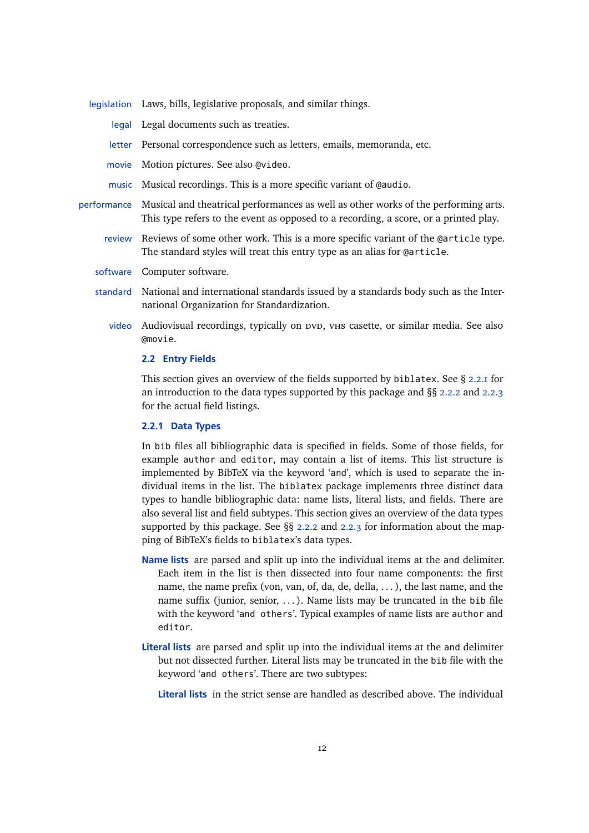<span id="page-11-0"></span>

|             | legislation Laws, bills, legislative proposals, and similar things.                                                                                                        |
|-------------|----------------------------------------------------------------------------------------------------------------------------------------------------------------------------|
|             | legal Legal documents such as treaties.                                                                                                                                    |
|             | letter Personal correspondence such as letters, emails, memoranda, etc.                                                                                                    |
|             | movie Motion pictures. See also @video.                                                                                                                                    |
|             | music Musical recordings. This is a more specific variant of @audio.                                                                                                       |
| performance | Musical and theatrical performances as well as other works of the performing arts.<br>This type refers to the event as opposed to a recording, a score, or a printed play. |
| review      | Reviews of some other work. This is a more specific variant of the Carticle type.<br>The standard styles will treat this entry type as an alias for @article.              |
|             | software Computer software.                                                                                                                                                |
|             | standard National and international standards issued by a standards body such as the Inter-<br>national Organization for Standardization.                                  |
| video       | Audiovisual recordings, typically on DVD, VHS casette, or similar media. See also<br>@movie.                                                                               |

#### **2.2 Entry Fields**

This section gives an overview of the fields supported by biblatex. See § 2.2.1 for an introduction to the data types supported by this package and §§ [2.2.2](#page-13-0) and [2.2.3](#page-22-0) for the actual field listings.

## **2.2.1 Data Types**

In bib files all bibliographic data is specified in fields. Some of those fields, for example author and editor, may contain a list of items. This list structure is implemented by BibTeX via the keyword 'and', which is used to separate the individual items in the list. The biblatex package implements three distinct data types to handle bibliographic data: name lists, literal lists, and fields. There are also several list and field subtypes. This section gives an overview of the data types supported by this package. See §§ [2.2.2](#page-13-0) and [2.2.3](#page-22-0) for information about the mapping of BibTeX's fields to biblatex's data types.

- **Name lists** are parsed and split up into the individual items at the and delimiter. Each item in the list is then dissected into four name components: the first name, the name prefix (von, van, of, da, de, della, . . . ), the last name, and the name suffix (junior, senior,  $\dots$ ). Name lists may be truncated in the bib file with the keyword 'and others'. Typical examples of name lists are author and editor.
- **Literal lists** are parsed and split up into the individual items at the and delimiter but not dissected further. Literal lists may be truncated in the bib file with the keyword 'and others'. There are two subtypes:
	- **Literal lists** in the strict sense are handled as described above. The individual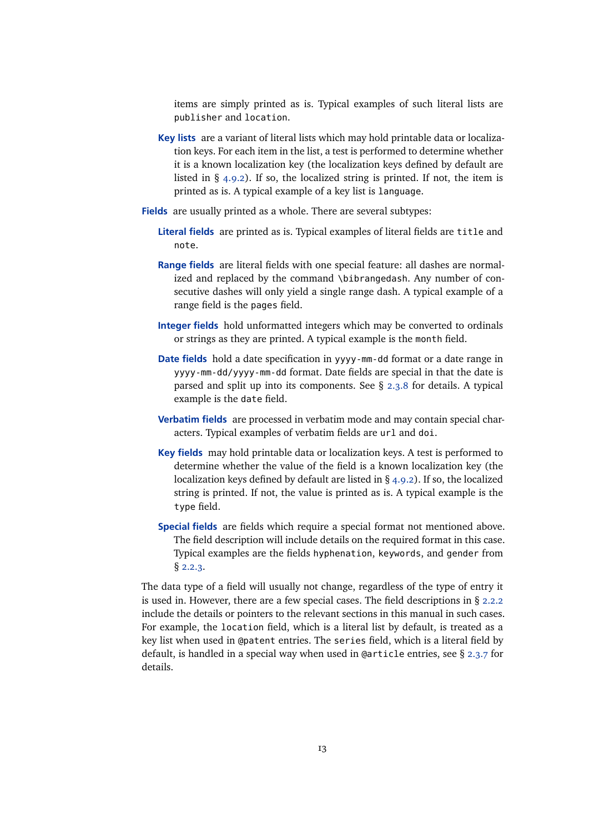items are simply printed as is. Typical examples of such literal lists are publisher and location.

- **Key lists** are a variant of literal lists which may hold printable data or localization keys. For each item in the list, a test is performed to determine whether it is a known localization key (the localization keys defined by default are listed in § [4.9.2\)](#page-172-0). If so, the localized string is printed. If not, the item is printed as is. A typical example of a key list is language.
- **Fields** are usually printed as a whole. There are several subtypes:
	- **Literal fields** are printed as is. Typical examples of literal fields are title and note.
	- **Range fields** are literal fields with one special feature: all dashes are normalized and replaced by the command \bibrangedash. Any number of consecutive dashes will only yield a single range dash. A typical example of a range field is the pages field.
	- **Integer fields** hold unformatted integers which may be converted to ordinals or strings as they are printed. A typical example is the month field.
	- **Date fields** hold a date specification in yyyy-mm-dd format or a date range in yyyy-mm-dd/yyyy-mm-dd format. Date fields are special in that the date is parsed and split up into its components. See § [2.3.8](#page-32-0) for details. A typical example is the date field.
	- **Verbatim fields** are processed in verbatim mode and may contain special characters. Typical examples of verbatim fields are url and doi.
	- **Key fields** may hold printable data or localization keys. A test is performed to determine whether the value of the field is a known localization key (the localization keys defined by default are listed in § [4.9.2\)](#page-172-0). If so, the localized string is printed. If not, the value is printed as is. A typical example is the type field.
	- **Special fields** are fields which require a special format not mentioned above. The field description will include details on the required format in this case. Typical examples are the fields hyphenation, keywords, and gender from § [2.2.3.](#page-22-0)

The data type of a field will usually not change, regardless of the type of entry it is used in. However, there are a few special cases. The field descriptions in § [2.2.2](#page-13-0) include the details or pointers to the relevant sections in this manual in such cases. For example, the location field, which is a literal list by default, is treated as a key list when used in @patent entries. The series field, which is a literal field by default, is handled in a special way when used in @article entries, see § [2.3.7](#page-31-0) for details.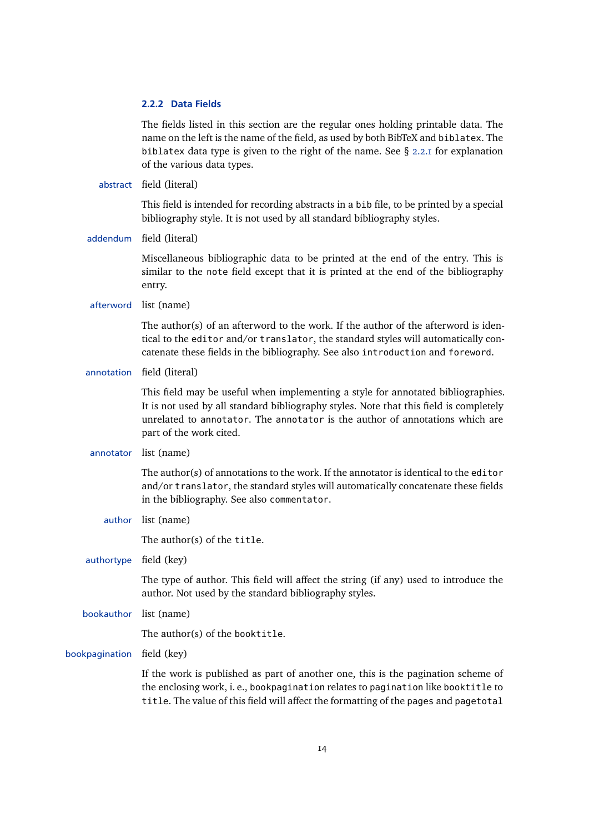## <span id="page-13-0"></span>**2.2.2 Data Fields**

The fields listed in this section are the regular ones holding printable data. The name on the left is the name of the field, as used by both BibTeX and biblatex. The biblatex data type is given to the right of the name. See  $\S$  [2.2.1](#page-11-0) for explanation of the various data types.

abstract field (literal)

This field is intended for recording abstracts in a bib file, to be printed by a special bibliography style. It is not used by all standard bibliography styles.

addendum field (literal)

Miscellaneous bibliographic data to be printed at the end of the entry. This is similar to the note field except that it is printed at the end of the bibliography entry.

afterword list (name)

The author(s) of an afterword to the work. If the author of the afterword is identical to the editor and/or translator, the standard styles will automatically concatenate these fields in the bibliography. See also introduction and foreword.

annotation field (literal)

This field may be useful when implementing a style for annotated bibliographies. It is not used by all standard bibliography styles. Note that this field is completely unrelated to annotator. The annotator is the author of annotations which are part of the work cited.

annotator list (name)

The author(s) of annotations to the work. If the annotator is identical to the editor and/or translator, the standard styles will automatically concatenate these fields in the bibliography. See also commentator.

author list (name)

The author(s) of the title.

authortype field (key)

The type of author. This field will affect the string (if any) used to introduce the author. Not used by the standard bibliography styles.

bookauthor list (name)

The author(s) of the booktitle.

bookpagination field (key)

If the work is published as part of another one, this is the pagination scheme of the enclosing work, i. e., bookpagination relates to pagination like booktitle to title. The value of this field will affect the formatting of the pages and pagetotal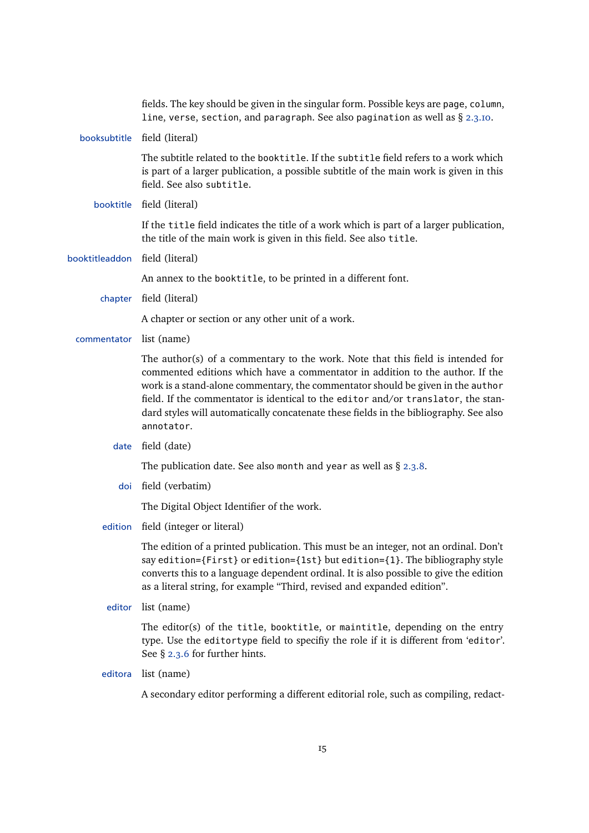|                | fields. The key should be given in the singular form. Possible keys are page, column,<br>line, verse, section, and paragraph. See also pagination as well as § 2.3.10.                                                                                                                                                                                                                                                                          |
|----------------|-------------------------------------------------------------------------------------------------------------------------------------------------------------------------------------------------------------------------------------------------------------------------------------------------------------------------------------------------------------------------------------------------------------------------------------------------|
|                | booksubtitle field (literal)                                                                                                                                                                                                                                                                                                                                                                                                                    |
|                | The subtitle related to the booktitle. If the subtitle field refers to a work which<br>is part of a larger publication, a possible subtitle of the main work is given in this<br>field. See also subtitle.                                                                                                                                                                                                                                      |
|                | booktitle field (literal)                                                                                                                                                                                                                                                                                                                                                                                                                       |
|                | If the title field indicates the title of a work which is part of a larger publication,<br>the title of the main work is given in this field. See also title.                                                                                                                                                                                                                                                                                   |
| booktitleaddon | field (literal)                                                                                                                                                                                                                                                                                                                                                                                                                                 |
|                | An annex to the booktitle, to be printed in a different font.                                                                                                                                                                                                                                                                                                                                                                                   |
| chapter        | field (literal)                                                                                                                                                                                                                                                                                                                                                                                                                                 |
|                | A chapter or section or any other unit of a work.                                                                                                                                                                                                                                                                                                                                                                                               |
| commentator    | list (name)                                                                                                                                                                                                                                                                                                                                                                                                                                     |
|                | The author(s) of a commentary to the work. Note that this field is intended for<br>commented editions which have a commentator in addition to the author. If the<br>work is a stand-alone commentary, the commentator should be given in the author<br>field. If the commentator is identical to the editor and/or translator, the stan-<br>dard styles will automatically concatenate these fields in the bibliography. See also<br>annotator. |
| date           | field (date)                                                                                                                                                                                                                                                                                                                                                                                                                                    |
|                | The publication date. See also month and year as well as $\S$ 2.3.8.                                                                                                                                                                                                                                                                                                                                                                            |
|                | doi field (verbatim)                                                                                                                                                                                                                                                                                                                                                                                                                            |
|                | The Digital Object Identifier of the work.                                                                                                                                                                                                                                                                                                                                                                                                      |
| edition        | field (integer or literal)                                                                                                                                                                                                                                                                                                                                                                                                                      |
|                | The edition of a printed publication. This must be an integer, not an ordinal. Don't<br>say edition={First} or edition={1st} but edition={1}. The bibliography style<br>converts this to a language dependent ordinal. It is also possible to give the edition<br>as a literal string, for example "Third, revised and expanded edition".                                                                                                       |
|                | editor list (name)                                                                                                                                                                                                                                                                                                                                                                                                                              |
|                | The editor(s) of the title, booktitle, or maintitle, depending on the entry<br>type. Use the editortype field to specifiy the role if it is different from 'editor'.<br>See $\S$ 2.3.6 for further hints.                                                                                                                                                                                                                                       |
| editora        | list (name)                                                                                                                                                                                                                                                                                                                                                                                                                                     |
|                | A secondary editor performing a different editorial role, such as compiling, redact-                                                                                                                                                                                                                                                                                                                                                            |
|                |                                                                                                                                                                                                                                                                                                                                                                                                                                                 |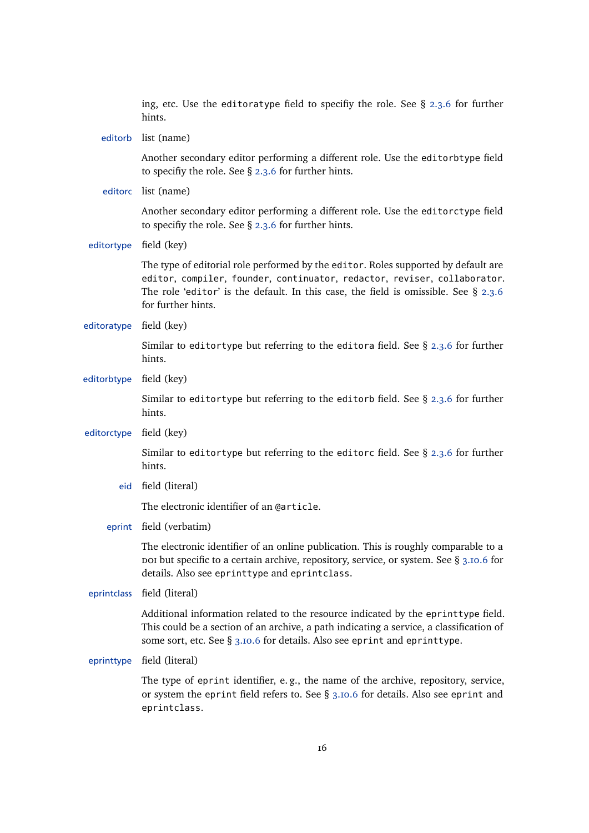ing, etc. Use the editoratype field to specifiy the role. See  $\S$  [2.3.6](#page-30-0) for further hints. editorb list (name) Another secondary editor performing a different role. Use the editorbtype field to specifiy the role. See § [2.3.6](#page-30-0) for further hints. editorc list (name) Another secondary editor performing a different role. Use the editorctype field to specifiy the role. See § [2.3.6](#page-30-0) for further hints. editortype field (key) The type of editorial role performed by the editor. Roles supported by default are editor, compiler, founder, continuator, redactor, reviser, collaborator. The role 'editor' is the default. In this case, the field is omissible. See  $\S$  [2.3.6](#page-30-0) for further hints. editoratype field (key) Similar to editortype but referring to the editora field. See § [2.3.6](#page-30-0) for further hints. editorbtype field (key) Similar to editortype but referring to the editorb field. See § [2.3.6](#page-30-0) for further hints. editorctype field (key) Similar to editortype but referring to the editorc field. See  $\S$  [2.3.6](#page-30-0) for further hints. eid field (literal) The electronic identifier of an @article. eprint field (verbatim) The electronic identifier of an online publication. This is roughly comparable to a por but specific to a certain archive, repository, service, or system. See  $\S$  [3.10.6](#page-105-0) for details. Also see eprinttype and eprintclass. eprintclass field (literal) Additional information related to the resource indicated by the eprinttype field. This could be a section of an archive, a path indicating a service, a classification of some sort, etc. See § [3.10.6](#page-105-0) for details. Also see eprint and eprinttype. eprinttype field (literal) The type of eprint identifier, e. g., the name of the archive, repository, service, or system the eprint field refers to. See § [3.10.6](#page-105-0) for details. Also see eprint and eprintclass.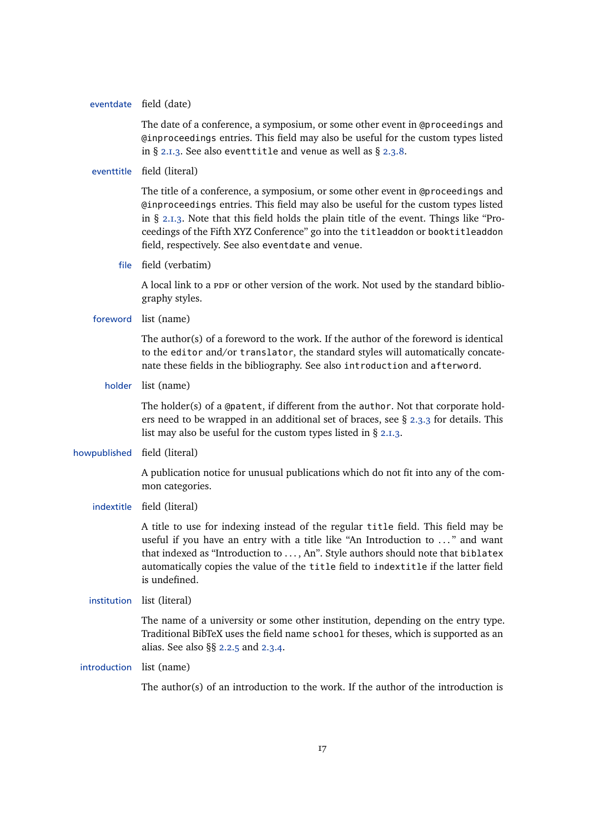#### eventdate field (date)

The date of a conference, a symposium, or some other event in @proceedings and @inproceedings entries. This field may also be useful for the custom types listed in § [2.1.3.](#page-10-0) See also eventtitle and venue as well as § [2.3.8.](#page-32-0)

#### eventtitle field (literal)

The title of a conference, a symposium, or some other event in @proceedings and @inproceedings entries. This field may also be useful for the custom types listed in § [2.1.3.](#page-10-0) Note that this field holds the plain title of the event. Things like "Proceedings of the Fifth XYZ Conference" go into the titleaddon or booktitleaddon field, respectively. See also eventdate and venue.

file field (verbatim)

A local link to a PDF or other version of the work. Not used by the standard bibliography styles.

## foreword list (name)

The author(s) of a foreword to the work. If the author of the foreword is identical to the editor and/or translator, the standard styles will automatically concatenate these fields in the bibliography. See also introduction and afterword.

holder list (name)

The holder(s) of a @patent, if different from the author. Not that corporate holders need to be wrapped in an additional set of braces, see  $\S$  [2.3.3](#page-28-0) for details. This list may also be useful for the custom types listed in § [2.1.3.](#page-10-0)

## howpublished field (literal)

A publication notice for unusual publications which do not fit into any of the common categories.

## indextitle field (literal)

A title to use for indexing instead of the regular title field. This field may be useful if you have an entry with a title like "An Introduction to ..." and want that indexed as "Introduction to . . . , An". Style authors should note that biblatex automatically copies the value of the title field to indextitle if the latter field is undefined.

#### institution list (literal)

The name of a university or some other institution, depending on the entry type. Traditional BibTeX uses the field name school for theses, which is supported as an alias. See also §§ [2.2.5](#page-26-0) and [2.3.4.](#page-28-0)

## introduction list (name)

The author(s) of an introduction to the work. If the author of the introduction is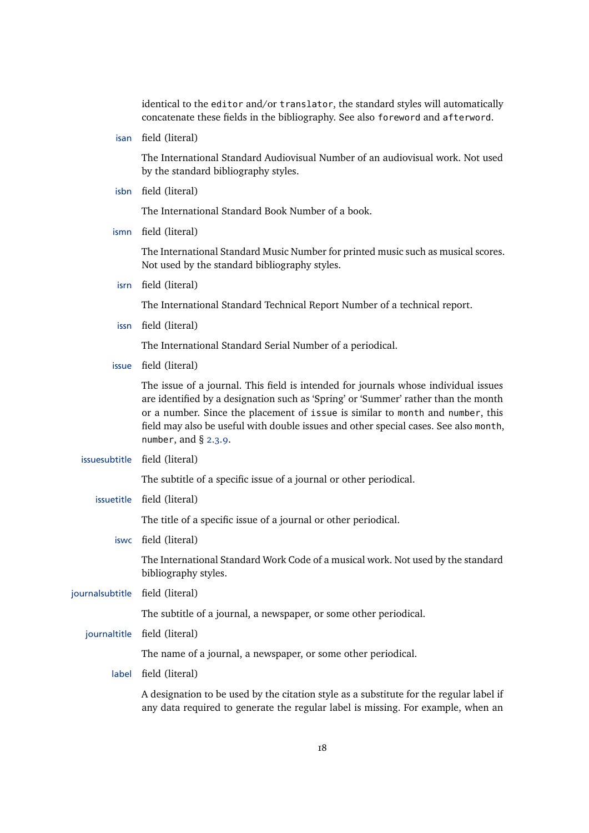identical to the editor and/or translator, the standard styles will automatically concatenate these fields in the bibliography. See also foreword and afterword.

isan field (literal)

The International Standard Audiovisual Number of an audiovisual work. Not used by the standard bibliography styles.

isbn field (literal)

The International Standard Book Number of a book.

ismn field (literal)

The International Standard Music Number for printed music such as musical scores. Not used by the standard bibliography styles.

isrn field (literal)

The International Standard Technical Report Number of a technical report.

issn field (literal)

The International Standard Serial Number of a periodical.

issue field (literal)

The issue of a journal. This field is intended for journals whose individual issues are identified by a designation such as 'Spring' or 'Summer' rather than the month or a number. Since the placement of issue is similar to month and number, this field may also be useful with double issues and other special cases. See also month, number, and  $\S$  [2.3.9.](#page-33-0)

issuesubtitle field (literal)

The subtitle of a specific issue of a journal or other periodical.

issuetitle field (literal)

The title of a specific issue of a journal or other periodical.

iswc field (literal)

The International Standard Work Code of a musical work. Not used by the standard bibliography styles.

journalsubtitle field (literal)

The subtitle of a journal, a newspaper, or some other periodical.

journaltitle field (literal)

The name of a journal, a newspaper, or some other periodical.

label field (literal)

A designation to be used by the citation style as a substitute for the regular label if any data required to generate the regular label is missing. For example, when an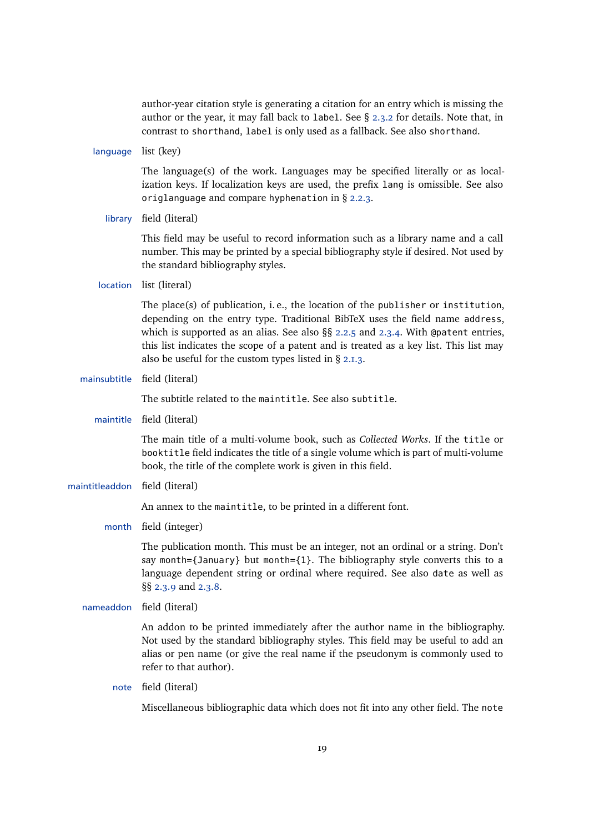author-year citation style is generating a citation for an entry which is missing the author or the year, it may fall back to label. See § [2.3.2](#page-27-0) for details. Note that, in contrast to shorthand, label is only used as a fallback. See also shorthand.

language list (key)

The language(s) of the work. Languages may be specified literally or as localization keys. If localization keys are used, the prefix lang is omissible. See also origlanguage and compare hyphenation in § [2.2.3.](#page-22-0)

library field (literal)

This field may be useful to record information such as a library name and a call number. This may be printed by a special bibliography style if desired. Not used by the standard bibliography styles.

location list (literal)

The place(s) of publication, i. e., the location of the publisher or institution, depending on the entry type. Traditional BibTeX uses the field name address, which is supported as an alias. See also  $\S6$  [2.2.5](#page-26-0) and [2.3.4.](#page-28-0) With @patent entries, this list indicates the scope of a patent and is treated as a key list. This list may also be useful for the custom types listed in § [2.1.3.](#page-10-0)

mainsubtitle field (literal)

The subtitle related to the maintitle. See also subtitle.

maintitle field (literal)

The main title of a multi-volume book, such as *Collected Works*. If the title or booktitle field indicates the title of a single volume which is part of multi-volume book, the title of the complete work is given in this field.

maintitleaddon field (literal)

An annex to the maintitle, to be printed in a different font.

month field (integer)

The publication month. This must be an integer, not an ordinal or a string. Don't say month={January} but month={1}. The bibliography style converts this to a language dependent string or ordinal where required. See also date as well as §§ [2.3.9](#page-33-0) and [2.3.8.](#page-32-0)

nameaddon field (literal)

An addon to be printed immediately after the author name in the bibliography. Not used by the standard bibliography styles. This field may be useful to add an alias or pen name (or give the real name if the pseudonym is commonly used to refer to that author).

note field (literal)

Miscellaneous bibliographic data which does not fit into any other field. The note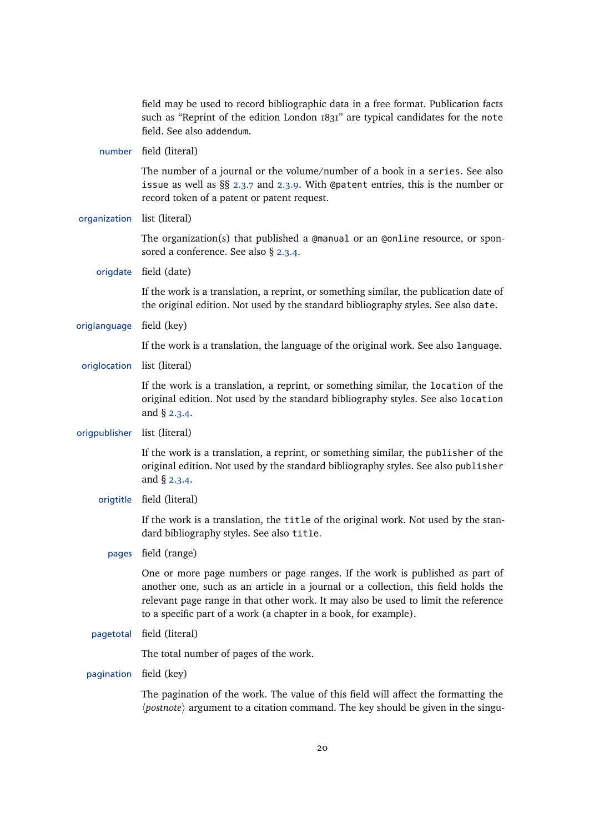field may be used to record bibliographic data in a free format. Publication facts such as "Reprint of the edition London 1831" are typical candidates for the note field. See also addendum.

number field (literal)

The number of a journal or the volume/number of a book in a series. See also issue as well as §§ [2.3.7](#page-31-0) and [2.3.9.](#page-33-0) With @patent entries, this is the number or record token of a patent or patent request.

organization list (literal)

The organization(s) that published a  $\alpha$  and  $\alpha$  and  $\alpha$  and  $\alpha$  resource, or sponsored a conference. See also § [2.3.4.](#page-28-0)

origdate field (date)

If the work is a translation, a reprint, or something similar, the publication date of the original edition. Not used by the standard bibliography styles. See also date.

origlanguage field (key)

If the work is a translation, the language of the original work. See also language.

origlocation list (literal)

If the work is a translation, a reprint, or something similar, the location of the original edition. Not used by the standard bibliography styles. See also location and § [2.3.4.](#page-28-0)

origpublisher list (literal)

If the work is a translation, a reprint, or something similar, the publisher of the original edition. Not used by the standard bibliography styles. See also publisher and § [2.3.4.](#page-28-0)

origtitle field (literal)

If the work is a translation, the title of the original work. Not used by the standard bibliography styles. See also title.

pages field (range)

One or more page numbers or page ranges. If the work is published as part of another one, such as an article in a journal or a collection, this field holds the relevant page range in that other work. It may also be used to limit the reference to a specific part of a work (a chapter in a book, for example).

pagetotal field (literal)

The total number of pages of the work.

pagination field (key)

The pagination of the work. The value of this field will affect the formatting the *(postnote)* argument to a citation command. The key should be given in the singu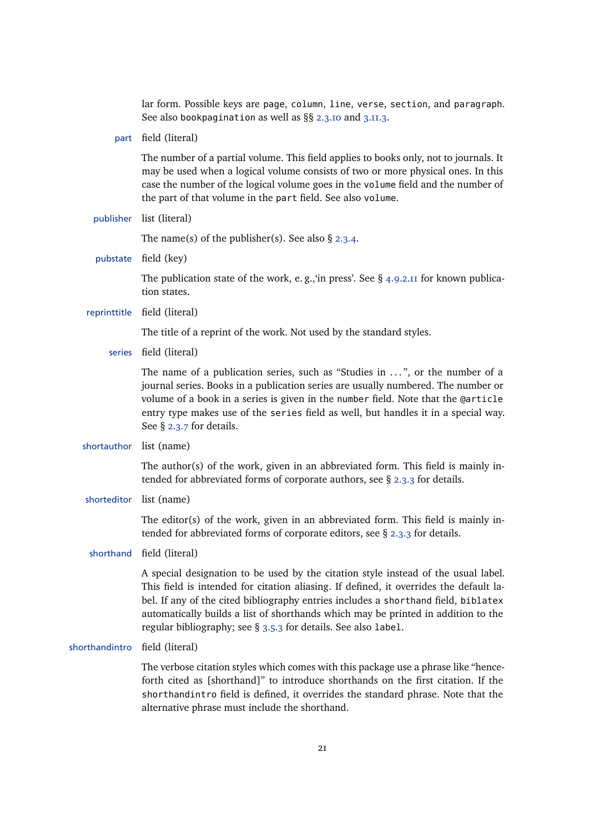lar form. Possible keys are page, column, line, verse, section, and paragraph. See also bookpagination as well as  $\S$ § [2.3.10](#page-33-0) and [3.11.3.](#page-109-0)

part field (literal)

The number of a partial volume. This field applies to books only, not to journals. It may be used when a logical volume consists of two or more physical ones. In this case the number of the logical volume goes in the volume field and the number of the part of that volume in the part field. See also volume.

publisher list (literal)

The name(s) of the publisher(s). See also  $\S$  [2.3.4.](#page-28-0)

pubstate field (key)

The publication state of the work, e.g., in press'. See  $\S$  [4.9.2.11](#page-177-0) for known publication states.

reprinttitle field (literal)

The title of a reprint of the work. Not used by the standard styles.

series field (literal)

The name of a publication series, such as "Studies in ...", or the number of a journal series. Books in a publication series are usually numbered. The number or volume of a book in a series is given in the number field. Note that the @article entry type makes use of the series field as well, but handles it in a special way. See § [2.3.7](#page-31-0) for details.

shortauthor list (name)

The author(s) of the work, given in an abbreviated form. This field is mainly intended for abbreviated forms of corporate authors, see § [2.3.3](#page-28-0) for details.

shorteditor list (name)

The editor(s) of the work, given in an abbreviated form. This field is mainly intended for abbreviated forms of corporate editors, see § [2.3.3](#page-28-0) for details.

shorthand field (literal)

A special designation to be used by the citation style instead of the usual label. This field is intended for citation aliasing. If defined, it overrides the default label. If any of the cited bibliography entries includes a shorthand field, biblatex automatically builds a list of shorthands which may be printed in addition to the regular bibliography; see § [3.5.3](#page-71-0) for details. See also label.

shorthandintro field (literal)

The verbose citation styles which comes with this package use a phrase like "henceforth cited as [shorthand]" to introduce shorthands on the first citation. If the shorthandintro field is defined, it overrides the standard phrase. Note that the alternative phrase must include the shorthand.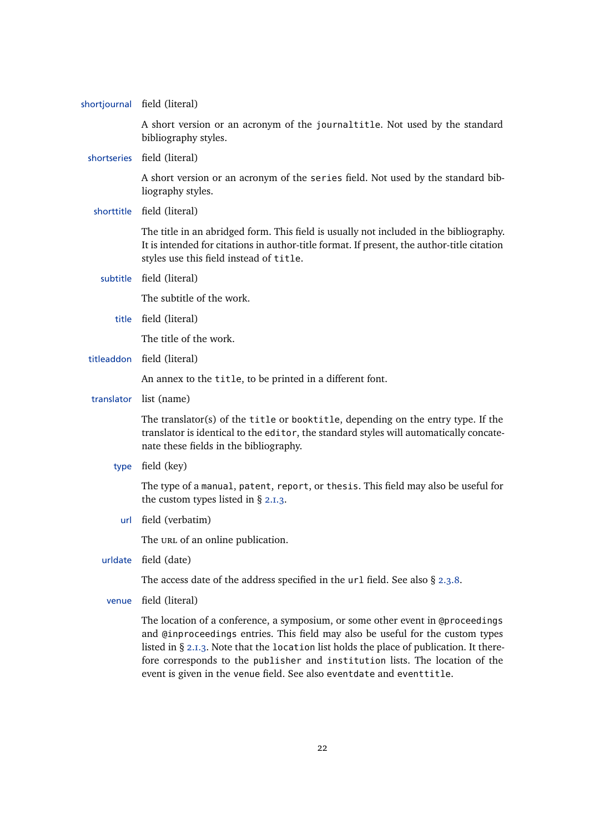|            | shortjournal field (literal)                                                                                                                                                                                                                                                                                                                                                                                          |
|------------|-----------------------------------------------------------------------------------------------------------------------------------------------------------------------------------------------------------------------------------------------------------------------------------------------------------------------------------------------------------------------------------------------------------------------|
|            | A short version or an acronym of the journaltitle. Not used by the standard<br>bibliography styles.                                                                                                                                                                                                                                                                                                                   |
|            | shortseries field (literal)                                                                                                                                                                                                                                                                                                                                                                                           |
|            | A short version or an acronym of the series field. Not used by the standard bib-<br>liography styles.                                                                                                                                                                                                                                                                                                                 |
|            | shorttitle field (literal)                                                                                                                                                                                                                                                                                                                                                                                            |
|            | The title in an abridged form. This field is usually not included in the bibliography.<br>It is intended for citations in author-title format. If present, the author-title citation<br>styles use this field instead of title.                                                                                                                                                                                       |
| subtitle   | field (literal)                                                                                                                                                                                                                                                                                                                                                                                                       |
|            | The subtitle of the work.                                                                                                                                                                                                                                                                                                                                                                                             |
| title      | field (literal)                                                                                                                                                                                                                                                                                                                                                                                                       |
|            | The title of the work.                                                                                                                                                                                                                                                                                                                                                                                                |
|            | titleaddon field (literal)                                                                                                                                                                                                                                                                                                                                                                                            |
|            | An annex to the title, to be printed in a different font.                                                                                                                                                                                                                                                                                                                                                             |
| translator | list (name)                                                                                                                                                                                                                                                                                                                                                                                                           |
|            | The translator(s) of the title or booktitle, depending on the entry type. If the<br>translator is identical to the editor, the standard styles will automatically concate-<br>nate these fields in the bibliography.                                                                                                                                                                                                  |
| type       | field (key)                                                                                                                                                                                                                                                                                                                                                                                                           |
|            | The type of a manual, patent, report, or thesis. This field may also be useful for<br>the custom types listed in $\S$ 2.1.3.                                                                                                                                                                                                                                                                                          |
| url        | field (verbatim)                                                                                                                                                                                                                                                                                                                                                                                                      |
|            | The URL of an online publication.                                                                                                                                                                                                                                                                                                                                                                                     |
| urldate    | field (date)                                                                                                                                                                                                                                                                                                                                                                                                          |
|            | The access date of the address specified in the $url$ field. See also $\S$ 2.3.8.                                                                                                                                                                                                                                                                                                                                     |
| venue      | field (literal)                                                                                                                                                                                                                                                                                                                                                                                                       |
|            | The location of a conference, a symposium, or some other event in @proceedings<br>and @inproceedings entries. This field may also be useful for the custom types<br>listed in § 2.1.3. Note that the location list holds the place of publication. It there-<br>fore corresponds to the publisher and institution lists. The location of the<br>event is given in the venue field. See also eventdate and eventtitle. |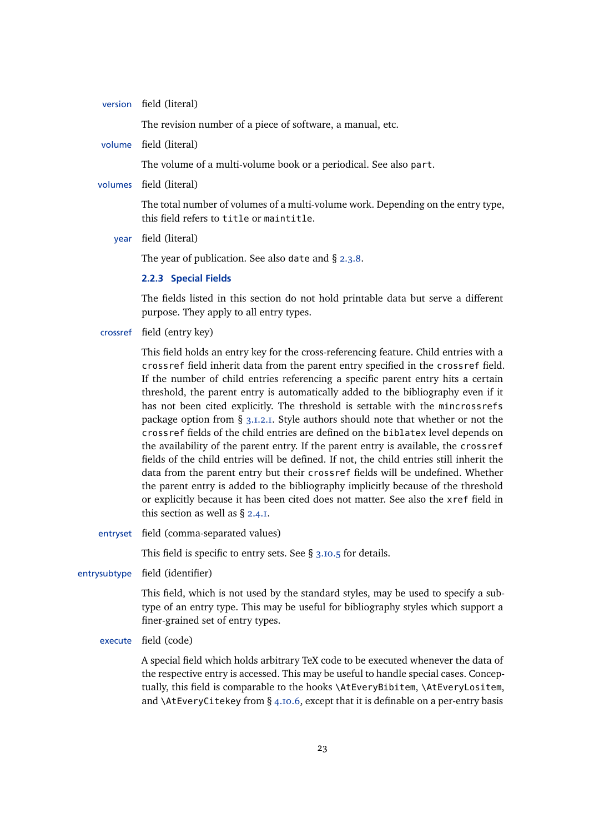<span id="page-22-0"></span>version field (literal)

The revision number of a piece of software, a manual, etc.

volume field (literal)

The volume of a multi-volume book or a periodical. See also part.

volumes field (literal)

The total number of volumes of a multi-volume work. Depending on the entry type, this field refers to title or maintitle.

year field (literal)

The year of publication. See also date and § [2.3.8.](#page-32-0)

## **2.2.3 Special Fields**

The fields listed in this section do not hold printable data but serve a different purpose. They apply to all entry types.

crossref field (entry key)

This field holds an entry key for the cross-referencing feature. Child entries with a crossref field inherit data from the parent entry specified in the crossref field. If the number of child entries referencing a specific parent entry hits a certain threshold, the parent entry is automatically added to the bibliography even if it has not been cited explicitly. The threshold is settable with the mincrossrefs package option from  $\S$  [3.1.2.1.](#page-43-0) Style authors should note that whether or not the crossref fields of the child entries are defined on the biblatex level depends on the availability of the parent entry. If the parent entry is available, the crossref fields of the child entries will be defined. If not, the child entries still inherit the data from the parent entry but their crossref fields will be undefined. Whether the parent entry is added to the bibliography implicitly because of the threshold or explicitly because it has been cited does not matter. See also the xref field in this section as well as § [2.4.1.](#page-34-0)

entryset field (comma-separated values)

This field is specific to entry sets. See § [3.10.5](#page-104-0) for details.

entrysubtype field (identifier)

This field, which is not used by the standard styles, may be used to specify a subtype of an entry type. This may be useful for bibliography styles which support a finer-grained set of entry types.

execute field (code)

A special field which holds arbitrary TeX code to be executed whenever the data of the respective entry is accessed. This may be useful to handle special cases. Conceptually, this field is comparable to the hooks \AtEveryBibitem, \AtEveryLositem, and \AtEveryCitekey from § [4.10.6,](#page-190-0) except that it is definable on a per-entry basis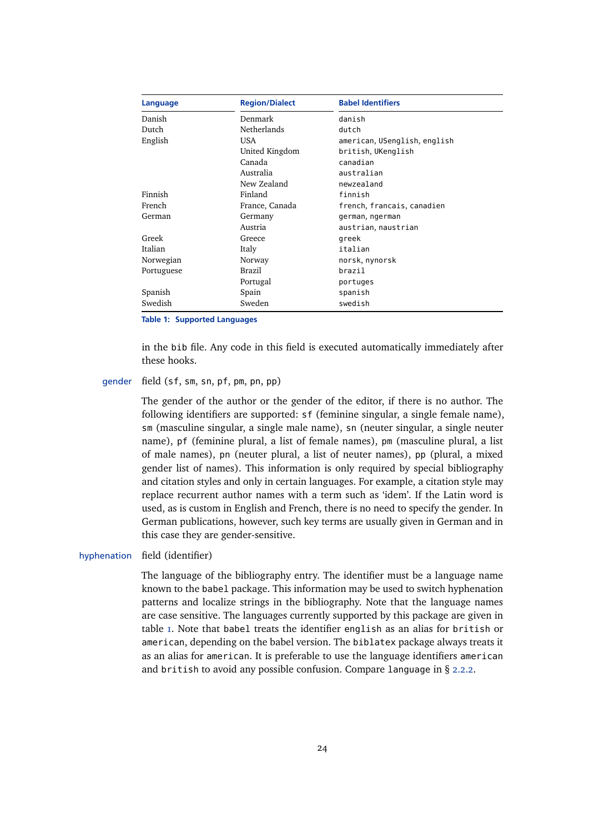<span id="page-23-0"></span>

| Language   | <b>Region/Dialect</b> | <b>Babel Identifiers</b>     |  |
|------------|-----------------------|------------------------------|--|
| Danish     | Denmark               | danish                       |  |
| Dutch      | <b>Netherlands</b>    | dutch                        |  |
| English    | USA                   | american, USenglish, english |  |
|            | United Kingdom        | british, UKenglish           |  |
|            | Canada                | canadian                     |  |
|            | Australia             | australian                   |  |
|            | New Zealand           | newzealand                   |  |
| Finnish    | Finland               | finnish                      |  |
| French     | France, Canada        | french, francais, canadien   |  |
| German     | Germany               | german, ngerman              |  |
|            | Austria               | austrian, naustrian          |  |
| Greek      | Greece                | greek                        |  |
| Italian    | Italy                 | italian                      |  |
| Norwegian  | Norway                | norsk, nynorsk               |  |
| Portuguese | Brazil                | brazil                       |  |
|            | Portugal              | portuges                     |  |
| Spanish    | Spain                 | spanish                      |  |
| Swedish    | Sweden                | swedish                      |  |

**Table 1: Supported Languages**

in the bib file. Any code in this field is executed automatically immediately after these hooks.

#### gender field (sf, sm, sn, pf, pm, pn, pp)

The gender of the author or the gender of the editor, if there is no author. The following identifiers are supported: sf (feminine singular, a single female name), sm (masculine singular, a single male name), sn (neuter singular, a single neuter name), pf (feminine plural, a list of female names), pm (masculine plural, a list of male names), pn (neuter plural, a list of neuter names), pp (plural, a mixed gender list of names). This information is only required by special bibliography and citation styles and only in certain languages. For example, a citation style may replace recurrent author names with a term such as 'idem'. If the Latin word is used, as is custom in English and French, there is no need to specify the gender. In German publications, however, such key terms are usually given in German and in this case they are gender-sensitive.

#### hyphenation field (identifier)

The language of the bibliography entry. The identifier must be a language name known to the babel package. This information may be used to switch hyphenation patterns and localize strings in the bibliography. Note that the language names are case sensitive. The languages currently supported by this package are given in table 1. Note that babel treats the identifier english as an alias for british or american, depending on the babel version. The biblatex package always treats it as an alias for american. It is preferable to use the language identifiers american and british to avoid any possible confusion. Compare language in § [2.2.2.](#page-13-0)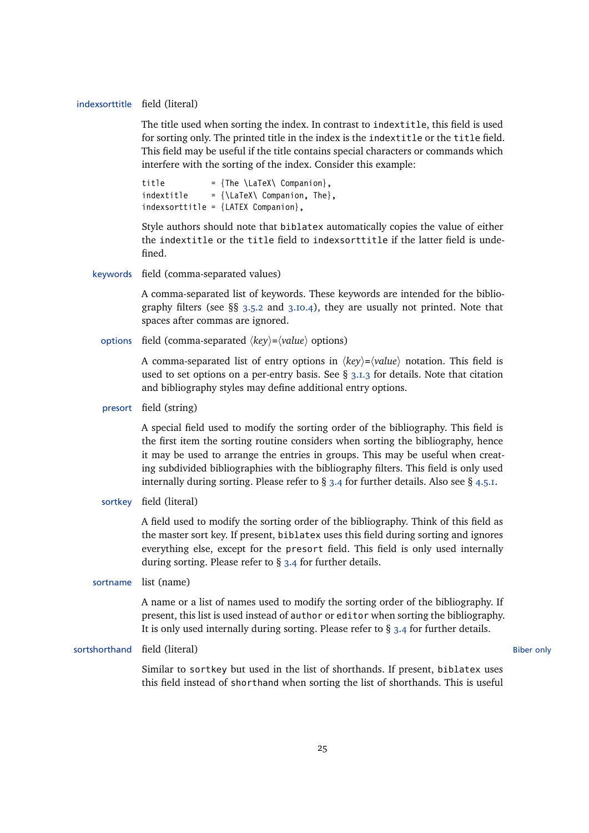#### indexsorttitle field (literal)

The title used when sorting the index. In contrast to indextitle, this field is used for sorting only. The printed title in the index is the indextitle or the title field. This field may be useful if the title contains special characters or commands which interfere with the sorting of the index. Consider this example:

title  $=$  {The \LaTeX\ Companion}.  $indextitle = {\text{.\lambda}\text{ Common.} The}.$ indexsorttitle = {LATEX Companion},

Style authors should note that biblatex automatically copies the value of either the indextitle or the title field to indexsorttitle if the latter field is undefined.

keywords field (comma-separated values)

A comma-separated list of keywords. These keywords are intended for the bibliography filters (see  $\S$ § [3.5.2](#page-68-0) and [3.10.4\)](#page-101-0), they are usually not printed. Note that spaces after commas are ignored.

options field (comma-separated  $\langle key \rangle = \langle value \rangle$  options)

A comma-separated list of entry options in  $\langle key \rangle = \langle value \rangle$  notation. This field is used to set options on a per-entry basis. See  $\S$  [3.1.3](#page-57-0) for details. Note that citation and bibliography styles may define additional entry options.

presort field (string)

A special field used to modify the sorting order of the bibliography. This field is the first item the sorting routine considers when sorting the bibliography, hence it may be used to arrange the entries in groups. This may be useful when creating subdivided bibliographies with the bibliography filters. This field is only used internally during sorting. Please refer to  $\S$  [3.4](#page-66-0) for further details. Also see  $\S$  [4.5.1.](#page-137-0)

sortkey field (literal)

A field used to modify the sorting order of the bibliography. Think of this field as the master sort key. If present, biblatex uses this field during sorting and ignores everything else, except for the presort field. This field is only used internally during sorting. Please refer to § [3.4](#page-66-0) for further details.

sortname list (name)

A name or a list of names used to modify the sorting order of the bibliography. If present, this list is used instead of author or editor when sorting the bibliography. It is only used internally during sorting. Please refer to § [3.4](#page-66-0) for further details.

sortshorthand field (literal) and the social biber only and the social biber only and the social biber only and  $B$ iber only

Similar to sortkey but used in the list of shorthands. If present, biblatex uses this field instead of shorthand when sorting the list of shorthands. This is useful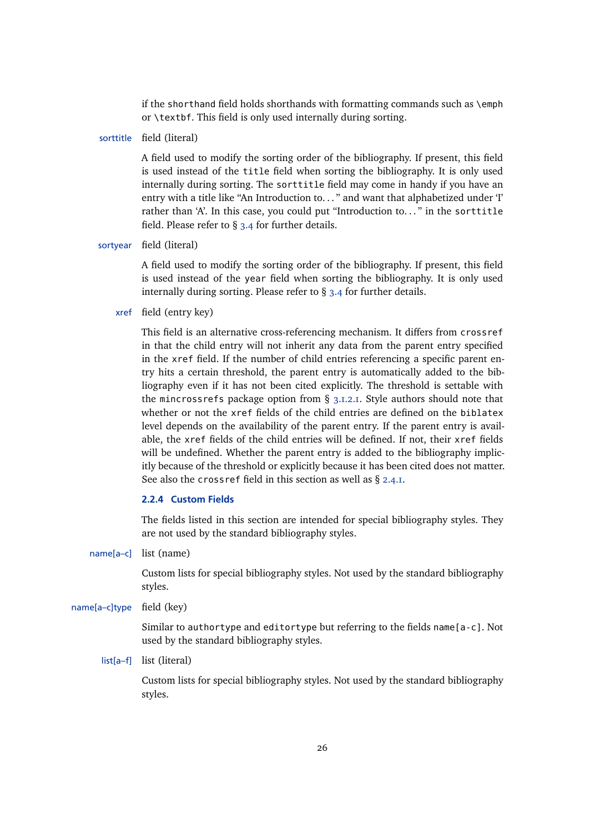if the shorthand field holds shorthands with formatting commands such as \emph or \textbf. This field is only used internally during sorting.

sorttitle field (literal)

A field used to modify the sorting order of the bibliography. If present, this field is used instead of the title field when sorting the bibliography. It is only used internally during sorting. The sorttitle field may come in handy if you have an entry with a title like "An Introduction to. . . " and want that alphabetized under 'I' rather than 'A'. In this case, you could put "Introduction to. . . " in the sorttitle field. Please refer to § [3.4](#page-66-0) for further details.

#### sortyear field (literal)

A field used to modify the sorting order of the bibliography. If present, this field is used instead of the year field when sorting the bibliography. It is only used internally during sorting. Please refer to § [3.4](#page-66-0) for further details.

xref field (entry key)

This field is an alternative cross-referencing mechanism. It differs from crossref in that the child entry will not inherit any data from the parent entry specified in the xref field. If the number of child entries referencing a specific parent entry hits a certain threshold, the parent entry is automatically added to the bibliography even if it has not been cited explicitly. The threshold is settable with the mincrossrefs package option from § [3.1.2.1.](#page-43-0) Style authors should note that whether or not the xref fields of the child entries are defined on the biblatex level depends on the availability of the parent entry. If the parent entry is available, the xref fields of the child entries will be defined. If not, their xref fields will be undefined. Whether the parent entry is added to the bibliography implicitly because of the threshold or explicitly because it has been cited does not matter. See also the crossref field in this section as well as § [2.4.1.](#page-34-0)

#### **2.2.4 Custom Fields**

The fields listed in this section are intended for special bibliography styles. They are not used by the standard bibliography styles.

name[a–c] list (name)

Custom lists for special bibliography styles. Not used by the standard bibliography styles.

name[a–c]type field (key)

Similar to authortype and editortype but referring to the fields name[a-c]. Not used by the standard bibliography styles.

list[a–f] list (literal)

Custom lists for special bibliography styles. Not used by the standard bibliography styles.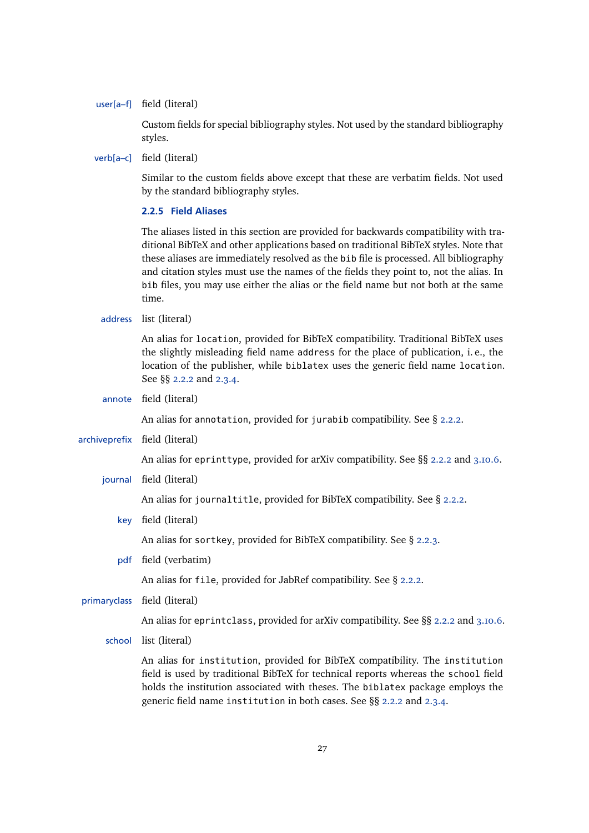<span id="page-26-0"></span>user[a–f] field (literal)

Custom fields for special bibliography styles. Not used by the standard bibliography styles.

verb[a–c] field (literal)

Similar to the custom fields above except that these are verbatim fields. Not used by the standard bibliography styles.

## **2.2.5 Field Aliases**

The aliases listed in this section are provided for backwards compatibility with traditional BibTeX and other applications based on traditional BibTeX styles. Note that these aliases are immediately resolved as the bib file is processed. All bibliography and citation styles must use the names of the fields they point to, not the alias. In bib files, you may use either the alias or the field name but not both at the same time.

## address list (literal)

An alias for location, provided for BibTeX compatibility. Traditional BibTeX uses the slightly misleading field name address for the place of publication, i. e., the location of the publisher, while biblatex uses the generic field name location. See §§ [2.2.2](#page-13-0) and [2.3.4.](#page-28-0)

annote field (literal)

An alias for annotation, provided for jurabib compatibility. See § [2.2.2.](#page-13-0)

archiveprefix field (literal)

An alias for eprinttype, provided for arXiv compatibility. See §§ [2.2.2](#page-13-0) and [3.10.6.](#page-105-0)

journal field (literal)

An alias for journaltitle, provided for BibTeX compatibility. See § [2.2.2.](#page-13-0)

key field (literal)

An alias for sortkey, provided for BibTeX compatibility. See § [2.2.3.](#page-22-0)

pdf field (verbatim)

An alias for file, provided for JabRef compatibility. See § [2.2.2.](#page-13-0)

primaryclass field (literal)

An alias for eprintclass, provided for arXiv compatibility. See §§ [2.2.2](#page-13-0) and [3.10.6.](#page-105-0)

school list (literal)

An alias for institution, provided for BibTeX compatibility. The institution field is used by traditional BibTeX for technical reports whereas the school field holds the institution associated with theses. The biblatex package employs the generic field name institution in both cases. See §§ [2.2.2](#page-13-0) and [2.3.4.](#page-28-0)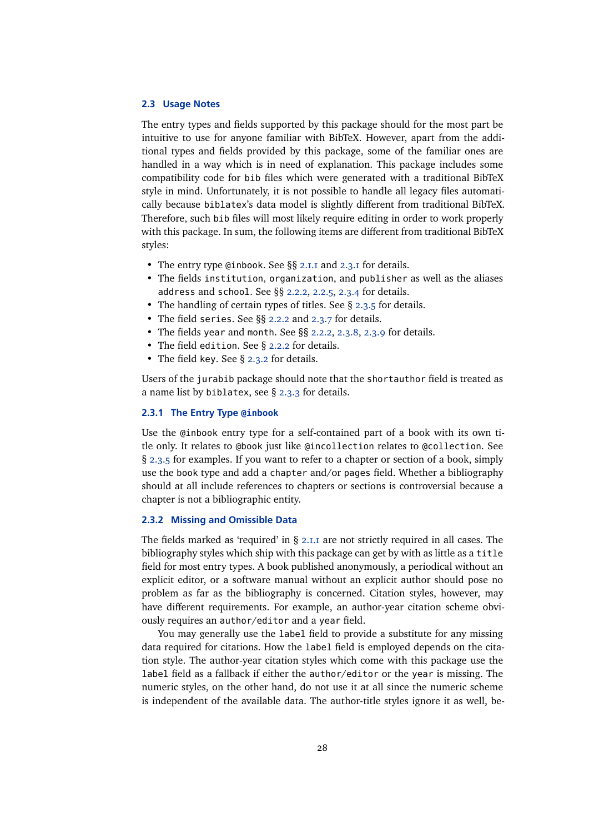#### <span id="page-27-0"></span>**2.3 Usage Notes**

The entry types and fields supported by this package should for the most part be intuitive to use for anyone familiar with BibTeX. However, apart from the additional types and fields provided by this package, some of the familiar ones are handled in a way which is in need of explanation. This package includes some compatibility code for bib files which were generated with a traditional BibTeX style in mind. Unfortunately, it is not possible to handle all legacy files automatically because biblatex's data model is slightly different from traditional BibTeX. Therefore, such bib files will most likely require editing in order to work properly with this package. In sum, the following items are different from traditional BibTeX styles:

- The entry type @inbook. See §§ [2.1.1](#page-5-0) and 2.3.1 for details.
- The fields institution, organization, and publisher as well as the aliases address and school. See §§ [2.2.2,](#page-13-0) [2.2.5,](#page-26-0) [2.3.4](#page-28-0) for details.
- The handling of certain types of titles. See § [2.3.5](#page-29-0) for details.
- The field series. See §§ [2.2.2](#page-13-0) and [2.3.7](#page-31-0) for details.
- The fields year and month. See §§ [2.2.2,](#page-13-0) [2.3.8,](#page-32-0) [2.3.9](#page-33-0) for details.
- The field edition. See § [2.2.2](#page-13-0) for details.
- The field key. See § 2.3.2 for details.

Users of the jurabib package should note that the shortauthor field is treated as a name list by biblatex, see § [2.3.3](#page-28-0) for details.

#### **2.3.1 The Entry Type @inbook**

Use the @inbook entry type for a self-contained part of a book with its own title only. It relates to @book just like @incollection relates to @collection. See § [2.3.5](#page-29-0) for examples. If you want to refer to a chapter or section of a book, simply use the book type and add a chapter and/or pages field. Whether a bibliography should at all include references to chapters or sections is controversial because a chapter is not a bibliographic entity.

## **2.3.2 Missing and Omissible Data**

The fields marked as 'required' in  $\S$  [2.1.1](#page-5-0) are not strictly required in all cases. The bibliography styles which ship with this package can get by with as little as a title field for most entry types. A book published anonymously, a periodical without an explicit editor, or a software manual without an explicit author should pose no problem as far as the bibliography is concerned. Citation styles, however, may have different requirements. For example, an author-year citation scheme obviously requires an author/editor and a year field.

You may generally use the label field to provide a substitute for any missing data required for citations. How the label field is employed depends on the citation style. The author-year citation styles which come with this package use the label field as a fallback if either the author/editor or the year is missing. The numeric styles, on the other hand, do not use it at all since the numeric scheme is independent of the available data. The author-title styles ignore it as well, be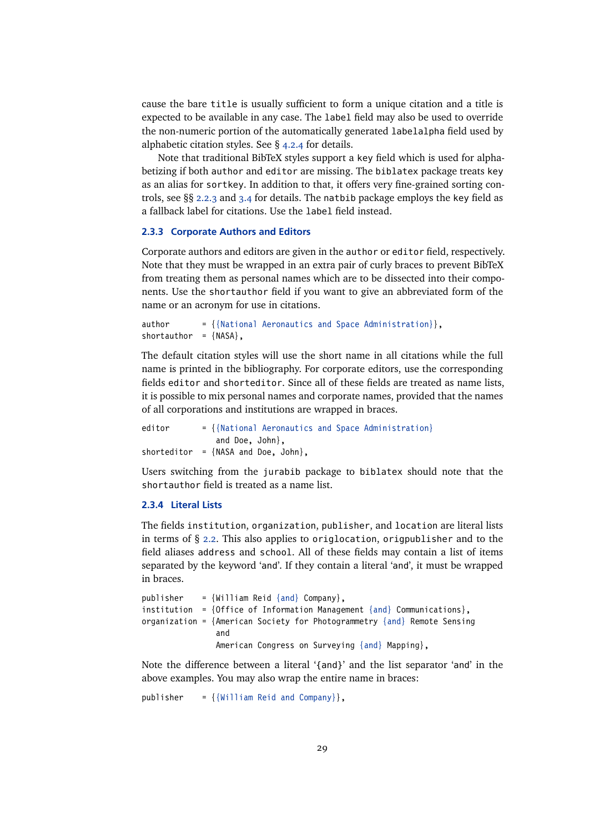<span id="page-28-0"></span>cause the bare title is usually sufficient to form a unique citation and a title is expected to be available in any case. The label field may also be used to override the non-numeric portion of the automatically generated labelalpha field used by alphabetic citation styles. See § [4.2.4](#page-120-0) for details.

Note that traditional BibTeX styles support a key field which is used for alphabetizing if both author and editor are missing. The biblatex package treats key as an alias for sortkey. In addition to that, it offers very fine-grained sorting controls, see §§ [2.2.3](#page-22-0) and [3.4](#page-66-0) for details. The natbib package employs the key field as a fallback label for citations. Use the label field instead.

## **2.3.3 Corporate Authors and Editors**

Corporate authors and editors are given in the author or editor field, respectively. Note that they must be wrapped in an extra pair of curly braces to prevent BibTeX from treating them as personal names which are to be dissected into their components. Use the shortauthor field if you want to give an abbreviated form of the name or an acronym for use in citations.

author  $= {\{\text{National Aeronautics and Space Administration}\},$ shortauthor =  $\{NASA\}$ ,

The default citation styles will use the short name in all citations while the full name is printed in the bibliography. For corporate editors, use the corresponding fields editor and shorteditor. Since all of these fields are treated as name lists, it is possible to mix personal names and corporate names, provided that the names of all corporations and institutions are wrapped in braces.

editor  $= \{$ {National Aeronautics and Space Administration} and Doe, John}, shorteditor =  $\{NASA \text{ and } Doe$ . John $\}$ .

Users switching from the jurabib package to biblatex should note that the shortauthor field is treated as a name list.

## **2.3.4 Literal Lists**

The fields institution, organization, publisher, and location are literal lists in terms of § [2.2.](#page-11-0) This also applies to origlocation, origpublisher and to the field aliases address and school. All of these fields may contain a list of items separated by the keyword 'and'. If they contain a literal 'and', it must be wrapped in braces.

```
publisher = \{William Reid \{ and \} Company\},
institution = {Office of Information Management {and} Communications},
organization = {American Society for Photogrammetry {and} Remote Sensing
                and
                American Congress on Surveying {and} Mapping},
```
Note the difference between a literal '{and}' and the list separator 'and' in the above examples. You may also wrap the entire name in braces:

publisher =  ${\{William \; Reid \; and \; Company\}}$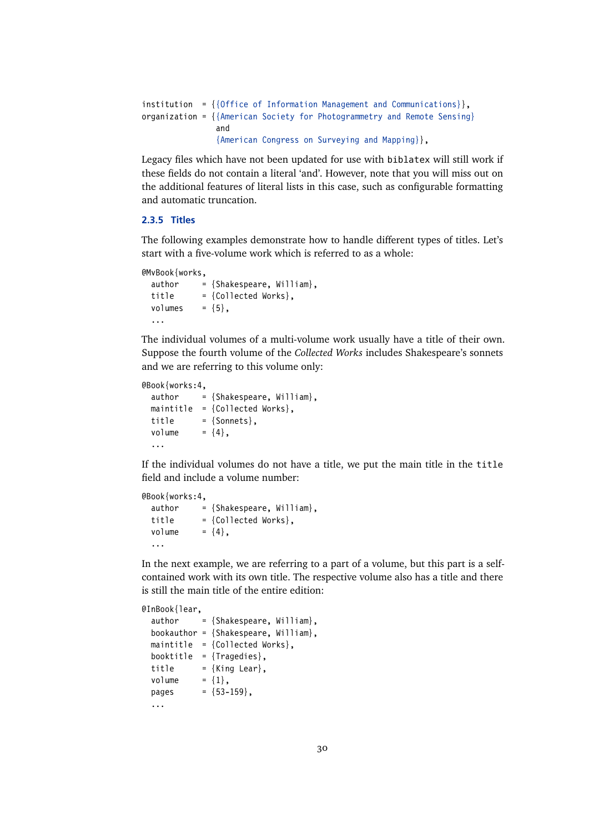```
institution = {{Office of Information Management and Communications}},
organization = \{ {American Society for Photogrammetry and Remote Sensing}
                and
                {American Congress on Surveying and Mapping}},
```
Legacy files which have not been updated for use with biblatex will still work if these fields do not contain a literal 'and'. However, note that you will miss out on the additional features of literal lists in this case, such as configurable formatting and automatic truncation.

## **2.3.5 Titles**

The following examples demonstrate how to handle different types of titles. Let's start with a five-volume work which is referred to as a whole:

```
@MvBook{works,
 author = {Shakespeare, William},
 title = {Collected Works},
 volumes = {5},
  ...
```
The individual volumes of a multi-volume work usually have a title of their own. Suppose the fourth volume of the *Collected Works* includes Shakespeare's sonnets and we are referring to this volume only:

```
@Book{works:4,
 author = {Shakespeace, William},maintitle = {Collected Works}.
 title = {Sonnets},
 volume = {4}.
  ...
```
If the individual volumes do not have a title, we put the main title in the title field and include a volume number:

```
@Book{works:4,
 author = {Shakespeace, William}.title = {Collected Works},
 volume = {4},
  ...
```
In the next example, we are referring to a part of a volume, but this part is a selfcontained work with its own title. The respective volume also has a title and there is still the main title of the entire edition:

```
@InBook{lear,
 author = {Shakespeace, William},bookauthor = {Shakespeare, William},
 maintitle = {Collected Works},
 booktitle = {Tragedies},
 title = {King Learn},
 volume = {1},
 pages = {53-159},
  ...
```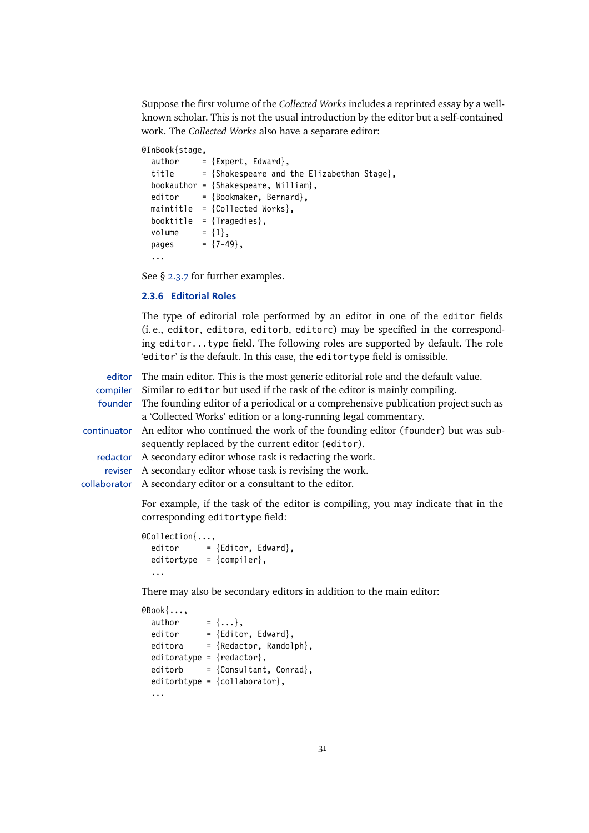<span id="page-30-0"></span>Suppose the first volume of the *Collected Works* includes a reprinted essay by a wellknown scholar. This is not the usual introduction by the editor but a self-contained work. The *Collected Works* also have a separate editor:

#### @InBook{stage,

| author | = {Expert, Edward},                          |
|--------|----------------------------------------------|
| title  | $=$ {Shakespeare and the Elizabethan Stage}. |
|        | bookauthor = $\{Shakespeace, William\}$ ,    |
| editor | = {Bookmaker, Bernard},                      |
|        | maintitle = ${Collected Works}$ ,            |
|        | booktitle = $\{Tragedies\}$ ,                |
| volume | $= \{1\}$ .                                  |
| pages  | $= \{7-49\}$ .                               |
|        |                                              |

See § [2.3.7](#page-31-0) for further examples.

#### **2.3.6 Editorial Roles**

The type of editorial role performed by an editor in one of the editor fields (i. e., editor, editora, editorb, editorc) may be specified in the corresponding editor...type field. The following roles are supported by default. The role 'editor' is the default. In this case, the editortype field is omissible.

editor The main editor. This is the most generic editorial role and the default value. compiler Similar to editor but used if the task of the editor is mainly compiling. founder The founding editor of a periodical or a comprehensive publication project such as a 'Collected Works' edition or a long-running legal commentary. continuator An editor who continued the work of the founding editor (founder) but was subsequently replaced by the current editor (editor). redactor A secondary editor whose task is redacting the work. reviser A secondary editor whose task is revising the work. collaborator A secondary editor or a consultant to the editor.

> For example, if the task of the editor is compiling, you may indicate that in the corresponding editortype field:

```
@Collection{...,
 editor = {Editor, Edward},editortype = {compiler},
  ...
```
There may also be secondary editors in addition to the main editor:

```
@Book{...,
 author = \{ \ldots \},\editor = {Editor, Edward},editora = {Redactor, Randomph},editoratype = {redactor},
 editorb = {Consultant, Conrad},
 editorbtype = {collaborator},
  ...
```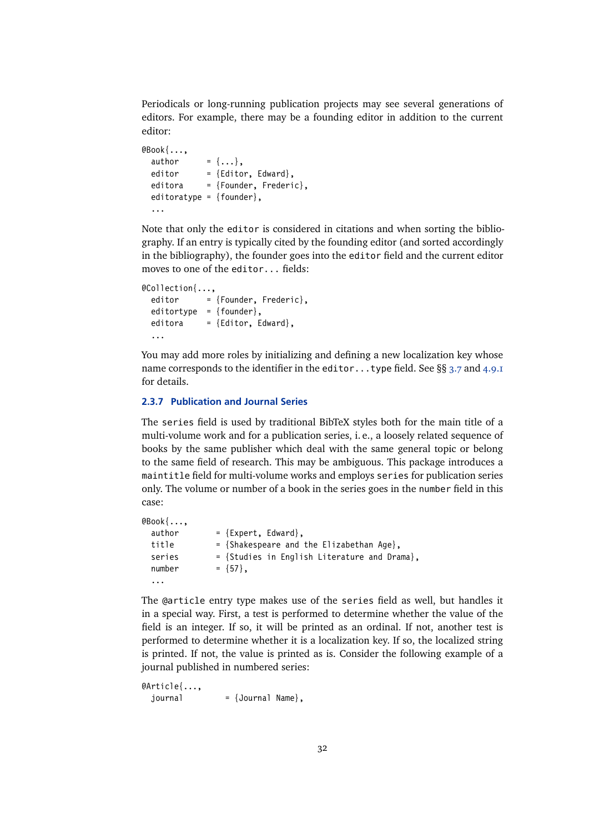<span id="page-31-0"></span>Periodicals or long-running publication projects may see several generations of editors. For example, there may be a founding editor in addition to the current editor:

```
@Book{...,
  author = \{ \ldots \},\editor = {Editor, Edward},editora = {Founder, Frederic},
  editoratype = \{founder\},
  ...
```
Note that only the editor is considered in citations and when sorting the bibliography. If an entry is typically cited by the founding editor (and sorted accordingly in the bibliography), the founder goes into the editor field and the current editor moves to one of the editor... fields:

```
@Collection{...,
 editor = {Founder, Frederic},
 editortype = {founder},
 editora = {Editor, Edward},...
```
You may add more roles by initializing and defining a new localization key whose name corresponds to the identifier in the editor...type field. See  $\S$ § [3.7](#page-87-0) and [4.9.1](#page-169-0) for details.

## **2.3.7 Publication and Journal Series**

The series field is used by traditional BibTeX styles both for the main title of a multi-volume work and for a publication series, i. e., a loosely related sequence of books by the same publisher which deal with the same general topic or belong to the same field of research. This may be ambiguous. This package introduces a maintitle field for multi-volume works and employs series for publication series only. The volume or number of a book in the series goes in the number field in this case:

```
@Book{...,
 author = {Expert, Edward},title = {Shakespeare and the Elizabethan Age},
 series = {Studies in English Literature and Drama},
 number = \{57\},
 ...
```
The @article entry type makes use of the series field as well, but handles it in a special way. First, a test is performed to determine whether the value of the field is an integer. If so, it will be printed as an ordinal. If not, another test is performed to determine whether it is a localization key. If so, the localized string is printed. If not, the value is printed as is. Consider the following example of a journal published in numbered series:

```
@Article{...,
 journal = {Journal Name},
```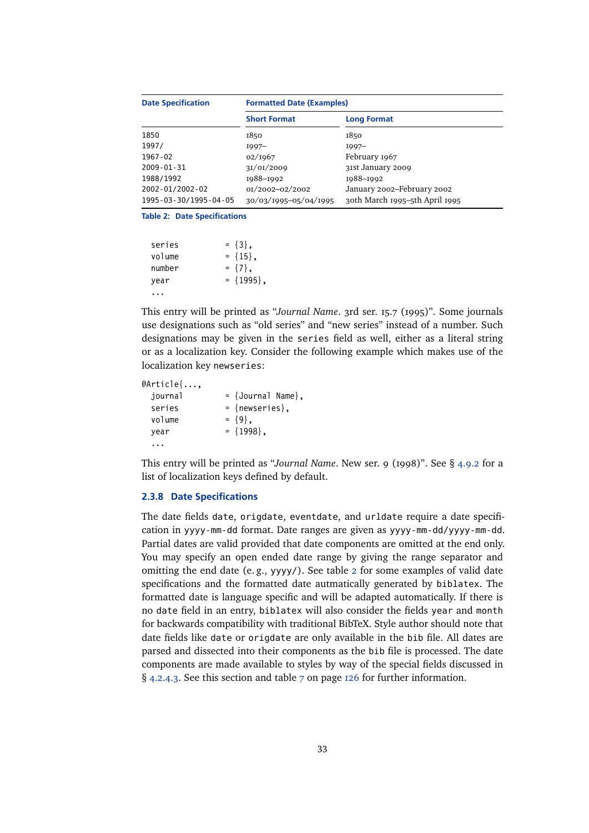<span id="page-32-0"></span>

| <b>Date Specification</b>     | <b>Formatted Date (Examples)</b> |                                |  |  |
|-------------------------------|----------------------------------|--------------------------------|--|--|
|                               | <b>Short Format</b>              | <b>Long Format</b>             |  |  |
| 1850                          | 1850                             | 1850                           |  |  |
| 1997/                         | $I997-$                          | $1997-$                        |  |  |
| 1967-02                       | 02/1967                          | February 1967                  |  |  |
| $2009 - 01 - 31$              | 3I/0I/2009                       | 31st January 2009              |  |  |
| 1988/1992                     | 1988-1992                        | 1988-1992                      |  |  |
| 2002-01/2002-02               | 0I/2002-02/2002                  | January 2002-February 2002     |  |  |
| 1995 - 03 - 30/1995 - 04 - 05 | 30/03/1995-05/04/1995            | 30th March 1995-5th April 1995 |  |  |

```
Table 2: Date Specifications
```

| series | $= \{3\}$ ,    |
|--------|----------------|
| volume | $= \{15\}$ ,   |
| number | $= \{7\}$ .    |
| year   | $= \{1995\}$ , |
|        |                |

This entry will be printed as "*Journal Name*. 3rd ser. 15.7 (1995)". Some journals use designations such as "old series" and "new series" instead of a number. Such designations may be given in the series field as well, either as a literal string or as a localization key. Consider the following example which makes use of the localization key newseries:

```
@Article{...,
 journal = {Journal Name},
 series = {newseries},
 volume = \{9\},
 year = {1998}...
```
This entry will be printed as "*Journal Name*. New ser. 9 (1998)". See § [4.9.2](#page-172-0) for a list of localization keys defined by default.

## **2.3.8 Date Specifications**

The date fields date, origdate, eventdate, and urldate require a date specification in yyyy-mm-dd format. Date ranges are given as yyyy-mm-dd/yyyy-mm-dd. Partial dates are valid provided that date components are omitted at the end only. You may specify an open ended date range by giving the range separator and omitting the end date (e. g., yyyy/). See table 2 for some examples of valid date specifications and the formatted date autmatically generated by biblatex. The formatted date is language specific and will be adapted automatically. If there is no date field in an entry, biblatex will also consider the fields year and month for backwards compatibility with traditional BibTeX. Style author should note that date fields like date or origdate are only available in the bib file. All dates are parsed and dissected into their components as the bib file is processed. The date components are made available to styles by way of the special fields discussed in § [4.2.4.3.](#page-124-0) See this section and table [7](#page-125-0) on page [126](#page-125-0) for further information.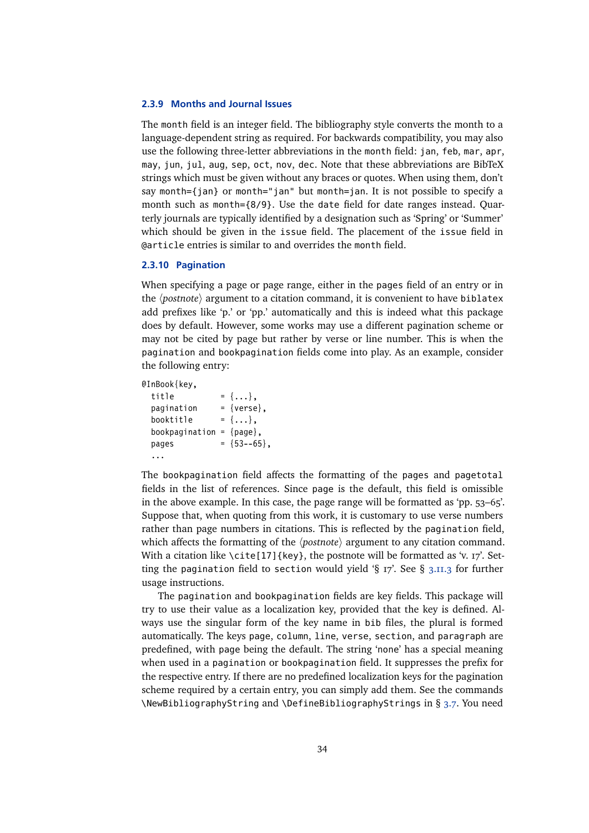#### <span id="page-33-0"></span>**2.3.9 Months and Journal Issues**

The month field is an integer field. The bibliography style converts the month to a language-dependent string as required. For backwards compatibility, you may also use the following three-letter abbreviations in the month field: jan, feb, mar, apr, may, jun, jul, aug, sep, oct, nov, dec. Note that these abbreviations are BibTeX strings which must be given without any braces or quotes. When using them, don't say month={jan} or month="jan" but month=jan. It is not possible to specify a month such as month={8/9}. Use the date field for date ranges instead. Quarterly journals are typically identified by a designation such as 'Spring' or 'Summer' which should be given in the issue field. The placement of the issue field in @article entries is similar to and overrides the month field.

## **2.3.10 Pagination**

When specifying a page or page range, either in the pages field of an entry or in the *(postnote)* argument to a citation command, it is convenient to have biblatex add prefixes like 'p.' or 'pp.' automatically and this is indeed what this package does by default. However, some works may use a different pagination scheme or may not be cited by page but rather by verse or line number. This is when the pagination and bookpagination fields come into play. As an example, consider the following entry:

@InBook{key,

```
title = \{ \ldots \},\pagination = \{verse\},\booktitle = \{ \ldots \},
bookpagination = {page},
pages = {53--65},
...
```
The bookpagination field affects the formatting of the pages and pagetotal fields in the list of references. Since page is the default, this field is omissible in the above example. In this case, the page range will be formatted as 'pp. 53–65'. Suppose that, when quoting from this work, it is customary to use verse numbers rather than page numbers in citations. This is reflected by the pagination field, which affects the formatting of the  $\langle$ *postnote* $\rangle$  argument to any citation command. With a citation like  $\cite[17]{key}$ , the postnote will be formatted as 'v. 17'. Setting the pagination field to section would yield  $\S$  17'. See  $\S$  [3.11.3](#page-109-0) for further usage instructions.

The pagination and bookpagination fields are key fields. This package will try to use their value as a localization key, provided that the key is defined. Always use the singular form of the key name in bib files, the plural is formed automatically. The keys page, column, line, verse, section, and paragraph are predefined, with page being the default. The string 'none' has a special meaning when used in a pagination or bookpagination field. It suppresses the prefix for the respective entry. If there are no predefined localization keys for the pagination scheme required by a certain entry, you can simply add them. See the commands \NewBibliographyString and \DefineBibliographyStrings in § [3.7.](#page-87-0) You need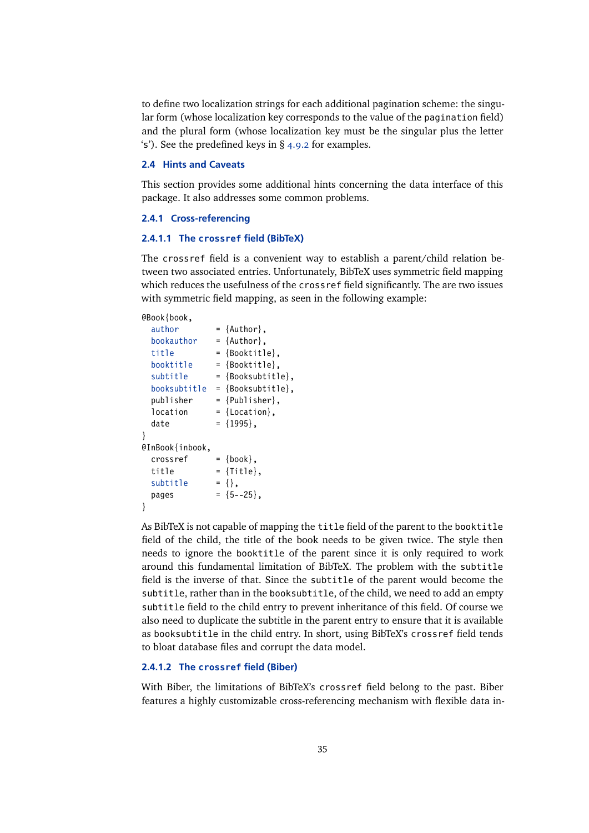<span id="page-34-0"></span>to define two localization strings for each additional pagination scheme: the singular form (whose localization key corresponds to the value of the pagination field) and the plural form (whose localization key must be the singular plus the letter 's'). See the predefined keys in § [4.9.2](#page-172-0) for examples.

## **2.4 Hints and Caveats**

This section provides some additional hints concerning the data interface of this package. It also addresses some common problems.

#### **2.4.1 Cross-referencing**

#### **2.4.1.1 The crossref field (BibTeX)**

The crossref field is a convenient way to establish a parent/child relation between two associated entries. Unfortunately, BibTeX uses symmetric field mapping which reduces the usefulness of the crossref field significantly. The are two issues with symmetric field mapping, as seen in the following example:

#### @Book{book,

|                 | $=$ {Author},     |
|-----------------|-------------------|
|                 | $=$ {Author},     |
|                 | = {Booktitle},    |
|                 | = {Booktitle},    |
|                 | = {Booksubtitle}, |
|                 | = {Booksubtitle}, |
|                 | = {Publisher},    |
|                 | $=$ {Location},   |
|                 | $= \{1995\}$ ,    |
|                 |                   |
| @InBook{inbook, |                   |
|                 | $=$ {book},       |
|                 | $=$ {Title},      |
|                 | $= \{ \}$ .       |
|                 | $= \{5 - -25\}$ , |
|                 |                   |
|                 |                   |

As BibTeX is not capable of mapping the title field of the parent to the booktitle field of the child, the title of the book needs to be given twice. The style then needs to ignore the booktitle of the parent since it is only required to work around this fundamental limitation of BibTeX. The problem with the subtitle field is the inverse of that. Since the subtitle of the parent would become the subtitle, rather than in the booksubtitle, of the child, we need to add an empty subtitle field to the child entry to prevent inheritance of this field. Of course we also need to duplicate the subtitle in the parent entry to ensure that it is available as booksubtitle in the child entry. In short, using BibTeX's crossref field tends to bloat database files and corrupt the data model.

## **2.4.1.2 The crossref field (Biber)**

With Biber, the limitations of BibTeX's crossref field belong to the past. Biber features a highly customizable cross-referencing mechanism with flexible data in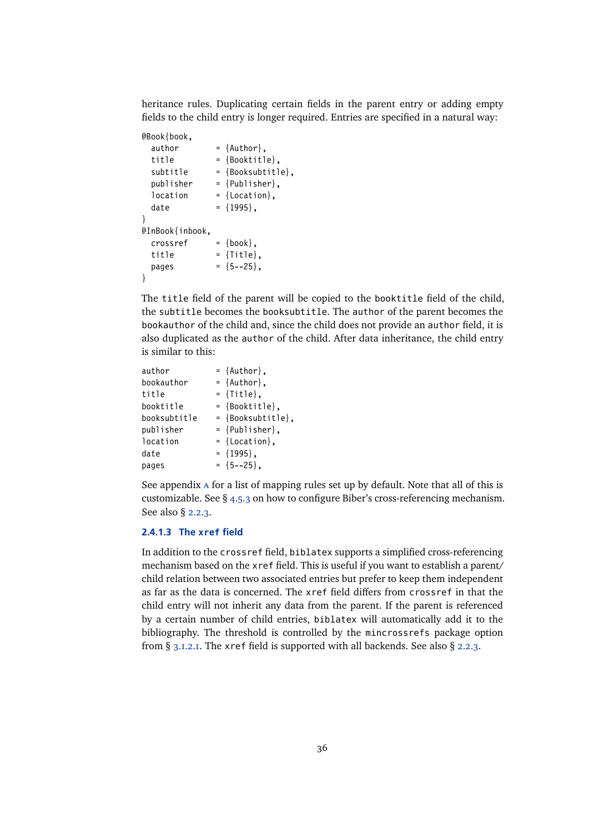heritance rules. Duplicating certain fields in the parent entry or adding empty fields to the child entry is longer required. Entries are specified in a natural way:

```
@Book{book,
 author = {Author},title = {Booktitle}subtitle = {Booksubtitle},
 publisher = {Publistner},
 location = {Location},
 date = {1995},
}
@InBook{inbook,
 \cscrossref = {book},
 title = {Title},pages = {5--25}}
```
The title field of the parent will be copied to the booktitle field of the child, the subtitle becomes the booksubtitle. The author of the parent becomes the bookauthor of the child and, since the child does not provide an author field, it is also duplicated as the author of the child. After data inheritance, the child entry is similar to this:

| author       | $=$ {Author},     |
|--------------|-------------------|
| bookauthor   | $=$ {Author},     |
| title        | $=$ {Title},      |
| booktitle    | $=$ {Booktitle},  |
| booksubtitle | = {Booksubtitle}, |
| publisher    | $=$ {Publisher},  |
| location     | $=$ {Location},   |
| date         | $= \{1995\}$ ,    |
| pages        | $= \{5 - -25\}$ , |

See appendix [a](#page-206-0) for a list of mapping rules set up by default. Note that all of this is customizable. See § [4.5.3](#page-141-0) on how to configure Biber's cross-referencing mechanism. See also § [2.2.3.](#page-22-0)

## **2.4.1.3 The xref field**

In addition to the crossref field, biblatex supports a simplified cross-referencing mechanism based on the xref field. This is useful if you want to establish a parent/ child relation between two associated entries but prefer to keep them independent as far as the data is concerned. The xref field differs from crossref in that the child entry will not inherit any data from the parent. If the parent is referenced by a certain number of child entries, biblatex will automatically add it to the bibliography. The threshold is controlled by the mincrossrefs package option from § [3.1.2.1.](#page-43-0) The xref field is supported with all backends. See also § [2.2.3.](#page-22-0)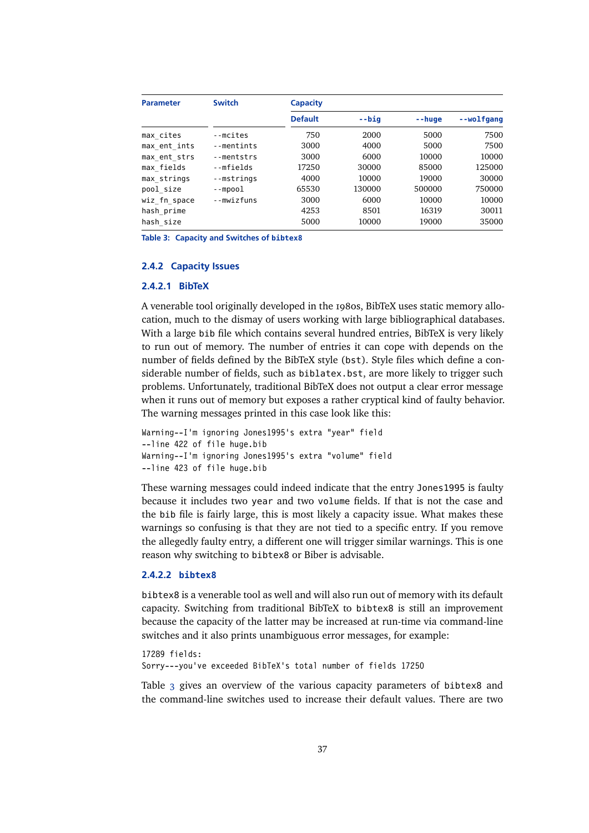<span id="page-36-0"></span>

| <b>Parameter</b> | <b>Switch</b> | <b>Capacity</b> |         |               |            |
|------------------|---------------|-----------------|---------|---------------|------------|
|                  |               | <b>Default</b>  | $-$ biq | $- - h u q e$ | --wolfgang |
| max cites        | --mcites      | 750             | 2000    | 5000          | 7500       |
| max ent ints     | --mentints    | 3000            | 4000    | 5000          | 7500       |
| max ent strs     | --mentstrs    | 3000            | 6000    | 10000         | 10000      |
| max fields       | --mfields     | 17250           | 30000   | 85000         | 125000     |
| max strings      | --mstrings    | 4000            | 10000   | 19000         | 30000      |
| pool size        | $-$ -mpool    | 65530           | 130000  | 500000        | 750000     |
| wiz fn space     | --mwizfuns    | 3000            | 6000    | 10000         | 10000      |
| hash prime       |               | 4253            | 8501    | 16319         | 30011      |
| hash size        |               | 5000            | 10000   | 19000         | 35000      |

**Table 3: Capacity and Switches of bibtex8**

## **2.4.2 Capacity Issues**

# **2.4.2.1 BibTeX**

A venerable tool originally developed in the 1980s, BibTeX uses static memory allocation, much to the dismay of users working with large bibliographical databases. With a large bib file which contains several hundred entries, BibTeX is very likely to run out of memory. The number of entries it can cope with depends on the number of fields defined by the BibTeX style (bst). Style files which define a considerable number of fields, such as biblatex.bst, are more likely to trigger such problems. Unfortunately, traditional BibTeX does not output a clear error message when it runs out of memory but exposes a rather cryptical kind of faulty behavior. The warning messages printed in this case look like this:

```
Warning--I'm ignoring Jones1995's extra "year" field
--line 422 of file huge.bib
Warning--I'm ignoring Jones1995's extra "volume" field
--line 423 of file huge.bib
```
These warning messages could indeed indicate that the entry Jones1995 is faulty because it includes two year and two volume fields. If that is not the case and the bib file is fairly large, this is most likely a capacity issue. What makes these warnings so confusing is that they are not tied to a specific entry. If you remove the allegedly faulty entry, a different one will trigger similar warnings. This is one reason why switching to bibtex8 or Biber is advisable.

## **2.4.2.2 bibtex8**

bibtex8 is a venerable tool as well and will also run out of memory with its default capacity. Switching from traditional BibTeX to bibtex8 is still an improvement because the capacity of the latter may be increased at run-time via command-line switches and it also prints unambiguous error messages, for example:

17289 fields: Sorry---you've exceeded BibTeX's total number of fields 17250

Table 3 gives an overview of the various capacity parameters of bibtex8 and the command-line switches used to increase their default values. There are two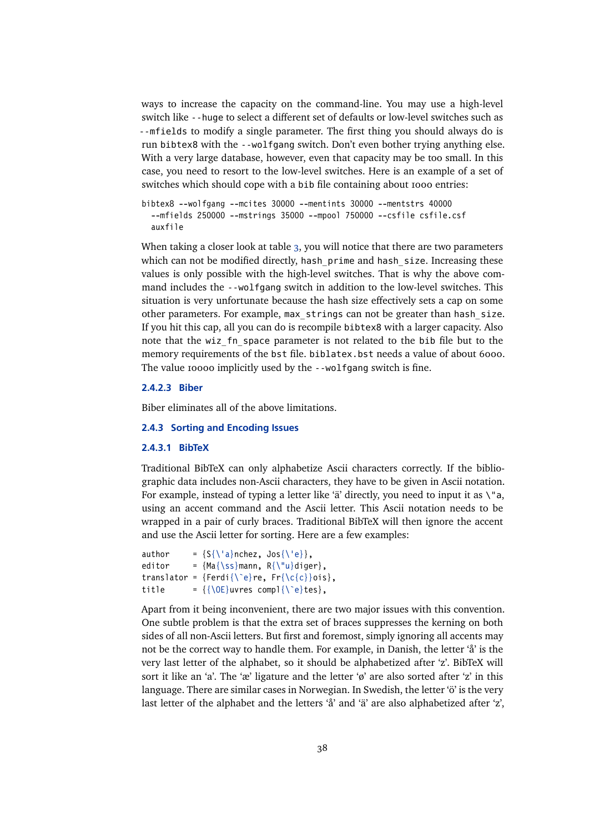<span id="page-37-0"></span>ways to increase the capacity on the command-line. You may use a high-level switch like --huge to select a different set of defaults or low-level switches such as --mfields to modify a single parameter. The first thing you should always do is run bibtex8 with the --wolfgang switch. Don't even bother trying anything else. With a very large database, however, even that capacity may be too small. In this case, you need to resort to the low-level switches. Here is an example of a set of switches which should cope with a bib file containing about 1000 entries:

```
bibtex8 --wolfgang --mcites 30000 --mentints 30000 --mentstrs 40000
  --mfields 250000 --mstrings 35000 --mpool 750000 --csfile csfile.csf
  auxfile
```
When taking a closer look at table [3,](#page-36-0) you will notice that there are two parameters which can not be modified directly, hash prime and hash size. Increasing these values is only possible with the high-level switches. That is why the above command includes the --wolfgang switch in addition to the low-level switches. This situation is very unfortunate because the hash size effectively sets a cap on some other parameters. For example, max\_strings can not be greater than hash\_size. If you hit this cap, all you can do is recompile bibtex8 with a larger capacity. Also note that the wiz fn space parameter is not related to the bib file but to the memory requirements of the bst file. biblatex.bst needs a value of about 6000. The value 10000 implicitly used by the --wolfgang switch is fine.

# **2.4.2.3 Biber**

Biber eliminates all of the above limitations.

### **2.4.3 Sorting and Encoding Issues**

### **2.4.3.1 BibTeX**

Traditional BibTeX can only alphabetize Ascii characters correctly. If the bibliographic data includes non-Ascii characters, they have to be given in Ascii notation. For example, instead of typing a letter like 'ä' directly, you need to input it as  $\mathcal{N}$ a, using an accent command and the Ascii letter. This Ascii notation needs to be wrapped in a pair of curly braces. Traditional BibTeX will then ignore the accent and use the Ascii letter for sorting. Here are a few examples:

```
author = {S\{\langle a\}nchez, Jos{\langle 'e \} \},
editor = {Ma{\s}mann, R{\l'u}diger},translator = \{Ferdi\} \geq \frac{Ferdi}{\right)re, Fr\{ \c\}ois},
title = {\{\Delta E\}}uvres compl{\Delta E}
```
Apart from it being inconvenient, there are two major issues with this convention. One subtle problem is that the extra set of braces suppresses the kerning on both sides of all non-Ascii letters. But first and foremost, simply ignoring all accents may not be the correct way to handle them. For example, in Danish, the letter 'å' is the very last letter of the alphabet, so it should be alphabetized after 'z'. BibTeX will sort it like an 'a'. The 'æ' ligature and the letter ' $\varphi$ ' are also sorted after 'z' in this language. There are similar cases in Norwegian. In Swedish, the letter 'ö' is the very last letter of the alphabet and the letters 'å' and 'ä' are also alphabetized after 'z',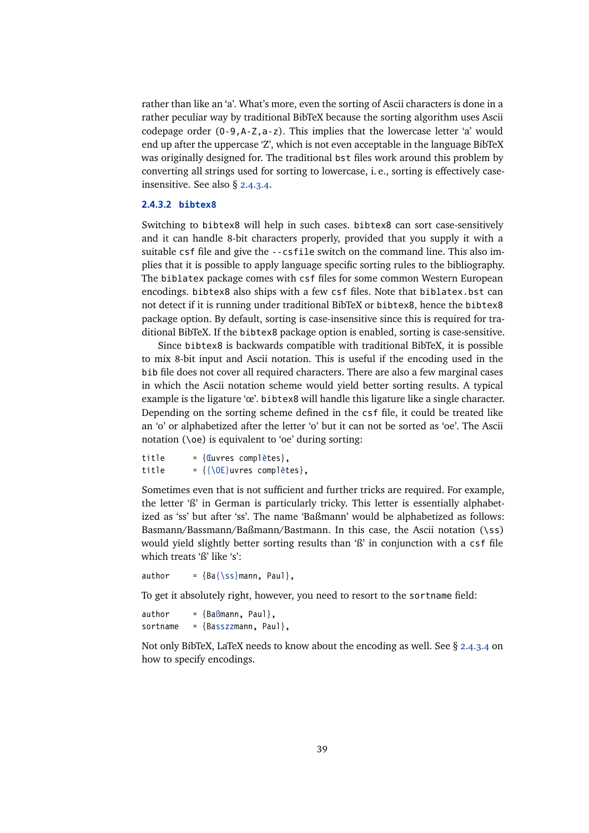<span id="page-38-0"></span>rather than like an 'a'. What's more, even the sorting of Ascii characters is done in a rather peculiar way by traditional BibTeX because the sorting algorithm uses Ascii codepage order (0-9,A-Z,a-z). This implies that the lowercase letter 'a' would end up after the uppercase 'Z', which is not even acceptable in the language BibTeX was originally designed for. The traditional bst files work around this problem by converting all strings used for sorting to lowercase, i.e., sorting is effectively caseinsensitive. See also § [2.4.3.4.](#page-39-0)

### **2.4.3.2 bibtex8**

Switching to bibtex8 will help in such cases. bibtex8 can sort case-sensitively and it can handle 8-bit characters properly, provided that you supply it with a suitable csf file and give the --csfile switch on the command line. This also implies that it is possible to apply language specific sorting rules to the bibliography. The biblatex package comes with csf files for some common Western European encodings. bibtex8 also ships with a few csf files. Note that biblatex.bst can not detect if it is running under traditional BibTeX or bibtex8, hence the bibtex8 package option. By default, sorting is case-insensitive since this is required for traditional BibTeX. If the bibtex8 package option is enabled, sorting is case-sensitive.

Since bibtex8 is backwards compatible with traditional BibTeX, it is possible to mix 8-bit input and Ascii notation. This is useful if the encoding used in the bib file does not cover all required characters. There are also a few marginal cases in which the Ascii notation scheme would yield better sorting results. A typical example is the ligature 'œ'. bibtex8 will handle this ligature like a single character. Depending on the sorting scheme defined in the csf file, it could be treated like an 'o' or alphabetized after the letter 'o' but it can not be sorted as 'oe'. The Ascii notation (\oe) is equivalent to 'oe' during sorting:

```
title = {Euvres complètes},
title = {\{\setminus 0E\}}uvres complètes},
```
Sometimes even that is not sufficient and further tricks are required. For example, the letter 'ß' in German is particularly tricky. This letter is essentially alphabetized as 'ss' but after 'ss'. The name 'Baßmann' would be alphabetized as follows: Basmann/Bassmann/Baßmann/Bastmann. In this case, the Ascii notation (\ss) would yield slightly better sorting results than 'ß' in conjunction with a csf file which treats 'ß' like 's':

author =  ${Ba{\s}mann, Paul}$ ,

To get it absolutely right, however, you need to resort to the sortname field:

```
author = {BaBmann, Paul}.sortname = {Basszzmann, Paul},
```
Not only BibTeX, LaTeX needs to know about the encoding as well. See § [2.4.3.4](#page-39-0) on how to specify encodings.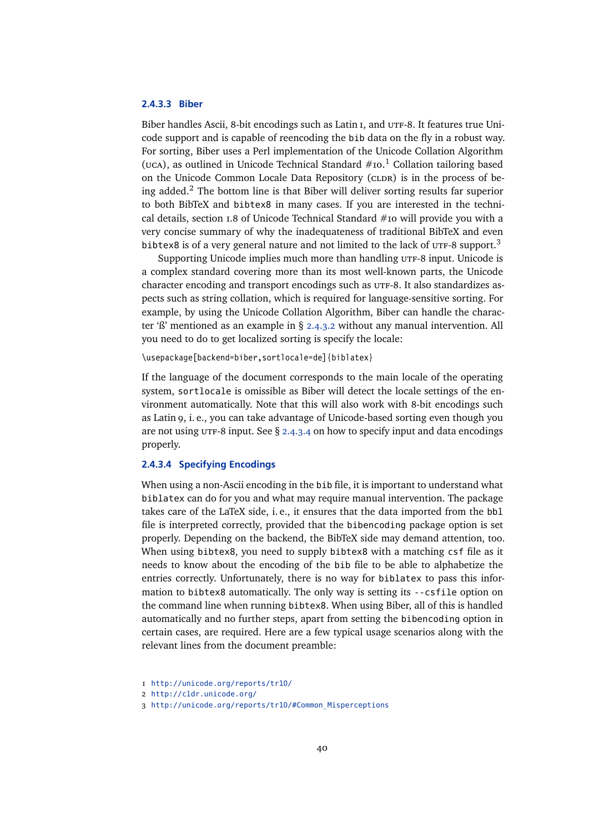## <span id="page-39-0"></span>**2.4.3.3 Biber**

Biber handles Ascii, 8-bit encodings such as Latin I, and UTF-8. It features true Unicode support and is capable of reencoding the bib data on the fly in a robust way. For sorting, Biber uses a Perl implementation of the Unicode Collation Algorithm (UCA), as outlined in Unicode Technical Standard  $\#$ 10.<sup>1</sup> Collation tailoring based on the Unicode Common Locale Data Repository (CLDR) is in the process of being added.<sup>2</sup> The bottom line is that Biber will deliver sorting results far superior to both BibTeX and bibtex8 in many cases. If you are interested in the technical details, section 1.8 of Unicode Technical Standard #10 will provide you with a very concise summary of why the inadequateness of traditional BibTeX and even bibtex8 is of a very general nature and not limited to the lack of  $UTF-8$  support.<sup>3</sup>

Supporting Unicode implies much more than handling UTF-8 input. Unicode is a complex standard covering more than its most well-known parts, the Unicode character encoding and transport encodings such as  $UTF-8$ . It also standardizes aspects such as string collation, which is required for language-sensitive sorting. For example, by using the Unicode Collation Algorithm, Biber can handle the character 'ß' mentioned as an example in § [2.4.3.2](#page-38-0) without any manual intervention. All you need to do to get localized sorting is specify the locale:

\usepackage[backend=biber,sortlocale=de]{biblatex}

If the language of the document corresponds to the main locale of the operating system, sortlocale is omissible as Biber will detect the locale settings of the environment automatically. Note that this will also work with 8-bit encodings such as Latin 9, i. e., you can take advantage of Unicode-based sorting even though you are not using  $UTF-8$  input. See § 2.4.3.4 on how to specify input and data encodings properly.

## **2.4.3.4 Specifying Encodings**

When using a non-Ascii encoding in the bib file, it is important to understand what biblatex can do for you and what may require manual intervention. The package takes care of the LaTeX side, i. e., it ensures that the data imported from the bbl file is interpreted correctly, provided that the bibencoding package option is set properly. Depending on the backend, the BibTeX side may demand attention, too. When using bibtex8, you need to supply bibtex8 with a matching csf file as it needs to know about the encoding of the bib file to be able to alphabetize the entries correctly. Unfortunately, there is no way for biblatex to pass this information to bibtex8 automatically. The only way is setting its --csfile option on the command line when running bibtex8. When using Biber, all of this is handled automatically and no further steps, apart from setting the bibencoding option in certain cases, are required. Here are a few typical usage scenarios along with the relevant lines from the document preamble:

<sup>1</sup> <http://unicode.org/reports/tr10/>

<sup>2</sup> <http://cldr.unicode.org/>

<sup>3</sup> [http://unicode.org/reports/tr10/#Common\\_Misperceptions](http://unicode.org/reports/tr10/##Common_Misperceptions)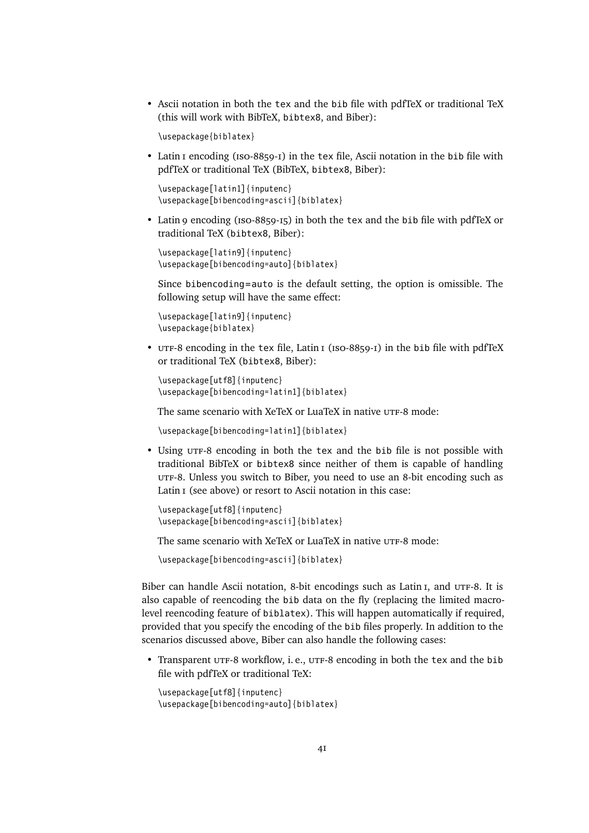• Ascii notation in both the tex and the bib file with pdfTeX or traditional TeX (this will work with BibTeX, bibtex8, and Biber):

\usepackage{biblatex}

• Latin I encoding (ISO-8859-I) in the tex file, Ascii notation in the bib file with pdfTeX or traditional TeX (BibTeX, bibtex8, Biber):

```
\usepackage[latin1]{inputenc}
\usepackage[bibencoding=ascii]{biblatex}
```
• Latin 9 encoding (iso-8859-15) in both the tex and the bib file with pdfTeX or traditional TeX (bibtex8, Biber):

```
\usepackage[latin9]{inputenc}
\usepackage[bibencoding=auto]{biblatex}
```
Since bibencoding=auto is the default setting, the option is omissible. The following setup will have the same effect:

\usepackage[latin9]{inputenc} \usepackage{biblatex}

• UTF-8 encoding in the tex file, Latin I (ISO-8859-I) in the bib file with pdfTeX or traditional TeX (bibtex8, Biber):

```
\usepackage[utf8]{inputenc}
\usepackage[bibencoding=latin1]{biblatex}
```
The same scenario with XeTeX or LuaTeX in native UTF-8 mode:

```
\usepackage[bibencoding=latin1]{biblatex}
```
• Using utf-8 encoding in both the tex and the bib file is not possible with traditional BibTeX or bibtex8 since neither of them is capable of handling utf-8. Unless you switch to Biber, you need to use an 8-bit encoding such as Latin I (see above) or resort to Ascii notation in this case:

```
\usepackage[utf8]{inputenc}
\usepackage[bibencoding=ascii]{biblatex}
```
The same scenario with XeTeX or LuaTeX in native UTF-8 mode:

\usepackage[bibencoding=ascii]{biblatex}

Biber can handle Ascii notation, 8-bit encodings such as Latin I, and UTF-8. It is also capable of reencoding the bib data on the fly (replacing the limited macrolevel reencoding feature of biblatex). This will happen automatically if required, provided that you specify the encoding of the bib files properly. In addition to the scenarios discussed above, Biber can also handle the following cases:

• Transparent UTF-8 workflow, i.e., UTF-8 encoding in both the tex and the bib file with pdfTeX or traditional TeX:

```
\usepackage[utf8]{inputenc}
\usepackage[bibencoding=auto]{biblatex}
```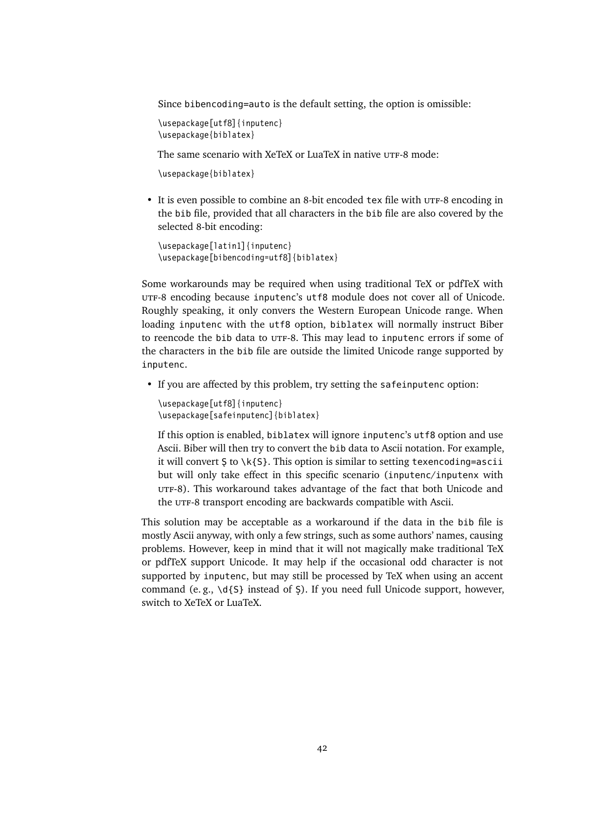Since bibencoding=auto is the default setting, the option is omissible:

```
\usepackage[utf8]{inputenc}
\usepackage{biblatex}
```
The same scenario with XeTeX or LuaTeX in native UTF-8 mode:

\usepackage{biblatex}

• It is even possible to combine an 8-bit encoded tex file with UTF-8 encoding in the bib file, provided that all characters in the bib file are also covered by the selected 8-bit encoding:

```
\usepackage[latin1]{inputenc}
\usepackage[bibencoding=utf8]{biblatex}
```
Some workarounds may be required when using traditional TeX or pdfTeX with UTF-8 encoding because inputenc's utf8 module does not cover all of Unicode. Roughly speaking, it only convers the Western European Unicode range. When loading inputenc with the utf8 option, biblatex will normally instruct Biber to reencode the bib data to UTF-8. This may lead to inputenc errors if some of the characters in the bib file are outside the limited Unicode range supported by inputenc.

• If you are affected by this problem, try setting the safeinputenc option:

```
\usepackage[utf8]{inputenc}
\usepackage[safeinputenc]{biblatex}
```
If this option is enabled, biblatex will ignore inputenc's utf8 option and use Ascii. Biber will then try to convert the bib data to Ascii notation. For example, it will convert  $S$  to  $\kappa_{S}$ . This option is similar to setting texencoding=ascii but will only take effect in this specific scenario (inputenc/inputenx with utf-8). This workaround takes advantage of the fact that both Unicode and the UTF-8 transport encoding are backwards compatible with Ascii.

This solution may be acceptable as a workaround if the data in the bib file is mostly Ascii anyway, with only a few strings, such as some authors' names, causing problems. However, keep in mind that it will not magically make traditional TeX or pdfTeX support Unicode. It may help if the occasional odd character is not supported by inputenc, but may still be processed by TeX when using an accent command (e.g.,  $\dagger$ d{S} instead of S). If you need full Unicode support, however, switch to XeTeX or LuaTeX.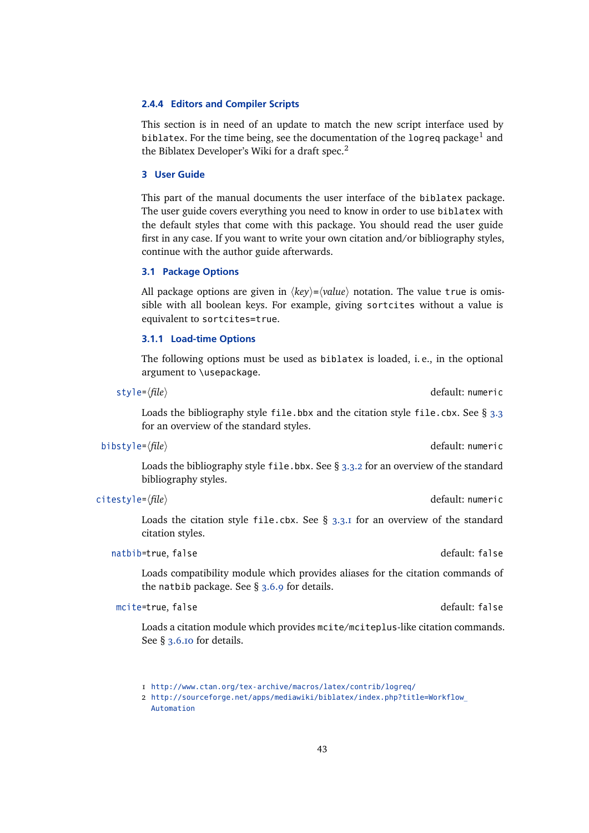## <span id="page-42-0"></span>**2.4.4 Editors and Compiler Scripts**

This section is in need of an update to match the new script interface used by biblatex. For the time being, see the documentation of the logreq package $^1$  and the Biblatex Developer's Wiki for a draft spec.<sup>2</sup>

### **3 User Guide**

This part of the manual documents the user interface of the biblatex package. The user guide covers everything you need to know in order to use biblatex with the default styles that come with this package. You should read the user guide first in any case. If you want to write your own citation and/or bibliography styles, continue with the author guide afterwards.

# **3.1 Package Options**

All package options are given in  $\langle key \rangle = \langle value \rangle$  notation. The value true is omissible with all boolean keys. For example, giving sortcites without a value is equivalent to sortcites=true.

### **3.1.1 Load-time Options**

The following options must be used as biblatex is loaded, i. e., in the optional argument to \usepackage.

style= $\langle file \rangle$  default: numeric

Loads the bibliography style file.bbx and the citation style file.cbx. See  $\S$  [3.3](#page-60-0) for an overview of the standard styles.

bibstyle= $\langle file \rangle$  default: numeric

Loads the bibliography style file.bbx. See  $\S$  [3.3.2](#page-64-0) for an overview of the standard bibliography styles.

### citestyle= $\langle file \rangle$  default: numeric

Loads the citation style file.cbx. See  $\S$  [3.3.1](#page-60-0) for an overview of the standard citation styles.

# natbib=true, false default: false

Loads compatibility module which provides aliases for the citation commands of the natbib package. See § [3.6.9](#page-86-0) for details.

# mcite=true, false default: false

Loads a citation module which provides mcite/mciteplus-like citation commands. See § [3.6.10](#page-86-0) for details.

<sup>1</sup> <http://www.ctan.org/tex-archive/macros/latex/contrib/logreq/>

<sup>2</sup> [http://sourceforge.net/apps/mediawiki/biblatex/index.php?title=Workflow\\_](http://sourceforge.net/apps/mediawiki/biblatex/index.php?title=Workflow_Automation) [Automation](http://sourceforge.net/apps/mediawiki/biblatex/index.php?title=Workflow_Automation)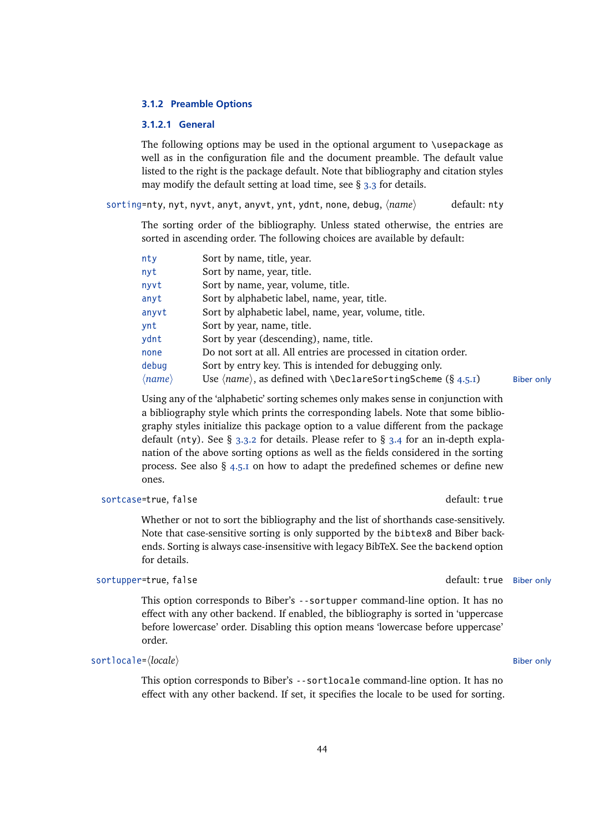## <span id="page-43-0"></span>**3.1.2 Preamble Options**

### **3.1.2.1 General**

The following options may be used in the optional argument to \usepackage as well as in the configuration file and the document preamble. The default value listed to the right is the package default. Note that bibliography and citation styles may modify the default setting at load time, see § [3.3](#page-60-0) for details.

sorting=nty, nyt, nyvt, anyt, anyvt, ynt, ydnt, none, debug,  $\langle name \rangle$  default: nty

The sorting order of the bibliography. Unless stated otherwise, the entries are sorted in ascending order. The following choices are available by default:

| nty                    | Sort by name, title, year.                                                           |                   |
|------------------------|--------------------------------------------------------------------------------------|-------------------|
| nyt                    | Sort by name, year, title.                                                           |                   |
| nyvt                   | Sort by name, year, volume, title.                                                   |                   |
| anyt                   | Sort by alphabetic label, name, year, title.                                         |                   |
| anyvt                  | Sort by alphabetic label, name, year, volume, title.                                 |                   |
| ynt                    | Sort by year, name, title.                                                           |                   |
| ydnt                   | Sort by year (descending), name, title.                                              |                   |
| none                   | Do not sort at all. All entries are processed in citation order.                     |                   |
| debug                  | Sort by entry key. This is intended for debugging only.                              |                   |
| $\langle name \rangle$ | Use $\langle name \rangle$ , as defined with $\Delta$ DeclareSortingScheme (§ 4.5.1) | <b>Biber only</b> |
|                        |                                                                                      |                   |

Using any of the 'alphabetic' sorting schemes only makes sense in conjunction with a bibliography style which prints the corresponding labels. Note that some bibliography styles initialize this package option to a value different from the package default (nty). See § [3.3.2](#page-64-0) for details. Please refer to § [3.4](#page-66-0) for an in-depth explanation of the above sorting options as well as the fields considered in the sorting process. See also  $\S$  [4.5.1](#page-137-0) on how to adapt the predefined schemes or define new ones.

### sortcase=true, false default: true default: true

Whether or not to sort the bibliography and the list of shorthands case-sensitively. Note that case-sensitive sorting is only supported by the bibtex8 and Biber backends. Sorting is always case-insensitive with legacy BibTeX. See the backend option for details.

This option corresponds to Biber's --sortupper command-line option. It has no effect with any other backend. If enabled, the bibliography is sorted in 'uppercase before lowercase' order. Disabling this option means 'lowercase before uppercase' order.

## sortlocale= $\langle locale \rangle$  Biber only

This option corresponds to Biber's --sortlocale command-line option. It has no effect with any other backend. If set, it specifies the locale to be used for sorting.

sortupper=true, false default: true Biber only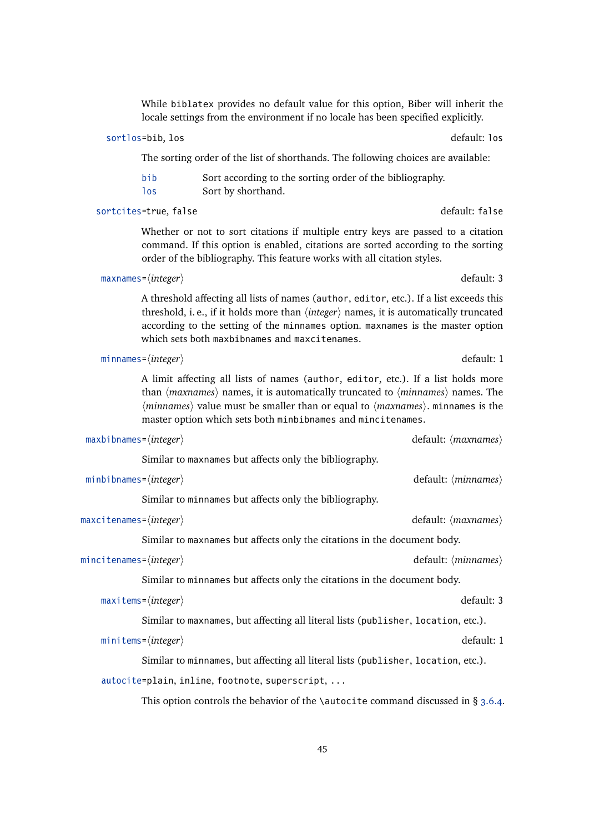While biblatex provides no default value for this option, Biber will inherit the locale settings from the environment if no locale has been specified explicitly.

# sortlos=bib, los default: los default: los default: los default: los default: los

The sorting order of the list of shorthands. The following choices are available:

| bib        | Sort according to the sorting order of the bibliography. |
|------------|----------------------------------------------------------|
| <b>los</b> | Sort by shorthand.                                       |

sortcites=true, false default: false

Whether or not to sort citations if multiple entry keys are passed to a citation command. If this option is enabled, citations are sorted according to the sorting order of the bibliography. This feature works with all citation styles.

```
maxnames={integer} default: 3
```
A threshold affecting all lists of names (author, editor, etc.). If a list exceeds this threshold, i. e., if it holds more than  $\langle$ *integer* $\rangle$  names, it is automatically truncated according to the setting of the minnames option. maxnames is the master option which sets both maxbibnames and maxcitenames.

minnames= $\langle integer \rangle$  default: 1

A limit affecting all lists of names (author, editor, etc.). If a list holds more than  $\langle maxnames \rangle$  names, it is automatically truncated to  $\langle minnames \rangle$  names. The  $\langle minnames\rangle$  value must be smaller than or equal to  $\langle maxnames\rangle$ . minnames is the master option which sets both minbibnames and mincitenames.

| $maxbinames = \langle integer \rangle$ |  |
|----------------------------------------|--|

Similar to maxnames but affects only the bibliography.

```
minbibnames=\langleinteger\rangle default: \langleminnames\rangle
```
Similar to minnames but affects only the bibliography.

maxcitenames= $\langle$ *integer* $\rangle$ 

Similar to maxnames but affects only the citations in the document body.

```
mincitenames=\langle integer \rangle default: \langle minnames \rangle
```
Similar to minnames but affects only the citations in the document body.

```
maxitems=\langleinteger\rangle default: 3
```
Similar to maxnames, but affecting all literal lists (publisher, location, etc.).

```
minitems=\langle integer \rangle default: 1
```
Similar to minnames, but affecting all literal lists (publisher, location, etc.).

autocite=plain, inline, footnote, superscript, ...

This option controls the behavior of the \autocite command discussed in  $\S$  [3.6.4.](#page-81-0)

default:  $\langle maxnames \rangle$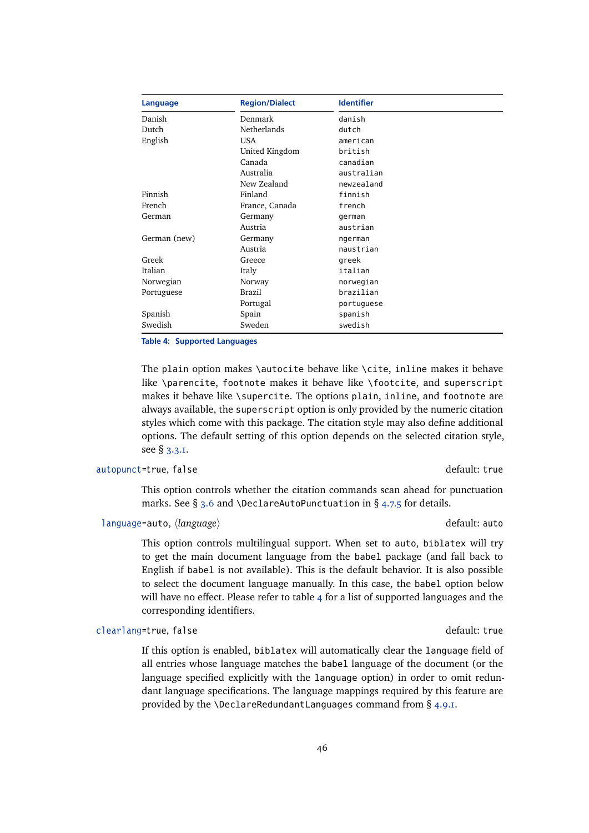| Language     | <b>Region/Dialect</b> | <b>Identifier</b> |
|--------------|-----------------------|-------------------|
| Danish       | Denmark               | danish            |
| Dutch        | Netherlands           | dutch             |
| English      | <b>USA</b>            | american          |
|              | United Kingdom        | british           |
|              | Canada                | canadian          |
|              | Australia             | australian        |
|              | New Zealand           | newzealand        |
| Finnish      | Finland               | finnish           |
| French       | France, Canada        | french            |
| German       | Germany               | german            |
|              | Austria               | austrian          |
| German (new) | Germany               | ngerman           |
|              | Austria               | naustrian         |
| Greek        | Greece                | greek             |
| Italian      | Italy                 | italian           |
| Norwegian    | Norway                | norwegian         |
| Portuguese   | Brazil                | brazilian         |
|              | Portugal              | portuguese        |
| Spanish      | Spain                 | spanish           |
| Swedish      | Sweden                | swedish           |

**Table 4: Supported Languages**

The plain option makes \autocite behave like \cite, inline makes it behave like \parencite, footnote makes it behave like \footcite, and superscript makes it behave like \supercite. The options plain, inline, and footnote are always available, the superscript option is only provided by the numeric citation styles which come with this package. The citation style may also define additional options. The default setting of this option depends on the selected citation style, see § [3.3.1.](#page-60-0)

# autopunct=true, false default: true default: true

This option controls whether the citation commands scan ahead for punctuation marks. See § [3.6](#page-78-0) and \DeclareAutoPunctuation in § [4.7.5](#page-165-0) for details.

# language=auto, *(language*) and *default: auto* default: auto

This option controls multilingual support. When set to auto, biblatex will try to get the main document language from the babel package (and fall back to English if babel is not available). This is the default behavior. It is also possible to select the document language manually. In this case, the babel option below will have no effect. Please refer to table  $4$  for a list of supported languages and the corresponding identifiers.

## clearlang=true, false default: true default: true

If this option is enabled, biblatex will automatically clear the language field of all entries whose language matches the babel language of the document (or the language specified explicitly with the language option) in order to omit redundant language specifications. The language mappings required by this feature are provided by the \DeclareRedundantLanguages command from § [4.9.1.](#page-169-0)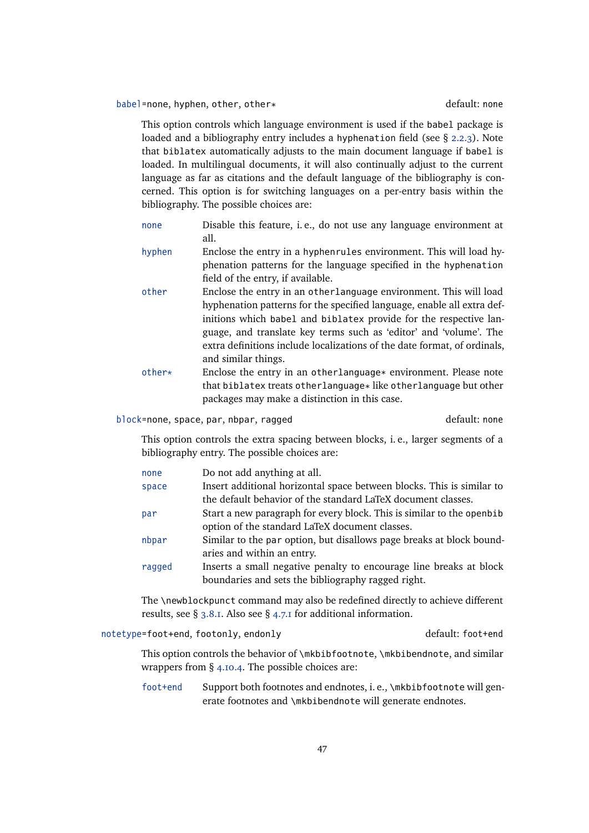# babel=none, hyphen, other, other\* default: none

This option controls which language environment is used if the babel package is loaded and a bibliography entry includes a hyphenation field (see § [2.2.3\)](#page-22-0). Note that biblatex automatically adjusts to the main document language if babel is loaded. In multilingual documents, it will also continually adjust to the current language as far as citations and the default language of the bibliography is concerned. This option is for switching languages on a per-entry basis within the bibliography. The possible choices are:

- none Disable this feature, i. e., do not use any language environment at all.
- hyphen Enclose the entry in a hyphenrules environment. This will load hyphenation patterns for the language specified in the hyphenation field of the entry, if available.
- other Enclose the entry in an otherlanguage environment. This will load hyphenation patterns for the specified language, enable all extra definitions which babel and biblatex provide for the respective language, and translate key terms such as 'editor' and 'volume'. The extra definitions include localizations of the date format, of ordinals, and similar things.
- other\* Enclose the entry in an otherlanguage\* environment. Please note that biblatex treats otherlanguage\* like otherlanguage but other packages may make a distinction in this case.

block=none, space, par, nbpar, ragged default: none

This option controls the extra spacing between blocks, i. e., larger segments of a bibliography entry. The possible choices are:

| none   | Do not add anything at all.                                           |
|--------|-----------------------------------------------------------------------|
| space  | Insert additional horizontal space between blocks. This is similar to |
|        | the default behavior of the standard LaTeX document classes.          |
| par    | Start a new paragraph for every block. This is similar to the openbib |
|        | option of the standard LaTeX document classes.                        |
| nbpar  | Similar to the par option, but disallows page breaks at block bound-  |
|        | aries and within an entry.                                            |
| ragged | Inserts a small negative penalty to encourage line breaks at block    |
|        | boundaries and sets the bibliography ragged right.                    |
|        |                                                                       |

The \newblockpunct command may also be redefined directly to achieve different results, see § [3.8.1.](#page-89-0) Also see § [4.7.1](#page-162-0) for additional information.

notetype=foot+end, footonly, endonly default: foot+end

This option controls the behavior of \mkbibfootnote, \mkbibendnote, and similar wrappers from § [4.10.4.](#page-185-0) The possible choices are:

foot+end Support both footnotes and endnotes, i.e., \mkbibfootnote will generate footnotes and \mkbibendnote will generate endnotes.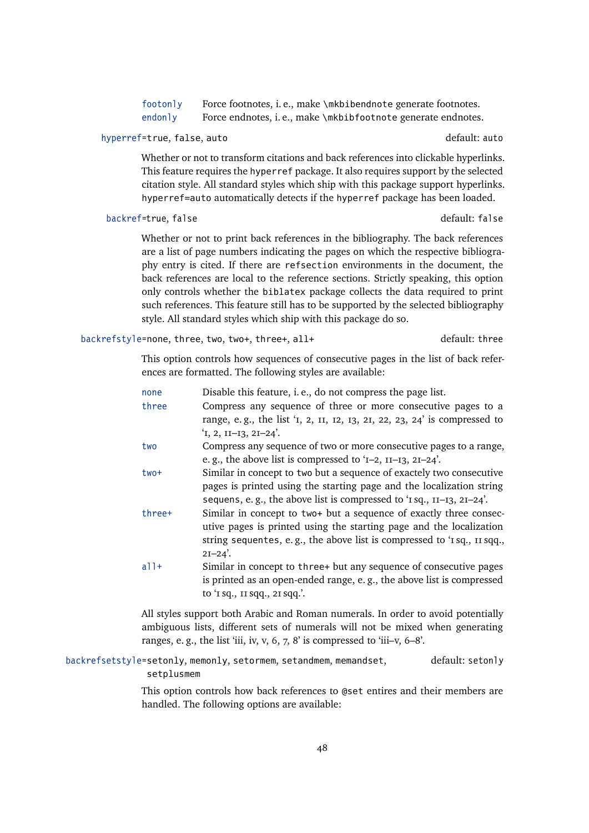| footonly | Force footnotes, i.e., make \mkbibendnote generate footnotes. |
|----------|---------------------------------------------------------------|
| endonly  | Force endnotes, i.e., make \mkbibfootnote generate endnotes.  |

## hyperref=true, false, auto default: auto default: auto

Whether or not to transform citations and back references into clickable hyperlinks. This feature requires the hyperref package. It also requires support by the selected citation style. All standard styles which ship with this package support hyperlinks. hyperref=auto automatically detects if the hyperref package has been loaded.

## backref=true, false default: false

Whether or not to print back references in the bibliography. The back references are a list of page numbers indicating the pages on which the respective bibliography entry is cited. If there are refsection environments in the document, the back references are local to the reference sections. Strictly speaking, this option only controls whether the biblatex package collects the data required to print such references. This feature still has to be supported by the selected bibliography style. All standard styles which ship with this package do so.

backrefstyle=none, three, two, two+, three+, all+ default: three

This option controls how sequences of consecutive pages in the list of back references are formatted. The following styles are available:

| none      | Disable this feature, i.e., do not compress the page list.                    |
|-----------|-------------------------------------------------------------------------------|
| three     | Compress any sequence of three or more consecutive pages to a                 |
|           | range, e.g., the list '1, 2, 11, 12, 13, 21, 22, 23, 24' is compressed to     |
|           | $1, 2, II-I3, 2I-24$                                                          |
| two       | Compress any sequence of two or more consecutive pages to a range,            |
|           | e.g., the above list is compressed to ' $I$ –2, $I$ I– $I$ 3, 2I–24'.         |
| $two+$    | Similar in concept to two but a sequence of exactely two consecutive          |
|           | pages is printed using the starting page and the localization string          |
|           | sequens, e.g., the above list is compressed to ' $sq.$ , $I1-I3$ , $2I-24$ '. |
| three+    | Similar in concept to two+ but a sequence of exactly three consec-            |
|           | utive pages is printed using the starting page and the localization           |
|           | string sequentes, e.g., the above list is compressed to '1 sq., 11 sqq.,      |
|           | $2I - 24'$ .                                                                  |
| $a$ ] $+$ | Similar in concept to three+ but any sequence of consecutive pages            |
|           | is printed as an open-ended range, e.g., the above list is compressed         |
|           | to 'I sq., II sqq., 2I sqq.'.                                                 |
|           |                                                                               |

All styles support both Arabic and Roman numerals. In order to avoid potentially ambiguous lists, different sets of numerals will not be mixed when generating ranges, e.g., the list 'iii, iv, v, 6, 7, 8' is compressed to 'iii-v,  $6-8$ '.

backrefsetstyle=setonly, memonly, setormem, setandmem, memandset, setplusmem default: setonly

> This option controls how back references to @set entires and their members are handled. The following options are available: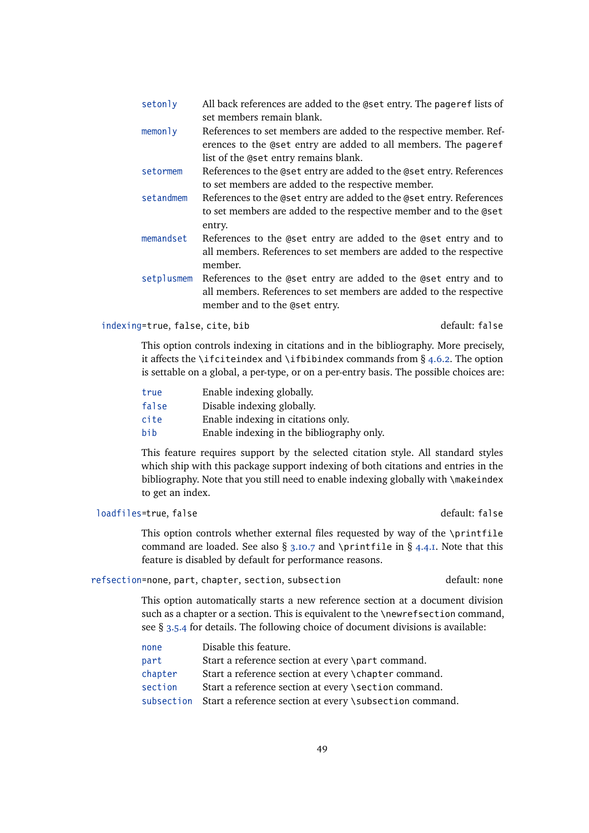| setonly    | All back references are added to the @set entry. The pageref lists of |
|------------|-----------------------------------------------------------------------|
|            | set members remain blank.                                             |
| $m$ emonly | References to set members are added to the respective member. Ref-    |
|            | erences to the @set entry are added to all members. The pageref       |
|            | list of the @set entry remains blank.                                 |
| setormem   | References to the @set entry are added to the @set entry. References  |
|            | to set members are added to the respective member.                    |
| setandmem  | References to the @set entry are added to the @set entry. References  |
|            | to set members are added to the respective member and to the @set     |
|            | entry.                                                                |
| memandset  | References to the @set entry are added to the @set entry and to       |
|            | all members. References to set members are added to the respective    |
|            | member.                                                               |
| setplusmem | References to the @set entry are added to the @set entry and to       |
|            | all members. References to set members are added to the respective    |
|            | member and to the @set entry.                                         |

## indexing=true, false, cite, bib default: false

This option controls indexing in citations and in the bibliography. More precisely, it affects the \ifciteindex and \ifbibindex commands from  $\S$  [4.6.2.](#page-145-0) The option is settable on a global, a per-type, or on a per-entry basis. The possible choices are:

| true  | Enable indexing globally.                 |
|-------|-------------------------------------------|
| false | Disable indexing globally.                |
| cite  | Enable indexing in citations only.        |
| bib   | Enable indexing in the bibliography only. |

This feature requires support by the selected citation style. All standard styles which ship with this package support indexing of both citations and entries in the bibliography. Note that you still need to enable indexing globally with \makeindex to get an index.

# loadfiles=true, false default: false

This option controls whether external files requested by way of the \printfile command are loaded. See also  $\S$  [3.10.7](#page-107-0) and \printfile in  $\S$  [4.4.1.](#page-130-0) Note that this feature is disabled by default for performance reasons.

# refsection=none, part, chapter, section, subsection default: none

This option automatically starts a new reference section at a document division such as a chapter or a section. This is equivalent to the \newrefsection command, see § [3.5.4](#page-72-0) for details. The following choice of document divisions is available:

| none    | Disable this feature.                                              |
|---------|--------------------------------------------------------------------|
| part    | Start a reference section at every \part command.                  |
| chapter | Start a reference section at every \chapter command.               |
| section | Start a reference section at every \section command.               |
|         | subsection Start a reference section at every \subsection command. |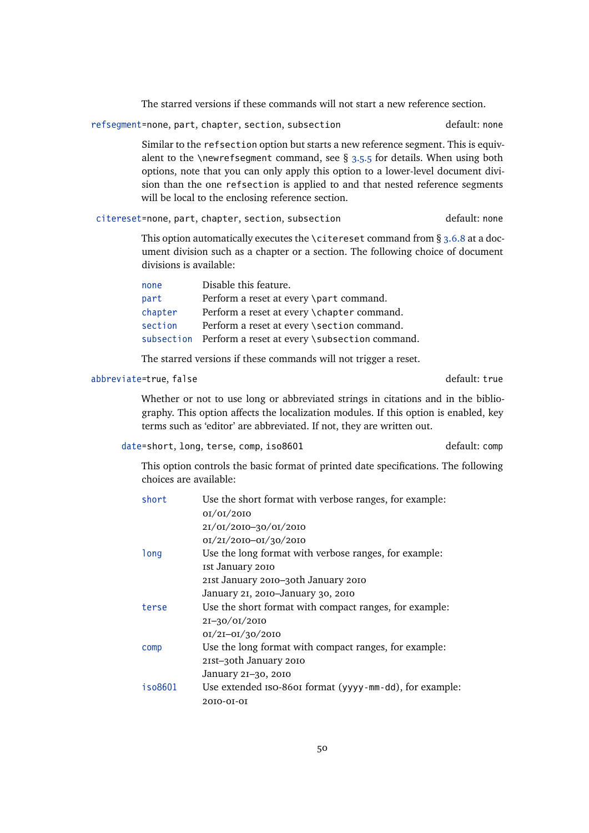The starred versions if these commands will not start a new reference section.

refsegment=none, part, chapter, section, subsection default: none

Similar to the refsection option but starts a new reference segment. This is equivalent to the \newrefseqment command, see  $\S$  [3.5.5](#page-73-0) for details. When using both options, note that you can only apply this option to a lower-level document division than the one refsection is applied to and that nested reference segments will be local to the enclosing reference section.

citereset=none, part, chapter, section, subsection default: none

This option automatically executes the \citereset command from  $\S$  [3.6.8](#page-85-0) at a document division such as a chapter or a section. The following choice of document divisions is available:

| none    | Disable this feature.                                    |
|---------|----------------------------------------------------------|
| part    | Perform a reset at every \part command.                  |
| chapter | Perform a reset at every \chapter command.               |
| section | Perform a reset at every \section command.               |
|         | subsection Perform a reset at every \subsection command. |

The starred versions if these commands will not trigger a reset.

## abbreviate=true, false default: true

Whether or not to use long or abbreviated strings in citations and in the bibliography. This option affects the localization modules. If this option is enabled, key terms such as 'editor' are abbreviated. If not, they are written out.

### date=short, long, terse, comp, iso8601 default: comp

This option controls the basic format of printed date specifications. The following choices are available:

| short   | Use the short format with verbose ranges, for example:  |
|---------|---------------------------------------------------------|
|         | 0I/0I/20I0                                              |
|         | 2I/0I/20I0-30/0I/20I0                                   |
|         | 0I/2I/20I0-0I/30/20I0                                   |
| long    | Use the long format with verbose ranges, for example:   |
|         | Ist January 2010                                        |
|         | 21st January 2010–30th January 2010                     |
|         | January 21, 2010–January 30, 2010                       |
| terse   | Use the short format with compact ranges, for example:  |
|         | $2I - 30/0I/20I0$                                       |
|         | $0I/2I - 0I/30/20I0$                                    |
| comp    | Use the long format with compact ranges, for example:   |
|         | 21st-30th January 2010                                  |
|         | January 21-30, 2010                                     |
| iso8601 | Use extended ISO-860I format (yyyy-mm-dd), for example: |
|         | 2010-01-01                                              |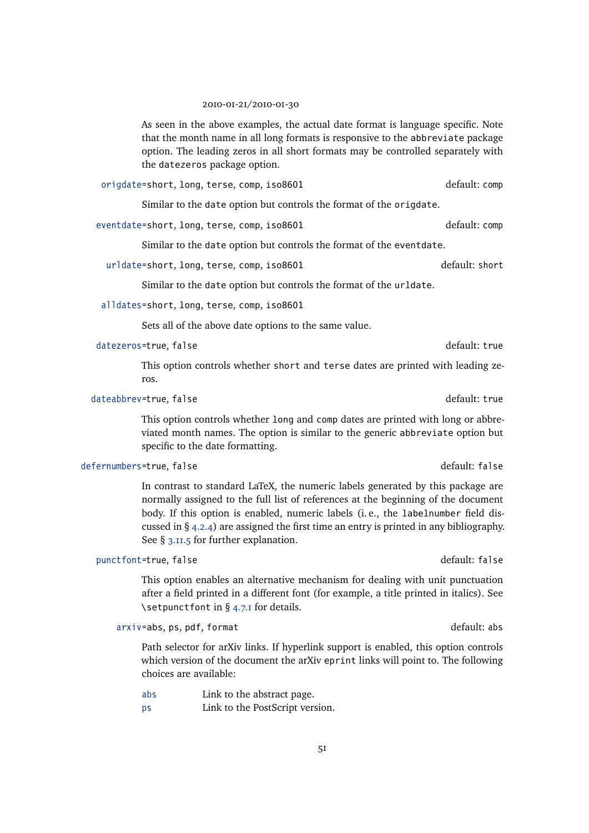### 2010-01-21/2010-01-30

As seen in the above examples, the actual date format is language specific. Note that the month name in all long formats is responsive to the abbreviate package option. The leading zeros in all short formats may be controlled separately with the datezeros package option.

origdate=short, long, terse, comp, iso8601 default: comp

Similar to the date option but controls the format of the origdate.

eventdate=short, long, terse, comp, iso8601 default: comp

Similar to the date option but controls the format of the eventdate.

urldate=short, long, terse, comp, iso8601 default: short

Similar to the date option but controls the format of the urldate.

alldates=short, long, terse, comp, iso8601

Sets all of the above date options to the same value.

datezeros=true, false default: true default: true default: true

This option controls whether short and terse dates are printed with leading zeros.

dateabbrev=true, false default: true default: true default: true

This option controls whether long and comp dates are printed with long or abbreviated month names. The option is similar to the generic abbreviate option but specific to the date formatting.

### defernumbers=true, false default: false

In contrast to standard LaTeX, the numeric labels generated by this package are normally assigned to the full list of references at the beginning of the document body. If this option is enabled, numeric labels (i. e., the labelnumber field discussed in § [4.2.4\)](#page-120-0) are assigned the first time an entry is printed in any bibliography. See § [3.11.5](#page-112-0) for further explanation.

# punctfont=true, false default: false

This option enables an alternative mechanism for dealing with unit punctuation after a field printed in a different font (for example, a title printed in italics). See \setpunctfont in § [4.7.1](#page-162-0) for details.

arxiv=abs, ps, pdf, format default: abs

Path selector for arXiv links. If hyperlink support is enabled, this option controls which version of the document the arXiv eprint links will point to. The following choices are available:

abs Link to the abstract page.

ps Link to the PostScript version.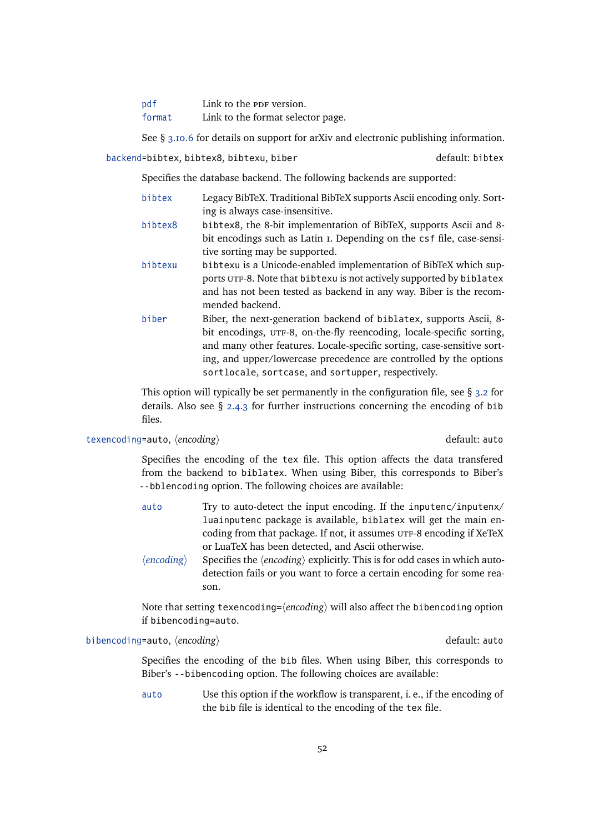| pdf    | Link to the PDF version.          |
|--------|-----------------------------------|
| format | Link to the format selector page. |

See § [3.10.6](#page-105-0) for details on support for arXiv and electronic publishing information.

backend=bibtex, bibtex8, bibtexu, biber default: bibtex

Specifies the database backend. The following backends are supported:

- bibtex Legacy BibTeX. Traditional BibTeX supports Ascii encoding only. Sorting is always case-insensitive.
- bibtex8 bibtex8, the 8-bit implementation of BibTeX, supports Ascii and 8 bit encodings such as Latin 1. Depending on the csf file, case-sensitive sorting may be supported.
- bibtexu bibtexu is a Unicode-enabled implementation of BibTeX which supports UTF-8. Note that bibtexu is not actively supported by biblatex and has not been tested as backend in any way. Biber is the recommended backend.
- biber Biber, the next-generation backend of biblatex, supports Ascii, 8 bit encodings, UTF-8, on-the-fly reencoding, locale-specific sorting, and many other features. Locale-specific sorting, case-sensitive sorting, and upper/lowercase precedence are controlled by the options sortlocale, sortcase, and sortupper, respectively.

This option will typically be set permanently in the configuration file, see  $\S$  [3.2](#page-59-0) for details. Also see § [2.4.3](#page-37-0) for further instructions concerning the encoding of bib files.

# texencoding=auto,  $\langle encoding \rangle$  default: auto

Specifies the encoding of the tex file. This option affects the data transfered from the backend to biblatex. When using Biber, this corresponds to Biber's --bblencoding option. The following choices are available:

- auto Try to auto-detect the input encoding. If the inputenc/inputenx/ luainputenc package is available, biblatex will get the main encoding from that package. If not, it assumes UTF-8 encoding if XeTeX or LuaTeX has been detected, and Ascii otherwise.
- $\langle encoding \rangle$  Specifies the  $\langle encoding \rangle$  explicitly. This is for odd cases in which autodetection fails or you want to force a certain encoding for some reason.

Note that setting texencoding= $\langle encoding \rangle$  will also affect the bibencoding option if bibencoding=auto.

bibencoding=auto,  $\langle encoding \rangle$  default: auto

Specifies the encoding of the bib files. When using Biber, this corresponds to Biber's --bibencoding option. The following choices are available:

auto Use this option if the workflow is transparent, i. e., if the encoding of the bib file is identical to the encoding of the tex file.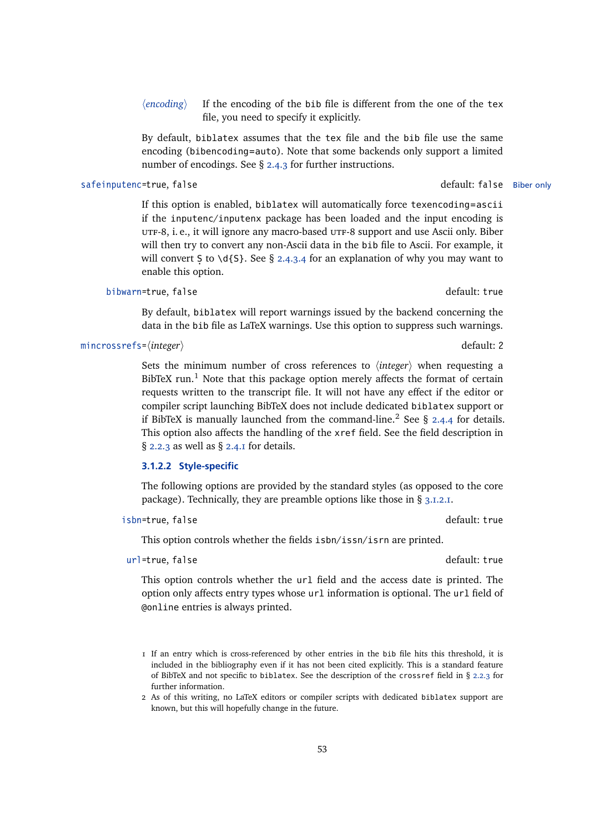$\langle encoding \rangle$  If the encoding of the bib file is different from the one of the tex file, you need to specify it explicitly.

By default, biblatex assumes that the tex file and the bib file use the same encoding (bibencoding=auto). Note that some backends only support a limited number of encodings. See § [2.4.3](#page-37-0) for further instructions.

## safeinputenc=true, false default: false Biber only

If this option is enabled, biblatex will automatically force texencoding=ascii if the inputenc/inputenx package has been loaded and the input encoding is UTF-8, i. e., it will ignore any macro-based UTF-8 support and use Ascii only. Biber will then try to convert any non-Ascii data in the bib file to Ascii. For example, it will convert S to \d{S}. See § [2.4.3.4](#page-39-0) for an explanation of why you may want to enable this option.

### bibwarn=true, false default: true default: true

By default, biblatex will report warnings issued by the backend concerning the data in the bib file as LaTeX warnings. Use this option to suppress such warnings.

## mincrossrefs=(*integer*) default: 2

Sets the minimum number of cross references to  $\langle$ *integer* $\rangle$  when requesting a BibTeX run.<sup>1</sup> Note that this package option merely affects the format of certain requests written to the transcript file. It will not have any effect if the editor or compiler script launching BibTeX does not include dedicated biblatex support or if BibTeX is manually launched from the command-line.<sup>2</sup> See § [2.4.4](#page-42-0) for details. This option also affects the handling of the xref field. See the field description in § [2.2.3](#page-22-0) as well as § [2.4.1](#page-34-0) for details.

## **3.1.2.2 Style-specific**

The following options are provided by the standard styles (as opposed to the core package). Technically, they are preamble options like those in § [3.1.2.1.](#page-43-0)

## isbn=true, false default: true

This option controls whether the fields isbn/issn/isrn are printed.

## url=true, false default: true default: true

This option controls whether the url field and the access date is printed. The option only affects entry types whose url information is optional. The url field of @online entries is always printed.

<sup>1</sup> If an entry which is cross-referenced by other entries in the bib file hits this threshold, it is included in the bibliography even if it has not been cited explicitly. This is a standard feature of BibTeX and not specific to biblatex. See the description of the crossref field in § [2.2.3](#page-22-0) for further information.

<sup>2</sup> As of this writing, no LaTeX editors or compiler scripts with dedicated biblatex support are known, but this will hopefully change in the future.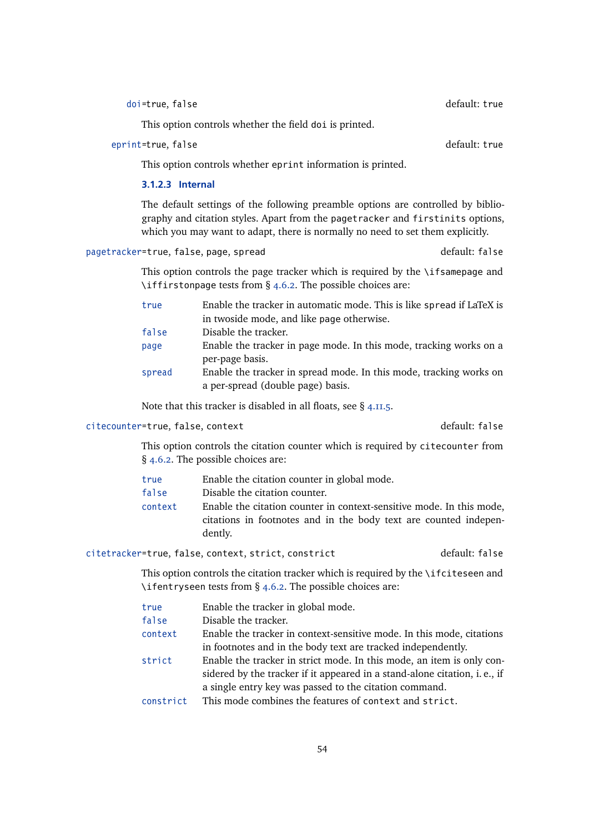doi=true, false default: true default: true

This option controls whether the field doi is printed.

eprint=true, false default: true default: true default: true default: true

This option controls whether eprint information is printed.

## **3.1.2.3 Internal**

The default settings of the following preamble options are controlled by bibliography and citation styles. Apart from the pagetracker and firstinits options, which you may want to adapt, there is normally no need to set them explicitly.

pagetracker=true, false, page, spread default: false

This option controls the page tracker which is required by the \ifsamepage and \iffirstonpage tests from § [4.6.2.](#page-145-0) The possible choices are:

| true   | Enable the tracker in automatic mode. This is like spread if LaTeX is |
|--------|-----------------------------------------------------------------------|
|        | in twoside mode, and like page otherwise.                             |
| false  | Disable the tracker.                                                  |
| page   | Enable the tracker in page mode. In this mode, tracking works on a    |
|        | per-page basis.                                                       |
| spread | Enable the tracker in spread mode. In this mode, tracking works on    |
|        | a per-spread (double page) basis.                                     |

Note that this tracker is disabled in all floats, see § [4.11.5.](#page-198-0)

## citecounter=true, false, context default: false

This option controls the citation counter which is required by citecounter from § [4.6.2.](#page-145-0) The possible choices are:

- true Enable the citation counter in global mode.
- false Disable the citation counter.
- context Enable the citation counter in context-sensitive mode. In this mode, citations in footnotes and in the body text are counted independently.

# citetracker=true, false, context, strict, constrict default: false

This option controls the citation tracker which is required by the \ifciteseen and \ifentryseen tests from  $\S$  [4.6.2.](#page-145-0) The possible choices are:

- true Enable the tracker in global mode.
- false Disable the tracker.
- context Enable the tracker in context-sensitive mode. In this mode, citations in footnotes and in the body text are tracked independently.
- strict Enable the tracker in strict mode. In this mode, an item is only considered by the tracker if it appeared in a stand-alone citation, i. e., if a single entry key was passed to the citation command.
- constrict This mode combines the features of context and strict.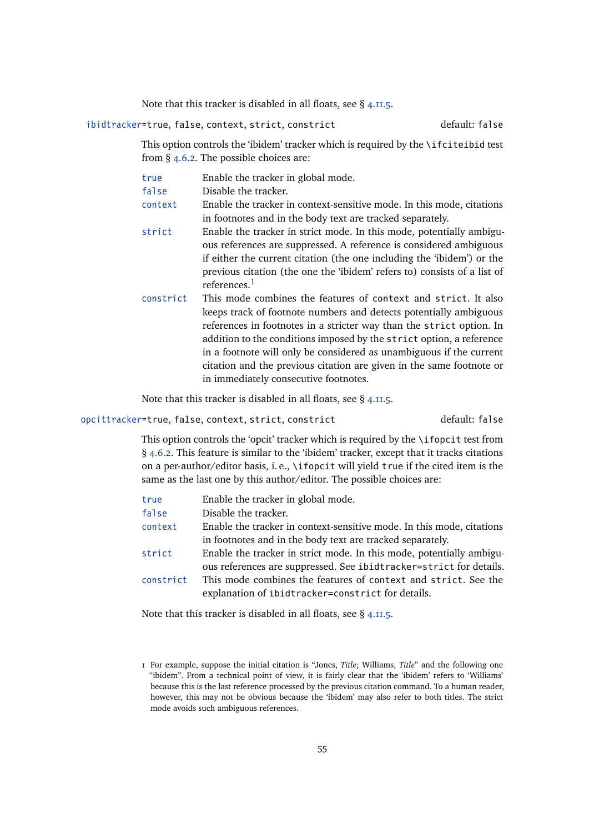Note that this tracker is disabled in all floats, see  $\S$  [4.11.5.](#page-198-0)

ibidtracker=true, false, context, strict, constrict default: false

This option controls the 'ibidem' tracker which is required by the \ifciteibid test from § [4.6.2.](#page-145-0) The possible choices are:

| true      | Enable the tracker in global mode.                                       |
|-----------|--------------------------------------------------------------------------|
| false     | Disable the tracker.                                                     |
| context   | Enable the tracker in context-sensitive mode. In this mode, citations    |
|           | in footnotes and in the body text are tracked separately.                |
| strict    | Enable the tracker in strict mode. In this mode, potentially ambigu-     |
|           | ous references are suppressed. A reference is considered ambiguous       |
|           | if either the current citation (the one including the 'ibidem') or the   |
|           | previous citation (the one the 'ibidem' refers to) consists of a list of |
|           | references. $1$                                                          |
| constrict | This mode combines the features of context and strict. It also           |
|           | keeps track of footnote numbers and detects potentially ambiguous        |
|           | references in footnotes in a stricter way than the strict option. In     |
|           | addition to the conditions imposed by the strict option, a reference     |
|           | in a footnote will only be considered as unambiguous if the current      |
|           | citation and the previous citation are given in the same footnote or     |
|           | in immediately consecutive footnotes.                                    |

Note that this tracker is disabled in all floats, see § [4.11.5.](#page-198-0)

opcittracker=true, false, context, strict, constrict default: false

This option controls the 'opcit' tracker which is required by the \ifopcit test from § [4.6.2.](#page-145-0) This feature is similar to the 'ibidem' tracker, except that it tracks citations on a per-author/editor basis, i. e., \ifopcit will yield true if the cited item is the same as the last one by this author/editor. The possible choices are:

| true      | Enable the tracker in global mode.                                    |
|-----------|-----------------------------------------------------------------------|
| false     | Disable the tracker.                                                  |
| context   | Enable the tracker in context-sensitive mode. In this mode, citations |
|           | in footnotes and in the body text are tracked separately.             |
| strict    | Enable the tracker in strict mode. In this mode, potentially ambigu-  |
|           | ous references are suppressed. See ibidtracker=strict for details.    |
| constrict | This mode combines the features of context and strict. See the        |
|           | explanation of ibidtracker=constrict for details.                     |
|           |                                                                       |

Note that this tracker is disabled in all floats, see § [4.11.5.](#page-198-0)

<sup>1</sup> For example, suppose the initial citation is "Jones, *Title*; Williams, *Title*" and the following one "ibidem". From a technical point of view, it is fairly clear that the 'ibidem' refers to 'Williams' because this is the last reference processed by the previous citation command. To a human reader, however, this may not be obvious because the 'ibidem' may also refer to both titles. The strict mode avoids such ambiguous references.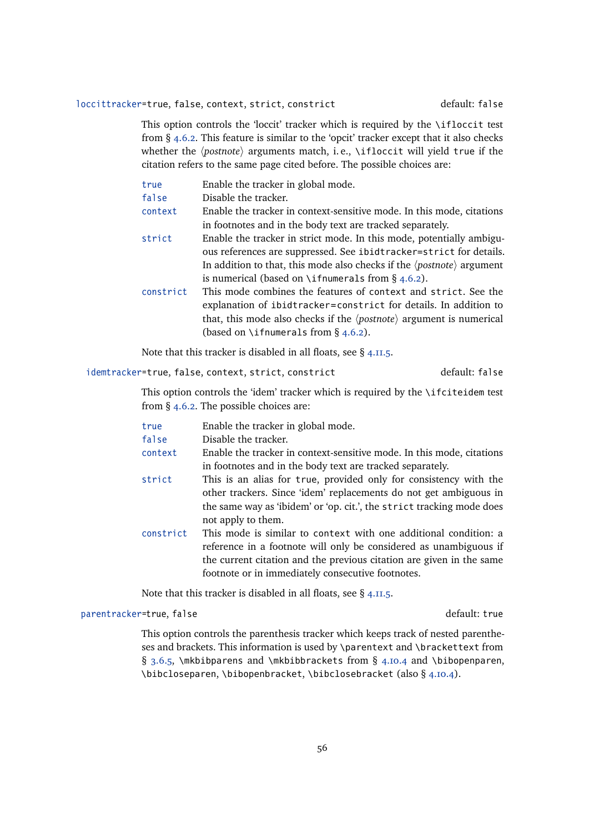# loccittracker=true, false, context, strict, constrict default: false

This option controls the 'loccit' tracker which is required by the \ifloccit test from § [4.6.2.](#page-145-0) This feature is similar to the 'opcit' tracker except that it also checks whether the  $\langle postnote \rangle$  arguments match, i.e., \ifloccit will yield true if the citation refers to the same page cited before. The possible choices are:

| true      | Enable the tracker in global mode.                                                             |
|-----------|------------------------------------------------------------------------------------------------|
| false     | Disable the tracker.                                                                           |
| context   | Enable the tracker in context-sensitive mode. In this mode, citations                          |
|           | in footnotes and in the body text are tracked separately.                                      |
| strict    | Enable the tracker in strict mode. In this mode, potentially ambigu-                           |
|           | ous references are suppressed. See ibidtracker=strict for details.                             |
|           | In addition to that, this mode also checks if the $\langle$ <i>postnote</i> $\rangle$ argument |
|           | is numerical (based on \ifnumerals from $\S$ 4.6.2).                                           |
| constrict | This mode combines the features of context and strict. See the                                 |
|           | explanation of ibidtracker=constrict for details. In addition to                               |
|           | that, this mode also checks if the $\langle$ <i>postnote</i> $\rangle$ argument is numerical   |
|           | (based on \ifnumerals from $\S$ 4.6.2).                                                        |
|           |                                                                                                |

Note that this tracker is disabled in all floats, see § [4.11.5.](#page-198-0)

# idemtracker=true, false, context, strict, constrict default: false

This option controls the 'idem' tracker which is required by the \ifciteidem test from § [4.6.2.](#page-145-0) The possible choices are:

| true      | Enable the tracker in global mode.                                    |
|-----------|-----------------------------------------------------------------------|
| false     | Disable the tracker.                                                  |
| context   | Enable the tracker in context-sensitive mode. In this mode, citations |
|           | in footnotes and in the body text are tracked separately.             |
| strict    | This is an alias for true, provided only for consistency with the     |
|           | other trackers. Since 'idem' replacements do not get ambiguous in     |
|           | the same way as 'ibidem' or 'op. cit.', the strict tracking mode does |
|           | not apply to them.                                                    |
| constrict | This mode is similar to context with one additional condition: a      |
|           | reference in a footnote will only be considered as unambiguous if     |
|           | the current citation and the previous citation are given in the same  |
|           | footnote or in immediately consecutive footnotes.                     |

Note that this tracker is disabled in all floats, see § [4.11.5.](#page-198-0)

# parentracker=true, false default: true

This option controls the parenthesis tracker which keeps track of nested parentheses and brackets. This information is used by \parentext and \brackettext from § [3.6.5,](#page-82-0) \mkbibparens and \mkbibbrackets from § [4.10.4](#page-185-0) and \bibopenparen, \bibcloseparen, \bibopenbracket, \bibclosebracket (also § [4.10.4\)](#page-185-0).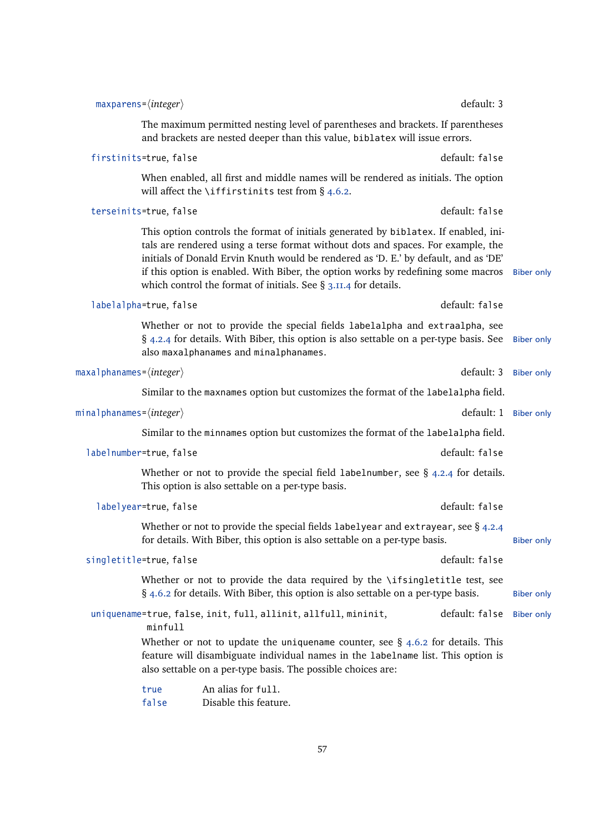|                   | default: 3                                                                                                                                                                                                                                                                                                                                                                                                                | $maxparams = \langle integer \rangle$                                |
|-------------------|---------------------------------------------------------------------------------------------------------------------------------------------------------------------------------------------------------------------------------------------------------------------------------------------------------------------------------------------------------------------------------------------------------------------------|----------------------------------------------------------------------|
|                   | The maximum permitted nesting level of parentheses and brackets. If parentheses<br>and brackets are nested deeper than this value, biblatex will issue errors.                                                                                                                                                                                                                                                            |                                                                      |
|                   | default: false                                                                                                                                                                                                                                                                                                                                                                                                            | firstinits=true, false                                               |
|                   | When enabled, all first and middle names will be rendered as initials. The option<br>will affect the \iffirstinits test from $\S$ 4.6.2.                                                                                                                                                                                                                                                                                  |                                                                      |
|                   | default: false                                                                                                                                                                                                                                                                                                                                                                                                            | terseinits=true, false                                               |
| <b>Biber only</b> | This option controls the format of initials generated by biblatex. If enabled, ini-<br>tals are rendered using a terse format without dots and spaces. For example, the<br>initials of Donald Ervin Knuth would be rendered as 'D. E.' by default, and as 'DE'<br>if this option is enabled. With Biber, the option works by redefining some macros<br>which control the format of initials. See $\S$ 3.11.4 for details. |                                                                      |
|                   | default: false                                                                                                                                                                                                                                                                                                                                                                                                            | labelalpha=true, false                                               |
| <b>Biber only</b> | Whether or not to provide the special fields labelalpha and extraalpha, see<br>§ 4.2.4 for details. With Biber, this option is also settable on a per-type basis. See<br>also maxalphanames and minalphanames.                                                                                                                                                                                                            |                                                                      |
| <b>Biber only</b> | default: 3                                                                                                                                                                                                                                                                                                                                                                                                                | <code>maxalphanames=</code> $\langle$ <code>integer</code> $\rangle$ |
|                   | Similar to the maxnames option but customizes the format of the labelalpha field.                                                                                                                                                                                                                                                                                                                                         |                                                                      |
| <b>Biber only</b> | default: 1                                                                                                                                                                                                                                                                                                                                                                                                                | minalphanames= $\langle integer \rangle$                             |
|                   | Similar to the minnames option but customizes the format of the labelalpha field.                                                                                                                                                                                                                                                                                                                                         |                                                                      |
|                   | default: false                                                                                                                                                                                                                                                                                                                                                                                                            | labelnumber=true, false                                              |
|                   | Whether or not to provide the special field labelnumber, see $\S$ 4.2.4 for details.<br>This option is also settable on a per-type basis.                                                                                                                                                                                                                                                                                 |                                                                      |
|                   | default: false                                                                                                                                                                                                                                                                                                                                                                                                            | labelyear=true, false                                                |
| Biber only        | Whether or not to provide the special fields labelyear and extrayear, see § 4.2.4<br>for details. With Biber, this option is also settable on a per-type basis.                                                                                                                                                                                                                                                           |                                                                      |
|                   | default: false                                                                                                                                                                                                                                                                                                                                                                                                            | singletitle=true, false                                              |
| <b>Biber only</b> | Whether or not to provide the data required by the \ifsingletitle test, see<br>$\S$ 4.6.2 for details. With Biber, this option is also settable on a per-type basis.                                                                                                                                                                                                                                                      |                                                                      |
| <b>Biber only</b> | default: false<br>uniquename=true, false, init, full, allinit, allfull, mininit,                                                                                                                                                                                                                                                                                                                                          | minfull                                                              |
|                   | Whether or not to update the uniquename counter, see $\S$ 4.6.2 for details. This<br>feature will disambiguate individual names in the labelname list. This option is<br>also settable on a per-type basis. The possible choices are:                                                                                                                                                                                     |                                                                      |
|                   | An alias for full.<br>Disable this feature.                                                                                                                                                                                                                                                                                                                                                                               | true<br>false                                                        |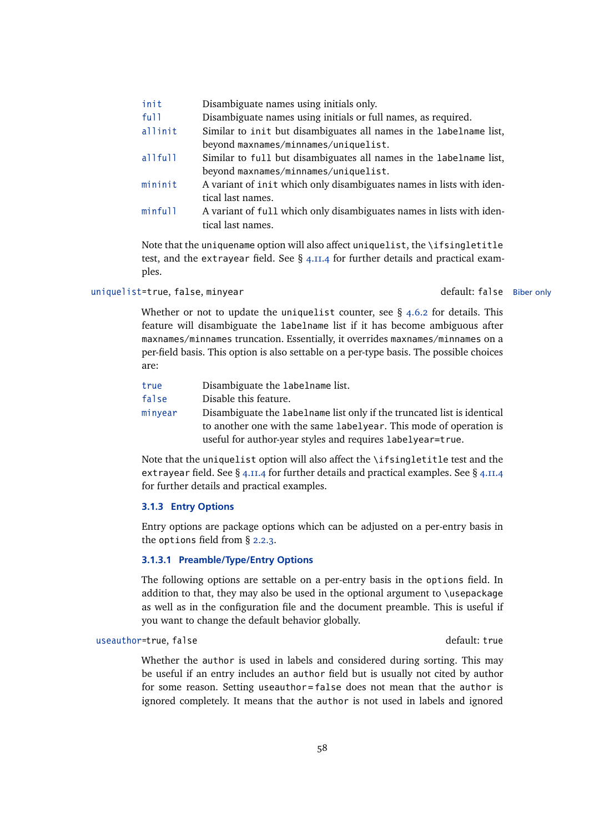| init    | Disambiguate names using initials only.                              |
|---------|----------------------------------------------------------------------|
| ful1    | Disambiguate names using initials or full names, as required.        |
| allinit | Similar to init but disambiguates all names in the labelname list,   |
|         | beyond maxnames/minnames/uniquelist.                                 |
| allfull | Similar to full but disambiguates all names in the labelname list,   |
|         | beyond maxnames/minnames/uniquelist.                                 |
| mininit | A variant of init which only disambiguates names in lists with iden- |
|         | tical last names.                                                    |
| minfull | A variant of full which only disambiguates names in lists with iden- |
|         | tical last names.                                                    |
|         |                                                                      |

Note that the uniquename option will also affect uniquelist, the \ifsingletitle test, and the extrayear field. See  $\S$  [4.11.4](#page-193-0) for further details and practical examples.

# uniquelist=true, false, minyear default: false Biber only

Whether or not to update the uniquelist counter, see  $\S$  [4.6.2](#page-145-0) for details. This feature will disambiguate the labelname list if it has become ambiguous after maxnames/minnames truncation. Essentially, it overrides maxnames/minnames on a per-field basis. This option is also settable on a per-type basis. The possible choices are:

| true    | Disambiguate the labelname list.                                        |
|---------|-------------------------------------------------------------------------|
| false   | Disable this feature.                                                   |
| minyear | Disambiguate the labelname list only if the truncated list is identical |
|         | to another one with the same labelyear. This mode of operation is       |
|         | useful for author-year styles and requires labelyear=true.              |
|         |                                                                         |

Note that the uniquelist option will also affect the \ifsingletitle test and the extrayear field. See § [4.11.4](#page-193-0) for further details and practical examples. See § [4.11.4](#page-193-0) for further details and practical examples.

# **3.1.3 Entry Options**

Entry options are package options which can be adjusted on a per-entry basis in the options field from § [2.2.3.](#page-22-0)

## **3.1.3.1 Preamble/Type/Entry Options**

The following options are settable on a per-entry basis in the options field. In addition to that, they may also be used in the optional argument to \usepackage as well as in the configuration file and the document preamble. This is useful if you want to change the default behavior globally.

## useauthor=true, false default: true default: true

Whether the author is used in labels and considered during sorting. This may be useful if an entry includes an author field but is usually not cited by author for some reason. Setting useauthor=false does not mean that the author is ignored completely. It means that the author is not used in labels and ignored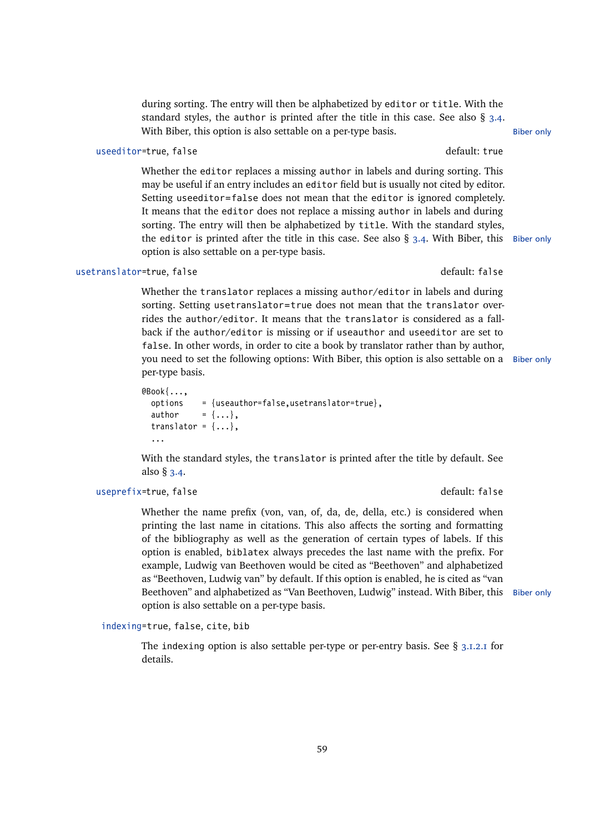during sorting. The entry will then be alphabetized by editor or title. With the standard styles, the author is printed after the title in this case. See also  $\S$  [3.4.](#page-66-0) With Biber, this option is also settable on a per-type basis. Biber only

## useeditor=true, false default: true default: true

Whether the editor replaces a missing author in labels and during sorting. This may be useful if an entry includes an editor field but is usually not cited by editor. Setting useeditor=false does not mean that the editor is ignored completely. It means that the editor does not replace a missing author in labels and during sorting. The entry will then be alphabetized by title. With the standard styles, the editor is printed after the title in this case. See also  $\S$  [3.4.](#page-66-0) With Biber, this Biber only option is also settable on a per-type basis.

### usetranslator=true, false default: false

Whether the translator replaces a missing author/editor in labels and during sorting. Setting usetranslator=true does not mean that the translator overrides the author/editor. It means that the translator is considered as a fallback if the author/editor is missing or if useauthor and useeditor are set to false. In other words, in order to cite a book by translator rather than by author, you need to set the following options: With Biber, this option is also settable on a Biber only per-type basis.

```
@Book{...,
  options = {useauthor=false,usetranslator=true},
  author = \{ \ldots \},\translator = \{ \ldots \},
  ...
```
With the standard styles, the translator is printed after the title by default. See also § [3.4.](#page-66-0)

# useprefix=true, false default: false

Whether the name prefix (von, van, of, da, de, della, etc.) is considered when printing the last name in citations. This also affects the sorting and formatting of the bibliography as well as the generation of certain types of labels. If this option is enabled, biblatex always precedes the last name with the prefix. For example, Ludwig van Beethoven would be cited as "Beethoven" and alphabetized as "Beethoven, Ludwig van" by default. If this option is enabled, he is cited as "van Beethoven" and alphabetized as "Van Beethoven, Ludwig" instead. With Biber, this Biber only option is also settable on a per-type basis.

indexing=true, false, cite, bib

The indexing option is also settable per-type or per-entry basis. See  $\S$  [3.1.2.1](#page-43-0) for details.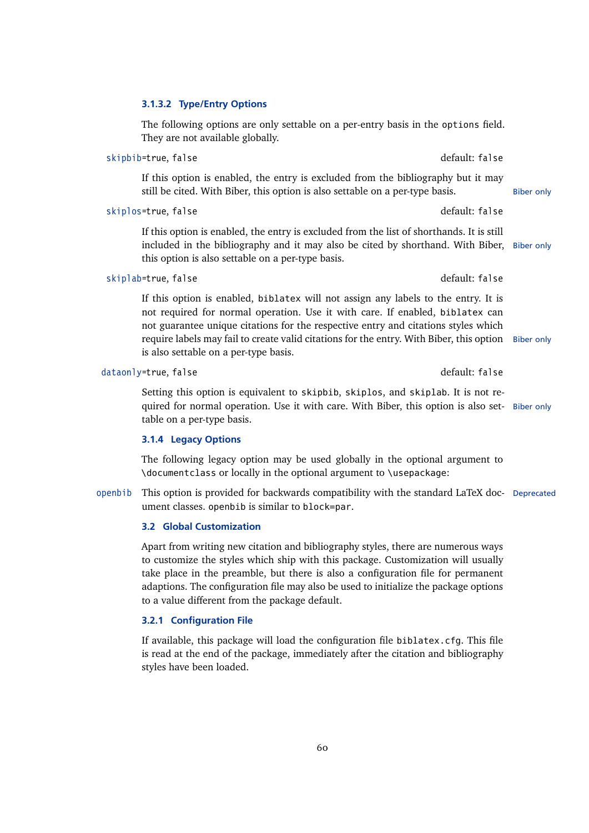## <span id="page-59-0"></span>**3.1.3.2 Type/Entry Options**

The following options are only settable on a per-entry basis in the options field. They are not available globally.

If this option is enabled, the entry is excluded from the bibliography but it may still be cited. With Biber, this option is also settable on a per-type basis. Biber only

skipbib=true, false default: false default: false

skiplos=true, false default: false

If this option is enabled, the entry is excluded from the list of shorthands. It is still included in the bibliography and it may also be cited by shorthand. With Biber, Biber only this option is also settable on a per-type basis.

### skiplab=true, false default: false default: false

If this option is enabled, biblatex will not assign any labels to the entry. It is not required for normal operation. Use it with care. If enabled, biblatex can not guarantee unique citations for the respective entry and citations styles which require labels may fail to create valid citations for the entry. With Biber, this option Biber only is also settable on a per-type basis.

Setting this option is equivalent to skipbib, skiplos, and skiplab. It is not required for normal operation. Use it with care. With Biber, this option is also set- Biber only table on a per-type basis.

### **3.1.4 Legacy Options**

The following legacy option may be used globally in the optional argument to \documentclass or locally in the optional argument to \usepackage:

openbib This option is provided for backwards compatibility with the standard LaTeX doc- Deprecated ument classes. openbib is similar to block=par.

# **3.2 Global Customization**

Apart from writing new citation and bibliography styles, there are numerous ways to customize the styles which ship with this package. Customization will usually take place in the preamble, but there is also a configuration file for permanent adaptions. The configuration file may also be used to initialize the package options to a value different from the package default.

## **3.2.1 Configuration File**

If available, this package will load the configuration file biblatex.cfg. This file is read at the end of the package, immediately after the citation and bibliography styles have been loaded.

dataonly=true, false default: false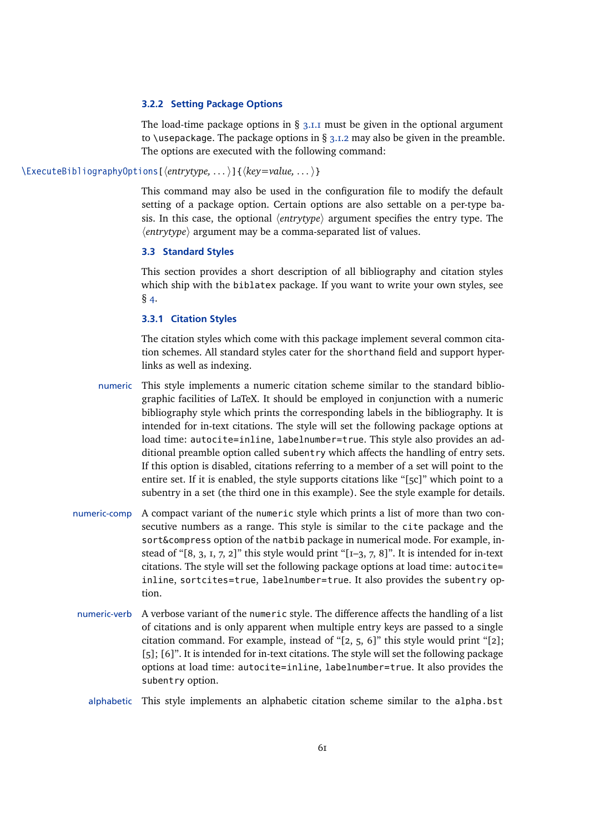## **3.2.2 Setting Package Options**

The load-time package options in  $\S$  [3.1.1](#page-42-0) must be given in the optional argument to \usepackage. The package options in  $\S$  [3.1.2](#page-43-0) may also be given in the preamble. The options are executed with the following command:

<span id="page-60-0"></span>\ExecuteBibliographyOptions[\\tentrytype, ... \)]{\\tellequanglegy ... \}

This command may also be used in the configuration file to modify the default setting of a package option. Certain options are also settable on a per-type basis. In this case, the optional  $\langle entrytype \rangle$  argument specifies the entry type. The  $\langle$ *entrytype* $\rangle$  argument may be a comma-separated list of values.

### **3.3 Standard Styles**

This section provides a short description of all bibliography and citation styles which ship with the biblatex package. If you want to write your own styles, see  $§$  [4.](#page-113-0)

# **3.3.1 Citation Styles**

The citation styles which come with this package implement several common citation schemes. All standard styles cater for the shorthand field and support hyperlinks as well as indexing.

numeric This style implements a numeric citation scheme similar to the standard bibliographic facilities of LaTeX. It should be employed in conjunction with a numeric bibliography style which prints the corresponding labels in the bibliography. It is intended for in-text citations. The style will set the following package options at load time: autocite=inline, labelnumber=true. This style also provides an additional preamble option called subentry which affects the handling of entry sets. If this option is disabled, citations referring to a member of a set will point to the entire set. If it is enabled, the style supports citations like "[5c]" which point to a subentry in a set (the third one in this example). See the style example for details.

- numeric-comp A compact variant of the numeric style which prints a list of more than two consecutive numbers as a range. This style is similar to the cite package and the sort&compress option of the natbib package in numerical mode. For example, instead of " $[8, 3, 1, 7, 2]$ " this style would print " $[I-3, 7, 8]$ ". It is intended for in-text citations. The style will set the following package options at load time: autocite= inline, sortcites=true, labelnumber=true. It also provides the subentry option.
- numeric-verb A verbose variant of the numeric style. The difference affects the handling of a list of citations and is only apparent when multiple entry keys are passed to a single citation command. For example, instead of " $[2, 5, 6]$ " this style would print " $[2]$ ; [5]; [6]". It is intended for in-text citations. The style will set the following package options at load time: autocite=inline, labelnumber=true. It also provides the subentry option.

alphabetic This style implements an alphabetic citation scheme similar to the alpha.bst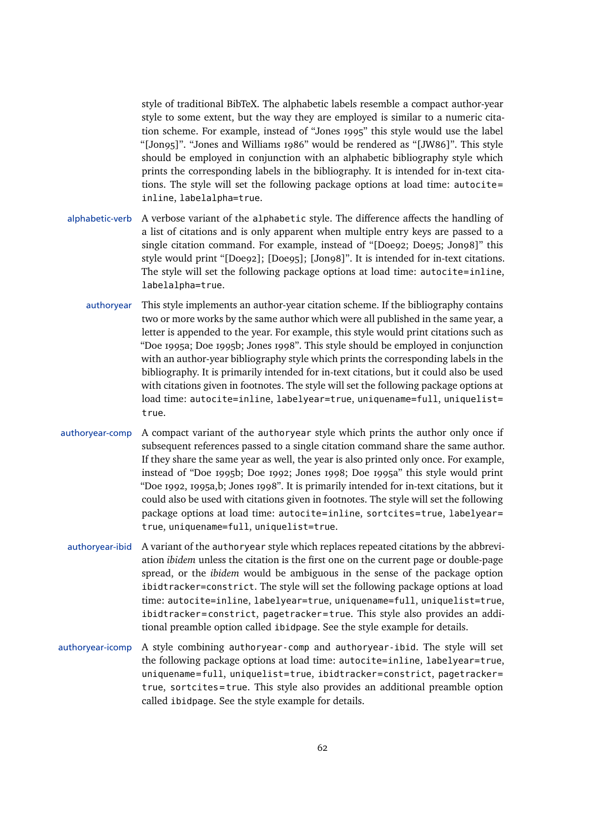style of traditional BibTeX. The alphabetic labels resemble a compact author-year style to some extent, but the way they are employed is similar to a numeric citation scheme. For example, instead of "Jones 1995" this style would use the label "[Jon95]". "Jones and Williams 1986" would be rendered as "[JW86]". This style should be employed in conjunction with an alphabetic bibliography style which prints the corresponding labels in the bibliography. It is intended for in-text citations. The style will set the following package options at load time: autocite= inline, labelalpha=true.

- alphabetic-verb A verbose variant of the alphabetic style. The difference affects the handling of a list of citations and is only apparent when multiple entry keys are passed to a single citation command. For example, instead of "[Doe92; Doe95; Jon98]" this style would print "[Doe92]; [Doe95]; [Jon98]". It is intended for in-text citations. The style will set the following package options at load time: autocite=inline, labelalpha=true.
	- authoryear This style implements an author-year citation scheme. If the bibliography contains two or more works by the same author which were all published in the same year, a letter is appended to the year. For example, this style would print citations such as "Doe 1995a; Doe 1995b; Jones 1998". This style should be employed in conjunction with an author-year bibliography style which prints the corresponding labels in the bibliography. It is primarily intended for in-text citations, but it could also be used with citations given in footnotes. The style will set the following package options at load time: autocite=inline, labelyear=true, uniquename=full, uniquelist= true.
- authoryear-comp A compact variant of the authoryear style which prints the author only once if subsequent references passed to a single citation command share the same author. If they share the same year as well, the year is also printed only once. For example, instead of "Doe 1995b; Doe 1992; Jones 1998; Doe 1995a" this style would print "Doe 1992, 1995a,b; Jones 1998". It is primarily intended for in-text citations, but it could also be used with citations given in footnotes. The style will set the following package options at load time: autocite=inline, sortcites=true, labelyear= true, uniquename=full, uniquelist=true.
- authoryear-ibid A variant of the authoryear style which replaces repeated citations by the abbreviation *ibidem* unless the citation is the first one on the current page or double-page spread, or the *ibidem* would be ambiguous in the sense of the package option ibidtracker=constrict. The style will set the following package options at load time: autocite=inline, labelyear=true, uniquename=full, uniquelist=true, ibidtracker=constrict, pagetracker=true. This style also provides an additional preamble option called ibidpage. See the style example for details.
- authoryear-icomp A style combining authoryear-comp and authoryear-ibid. The style will set the following package options at load time: autocite=inline, labelyear=true, uniquename=full, uniquelist=true, ibidtracker=constrict, pagetracker= true, sortcites = true. This style also provides an additional preamble option called ibidpage. See the style example for details.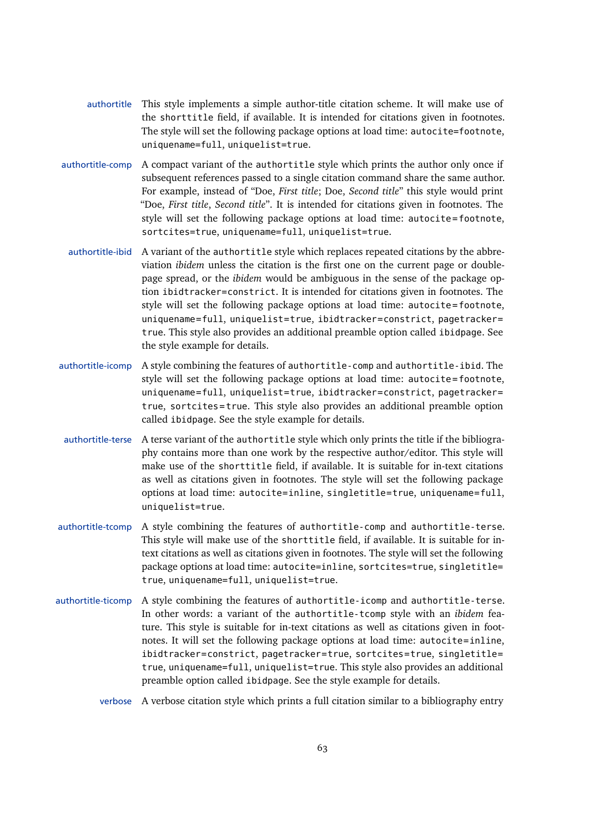- authortitle This style implements a simple author-title citation scheme. It will make use of the shorttitle field, if available. It is intended for citations given in footnotes. The style will set the following package options at load time: autocite=footnote, uniquename=full, uniquelist=true.
- authortitle-comp A compact variant of the authortitle style which prints the author only once if subsequent references passed to a single citation command share the same author. For example, instead of "Doe, *First title*; Doe, *Second title*" this style would print "Doe, *First title*, *Second title*". It is intended for citations given in footnotes. The style will set the following package options at load time: autocite=footnote, sortcites=true, uniquename=full, uniquelist=true.
- authortitle-ibid A variant of the authortitle style which replaces repeated citations by the abbreviation *ibidem* unless the citation is the first one on the current page or doublepage spread, or the *ibidem* would be ambiguous in the sense of the package option ibidtracker=constrict. It is intended for citations given in footnotes. The style will set the following package options at load time: autocite = footnote, uniquename=full, uniquelist=true, ibidtracker=constrict, pagetracker= true. This style also provides an additional preamble option called ibidpage. See the style example for details.
- authortitle-icomp A style combining the features of authortitle-comp and authortitle-ibid. The style will set the following package options at load time: autocite=footnote, uniquename=full, uniquelist=true, ibidtracker=constrict, pagetracker= true, sortcites = true. This style also provides an additional preamble option called ibidpage. See the style example for details.
- authortitle-terse A terse variant of the authortitle style which only prints the title if the bibliography contains more than one work by the respective author/editor. This style will make use of the shorttitle field, if available. It is suitable for in-text citations as well as citations given in footnotes. The style will set the following package options at load time: autocite=inline, singletitle=true, uniquename=full, uniquelist=true.
- authortitle-tcomp A style combining the features of authortitle-comp and authortitle-terse. This style will make use of the shorttitle field, if available. It is suitable for intext citations as well as citations given in footnotes. The style will set the following package options at load time: autocite=inline, sortcites=true, singletitle= true, uniquename=full, uniquelist=true.
- authortitle-ticomp A style combining the features of authortitle-icomp and authortitle-terse. In other words: a variant of the authortitle-tcomp style with an *ibidem* feature. This style is suitable for in-text citations as well as citations given in footnotes. It will set the following package options at load time: autocite=inline, ibidtracker=constrict, pagetracker=true, sortcites=true, singletitle= true, uniquename=full, uniquelist=true. This style also provides an additional preamble option called ibidpage. See the style example for details.

verbose A verbose citation style which prints a full citation similar to a bibliography entry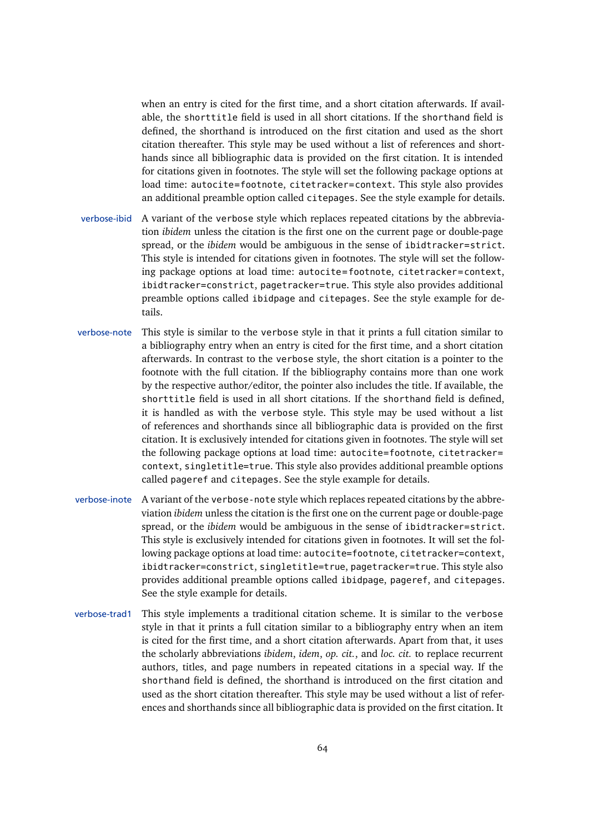when an entry is cited for the first time, and a short citation afterwards. If available, the shorttitle field is used in all short citations. If the shorthand field is defined, the shorthand is introduced on the first citation and used as the short citation thereafter. This style may be used without a list of references and shorthands since all bibliographic data is provided on the first citation. It is intended for citations given in footnotes. The style will set the following package options at load time: autocite=footnote, citetracker=context. This style also provides an additional preamble option called citepages. See the style example for details.

- verbose-ibid A variant of the verbose style which replaces repeated citations by the abbreviation *ibidem* unless the citation is the first one on the current page or double-page spread, or the *ibidem* would be ambiguous in the sense of ibidtracker=strict. This style is intended for citations given in footnotes. The style will set the following package options at load time: autocite=footnote, citetracker=context, ibidtracker=constrict, pagetracker=true. This style also provides additional preamble options called ibidpage and citepages. See the style example for details.
- verbose-note This style is similar to the verbose style in that it prints a full citation similar to a bibliography entry when an entry is cited for the first time, and a short citation afterwards. In contrast to the verbose style, the short citation is a pointer to the footnote with the full citation. If the bibliography contains more than one work by the respective author/editor, the pointer also includes the title. If available, the shorttitle field is used in all short citations. If the shorthand field is defined, it is handled as with the verbose style. This style may be used without a list of references and shorthands since all bibliographic data is provided on the first citation. It is exclusively intended for citations given in footnotes. The style will set the following package options at load time: autocite=footnote, citetracker= context, singletitle=true. This style also provides additional preamble options called pageref and citepages. See the style example for details.
- verbose-inote A variant of the verbose-note style which replaces repeated citations by the abbreviation *ibidem* unless the citation is the first one on the current page or double-page spread, or the *ibidem* would be ambiguous in the sense of ibidtracker=strict. This style is exclusively intended for citations given in footnotes. It will set the following package options at load time: autocite=footnote, citetracker=context, ibidtracker=constrict, singletitle=true, pagetracker=true. This style also provides additional preamble options called ibidpage, pageref, and citepages. See the style example for details.
- verbose-trad1 This style implements a traditional citation scheme. It is similar to the verbose style in that it prints a full citation similar to a bibliography entry when an item is cited for the first time, and a short citation afterwards. Apart from that, it uses the scholarly abbreviations *ibidem*, *idem*, *op. cit.*, and *loc. cit.* to replace recurrent authors, titles, and page numbers in repeated citations in a special way. If the shorthand field is defined, the shorthand is introduced on the first citation and used as the short citation thereafter. This style may be used without a list of references and shorthands since all bibliographic data is provided on the first citation. It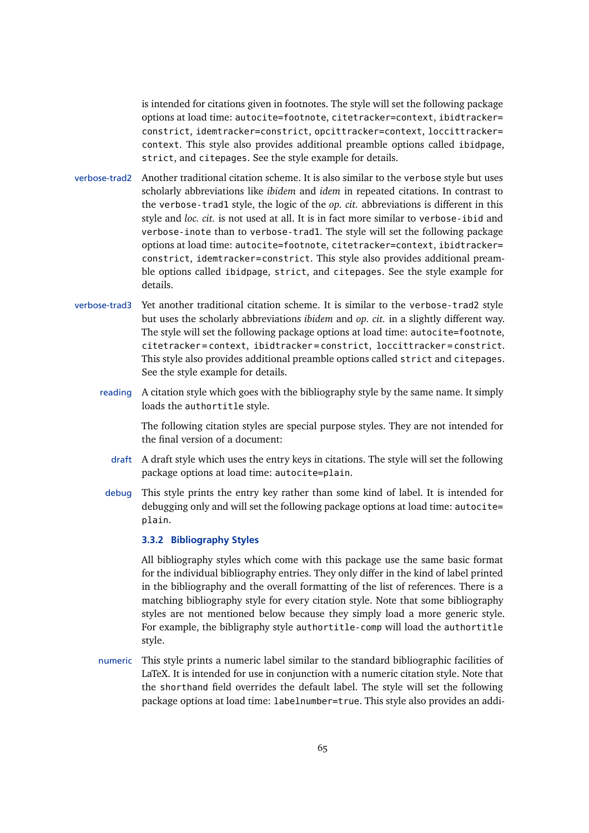<span id="page-64-0"></span>is intended for citations given in footnotes. The style will set the following package options at load time: autocite=footnote, citetracker=context, ibidtracker= constrict, idemtracker=constrict, opcittracker=context, loccittracker= context. This style also provides additional preamble options called ibidpage, strict, and citepages. See the style example for details.

- verbose-trad2 Another traditional citation scheme. It is also similar to the verbose style but uses scholarly abbreviations like *ibidem* and *idem* in repeated citations. In contrast to the verbose-trad1 style, the logic of the *op. cit.* abbreviations is different in this style and *loc. cit.* is not used at all. It is in fact more similar to verbose-ibid and verbose-inote than to verbose-trad1. The style will set the following package options at load time: autocite=footnote, citetracker=context, ibidtracker= constrict, idemtracker=constrict. This style also provides additional preamble options called ibidpage, strict, and citepages. See the style example for details.
- verbose-trad3 Yet another traditional citation scheme. It is similar to the verbose-trad2 style but uses the scholarly abbreviations *ibidem* and *op. cit.* in a slightly different way. The style will set the following package options at load time: autocite=footnote, citetracker = context, ibidtracker = constrict, loccittracker = constrict. This style also provides additional preamble options called strict and citepages. See the style example for details.
	- reading A citation style which goes with the bibliography style by the same name. It simply loads the authortitle style.

The following citation styles are special purpose styles. They are not intended for the final version of a document:

- draft A draft style which uses the entry keys in citations. The style will set the following package options at load time: autocite=plain.
- debug This style prints the entry key rather than some kind of label. It is intended for debugging only and will set the following package options at load time: autocite= plain.

## **3.3.2 Bibliography Styles**

All bibliography styles which come with this package use the same basic format for the individual bibliography entries. They only differ in the kind of label printed in the bibliography and the overall formatting of the list of references. There is a matching bibliography style for every citation style. Note that some bibliography styles are not mentioned below because they simply load a more generic style. For example, the bibligraphy style authortitle-comp will load the authortitle style.

numeric This style prints a numeric label similar to the standard bibliographic facilities of LaTeX. It is intended for use in conjunction with a numeric citation style. Note that the shorthand field overrides the default label. The style will set the following package options at load time: labelnumber=true. This style also provides an addi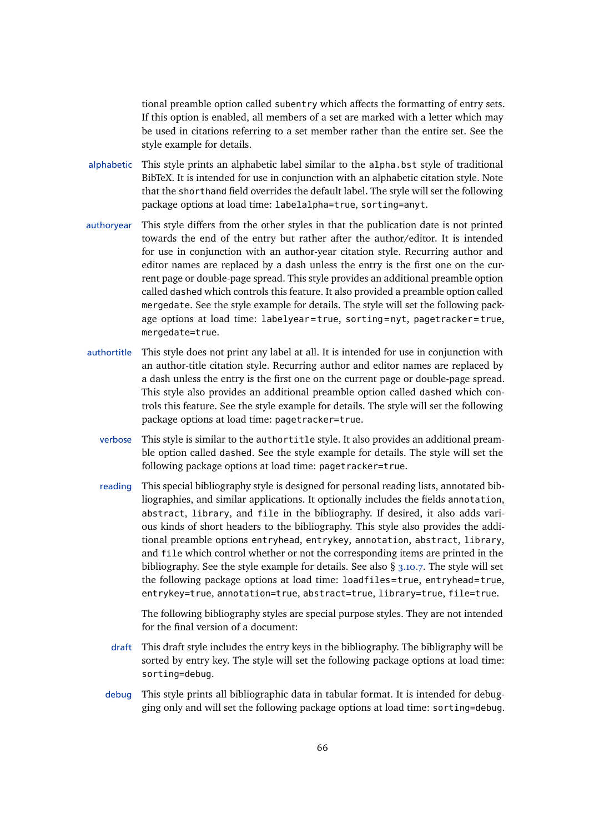tional preamble option called subentry which affects the formatting of entry sets. If this option is enabled, all members of a set are marked with a letter which may be used in citations referring to a set member rather than the entire set. See the style example for details.

- alphabetic This style prints an alphabetic label similar to the alpha.bst style of traditional BibTeX. It is intended for use in conjunction with an alphabetic citation style. Note that the shorthand field overrides the default label. The style will set the following package options at load time: labelalpha=true, sorting=anyt.
- authoryear This style differs from the other styles in that the publication date is not printed towards the end of the entry but rather after the author/editor. It is intended for use in conjunction with an author-year citation style. Recurring author and editor names are replaced by a dash unless the entry is the first one on the current page or double-page spread. This style provides an additional preamble option called dashed which controls this feature. It also provided a preamble option called mergedate. See the style example for details. The style will set the following package options at load time: labelyear = true, sorting = nyt, pagetracker = true, mergedate=true.
- authortitle This style does not print any label at all. It is intended for use in conjunction with an author-title citation style. Recurring author and editor names are replaced by a dash unless the entry is the first one on the current page or double-page spread. This style also provides an additional preamble option called dashed which controls this feature. See the style example for details. The style will set the following package options at load time: pagetracker=true.
	- verbose This style is similar to the authortitle style. It also provides an additional preamble option called dashed. See the style example for details. The style will set the following package options at load time: pagetracker=true.
	- reading This special bibliography style is designed for personal reading lists, annotated bibliographies, and similar applications. It optionally includes the fields annotation, abstract, library, and file in the bibliography. If desired, it also adds various kinds of short headers to the bibliography. This style also provides the additional preamble options entryhead, entrykey, annotation, abstract, library, and file which control whether or not the corresponding items are printed in the bibliography. See the style example for details. See also § [3.10.7.](#page-107-0) The style will set the following package options at load time: loadfiles=true, entryhead=true, entrykey=true, annotation=true, abstract=true, library=true, file=true.

The following bibliography styles are special purpose styles. They are not intended for the final version of a document:

- draft This draft style includes the entry keys in the bibliography. The bibligraphy will be sorted by entry key. The style will set the following package options at load time: sorting=debug.
- debug This style prints all bibliographic data in tabular format. It is intended for debugging only and will set the following package options at load time: sorting=debug.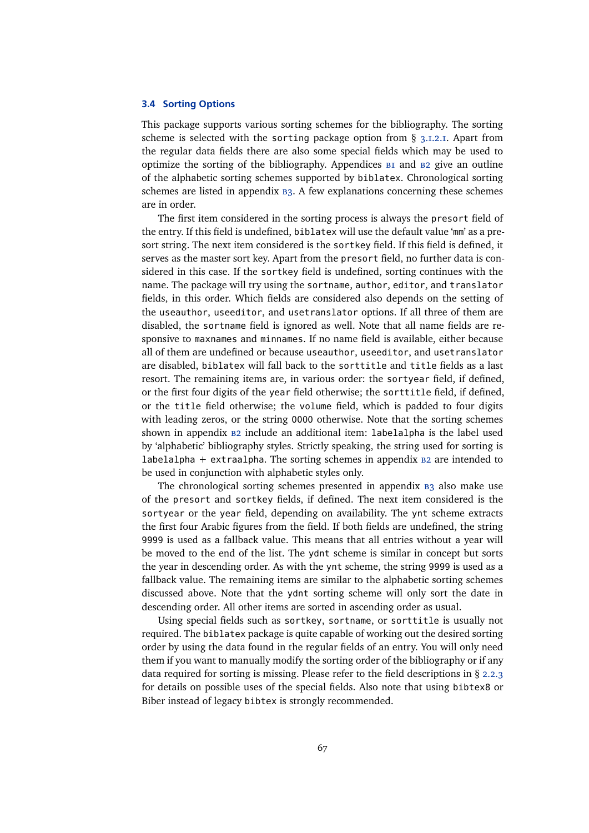### <span id="page-66-0"></span>**3.4 Sorting Options**

This package supports various sorting schemes for the bibliography. The sorting scheme is selected with the sorting package option from  $\S$  [3.1.2.1.](#page-43-0) Apart from the regular data fields there are also some special fields which may be used to optimize the sorting of the [b](#page-208-0)ibliography. Appendices BI and B[2](#page-208-0) give an outline of the alphabetic sorting schemes supported by biblatex. Chronological sorting schemes are listed in appendix  $B_3$ . A few explanations concerning these schemes are in order.

The first item considered in the sorting process is always the presort field of the entry. If this field is undefined, biblatex will use the default value 'mm' as a presort string. The next item considered is the sortkey field. If this field is defined, it serves as the master sort key. Apart from the presort field, no further data is considered in this case. If the sortkey field is undefined, sorting continues with the name. The package will try using the sortname, author, editor, and translator fields, in this order. Which fields are considered also depends on the setting of the useauthor, useeditor, and usetranslator options. If all three of them are disabled, the sortname field is ignored as well. Note that all name fields are responsive to maxnames and minnames. If no name field is available, either because all of them are undefined or because useauthor, useeditor, and usetranslator are disabled, biblatex will fall back to the sorttitle and title fields as a last resort. The remaining items are, in various order: the sortyear field, if defined, or the first four digits of the year field otherwise; the sorttitle field, if defined, or the title field otherwise; the volume field, which is padded to four digits with leading zeros, or the string 0000 otherwise. Note that the sorting schemes shown in appendix  $B2$  $B2$  include an additional item: labelalpha is the label used by 'alphabetic' bibliography styles. Strictly speaking, the string used for sorting is labelalpha + extraalpha. The sorting schemes in appendix  $B2$  $B2$  are intended to be used in conjunction with alphabetic styles only.

The chronological sorting schemes presented in appendix  $B_3$  $B_3$  also make use of the presort and sortkey fields, if defined. The next item considered is the sortyear or the year field, depending on availability. The ynt scheme extracts the first four Arabic figures from the field. If both fields are undefined, the string 9999 is used as a fallback value. This means that all entries without a year will be moved to the end of the list. The ydnt scheme is similar in concept but sorts the year in descending order. As with the ynt scheme, the string 9999 is used as a fallback value. The remaining items are similar to the alphabetic sorting schemes discussed above. Note that the ydnt sorting scheme will only sort the date in descending order. All other items are sorted in ascending order as usual.

Using special fields such as sortkey, sortname, or sorttitle is usually not required. The biblatex package is quite capable of working out the desired sorting order by using the data found in the regular fields of an entry. You will only need them if you want to manually modify the sorting order of the bibliography or if any data required for sorting is missing. Please refer to the field descriptions in § [2.2.3](#page-22-0) for details on possible uses of the special fields. Also note that using bibtex8 or Biber instead of legacy bibtex is strongly recommended.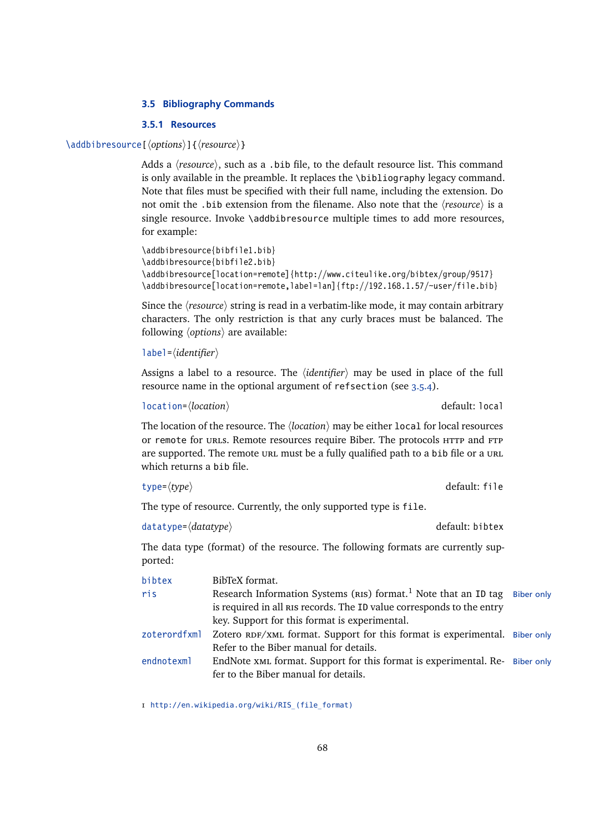## **3.5 Bibliography Commands**

## **3.5.1 Resources**

### \addbibresource[\*options*\]{\*resource*\}

Adds a  $\langle resource \rangle$ , such as a .bib file, to the default resource list. This command is only available in the preamble. It replaces the \bibliography legacy command. Note that files must be specified with their full name, including the extension. Do not omit the .bib extension from the filename. Also note that the  $\langle resource \rangle$  is a single resource. Invoke \addbibresource multiple times to add more resources, for example:

```
\addbibresource{bibfile1.bib}
\addbibresource{bibfile2.bib}
\addbibresource[location=remote]{http://www.citeulike.org/bibtex/group/9517}
\addbibresource[location=remote,label=lan]{ftp://192.168.1.57/~user/file.bib}
```
Since the *(resource)* string is read in a verbatim-like mode, it may contain arbitrary characters. The only restriction is that any curly braces must be balanced. The following *(options)* are available:

```
label=/identifier)
```
Assigns a label to a resource. The *(identifier)* may be used in place of the full resource name in the optional argument of refsection (see [3.5.4\)](#page-72-0).

```
location=(location) default: local
```
The location of the resource. The  $\langle location \rangle$  may be either local for local resources or remote for urls. Remote resources require Biber. The protocols HTTP and FTP are supported. The remote url must be a fully qualified path to a bib file or a URL which returns a bib file.

```
type=\langle type \rangle default: file
```
The type of resource. Currently, the only supported type is file.

```
datatype=\langle datatype \rangle datatype<sup>{</sup>datatype}
```
The data type (format) of the resource. The following formats are currently supported:

| bibtex       | BibTeX format.                                                                                                      |  |
|--------------|---------------------------------------------------------------------------------------------------------------------|--|
| ris          | Research Information Systems (RIS) format. <sup>1</sup> Note that an ID tag Biber only                              |  |
|              | is required in all RIS records. The ID value corresponds to the entry                                               |  |
|              | key. Support for this format is experimental.                                                                       |  |
| zoterordfxml | Zotero RDF/XML format. Support for this format is experimental. Biber only                                          |  |
|              | Refer to the Biber manual for details.                                                                              |  |
| endnotexml   | EndNote xML format. Support for this format is experimental. Re- Biber only<br>fer to the Biber manual for details. |  |
|              |                                                                                                                     |  |

1 [http://en.wikipedia.org/wiki/RIS\\_\(file\\_format\)](http://en.wikipedia.org/wiki/RIS_(file_format))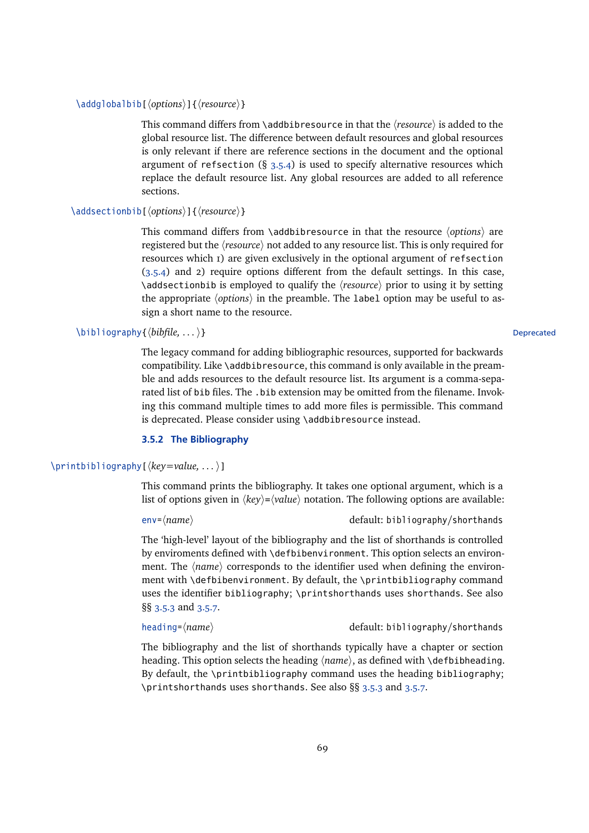This command differs from \addbibresource in that the  $\langle resource \rangle$  is added to the global resource list. The difference between default resources and global resources is only relevant if there are reference sections in the document and the optional argument of refsection  $(§ 3.5.4)$  $(§ 3.5.4)$  is used to specify alternative resources which replace the default resource list. Any global resources are added to all reference sections.

## \addsectionbib[\*options*\]{\*resource*\}

This command differs from \addbibresource in that the resource  $\langle options \rangle$  are registered but the  $\langle resource \rangle$  not added to any resource list. This is only required for resources which 1) are given exclusively in the optional argument of refsection  $(3.5.4)$  and 2) require options different from the default settings. In this case, \addsectionbib is employed to qualify the h*resource*i prior to using it by setting the appropriate  $\langle options \rangle$  in the preamble. The label option may be useful to assign a short name to the resource.

# \bibliography{*\bibfile, ...* }} Deprecated

The legacy command for adding bibliographic resources, supported for backwards compatibility. Like \addbibresource, this command is only available in the preamble and adds resources to the default resource list. Its argument is a comma-separated list of bib files. The .bib extension may be omitted from the filename. Invoking this command multiple times to add more files is permissible. This command is deprecated. Please consider using \addbibresource instead.

# **3.5.2 The Bibliography**

# \printbibliography[ $\langle key = value, ...\rangle$ ]

This command prints the bibliography. It takes one optional argument, which is a list of options given in  $\langle key \rangle = \langle value \rangle$  notation. The following options are available:

env= $\langle name \rangle$  default: bibliography/shorthands

The 'high-level' layout of the bibliography and the list of shorthands is controlled by enviroments defined with \defbibenvironment. This option selects an environment. The  $\langle name \rangle$  corresponds to the identifier used when defining the environment with \defbibenvironment. By default, the \printbibliography command uses the identifier bibliography; \printshorthands uses shorthands. See also §§ [3.5.3](#page-71-0) and [3.5.7.](#page-74-0)

heading= $\langle name \rangle$  default: bibliography/shorthands

The bibliography and the list of shorthands typically have a chapter or section heading. This option selects the heading  $\langle name \rangle$ , as defined with **\defbibheading**. By default, the \printbibliography command uses the heading bibliography; \printshorthands uses shorthands. See also §§ [3.5.3](#page-71-0) and [3.5.7.](#page-74-0)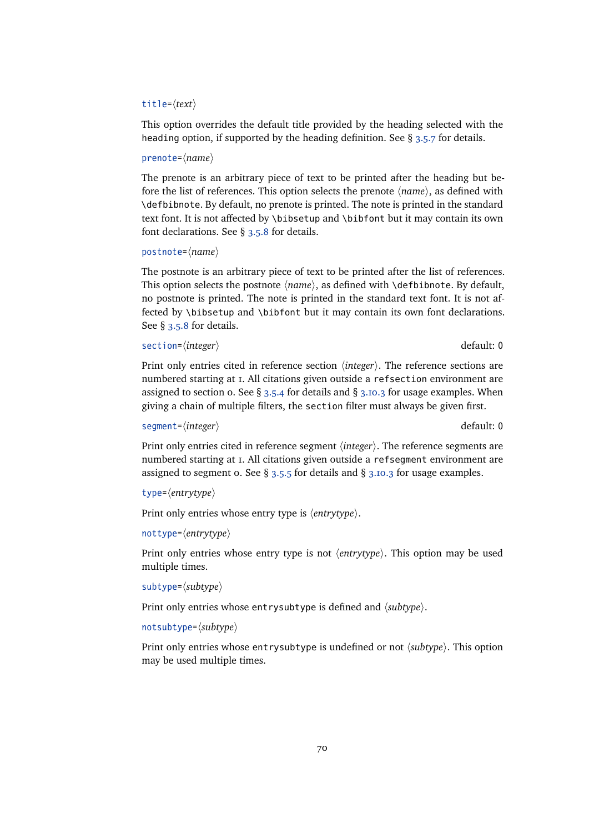# title= $\langle text \rangle$

This option overrides the default title provided by the heading selected with the heading option, if supported by the heading definition. See §  $3.5.7$  for details.

### prenote= $\langle name \rangle$

The prenote is an arbitrary piece of text to be printed after the heading but before the list of references. This option selects the prenote  $\langle name \rangle$ , as defined with \defbibnote. By default, no prenote is printed. The note is printed in the standard text font. It is not affected by \bibsetup and \bibfont but it may contain its own font declarations. See § [3.5.8](#page-76-0) for details.

```
postnote=\langle name \rangle
```
The postnote is an arbitrary piece of text to be printed after the list of references. This option selects the postnote  $\langle name \rangle$ , as defined with  $\{\delta\}$  defbibnote. By default, no postnote is printed. The note is printed in the standard text font. It is not affected by \bibsetup and \bibfont but it may contain its own font declarations. See § [3.5.8](#page-76-0) for details.

```
section=/integer} default: 0
```
Print only entries cited in reference section  $\langle$ *integer* $\rangle$ . The reference sections are numbered starting at 1. All citations given outside a refsection environment are assigned to section 0. See § [3.5.4](#page-72-0) for details and § [3.10.3](#page-99-0) for usage examples. When giving a chain of multiple filters, the section filter must always be given first.

```
segment=\langle integer \rangle default: 0
```
Print only entries cited in reference segment  $\langle$ *integer* $\rangle$ . The reference segments are numbered starting at 1. All citations given outside a refsegment environment are assigned to segment o. See  $\S$  [3.5.5](#page-73-0) for details and  $\S$  [3.10.3](#page-99-0) for usage examples.

```
type=\langleentrytype\rangle
```
Print only entries whose entry type is  $\langle$ *entrytype* $\rangle$ .

```
nottype=hentrytypei
```
Print only entries whose entry type is not *{entrytype}*. This option may be used multiple times.

subtype= $\langle subtype\rangle$ 

Print only entries whose entrysubtype is defined and  $\langle subtype \rangle$ .

```
notsubtype=\langle subtype \rangle
```
Print only entries whose entrysubtype is undefined or not  $\langle subtype \rangle$ . This option may be used multiple times.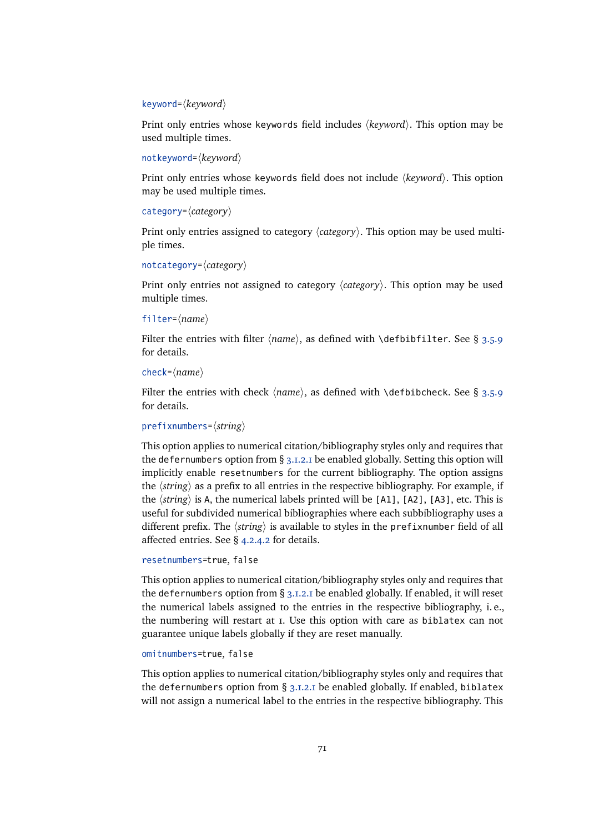### keyword= $\langle$ *keyword* $\rangle$

Print only entries whose keywords field includes  $\langle keyword \rangle$ . This option may be used multiple times.

notkeyword=h*keyword*i

Print only entries whose keywords field does not include (*keyword*). This option may be used multiple times.

# category= $\langle category\rangle$

Print only entries assigned to category  $\langle category \rangle$ . This option may be used multiple times.

```
notcategory=hcategoryi
```
Print only entries not assigned to category  $\langle category \rangle$ . This option may be used multiple times.

```
filter=\langle name \rangle
```
Filter the entries with filter  $\langle name \rangle$ , as defined with  $\delta$  befbibfilter. See § [3.5.9](#page-76-0) for details.

```
check=\langle name \rangle
```
Filter the entries with check  $\langle name \rangle$ , as defined with  $\delta$  defbibcheck. See § [3.5.9](#page-76-0) for details.

## prefixnumbers= $\langle string \rangle$

This option applies to numerical citation/bibliography styles only and requires that the defernumbers option from § [3.1.2.1](#page-43-0) be enabled globally. Setting this option will implicitly enable resetnumbers for the current bibliography. The option assigns the  $\langle$ *string* $\rangle$  as a prefix to all entries in the respective bibliography. For example, if the  $\langle$ *string* $\rangle$  is A, the numerical labels printed will be [A1], [A2], [A3], etc. This is useful for subdivided numerical bibliographies where each subbibliography uses a different prefix. The *(string)* is available to styles in the prefixnumber field of all affected entries. See § [4.2.4.2](#page-122-0) for details.

```
resetnumbers=true, false
```
This option applies to numerical citation/bibliography styles only and requires that the defernumbers option from § [3.1.2.1](#page-43-0) be enabled globally. If enabled, it will reset the numerical labels assigned to the entries in the respective bibliography, i. e., the numbering will restart at 1. Use this option with care as biblatex can not guarantee unique labels globally if they are reset manually.

## omitnumbers=true, false

This option applies to numerical citation/bibliography styles only and requires that the defernumbers option from  $\S$  [3.1.2.1](#page-43-0) be enabled globally. If enabled, biblatex will not assign a numerical label to the entries in the respective bibliography. This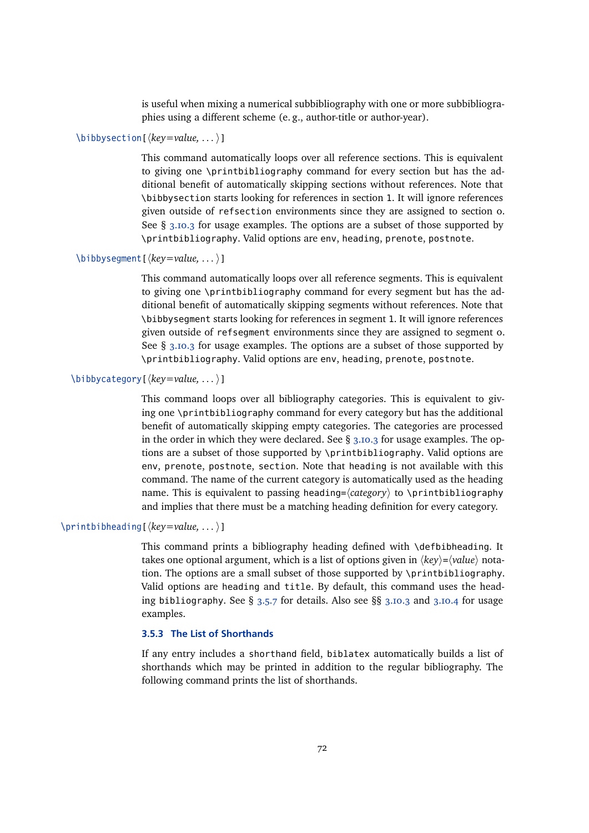is useful when mixing a numerical subbibliography with one or more subbibliographies using a different scheme (e.g., author-title or author-year).

# <span id="page-71-0"></span> $\big\{\begin{array}{c}\n\text{bibbysection} \quad \text{key}=value, \ldots\big\}\n\end{array}$

This command automatically loops over all reference sections. This is equivalent to giving one \printbibliography command for every section but has the additional benefit of automatically skipping sections without references. Note that \bibbysection starts looking for references in section 1. It will ignore references given outside of refsection environments since they are assigned to section 0. See  $\S$  [3.10.3](#page-99-0) for usage examples. The options are a subset of those supported by \printbibliography. Valid options are env, heading, prenote, postnote.

## \bibbysegment[ $\langle key = value, ...\rangle$ ]

This command automatically loops over all reference segments. This is equivalent to giving one \printbibliography command for every segment but has the additional benefit of automatically skipping segments without references. Note that \bibbysegment starts looking for references in segment 1. It will ignore references given outside of refsegment environments since they are assigned to segment 0. See § [3.10.3](#page-99-0) for usage examples. The options are a subset of those supported by \printbibliography. Valid options are env, heading, prenote, postnote.

# \bibbycategory[ $\langle key=value, ...\rangle$ ]

This command loops over all bibliography categories. This is equivalent to giving one \printbibliography command for every category but has the additional benefit of automatically skipping empty categories. The categories are processed in the order in which they were declared. See  $\S$  [3.10.3](#page-99-0) for usage examples. The options are a subset of those supported by \printbibliography. Valid options are env, prenote, postnote, section. Note that heading is not available with this command. The name of the current category is automatically used as the heading name. This is equivalent to passing heading= $\langle category \rangle$  to \printbibliography and implies that there must be a matching heading definition for every category.

# \printbibheading[ $\langle key = value, ...\rangle$ ]

This command prints a bibliography heading defined with \defbibheading. It takes one optional argument, which is a list of options given in  $\langle key \rangle = \langle value \rangle$  notation. The options are a small subset of those supported by \printbibliography. Valid options are heading and title. By default, this command uses the heading bibliography. See § [3.5.7](#page-74-0) for details. Also see §§ [3.10.3](#page-99-0) and [3.10.4](#page-101-0) for usage examples.

# **3.5.3 The List of Shorthands**

If any entry includes a shorthand field, biblatex automatically builds a list of shorthands which may be printed in addition to the regular bibliography. The following command prints the list of shorthands.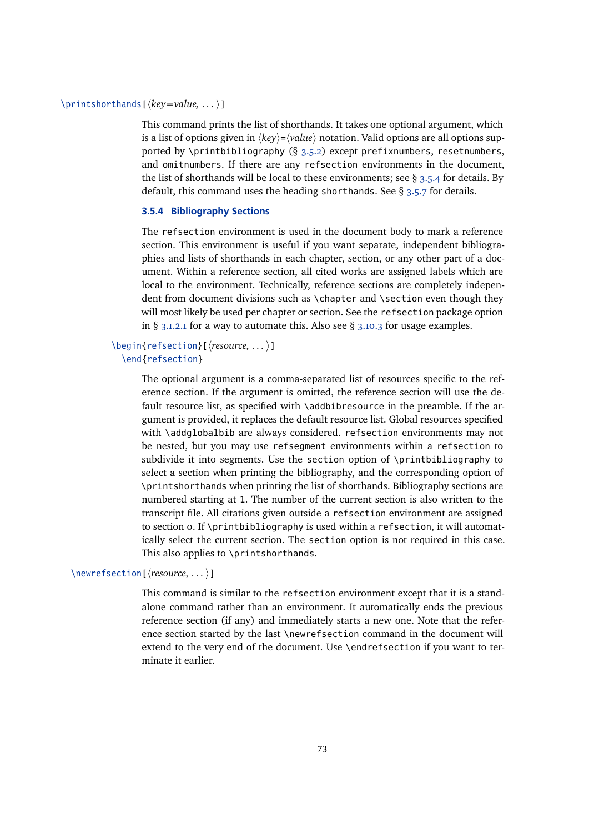# \printshorthands[ $\langle key = value, ...\rangle$ ]

This command prints the list of shorthands. It takes one optional argument, which is a list of options given in  $\langle key \rangle = \langle value \rangle$  notation. Valid options are all options supported by \printbibliography  $(§ 3.5.2)$  $(§ 3.5.2)$  except prefixnumbers, resetnumbers, and omitnumbers. If there are any refsection environments in the document, the list of shorthands will be local to these environments; see § 3.5.4 for details. By default, this command uses the heading shorthands. See § [3.5.7](#page-74-0) for details.

# **3.5.4 Bibliography Sections**

The refsection environment is used in the document body to mark a reference section. This environment is useful if you want separate, independent bibliographies and lists of shorthands in each chapter, section, or any other part of a document. Within a reference section, all cited works are assigned labels which are local to the environment. Technically, reference sections are completely independent from document divisions such as \chapter and \section even though they will most likely be used per chapter or section. See the refsection package option in §  $3.1.2.1$  for a way to automate this. Also see §  $3.10.3$  for usage examples.

# \begin{refsection}[\*resource, ...* )] \end{refsection}

The optional argument is a comma-separated list of resources specific to the reference section. If the argument is omitted, the reference section will use the default resource list, as specified with \addbibresource in the preamble. If the argument is provided, it replaces the default resource list. Global resources specified with \addqlobalbib are always considered. refsection environments may not be nested, but you may use refsegment environments within a refsection to subdivide it into segments. Use the section option of \printbibliography to select a section when printing the bibliography, and the corresponding option of \printshorthands when printing the list of shorthands. Bibliography sections are numbered starting at 1. The number of the current section is also written to the transcript file. All citations given outside a refsection environment are assigned to section 0. If \printbibliography is used within a refsection, it will automatically select the current section. The section option is not required in this case. This also applies to \printshorthands.

### \newrefsection[\*resource, ...* )]

This command is similar to the refsection environment except that it is a standalone command rather than an environment. It automatically ends the previous reference section (if any) and immediately starts a new one. Note that the reference section started by the last \newrefsection command in the document will extend to the very end of the document. Use \endrefsection if you want to terminate it earlier.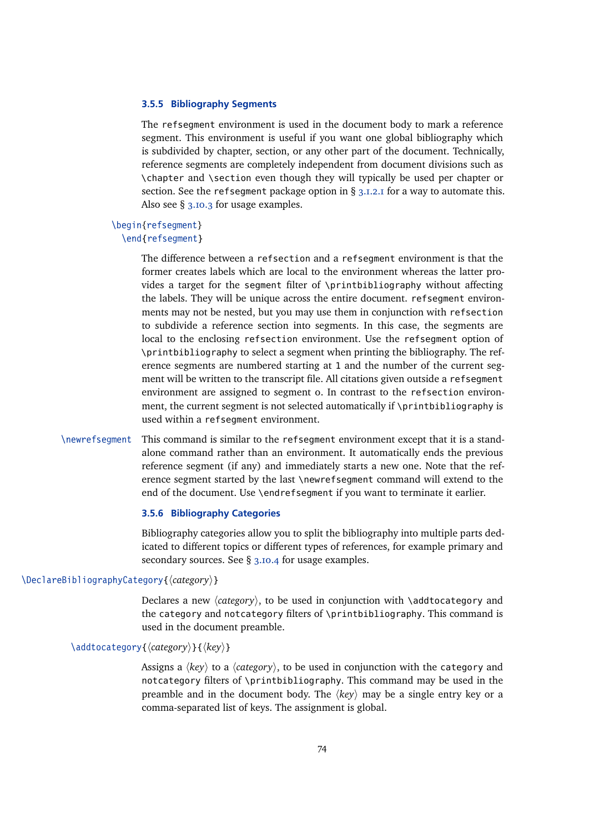#### **3.5.5 Bibliography Segments**

The refsegment environment is used in the document body to mark a reference segment. This environment is useful if you want one global bibliography which is subdivided by chapter, section, or any other part of the document. Technically, reference segments are completely independent from document divisions such as \chapter and \section even though they will typically be used per chapter or section. See the refsegment package option in  $\S$  [3.1.2.1](#page-43-0) for a way to automate this. Also see § [3.10.3](#page-99-0) for usage examples.

# \begin{refsegment}

### \end{refsegment}

The difference between a refsection and a refsegment environment is that the former creates labels which are local to the environment whereas the latter provides a target for the segment filter of  $\prime$  printbibliography without affecting the labels. They will be unique across the entire document. refsegment environments may not be nested, but you may use them in conjunction with refsection to subdivide a reference section into segments. In this case, the segments are local to the enclosing refsection environment. Use the refsegment option of \printbibliography to select a segment when printing the bibliography. The reference segments are numbered starting at 1 and the number of the current segment will be written to the transcript file. All citations given outside a refsegment environment are assigned to segment 0. In contrast to the refsection environment, the current segment is not selected automatically if \printbibliography is used within a refsegment environment.

\newrefsegment This command is similar to the refsegment environment except that it is a standalone command rather than an environment. It automatically ends the previous reference segment (if any) and immediately starts a new one. Note that the reference segment started by the last \newrefsegment command will extend to the end of the document. Use \endrefsegment if you want to terminate it earlier.

## **3.5.6 Bibliography Categories**

Bibliography categories allow you to split the bibliography into multiple parts dedicated to different topics or different types of references, for example primary and secondary sources. See § [3.10.4](#page-101-0) for usage examples.

## \DeclareBibliographyCategory{ $\langle category\rangle$ }

Declares a new  $\langle category \rangle$ , to be used in conjunction with \addtocategory and the category and notcategory filters of \printbibliography. This command is used in the document preamble.

# \addtocategory{ $\langle category\rangle$ }{ $\langle key\rangle$ }

Assigns a  $\langle key \rangle$  to a  $\langle category \rangle$ , to be used in conjunction with the category and notcategory filters of \printbibliography. This command may be used in the preamble and in the document body. The  $\langle key \rangle$  may be a single entry key or a comma-separated list of keys. The assignment is global.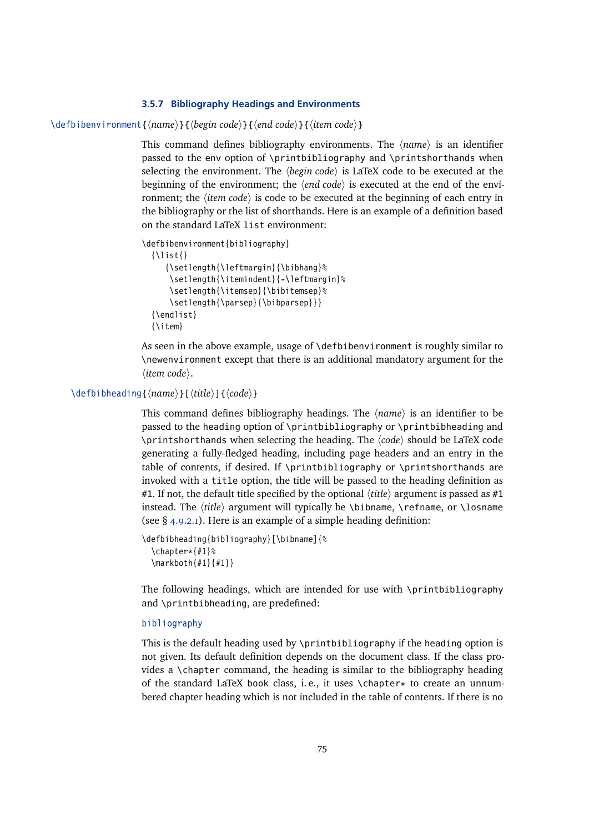# **3.5.7 Bibliography Headings and Environments**

<span id="page-74-0"></span>\defbibenvironment{\*name*}}{\*begin code*}}{\\*end code*}}{\*item code*}}

This command defines bibliography environments. The  $\langle name \rangle$  is an identifier passed to the env option of \printbibliography and \printshorthands when selecting the environment. The *(begin code)* is LaTeX code to be executed at the beginning of the environment; the  $\langle end \, code \rangle$  is executed at the end of the environment; the  $\langle item code \rangle$  is code to be executed at the beginning of each entry in the bibliography or the list of shorthands. Here is an example of a definition based on the standard LaTeX list environment:

```
\defbibenvironment{bibliography}
```

```
\{\{\}ist\}{\setlength{\leftmargin}{\bibhang}%
   \setlength{\itemindent}{-\leftmargin}%
   \setlength{\itemsep}{\bibitemsep}%
   \setlength{\parsep}{\bibparsep}}}
{\endlist}
{\item}
```
As seen in the above example, usage of \defbibenvironment is roughly similar to \newenvironment except that there is an additional mandatory argument for the  $\langle$ *item code* $\rangle$ .

#### \defbibheading{*\name*}}[*\title*}]{*\code*}}

This command defines bibliography headings. The  $\langle name \rangle$  is an identifier to be passed to the heading option of \printbibliography or \printbibheading and \printshorthands when selecting the heading. The  $\langle code \rangle$  should be LaTeX code generating a fully-fledged heading, including page headers and an entry in the table of contents, if desired. If \printbibliography or \printshorthands are invoked with a title option, the title will be passed to the heading definition as #1. If not, the default title specified by the optional  $\langle title \rangle$  argument is passed as #1 instead. The *(title)* argument will typically be \bibname, \refname, or \losname (see § [4.9.2.1\)](#page-172-0). Here is an example of a simple heading definition:

```
\defbibheading{bibliography}[\bibname]{%
  \chapter*{#1}%
  \markboth{#1}{#1}}
```
The following headings, which are intended for use with \printbibliography and \printbibheading, are predefined:

# bibliography

This is the default heading used by \printbibliography if the heading option is not given. Its default definition depends on the document class. If the class provides a \chapter command, the heading is similar to the bibliography heading of the standard LaTeX book class, i. e., it uses \chapter\* to create an unnumbered chapter heading which is not included in the table of contents. If there is no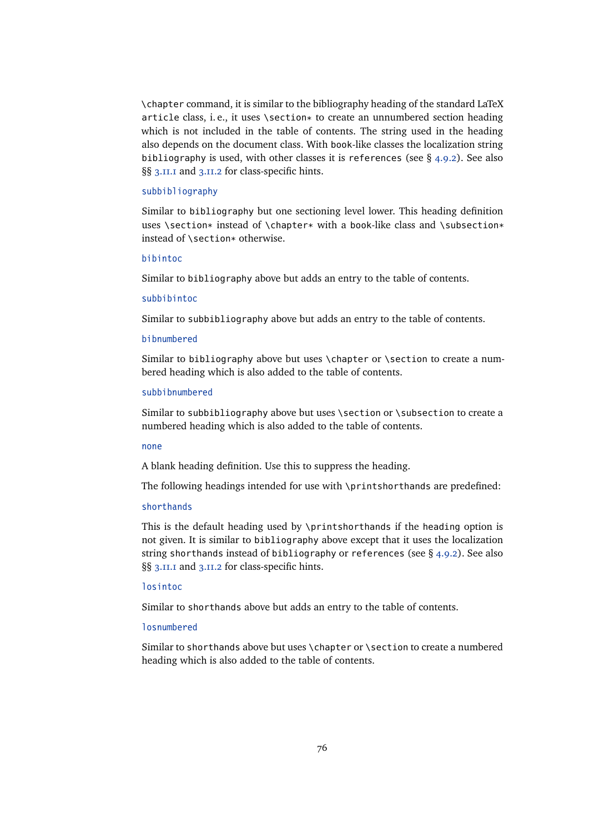\chapter command, it is similar to the bibliography heading of the standard LaTeX article class, i. e., it uses \section\* to create an unnumbered section heading which is not included in the table of contents. The string used in the heading also depends on the document class. With book-like classes the localization string bibliography is used, with other classes it is references (see  $\S$  [4.9.2\)](#page-172-0). See also §§ [3.11.1](#page-107-0) and [3.11.2](#page-108-0) for class-specific hints.

#### subbibliography

Similar to bibliography but one sectioning level lower. This heading definition uses \section\* instead of \chapter\* with a book-like class and \subsection\* instead of \section\* otherwise.

### bibintoc

Similar to bibliography above but adds an entry to the table of contents.

# subbibintoc

Similar to subbibliography above but adds an entry to the table of contents.

#### bibnumbered

Similar to bibliography above but uses \chapter or \section to create a numbered heading which is also added to the table of contents.

#### subbibnumbered

Similar to subbibliography above but uses \section or \subsection to create a numbered heading which is also added to the table of contents.

#### none

A blank heading definition. Use this to suppress the heading.

The following headings intended for use with \printshorthands are predefined:

# shorthands

This is the default heading used by \printshorthands if the heading option is not given. It is similar to bibliography above except that it uses the localization string shorthands instead of bibliography or references (see § [4.9.2\)](#page-172-0). See also §§ [3.11.1](#page-107-0) and [3.11.2](#page-108-0) for class-specific hints.

#### losintoc

Similar to shorthands above but adds an entry to the table of contents.

#### losnumbered

Similar to shorthands above but uses \chapter or \section to create a numbered heading which is also added to the table of contents.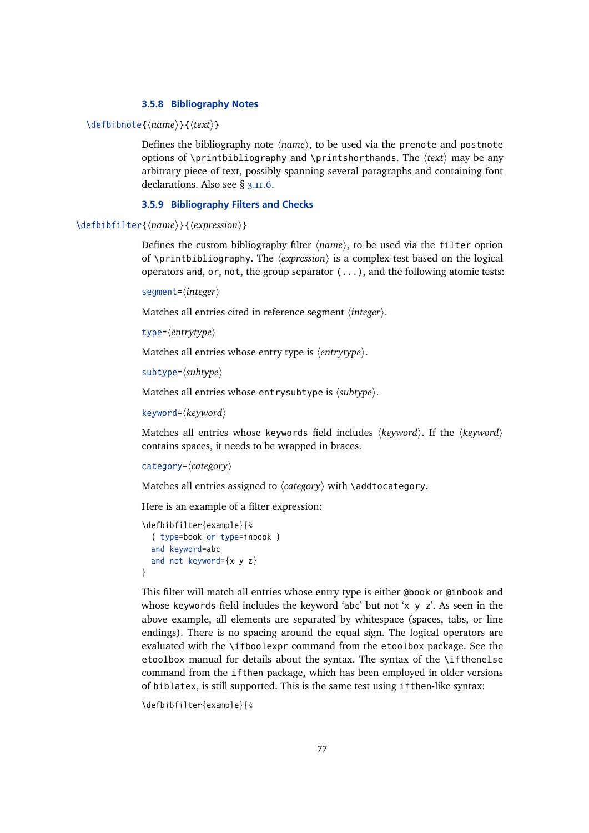# **3.5.8 Bibliography Notes**

<span id="page-76-0"></span>\defbibnote{\*name*}}{\*text*}}

Defines the bibliography note  $\langle name \rangle$ , to be used via the prenote and postnote options of \printbibliography and \printshorthands. The  $\langle text \rangle$  may be any arbitrary piece of text, possibly spanning several paragraphs and containing font declarations. Also see § [3.11.6.](#page-112-0)

### **3.5.9 Bibliography Filters and Checks**

\defbibfilter{*\name*}}{*\expression*}}

Defines the custom bibliography filter  $\langle name \rangle$ , to be used via the filter option of \printbibliography. The  $\langle expression \rangle$  is a complex test based on the logical operators and, or, not, the group separator (...), and the following atomic tests:

segment= $\langle$ *integer* $\rangle$ 

Matches all entries cited in reference segment *(integer)*.

type= $\langle$ *entrytype* $\rangle$ 

Matches all entries whose entry type is  $\langle$ *entrytype* $\rangle$ .

```
subtype=\langle subtype \rangle
```
Matches all entries whose entrysubtype is  $\langle subtype \rangle$ .

keyword= $\langle$ *keyword* $\rangle$ 

Matches all entries whose keywords field includes  $\langle keyword \rangle$ . If the  $\langle keyword \rangle$ contains spaces, it needs to be wrapped in braces.

```
category=\langle category \rangle
```
Matches all entries assigned to  $\langle category \rangle$  with \addtocategory.

Here is an example of a filter expression:

```
\defbibfilter{example}{%
  ( type=book or type=inbook )
  and keyword=abc
  and not keyword=\{x \mid y \mid z\}}
```
This filter will match all entries whose entry type is either @book or @inbook and whose keywords field includes the keyword 'abc' but not 'x  $y$  z'. As seen in the above example, all elements are separated by whitespace (spaces, tabs, or line endings). There is no spacing around the equal sign. The logical operators are evaluated with the \ifboolexpr command from the etoolbox package. See the etoolbox manual for details about the syntax. The syntax of the \ifthenelse command from the ifthen package, which has been employed in older versions of biblatex, is still supported. This is the same test using ifthen-like syntax:

```
\defbibfilter{example}{%
```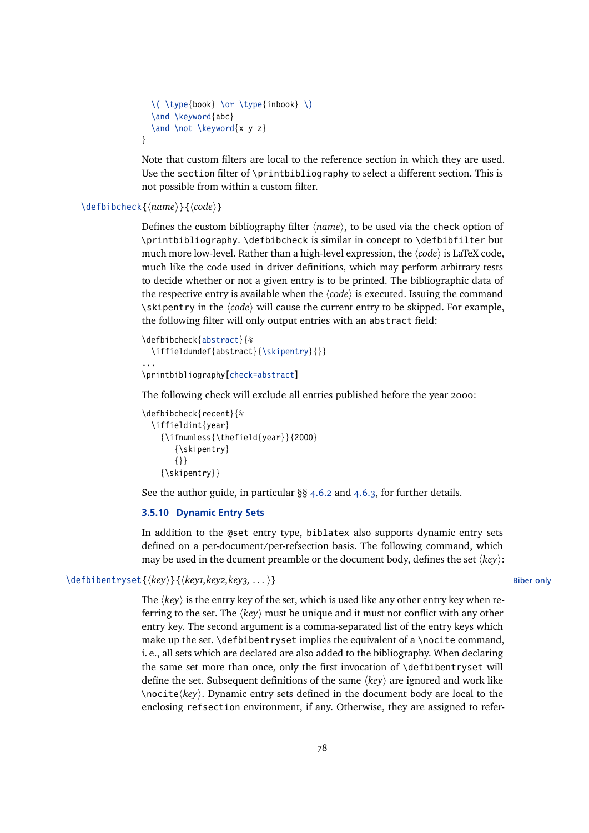```
\( \type{book} \or \type{inbook} \)
  \and \keyword{abc}
  \and \not \keyword{x y z}
}
```
Note that custom filters are local to the reference section in which they are used. Use the section filter of \printbibliography to select a different section. This is not possible from within a custom filter.

# \defbibcheck{\*name*}}{\*code*}}

Defines the custom bibliography filter  $\langle name \rangle$ , to be used via the check option of \printbibliography. \defbibcheck is similar in concept to \defbibfilter but much more low-level. Rather than a high-level expression, the  $\langle code \rangle$  is LaTeX code, much like the code used in driver definitions, which may perform arbitrary tests to decide whether or not a given entry is to be printed. The bibliographic data of the respective entry is available when the  $\langle code \rangle$  is executed. Issuing the command \skipentry in the  $\langle code \rangle$  will cause the current entry to be skipped. For example, the following filter will only output entries with an abstract field:

```
\defbibcheck{abstract}{%
 \iffieldundef{abstract}{\skipentry}{}}
...
\printbibliography[check=abstract]
```
The following check will exclude all entries published before the year 2000:

```
\defbibcheck{recent}{%
  \iffieldint{year}
    {\ifnumless{\thefield{year}}{2000}
       {\skipentry}
       {}}
    {\skipentry}}
```
See the author guide, in particular §§ [4.6.2](#page-145-0) and [4.6.3,](#page-153-0) for further details.

#### **3.5.10 Dynamic Entry Sets**

In addition to the @set entry type, biblatex also supports dynamic entry sets defined on a per-document/per-refsection basis. The following command, which may be used in the dcument preamble or the document body, defines the set  $\langle key \rangle$ :

\defbibentryset{(key)}{(key1,key2,key3, . . . )} Biber only

The  $\langle key \rangle$  is the entry key of the set, which is used like any other entry key when referring to the set. The  $\langle kev \rangle$  must be unique and it must not conflict with any other entry key. The second argument is a comma-separated list of the entry keys which make up the set. \defbibentryset implies the equivalent of a \nocite command, i. e., all sets which are declared are also added to the bibliography. When declaring the same set more than once, only the first invocation of \defbibentryset will define the set. Subsequent definitions of the same h*key*i are ignored and work like  $\langle key \rangle$ . Dynamic entry sets defined in the document body are local to the enclosing refsection environment, if any. Otherwise, they are assigned to refer-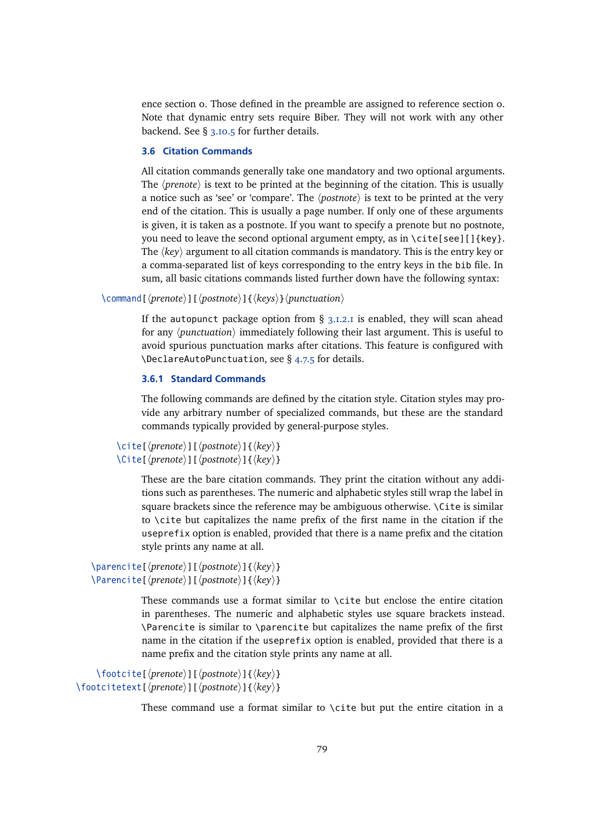<span id="page-78-0"></span>ence section 0. Those defined in the preamble are assigned to reference section 0. Note that dynamic entry sets require Biber. They will not work with any other backend. See § [3.10.5](#page-104-0) for further details.

### **3.6 Citation Commands**

All citation commands generally take one mandatory and two optional arguments. The  $\langle$ *prenote* $\rangle$  is text to be printed at the beginning of the citation. This is usually a notice such as 'see' or 'compare'. The  $\langle$ *postnote* $\rangle$  is text to be printed at the very end of the citation. This is usually a page number. If only one of these arguments is given, it is taken as a postnote. If you want to specify a prenote but no postnote, you need to leave the second optional argument empty, as in  $\cite[see][\&e\$ . The  $\langle key \rangle$  argument to all citation commands is mandatory. This is the entry key or a comma-separated list of keys corresponding to the entry keys in the bib file. In sum, all basic citations commands listed further down have the following syntax:

\command[\prenote\][\postnote\]{\\teys\}\punctuation\

If the autopunct package option from  $\S$  [3.1.2.1](#page-43-0) is enabled, they will scan ahead for any *(punctuation)* immediately following their last argument. This is useful to avoid spurious punctuation marks after citations. This feature is configured with \DeclareAutoPunctuation, see § [4.7.5](#page-165-0) for details.

# **3.6.1 Standard Commands**

The following commands are defined by the citation style. Citation styles may provide any arbitrary number of specialized commands, but these are the standard commands typically provided by general-purpose styles.

```
\left\{\langleite[\langleprenote\rangle][\langlepostnote\rangle]{\langlekey\rangle}
\Cite[\langleprenote\rangle][\langlepostnote\rangle]{\langlekey\rangle}
```
These are the bare citation commands. They print the citation without any additions such as parentheses. The numeric and alphabetic styles still wrap the label in square brackets since the reference may be ambiguous otherwise. \Cite is similar to \cite but capitalizes the name prefix of the first name in the citation if the useprefix option is enabled, provided that there is a name prefix and the citation style prints any name at all.

```
\parencite[\prenote\][\postnote\]{\\hey\}
\Parencite[\langleprenote)][\langlepostnote)]{\langlekey}}
```
These commands use a format similar to \cite but enclose the entire citation in parentheses. The numeric and alphabetic styles use square brackets instead. \Parencite is similar to \parencite but capitalizes the name prefix of the first name in the citation if the useprefix option is enabled, provided that there is a name prefix and the citation style prints any name at all.

```
\footcite[\prenote\][\postnote\]{\hey\}
\footcitetext[\prenote\][\postnote\]{\\hey\}
```
These command use a format similar to \cite but put the entire citation in a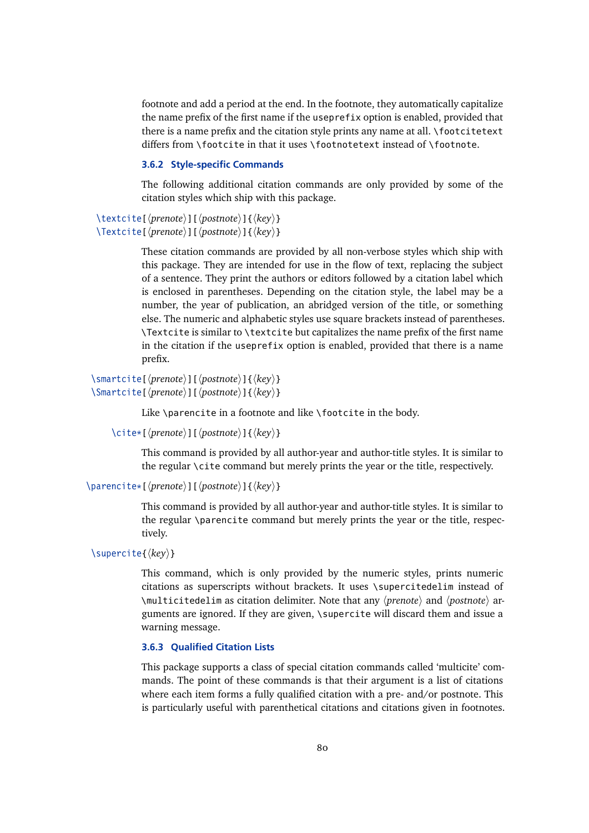<span id="page-79-0"></span>footnote and add a period at the end. In the footnote, they automatically capitalize the name prefix of the first name if the useprefix option is enabled, provided that there is a name prefix and the citation style prints any name at all. \footcitetext differs from  $\cdot$  footcite in that it uses  $\cdot$  footnotetext instead of  $\cdot$  footnote.

# **3.6.2 Style-specific Commands**

The following additional citation commands are only provided by some of the citation styles which ship with this package.

```
\textcite[\prenote\][\postnote\]{\ley\}
\Textcite[\langleprenote)][\langlepostnote)]{\langlekey}}
```
These citation commands are provided by all non-verbose styles which ship with this package. They are intended for use in the flow of text, replacing the subject of a sentence. They print the authors or editors followed by a citation label which is enclosed in parentheses. Depending on the citation style, the label may be a number, the year of publication, an abridged version of the title, or something else. The numeric and alphabetic styles use square brackets instead of parentheses. \Textcite is similar to \textcite but capitalizes the name prefix of the first name in the citation if the useprefix option is enabled, provided that there is a name prefix.

\smartcite[h*prenote*i][h*postnote*i]{h*key*i} \Smartcite[ $\langle$ *prenote*)][ $\langle$ *postnote*)]{ $\langle$ *key*}}

Like \parencite in a footnote and like \footcite in the body.

```
\cite*[\prenote\][\postnote\]{\hey\}
```
This command is provided by all author-year and author-title styles. It is similar to the regular \cite command but merely prints the year or the title, respectively.

```
\parencite*[\langleprenote}][\langlepostnote}]{\langlekey}}
```
This command is provided by all author-year and author-title styles. It is similar to the regular \parencite command but merely prints the year or the title, respectively.

\supercite{ $\langle key \rangle$ }

This command, which is only provided by the numeric styles, prints numeric citations as superscripts without brackets. It uses \supercitedelim instead of \multicitedelim as citation delimiter. Note that any  $\langle$ *prenote* $\rangle$  and  $\langle$ *postnote* $\rangle$  arguments are ignored. If they are given, \supercite will discard them and issue a warning message.

# **3.6.3 Qualified Citation Lists**

This package supports a class of special citation commands called 'multicite' commands. The point of these commands is that their argument is a list of citations where each item forms a fully qualified citation with a pre- and/or postnote. This is particularly useful with parenthetical citations and citations given in footnotes.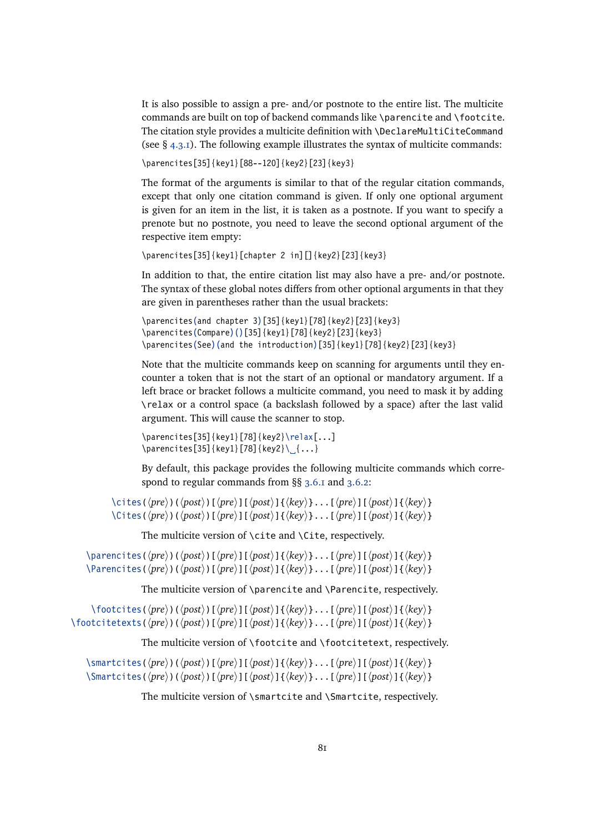It is also possible to assign a pre- and/or postnote to the entire list. The multicite commands are built on top of backend commands like \parencite and \footcite. The citation style provides a multicite definition with \DeclareMultiCiteCommand (see  $\S$  [4.3.1\)](#page-127-0). The following example illustrates the syntax of multicite commands:

\parencites[35]{key1}[88--120]{key2}[23]{key3}

The format of the arguments is similar to that of the regular citation commands, except that only one citation command is given. If only one optional argument is given for an item in the list, it is taken as a postnote. If you want to specify a prenote but no postnote, you need to leave the second optional argument of the respective item empty:

```
\parencites[35]{key1}[chapter 2 in][]{key2}[23]{key3}
```
In addition to that, the entire citation list may also have a pre- and/or postnote. The syntax of these global notes differs from other optional arguments in that they are given in parentheses rather than the usual brackets:

```
\parencites(and chapter 3)[35]{key1}[78]{key2}[23]{key3}
\parencites(Compare)()[35]{key1}[78]{key2}[23]{key3}
\parencites(See)(and the introduction)[35]{key1}[78]{key2}[23]{key3}
```
Note that the multicite commands keep on scanning for arguments until they encounter a token that is not the start of an optional or mandatory argument. If a left brace or bracket follows a multicite command, you need to mask it by adding \relax or a control space (a backslash followed by a space) after the last valid argument. This will cause the scanner to stop.

```
\partial[25]{key1}[78]{key2}\relax[...]
\{parrencies[35]\{key1\}[78]\{key2\}\...
```
By default, this package provides the following multicite commands which correspond to regular commands from §§ [3.6.1](#page-78-0) and [3.6.2:](#page-79-0)

\cites(\pre\)(\post\)[\pre\][\post\epsil{\biddend{hey\}}...[\pre\][\post\]{\key\} \Cites(\pre\)(\post\)[\pre\)[\post\epsile \frac{\lambdat{hi}}{\lambdat{\lambdat{h}}}\$ \cdot \left(\post\) \lambdat{\lambdat{\lambdat{\lambdat{\lambdat{\lambdat{\lambdat{\lambdat{\lambdat{\lambdat{\lambdat{\lambdat{\lambda

The multicite version of \cite and \Cite, respectively.

 $\langle$  \parencites( $\langle pre \rangle$ )( $\langle post \rangle$ ][ $\langle pre \rangle$ ][ $\langle key \rangle$ ]...[ $\langle pre \rangle$ ][ $\langle post \rangle$ ]{ $\langle key \rangle$ }  $\Phi$  \Parencites( $\langle pre \rangle$ )( $\langle post \rangle$ ][ $\langle pre \rangle$ ][ $\langle post \rangle$ ]{ $\langle key \rangle$ }...[ $\langle pre \rangle$ ][ $\langle post \rangle$ ]{ $\langle key \rangle$ }

The multicite version of \parencite and \Parencite, respectively.

 $\otimes$  (*hpre*)( $\langle ppe \rangle$ )( $\langle post \rangle$ ][ $\langle pre \rangle$ ][ $\langle post \rangle$ ] $\{ \langle key \rangle$ }...[ $\langle pre \rangle$ ][ $\langle post \rangle$ ] $\{ \langle key \rangle \}$  $\{foott{ of the following property holds}$  $(\langle pre \rangle) (\langle post \rangle) [\langle pre \rangle] [\langle post \rangle] {\{ \langle key \rangle \} \dots [\langle pre \rangle] [\langle post \rangle] {\{ \langle key \rangle \} \}$ 

The multicite version of \footcite and \footcitetext, respectively.

\smartcites(\pre\)(\post\)[\pre\][\post\)]{\key\}...[\pre\][\post\]{\key\}  $\mathrm{Simarticites}(\langle pre \rangle)(\langle post \rangle)[\langle pre \rangle][\langle post \rangle]{\langle key \rangle}.$ ..[ $\langle pre \rangle][\langle post \rangle]{\langle key \rangle}$ 

The multicite version of \smartcite and \Smartcite, respectively.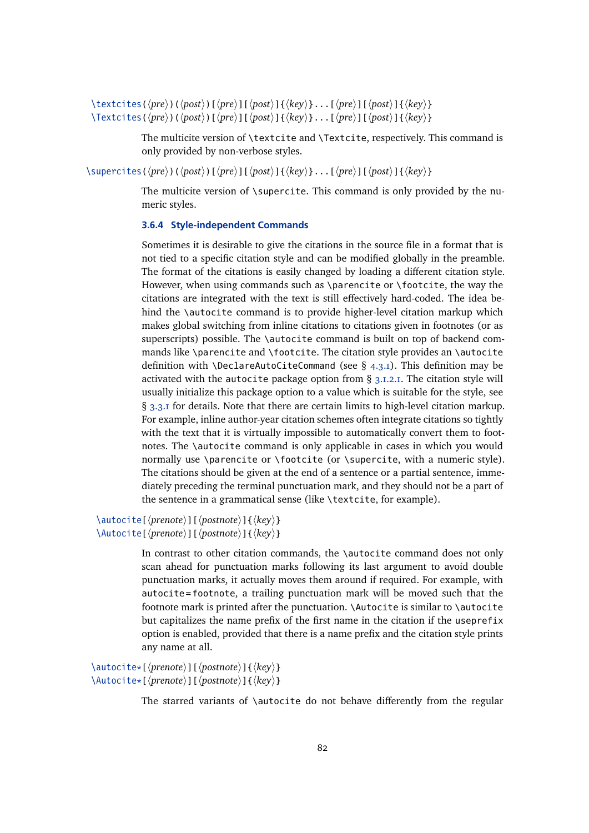$\text{textities}(\langle pre \rangle)(\langle post \rangle)[\langle pre \rangle][\langle post \rangle]{\langle key \rangle}.$ ..[ $\langle pre \rangle][\langle post \rangle]{\langle key \rangle}$  $\text{Textcites}(\langle pre \rangle)(\langle post \rangle)[\langle pre \rangle][\langle post \rangle]{\langle key \rangle}.$ ..[ $\langle pre \rangle][\langle post \rangle]{\langle key \rangle}$ 

> The multicite version of \textcite and \Textcite, respectively. This command is only provided by non-verbose styles.

 $\langle$ supercites( $\langle pre \rangle$ )( $\langle post \rangle$ ][ $\langle pre \rangle$ ][ $\langle post \rangle$ ] $\langle key \rangle$ ...[ $\langle pre \rangle$ ][ $\langle post \rangle$ ] $\{ \langle key \rangle \}$ 

The multicite version of \supercite. This command is only provided by the numeric styles.

# **3.6.4 Style-independent Commands**

Sometimes it is desirable to give the citations in the source file in a format that is not tied to a specific citation style and can be modified globally in the preamble. The format of the citations is easily changed by loading a different citation style. However, when using commands such as \parencite or \footcite, the way the citations are integrated with the text is still effectively hard-coded. The idea behind the \autocite command is to provide higher-level citation markup which makes global switching from inline citations to citations given in footnotes (or as superscripts) possible. The \autocite command is built on top of backend commands like \parencite and \footcite. The citation style provides an \autocite definition with \DeclareAutoCiteCommand (see  $\S$  [4.3.1\)](#page-127-0). This definition may be activated with the autocite package option from § [3.1.2.1.](#page-43-0) The citation style will usually initialize this package option to a value which is suitable for the style, see § [3.3.1](#page-60-0) for details. Note that there are certain limits to high-level citation markup. For example, inline author-year citation schemes often integrate citations so tightly with the text that it is virtually impossible to automatically convert them to footnotes. The \autocite command is only applicable in cases in which you would normally use \parencite or \footcite (or \supercite, with a numeric style). The citations should be given at the end of a sentence or a partial sentence, immediately preceding the terminal punctuation mark, and they should not be a part of the sentence in a grammatical sense (like \textcite, for example).

\autocite[ $\langle$ *prenote*}][ $\langle$ *postnote*}]{ $\langle$ *key*}} \Autocite[ $\langle$ *prenote*)][ $\langle$ *postnote*)]{ $\langle$ *key*}}

> In contrast to other citation commands, the \autocite command does not only scan ahead for punctuation marks following its last argument to avoid double punctuation marks, it actually moves them around if required. For example, with autocite = footnote, a trailing punctuation mark will be moved such that the footnote mark is printed after the punctuation. \Autocite is similar to \autocite but capitalizes the name prefix of the first name in the citation if the useprefix option is enabled, provided that there is a name prefix and the citation style prints any name at all.

\autocite\*[\*prenote*\][\*postnote*\]{\*key*\} \Autocite\*[\prenote\][\postnote\]{\hey\}

The starred variants of \autocite do not behave differently from the regular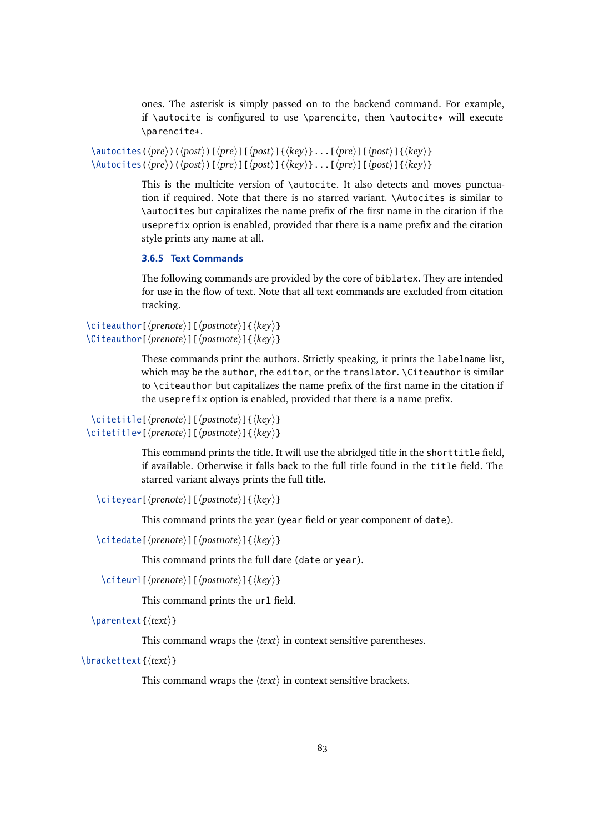ones. The asterisk is simply passed on to the backend command. For example, if \autocite is configured to use \parencite, then \autocite\* will execute \parencite\*.

\autocites( $\langle pre \rangle$ )( $\langle post \rangle$ ][ $\langle pre \rangle$ ][ $\langle post \rangle$ ]{ $\langle key \rangle$ }...[ $\langle pre \rangle$ ][ $\langle post \rangle$ ]{ $\langle key \rangle$ }  $\{ \hat{\phi}(h) \in \langle \phi \rangle \}$  (hpreinted  $\langle \phi \rangle$ ) [ $\langle \phi \rangle$ ] [ $\langle \phi \rangle$ ] [ $\langle \phi \rangle$ ] [ $\langle \phi \rangle$ ]  $\{ \langle \phi \rangle \}$ 

> This is the multicite version of \autocite. It also detects and moves punctuation if required. Note that there is no starred variant. \Autocites is similar to \autocites but capitalizes the name prefix of the first name in the citation if the useprefix option is enabled, provided that there is a name prefix and the citation style prints any name at all.

# **3.6.5 Text Commands**

The following commands are provided by the core of biblatex. They are intended for use in the flow of text. Note that all text commands are excluded from citation tracking.

```
\citeauthor[\langleprenote}][\langlepostnote}]{\langlekey}}
\Citeauthor[\langleprenote)][\langlepostnote)]{\langlekey}}
```
These commands print the authors. Strictly speaking, it prints the labelname list, which may be the author, the editor, or the translator. \Citeauthor is similar to \citeauthor but capitalizes the name prefix of the first name in the citation if the useprefix option is enabled, provided that there is a name prefix.

```
\citetitle[\prenote\][\postnote\]{\\hey\}
\citetitle*[\prenote\][\postnote\]{\\famp{key\}
```
This command prints the title. It will use the abridged title in the shorttitle field, if available. Otherwise it falls back to the full title found in the title field. The starred variant always prints the full title.

```
\citeyear[\prenote\][\postnote\]{\key\}
```
This command prints the year (year field or year component of date).

\citedate[ $\langle$ *prenote*}][ $\langle$ *postnote*}]{ $\langle$ *key*}}

This command prints the full date (date or year).

```
\citeurl[\prenote\][\postnote\]{\key\}
```
This command prints the url field.

\parentext{*\text*}}

This command wraps the  $\langle text \rangle$  in context sensitive parentheses.

\brackettext{*\text*}}

This command wraps the  $\langle text \rangle$  in context sensitive brackets.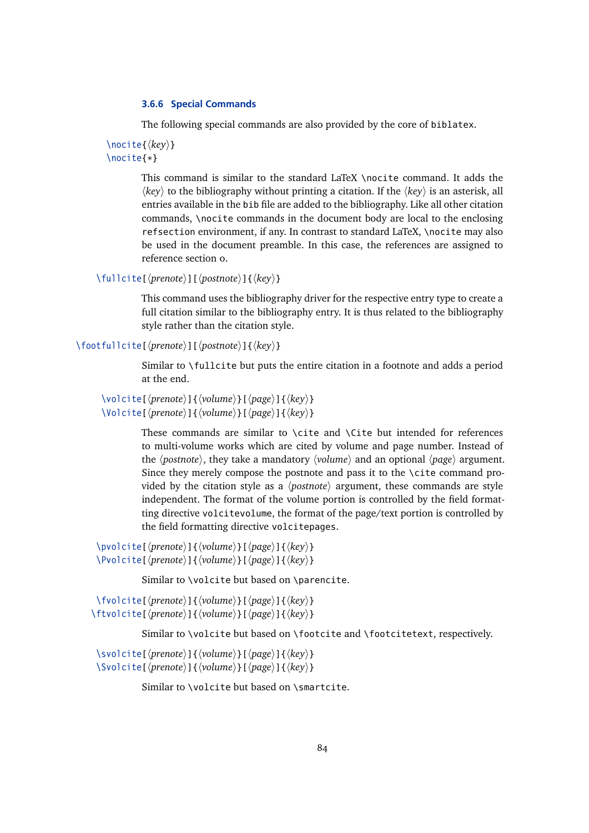### **3.6.6 Special Commands**

The following special commands are also provided by the core of biblatex.

 $\langle$ hocite{ $\langle$ *key*}} \nocite{\*}

> This command is similar to the standard LaTeX \nocite command. It adds the  $\langle key \rangle$  to the bibliography without printing a citation. If the  $\langle key \rangle$  is an asterisk, all entries available in the bib file are added to the bibliography. Like all other citation commands, \nocite commands in the document body are local to the enclosing refsection environment, if any. In contrast to standard LaTeX, \nocite may also be used in the document preamble. In this case, the references are assigned to reference section 0.

\fullcite[\*prenote*\][\*postnote*\]{\*key*\}

This command uses the bibliography driver for the respective entry type to create a full citation similar to the bibliography entry. It is thus related to the bibliography style rather than the citation style.

```
\footfullcite[\prenote\][\postnote\]{\hey\}
```
Similar to \fullcite but puts the entire citation in a footnote and adds a period at the end.

```
\volcite[\langleprenote}]{\langle volume \rangle}[\langle page \rangle]{\langle key \rangle}
\forallolcite[\langleprenote)]{\langlevolume}}[\langlepage}]{\langlekey}}
```
These commands are similar to \cite and \Cite but intended for references to multi-volume works which are cited by volume and page number. Instead of the *(postnote)*, they take a mandatory *(volume)* and an optional *(page)* argument. Since they merely compose the postnote and pass it to the \cite command provided by the citation style as a  $\langle$ *postnote* $\rangle$  argument, these commands are style independent. The format of the volume portion is controlled by the field formatting directive volcitevolume, the format of the page/text portion is controlled by the field formatting directive volcitepages.

 $\pmb{\text{violet}(\text{prenote})}{\pmb{\text{volume}}}$ [ $\pmb{\text{page}}$ ] $\pmb{\text{key}}$ \Pvolcite[\prenote\ead{*\tegsil{\bidgey}*]{\bidge}]{\*key*}}

Similar to \volcite but based on \parencite.

\fvolcite[\prenote\]{\/volume\}[\page\]{\/key\} \ftvolcite[\prenote\]{\/volume\}[\page\]{\\hey\}

Similar to \volcite but based on \footcite and \footcitetext, respectively.

\svolcite[\prenote\evel]{\bid{volume\evel}[\page\evel]{\bid{key\} \Svolcite[\prenote\ead{*\terpsil{\frage\inege\inege\inege\inege\inege\inegrame\}* 

Similar to \volcite but based on \smartcite.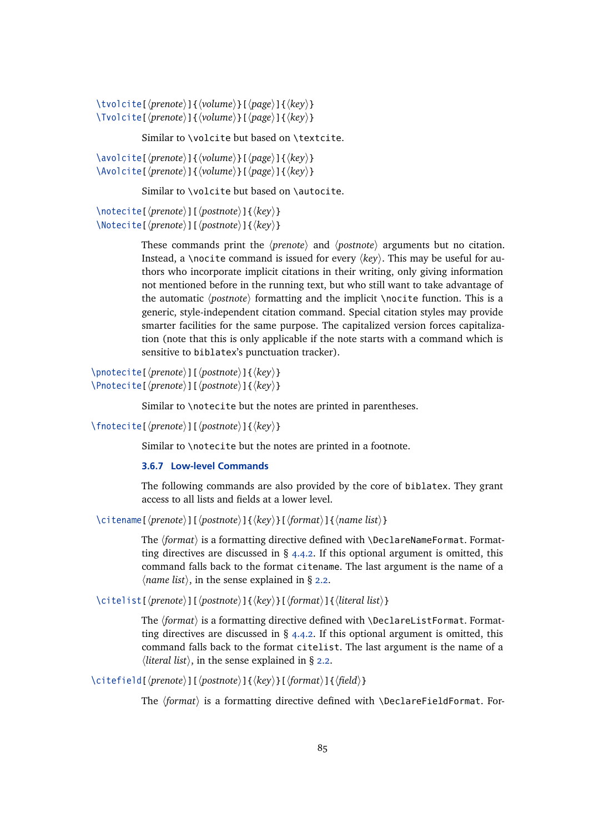\tvolcite[ $\langle$ *prenote*}]{ $\langle$ *volume*}}[ $\langle$ *page*}]{ $\langle$ *key*}} \Tvolcite[\prenote\ead{*\terpsime\terpsime\terpsime\terpsime\terpsime\terpsime\terpsime\terpsime\terpsime\terpsime\terpsime\terpsime\terpsime\terpsime\terpsime\terpsime\terpsime\terpsime\terpsime\terpsime\terpsime\terpsime* 

Similar to \volcite but based on \textcite.

\avolcite[\prenote\]{\bpage\}[\page\]{\\bpage\}}  $\langle Avolcite[\langle prenote \rangle] {\langle}volume\rangle\}[\langle page\rangle] {\langle} \langle key \rangle\}$ 

Similar to \volcite but based on \autocite.

```
\langlenotecite[\langleprenote\rangle][\langlepostnote\rangle]{\langlekey\rangle}
\Notecite[\langleprenote)][\langlepostnote)]{\langlekey}}
```
These commands print the  $\langle$ *prenote* $\rangle$  and  $\langle$ *postnote* $\rangle$  arguments but no citation. Instead, a \nocite command is issued for every  $\langle key \rangle$ . This may be useful for authors who incorporate implicit citations in their writing, only giving information not mentioned before in the running text, but who still want to take advantage of the automatic *(postnote)* formatting and the implicit *\nocite function*. This is a generic, style-independent citation command. Special citation styles may provide smarter facilities for the same purpose. The capitalized version forces capitalization (note that this is only applicable if the note starts with a command which is sensitive to biblatex's punctuation tracker).

\pnotecite[\prenote\][\postnote\]{\\sideg|\textl\}} \Pnotecite[\prenote\][\postnote\]{\\ hey \right}

Similar to \notecite but the notes are printed in parentheses.

\fnotecite[\prenote\][\postnote\]{\\famp{key\}

Similar to \notecite but the notes are printed in a footnote.

### **3.6.7 Low-level Commands**

The following commands are also provided by the core of biblatex. They grant access to all lists and fields at a lower level.

\citename[\prenote\][\postnote\]{\left\defact}}[\format\]{\ame list\}

The *(format)* is a formatting directive defined with **\DeclareNameFormat. Format**ting directives are discussed in  $\S$  [4.4.2.](#page-134-0) If this optional argument is omitted, this command falls back to the format citename. The last argument is the name of a  $\langle$ *name list* $\rangle$ , in the sense explained in § [2.2.](#page-11-0)

\citelist[\prenote\][\postnote\]{\\tey\}[\format\]{\literal list\}

The  $\langle format \rangle$  is a formatting directive defined with \DeclareListFormat. Formatting directives are discussed in  $\S$  [4.4.2.](#page-134-0) If this optional argument is omitted, this command falls back to the format citelist. The last argument is the name of a  $\langle$ *literal list* $\rangle$ , in the sense explained in § [2.2.](#page-11-0)

\citefield[\*prenote*\][\/postnote\]{\/\/key\}[\/format\]{\/\/field\}

The *(format)* is a formatting directive defined with \DeclareFieldFormat. For-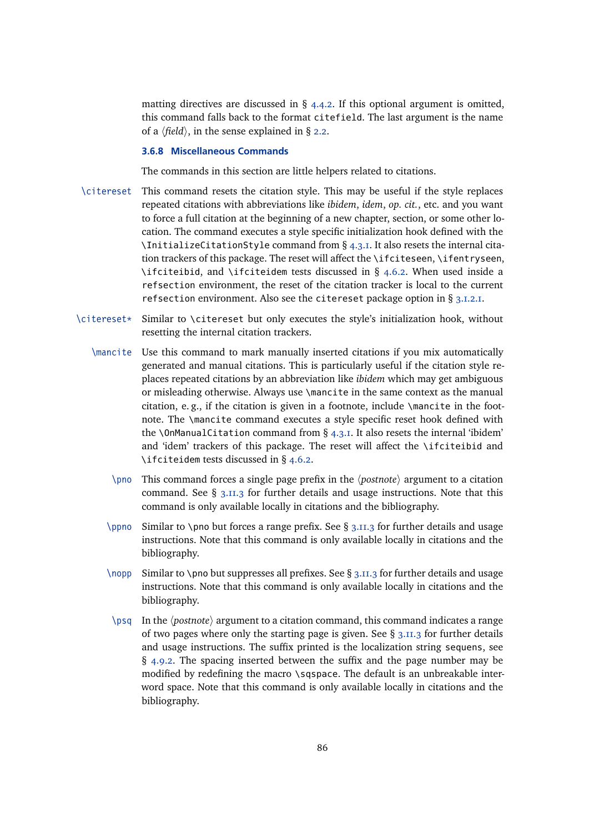matting directives are discussed in  $\S$  [4.4.2.](#page-134-0) If this optional argument is omitted, this command falls back to the format citefield. The last argument is the name of a  $\langle$ *field* $\rangle$ , in the sense explained in § [2.2.](#page-11-0)

### **3.6.8 Miscellaneous Commands**

The commands in this section are little helpers related to citations.

- \citereset This command resets the citation style. This may be useful if the style replaces repeated citations with abbreviations like *ibidem*, *idem*, *op. cit.*, etc. and you want to force a full citation at the beginning of a new chapter, section, or some other location. The command executes a style specific initialization hook defined with the \InitializeCitationStyle command from § [4.3.1.](#page-127-0) It also resets the internal citation trackers of this package. The reset will affect the \ifciteseen, \ifentryseen, \ifciteibid, and \ifciteidem tests discussed in § [4.6.2.](#page-145-0) When used inside a refsection environment, the reset of the citation tracker is local to the current refsection environment. Also see the citereset package option in § [3.1.2.1.](#page-43-0)
- \citereset\* Similar to \citereset but only executes the style's initialization hook, without resetting the internal citation trackers.
	- \mancite Use this command to mark manually inserted citations if you mix automatically generated and manual citations. This is particularly useful if the citation style replaces repeated citations by an abbreviation like *ibidem* which may get ambiguous or misleading otherwise. Always use \mancite in the same context as the manual citation, e. g., if the citation is given in a footnote, include \mancite in the footnote. The \mancite command executes a style specific reset hook defined with the \OnManualCitation command from  $\S$  [4.3.1.](#page-127-0) It also resets the internal 'ibidem' and 'idem' trackers of this package. The reset will affect the  $\iota$ ifciteibid and \ifciteidem tests discussed in § [4.6.2.](#page-145-0)
		- $\pmod{\text{ This command forces a single page prefix in the } postnote$  argument to a citation command. See  $\S$  [3.11.3](#page-109-0) for further details and usage instructions. Note that this command is only available locally in citations and the bibliography.
		- \ppno Similar to \pno but forces a range prefix. See § [3.11.3](#page-109-0) for further details and usage instructions. Note that this command is only available locally in citations and the bibliography.
		- \nopp Similar to \pno but suppresses all prefixes. See § [3.11.3](#page-109-0) for further details and usage instructions. Note that this command is only available locally in citations and the bibliography.
		- \psq In the  $\langle$ *postnote* $\rangle$  argument to a citation command, this command indicates a range of two pages where only the starting page is given. See  $\S$  [3.11.3](#page-109-0) for further details and usage instructions. The suffix printed is the localization string sequens, see  $\S$  [4.9.2.](#page-172-0) The spacing inserted between the suffix and the page number may be modified by redefining the macro \sqspace. The default is an unbreakable interword space. Note that this command is only available locally in citations and the bibliography.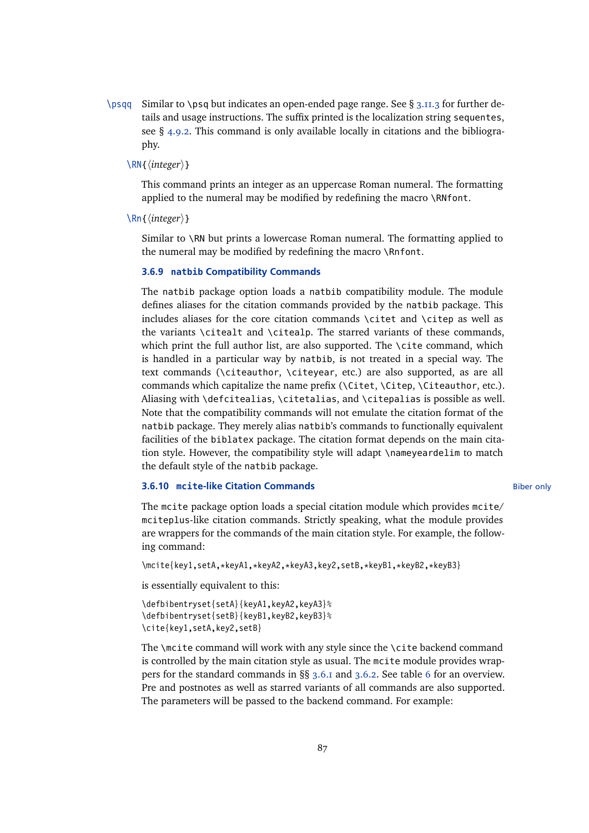$\log q$  Similar to  $\log q$  but indicates an open-ended page range. See § [3.11.3](#page-109-0) for further details and usage instructions. The suffix printed is the localization string sequentes, see § [4.9.2.](#page-172-0) This command is only available locally in citations and the bibliography.

# $\langle$ RN{ $\langle$ *integer*}}

This command prints an integer as an uppercase Roman numeral. The formatting applied to the numeral may be modified by redefining the macro \RNfont.

 $\ln{\frac{\langle \text{integer} \rangle}{\}$ 

Similar to \RN but prints a lowercase Roman numeral. The formatting applied to the numeral may be modified by redefining the macro \Rnfont.

#### **3.6.9 natbib Compatibility Commands**

The natbib package option loads a natbib compatibility module. The module defines aliases for the citation commands provided by the natbib package. This includes aliases for the core citation commands \citet and \citep as well as the variants \citealt and \citealp. The starred variants of these commands, which print the full author list, are also supported. The \cite command, which is handled in a particular way by natbib, is not treated in a special way. The text commands (\citeauthor, \citeyear, etc.) are also supported, as are all commands which capitalize the name prefix (\Citet, \Citep, \Citeauthor, etc.). Aliasing with \defcitealias, \citetalias, and \citepalias is possible as well. Note that the compatibility commands will not emulate the citation format of the natbib package. They merely alias natbib's commands to functionally equivalent facilities of the biblatex package. The citation format depends on the main citation style. However, the compatibility style will adapt \nameyeardelim to match the default style of the natbib package.

### **3.6.10 mcite-like Citation Commands Biber only and Structure Biber only Biber only**

The mcite package option loads a special citation module which provides mcite/ mciteplus-like citation commands. Strictly speaking, what the module provides are wrappers for the commands of the main citation style. For example, the following command:

```
\mcite{key1,setA,*keyA1,*keyA2,*keyA3,key2,setB,*keyB1,*keyB2,*keyB3}
```
is essentially equivalent to this:

```
\defbibentryset{setA}{keyA1,keyA2,keyA3}%
\defbibentryset{setB}{keyB1,keyB2,keyB3}%
\cite{key1,setA,key2,setB}
```
The \mcite command will work with any style since the \cite backend command is controlled by the main citation style as usual. The mcite module provides wrappers for the standard commands in §§ [3.6.1](#page-78-0) and [3.6.2.](#page-79-0) See table [6](#page-88-0) for an overview. Pre and postnotes as well as starred variants of all commands are also supported. The parameters will be passed to the backend command. For example: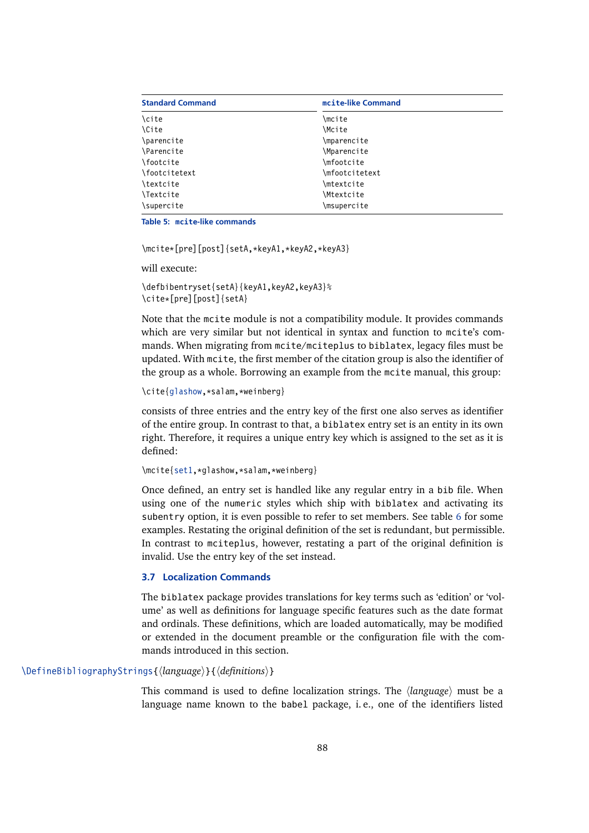<span id="page-87-0"></span>

| <b>Standard Command</b>        | mcite-like Command |  |
|--------------------------------|--------------------|--|
| \cite                          | \mcite             |  |
| <b>\Cite</b>                   | \Mcite             |  |
| \parencite                     | \mparencite        |  |
| <i><u><b>Narencite</b></u></i> | \Mparencite        |  |
| \footcite                      | \mfootcite         |  |
| \footcitetext                  | \mfootcitetext     |  |
| \textcite                      | \mtextcite         |  |
| \Textcite                      | \Mtextcite         |  |
| \supercite                     | \msupercite        |  |

**Table 5: mcite-like commands**

\mcite\*[pre][post]{setA,\*keyA1,\*keyA2,\*keyA3}

will execute:

\defbibentryset{setA}{keyA1,keyA2,keyA3}% \cite\*[pre][post]{setA}

Note that the mcite module is not a compatibility module. It provides commands which are very similar but not identical in syntax and function to mcite's commands. When migrating from mcite/mciteplus to biblatex, legacy files must be updated. With mcite, the first member of the citation group is also the identifier of the group as a whole. Borrowing an example from the mcite manual, this group:

```
\cite{glashow,*salam,*weinberg}
```
consists of three entries and the entry key of the first one also serves as identifier of the entire group. In contrast to that, a biblatex entry set is an entity in its own right. Therefore, it requires a unique entry key which is assigned to the set as it is defined:

```
\mcite{set1,*glashow,*salam,*weinberg}
```
Once defined, an entry set is handled like any regular entry in a bib file. When using one of the numeric styles which ship with biblatex and activating its subentry option, it is even possible to refer to set members. See table [6](#page-88-0) for some examples. Restating the original definition of the set is redundant, but permissible. In contrast to mciteplus, however, restating a part of the original definition is invalid. Use the entry key of the set instead.

# **3.7 Localization Commands**

The biblatex package provides translations for key terms such as 'edition' or 'volume' as well as definitions for language specific features such as the date format and ordinals. These definitions, which are loaded automatically, may be modified or extended in the document preamble or the configuration file with the commands introduced in this section.

# \DefineBibliographyStrings{\language\}{\definitions\}

This command is used to define localization strings. The *(language)* must be a language name known to the babel package, i. e., one of the identifiers listed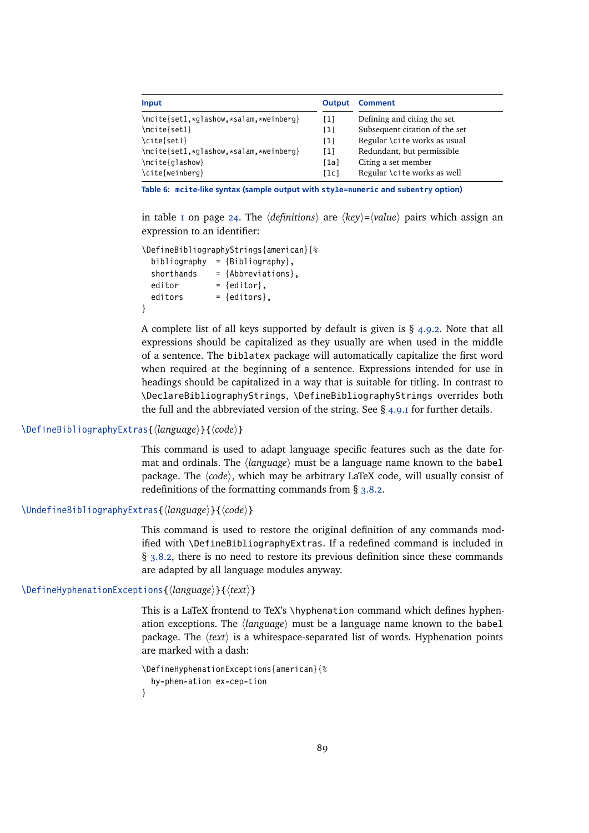<span id="page-88-0"></span>

| Input                                  | Output            | <b>Comment</b>                 |
|----------------------------------------|-------------------|--------------------------------|
| \mcite{set1,*glashow,*salam,*weinberg} | [1]               | Defining and citing the set    |
| $\met{set1}$                           | $\lceil 1 \rceil$ | Subsequent citation of the set |
| \cite{set1}                            | [1]               | Regular \cite works as usual   |
| \mcite{set1,*glashow,*salam,*weinberg} | [1]               | Redundant, but permissible     |
| $\met{glashow}$                        | [1a]              | Citing a set member            |
| \cite{weinberg}                        | [1c]              | Regular \cite works as well    |

**Table 6: mcite-like syntax (sample output with style=numeric and subentry option)**

in table [1](#page-23-0) on page [24.](#page-23-0) The  $\langle definitions \rangle$  are  $\langle key \rangle = \langle value \rangle$  pairs which assign an expression to an identifier:

```
\DefineBibliographyStrings{american}{%
 bibliography = {Bibliography},
 shorthands = {Abbreviations},
 editor = {editor},
 editors = {editors},
}
```
A complete list of all keys supported by default is given is  $\S$  [4.9.2.](#page-172-0) Note that all expressions should be capitalized as they usually are when used in the middle of a sentence. The biblatex package will automatically capitalize the first word when required at the beginning of a sentence. Expressions intended for use in headings should be capitalized in a way that is suitable for titling. In contrast to \DeclareBibliographyStrings, \DefineBibliographyStrings overrides both the full and the abbreviated version of the string. See § [4.9.1](#page-169-0) for further details.

# \DefineBibliographyExtras{\language\}{\code\}

This command is used to adapt language specific features such as the date format and ordinals. The  $\langle \text{language} \rangle$  must be a language name known to the babel package. The  $\langle code \rangle$ , which may be arbitrary LaTeX code, will usually consist of redefinitions of the formatting commands from § [3.8.2.](#page-92-0)

\UndefineBibliographyExtras{\*language*}}{\*code*}}

This command is used to restore the original definition of any commands modified with \DefineBibliographyExtras. If a redefined command is included in § [3.8.2,](#page-92-0) there is no need to restore its previous definition since these commands are adapted by all language modules anyway.

# \DefineHyphenationExceptions{\*language*}}{\*text*}}

This is a LaTeX frontend to TeX's \hyphenation command which defines hyphenation exceptions. The *{language}* must be a language name known to the babel package. The  $\langle text \rangle$  is a whitespace-separated list of words. Hyphenation points are marked with a dash:

```
\DefineHyphenationExceptions{american}{%
  hy-phen-ation ex-cep-tion
}
```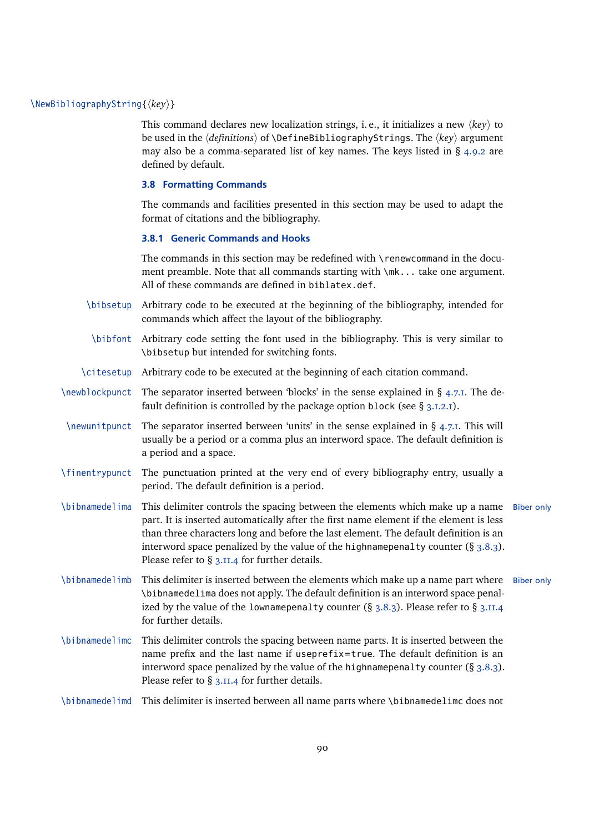# <span id="page-89-0"></span>\NewBibliographyString{*{key}*}

This command declares new localization strings, i. e., it initializes a new  $\langle key \rangle$  to be used in the *(definitions)* of **\DefineBibliographyStrings. The** *(key)* argument may also be a comma-separated list of key names. The keys listed in  $\S$  [4.9.2](#page-172-0) are defined by default.

#### **3.8 Formatting Commands**

The commands and facilities presented in this section may be used to adapt the format of citations and the bibliography.

### **3.8.1 Generic Commands and Hooks**

The commands in this section may be redefined with \renewcommand in the document preamble. Note that all commands starting with  $\m{\mathsf{m}}$ ... take one argument. All of these commands are defined in biblatex.def.

- \bibsetup Arbitrary code to be executed at the beginning of the bibliography, intended for commands which affect the layout of the bibliography.
- \bibfont Arbitrary code setting the font used in the bibliography. This is very similar to \bibsetup but intended for switching fonts.
- \citesetup Arbitrary code to be executed at the beginning of each citation command.
- $\neq$  \newblockpunct The separator inserted between 'blocks' in the sense explained in § [4.7.1.](#page-162-0) The default definition is controlled by the package option block (see  $\S$  [3.1.2.1\)](#page-43-0).
- $\neq$  \newunitpunct The separator inserted between 'units' in the sense explained in § [4.7.1.](#page-162-0) This will usually be a period or a comma plus an interword space. The default definition is a period and a space.
- \finentrypunct The punctuation printed at the very end of every bibliography entry, usually a period. The default definition is a period.
- \bibnamedelima This delimiter controls the spacing between the elements which make up a name Biber only part. It is inserted automatically after the first name element if the element is less than three characters long and before the last element. The default definition is an interword space penalized by the value of the highnamepenalty counter  $(\S 3.8.3)$  $(\S 3.8.3)$ . Please refer to § [3.11.4](#page-110-0) for further details.
- \bibnamedelimb This delimiter is inserted between the elements which make up a name part where Biber only \bibnamedelima does not apply. The default definition is an interword space penalized by the value of the lownamepenalty counter  $(\S 3.8.3)$  $(\S 3.8.3)$ . Please refer to  $\S 3.11.4$  $\S 3.11.4$ for further details.
- \bibnamedelimc This delimiter controls the spacing between name parts. It is inserted between the name prefix and the last name if useprefix=true. The default definition is an interword space penalized by the value of the highnamepenalty counter  $(\S 3.8.3)$  $(\S 3.8.3)$ . Please refer to § [3.11.4](#page-110-0) for further details.

\bibnamedelimd This delimiter is inserted between all name parts where \bibnamedelimc does not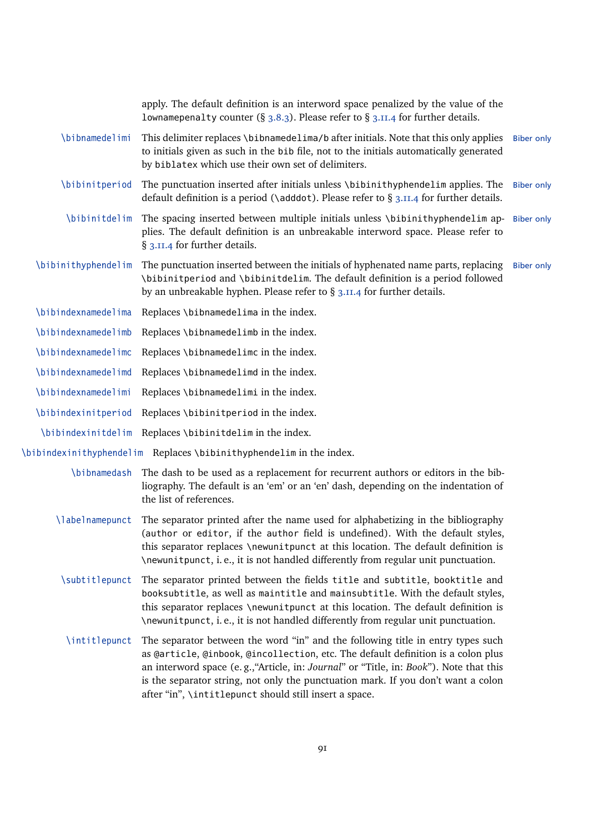|                     | apply. The default definition is an interword space penalized by the value of the<br>lownamepenalty counter (§ 3.8.3). Please refer to § 3.11.4 for further details.                                                                                                                                                                                                                                         |                   |
|---------------------|--------------------------------------------------------------------------------------------------------------------------------------------------------------------------------------------------------------------------------------------------------------------------------------------------------------------------------------------------------------------------------------------------------------|-------------------|
| \bibnamedelimi      | This delimiter replaces \bibnamedelima/b after initials. Note that this only applies<br>to initials given as such in the bib file, not to the initials automatically generated<br>by biblatex which use their own set of delimiters.                                                                                                                                                                         | <b>Biber only</b> |
| \bibinitperiod      | The punctuation inserted after initials unless \bibinithyphendelim applies. The<br>default definition is a period ( $\delta$ ) denoted. Please refer to § 3.11.4 for further details.                                                                                                                                                                                                                        | <b>Biber only</b> |
| \bibinitdelim       | The spacing inserted between multiple initials unless \bibinithyphendelim ap- Biber only<br>plies. The default definition is an unbreakable interword space. Please refer to<br>§ 3.11.4 for further details.                                                                                                                                                                                                |                   |
| \bibinithyphendelim | The punctuation inserted between the initials of hyphenated name parts, replacing<br>\bibinitperiod and \bibinitdelim. The default definition is a period followed<br>by an unbreakable hyphen. Please refer to § 3.11.4 for further details.                                                                                                                                                                | <b>Biber only</b> |
| \bibindexnamedelima | Replaces \bibnamedelima in the index.                                                                                                                                                                                                                                                                                                                                                                        |                   |
| \bibindexnamedelimb | Replaces \bibnamedelimb in the index.                                                                                                                                                                                                                                                                                                                                                                        |                   |
| \bibindexnamedelimc | Replaces \bibnamedelimc in the index.                                                                                                                                                                                                                                                                                                                                                                        |                   |
| \bibindexnamedelimd | Replaces \bibnamedelimd in the index.                                                                                                                                                                                                                                                                                                                                                                        |                   |
| \bibindexnamedelimi | Replaces \bibnamedelimi in the index.                                                                                                                                                                                                                                                                                                                                                                        |                   |
| \bibindexinitperiod | Replaces \bibinitperiod in the index.                                                                                                                                                                                                                                                                                                                                                                        |                   |
|                     | \bibindexinitdelim Replaces \bibinitdelim in the index.                                                                                                                                                                                                                                                                                                                                                      |                   |
|                     | \bibindexinithyphendelim Replaces \bibinithyphendelim in the index.                                                                                                                                                                                                                                                                                                                                          |                   |
| \bibnamedash        | The dash to be used as a replacement for recurrent authors or editors in the bib-<br>liography. The default is an 'em' or an 'en' dash, depending on the indentation of<br>the list of references.                                                                                                                                                                                                           |                   |
| \labelnamepunct     | The separator printed after the name used for alphabetizing in the bibliography<br>(author or editor, if the author field is undefined). With the default styles,<br>this separator replaces \newunitpunct at this location. The default definition is<br>\newunitpunct, i.e., it is not handled differently from regular unit punctuation.                                                                  |                   |
| \subtitlepunct      | The separator printed between the fields title and subtitle, booktitle and<br>booksubtitle, as well as maintitle and mainsubtitle. With the default styles,<br>this separator replaces \newunitpunct at this location. The default definition is<br>\newunitpunct, i.e., it is not handled differently from regular unit punctuation.                                                                        |                   |
| \intitlepunct       | The separator between the word "in" and the following title in entry types such<br>as @article, @inbook, @incollection, etc. The default definition is a colon plus<br>an interword space (e.g., "Article, in: Journal" or "Title, in: Book"). Note that this<br>is the separator string, not only the punctuation mark. If you don't want a colon<br>after "in", \intitlepunct should still insert a space. |                   |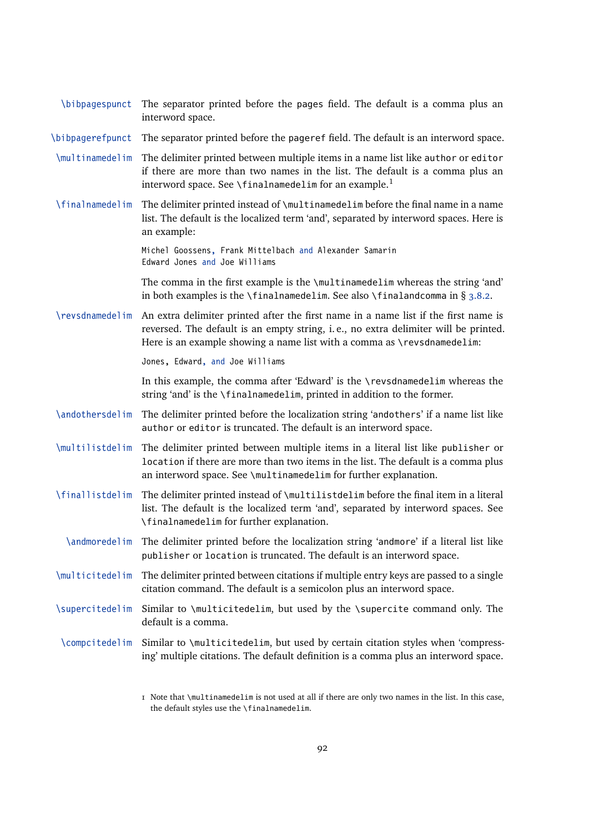| \bibpagespunct   | The separator printed before the pages field. The default is a comma plus an<br>interword space.                                                                                                                                                      |
|------------------|-------------------------------------------------------------------------------------------------------------------------------------------------------------------------------------------------------------------------------------------------------|
| \bibpagerefpunct | The separator printed before the pageref field. The default is an interword space.                                                                                                                                                                    |
| \multinamedelim  | The delimiter printed between multiple items in a name list like author or editor<br>if there are more than two names in the list. The default is a comma plus an<br>interword space. See \finalnamedelim for an example. <sup>1</sup>                |
| \finalnamedelim  | The delimiter printed instead of \multinamedelim before the final name in a name<br>list. The default is the localized term 'and', separated by interword spaces. Here is<br>an example:                                                              |
|                  | Michel Goossens, Frank Mittelbach and Alexander Samarin<br>Edward Jones and Joe Williams                                                                                                                                                              |
|                  | The comma in the first example is the \multinamedelim whereas the string 'and'<br>in both examples is the $\theta$ inalnamedelim. See also $\theta$ inaland comma in § 3.8.2.                                                                         |
| \revsdnamedelim  | An extra delimiter printed after the first name in a name list if the first name is<br>reversed. The default is an empty string, i.e., no extra delimiter will be printed.<br>Here is an example showing a name list with a comma as \revsdnamedelim: |
|                  | Jones, Edward, and Joe Williams                                                                                                                                                                                                                       |
|                  | In this example, the comma after 'Edward' is the \revsdnamedelim whereas the<br>string 'and' is the \finalnamedelim, printed in addition to the former.                                                                                               |
| \andothersdelim  | The delimiter printed before the localization string 'andothers' if a name list like<br>author or editor is truncated. The default is an interword space.                                                                                             |
| \multilistdelim  | The delimiter printed between multiple items in a literal list like publisher or<br>location if there are more than two items in the list. The default is a comma plus<br>an interword space. See \multinamedelim for further explanation.            |
| \finallistdelim  | The delimiter printed instead of \multilistdelim before the final item in a literal<br>list. The default is the localized term 'and', separated by interword spaces. See<br>\finalnamedelim for further explanation.                                  |
|                  | \andmoredelim The delimiter printed before the localization string 'andmore' if a literal list like<br>publisher or location is truncated. The default is an interword space.                                                                         |
| \multicitedelim  | The delimiter printed between citations if multiple entry keys are passed to a single<br>citation command. The default is a semicolon plus an interword space.                                                                                        |
| \supercitedelim  | Similar to \multicitedelim, but used by the \supercite command only. The<br>default is a comma.                                                                                                                                                       |
| \compcitedelim   | Similar to \multicitedelim, but used by certain citation styles when 'compress-<br>ing' multiple citations. The default definition is a comma plus an interword space.                                                                                |
|                  |                                                                                                                                                                                                                                                       |

1 Note that \multinamedelim is not used at all if there are only two names in the list. In this case, the default styles use the \finalnamedelim.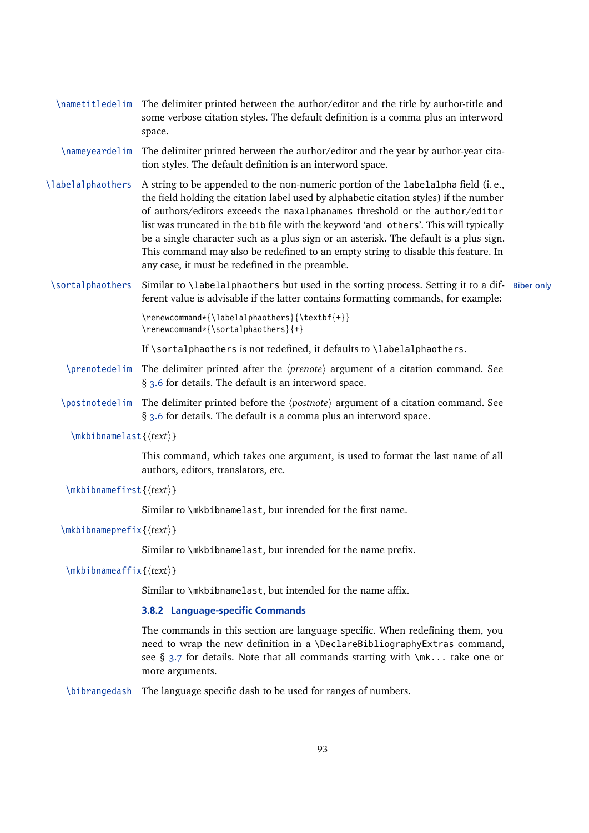- <span id="page-92-0"></span>\nametitledelim The delimiter printed between the author/editor and the title by author-title and some verbose citation styles. The default definition is a comma plus an interword space.
- \nameyeardelim The delimiter printed between the author/editor and the year by author-year citation styles. The default definition is an interword space.
- \labelalphaothers A string to be appended to the non-numeric portion of the labelalpha field (i. e., the field holding the citation label used by alphabetic citation styles) if the number of authors/editors exceeds the maxalphanames threshold or the author/editor list was truncated in the bib file with the keyword 'and others'. This will typically be a single character such as a plus sign or an asterisk. The default is a plus sign. This command may also be redefined to an empty string to disable this feature. In any case, it must be redefined in the preamble.
- \sortalphaothers Similar to \labelalphaothers but used in the sorting process. Setting it to a dif- Biber only ferent value is advisable if the latter contains formatting commands, for example:

\renewcommand\*{\labelalphaothers}{\textbf{+}} \renewcommand\*{\sortalphaothers}{+}

If \sortalphaothers is not redefined, it defaults to \labelalphaothers.

- \prenotedelim The delimiter printed after the *\prenote*} argument of a citation command. See § [3.6](#page-78-0) for details. The default is an interword space.
- \postnotedelim The delimiter printed before the *\postnote*} argument of a citation command. See § [3.6](#page-78-0) for details. The default is a comma plus an interword space.
	- \mkbibnamelast{h*text*i}

This command, which takes one argument, is used to format the last name of all authors, editors, translators, etc.

\mkbibnamefirst{h*text*i}

Similar to \mkbibnamelast, but intended for the first name.

\mkbibnameprefix{h*text*i}

Similar to \mkbibnamelast, but intended for the name prefix.

\mkbibnameaffix{h*text*i}

Similar to \mkbibnamelast, but intended for the name affix.

### **3.8.2 Language-specific Commands**

The commands in this section are language specific. When redefining them, you need to wrap the new definition in a \DeclareBibliographyExtras command, see § [3.7](#page-87-0) for details. Note that all commands starting with  $\mathcal{N}_k$ ... take one or more arguments.

\bibrangedash The language specific dash to be used for ranges of numbers.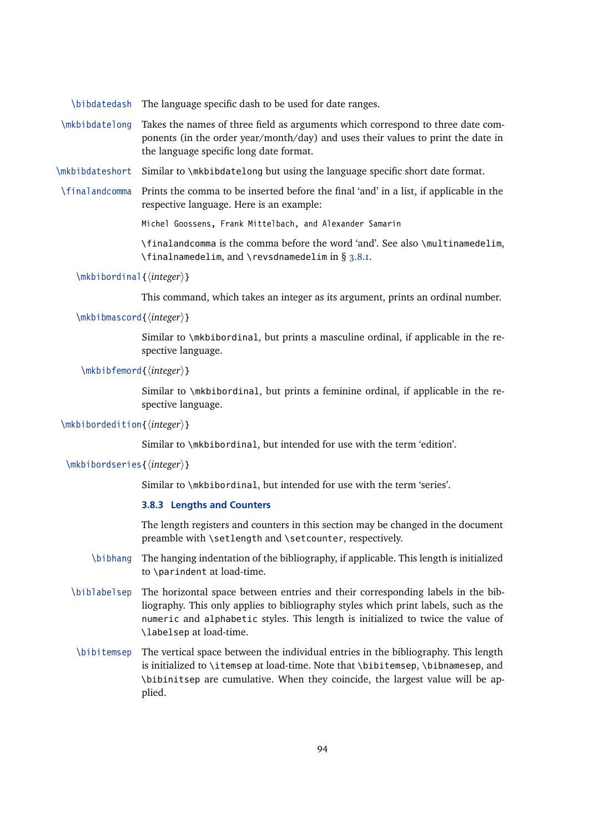<span id="page-93-0"></span>\bibdatedash The language specific dash to be used for date ranges.

- \mkbibdatelong Takes the names of three field as arguments which correspond to three date components (in the order year/month/day) and uses their values to print the date in the language specific long date format.
- \mkbibdateshort Similar to \mkbibdatelong but using the language specific short date format.
- \finalandcomma Prints the comma to be inserted before the final 'and' in a list, if applicable in the respective language. Here is an example:

Michel Goossens, Frank Mittelbach, and Alexander Samarin

\finalandcomma is the comma before the word 'and'. See also \multinamedelim, \finalnamedelim, and \revsdnamedelim in § [3.8.1.](#page-89-0)

\mkbibordinal{*\integer*}}

This command, which takes an integer as its argument, prints an ordinal number.

\mkbibmascord{*\integer*}}

Similar to \mkbibordinal, but prints a masculine ordinal, if applicable in the respective language.

```
\mkbibfemord{\integer}}
```
Similar to \mkbibordinal, but prints a feminine ordinal, if applicable in the respective language.

\mkbibordedition{*\integer*}}

Similar to \mkbibordinal, but intended for use with the term 'edition'.

\mkbibordseries{*\integer*}}

Similar to \mkbibordinal, but intended for use with the term 'series'.

# **3.8.3 Lengths and Counters**

The length registers and counters in this section may be changed in the document preamble with \setlength and \setcounter, respectively.

- \bibhang The hanging indentation of the bibliography, if applicable. This length is initialized to \parindent at load-time.
- \biblabelsep The horizontal space between entries and their corresponding labels in the bibliography. This only applies to bibliography styles which print labels, such as the numeric and alphabetic styles. This length is initialized to twice the value of \labelsep at load-time.
- \bibitemsep The vertical space between the individual entries in the bibliography. This length is initialized to \itemsep at load-time. Note that \bibitemsep, \bibnamesep, and \bibinitsep are cumulative. When they coincide, the largest value will be applied.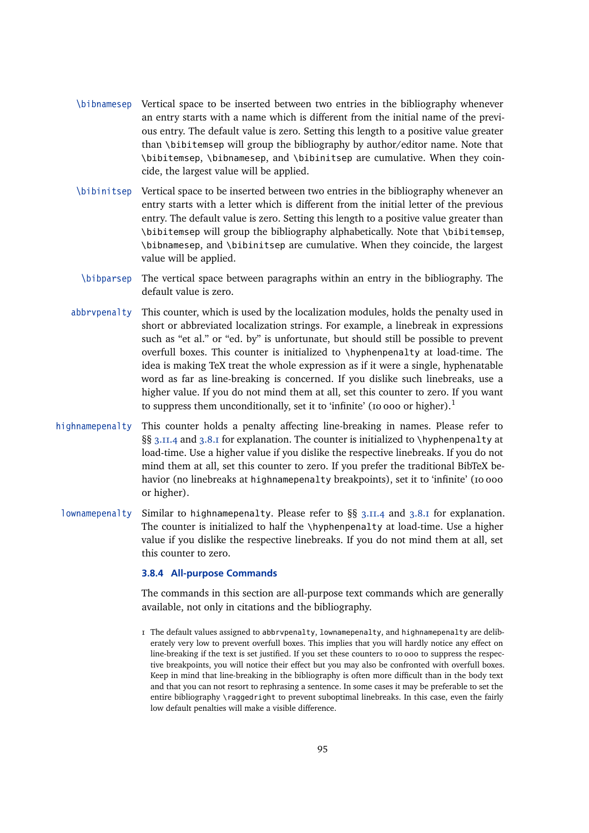- \bibnamesep Vertical space to be inserted between two entries in the bibliography whenever an entry starts with a name which is different from the initial name of the previous entry. The default value is zero. Setting this length to a positive value greater than \bibitemsep will group the bibliography by author/editor name. Note that \bibitemsep, \bibnamesep, and \bibinitsep are cumulative. When they coincide, the largest value will be applied.
- \bibinitsep Vertical space to be inserted between two entries in the bibliography whenever an entry starts with a letter which is different from the initial letter of the previous entry. The default value is zero. Setting this length to a positive value greater than \bibitemsep will group the bibliography alphabetically. Note that \bibitemsep, \bibnamesep, and \bibinitsep are cumulative. When they coincide, the largest value will be applied.
- \bibparsep The vertical space between paragraphs within an entry in the bibliography. The default value is zero.
- abbrvpenalty This counter, which is used by the localization modules, holds the penalty used in short or abbreviated localization strings. For example, a linebreak in expressions such as "et al." or "ed. by" is unfortunate, but should still be possible to prevent overfull boxes. This counter is initialized to \hyphenpenalty at load-time. The idea is making TeX treat the whole expression as if it were a single, hyphenatable word as far as line-breaking is concerned. If you dislike such linebreaks, use a higher value. If you do not mind them at all, set this counter to zero. If you want to suppress them unconditionally, set it to 'infinite' (10 000 or higher).<sup>1</sup>
- highnamepenalty This counter holds a penalty affecting line-breaking in names. Please refer to §§ [3.11.4](#page-110-0) and [3.8.1](#page-89-0) for explanation. The counter is initialized to \hyphenpenalty at load-time. Use a higher value if you dislike the respective linebreaks. If you do not mind them at all, set this counter to zero. If you prefer the traditional BibTeX behavior (no linebreaks at highnamepenalty breakpoints), set it to 'infinite' (10 000 or higher).
- lownamepenalty Similar to highnamepenalty. Please refer to §§ [3.11.4](#page-110-0) and [3.8.1](#page-89-0) for explanation. The counter is initialized to half the \hyphenpenalty at load-time. Use a higher value if you dislike the respective linebreaks. If you do not mind them at all, set this counter to zero.

#### **3.8.4 All-purpose Commands**

The commands in this section are all-purpose text commands which are generally available, not only in citations and the bibliography.

1 The default values assigned to abbrvpenalty, lownamepenalty, and highnamepenalty are deliberately very low to prevent overfull boxes. This implies that you will hardly notice any effect on line-breaking if the text is set justified. If you set these counters to 10 000 to suppress the respective breakpoints, you will notice their effect but you may also be confronted with overfull boxes. Keep in mind that line-breaking in the bibliography is often more difficult than in the body text and that you can not resort to rephrasing a sentence. In some cases it may be preferable to set the entire bibliography \raggedright to prevent suboptimal linebreaks. In this case, even the fairly low default penalties will make a visible difference.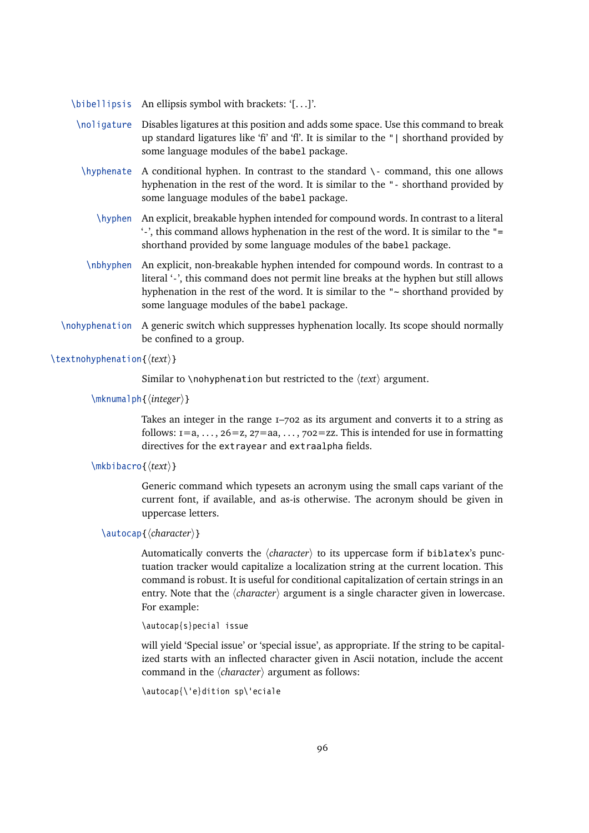- \bibellipsis An ellipsis symbol with brackets: '[. . .]'.
- \noligature Disables ligatures at this position and adds some space. Use this command to break up standard ligatures like 'fi' and 'fl'. It is similar to the "| shorthand provided by some language modules of the babel package.
- \hyphenate A conditional hyphen. In contrast to the standard \- command, this one allows hyphenation in the rest of the word. It is similar to the "- shorthand provided by some language modules of the babel package.
	- \hyphen An explicit, breakable hyphen intended for compound words. In contrast to a literal '-', this command allows hyphenation in the rest of the word. It is similar to the "= shorthand provided by some language modules of the babel package.
- \nbhyphen An explicit, non-breakable hyphen intended for compound words. In contrast to a literal '-', this command does not permit line breaks at the hyphen but still allows hyphenation in the rest of the word. It is similar to the "~ shorthand provided by some language modules of the babel package.
- \nohyphenation A generic switch which suppresses hyphenation locally. Its scope should normally be confined to a group.

# \textnohyphenation{ $\langle text \rangle$ }

Similar to \nohyphenation but restricted to the  $\langle text \rangle$  argument.

\mknumalph{*\integer*}}

Takes an integer in the range 1–702 as its argument and converts it to a string as follows:  $i = a, \ldots, 26 = z, 27 = aa, \ldots, 702 = zz$ . This is intended for use in formatting directives for the extrayear and extraalpha fields.

# \mkbibacro{ $\langle text \rangle$ }

Generic command which typesets an acronym using the small caps variant of the current font, if available, and as-is otherwise. The acronym should be given in uppercase letters.

# \autocap{*(character)*}

Automatically converts the  $\langle character \rangle$  to its uppercase form if biblatex's punctuation tracker would capitalize a localization string at the current location. This command is robust. It is useful for conditional capitalization of certain strings in an entry. Note that the  $\langle character \rangle$  argument is a single character given in lowercase. For example:

\autocap{s}pecial issue

will yield 'Special issue' or 'special issue', as appropriate. If the string to be capitalized starts with an inflected character given in Ascii notation, include the accent command in the  $\langle character \rangle$  argument as follows:

```
\autocap{\'e}dition sp\'eciale
```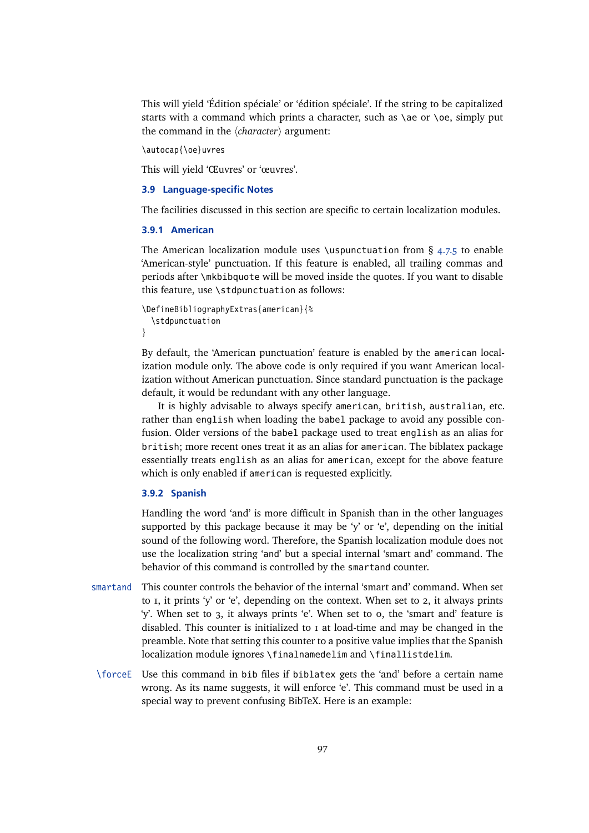This will yield 'Édition spéciale' or 'édition spéciale'. If the string to be capitalized starts with a command which prints a character, such as  $\alpha \cdot \alpha$ , simply put the command in the  $\langle character \rangle$  argument:

\autocap{\oe}uvres

This will yield 'Œuvres' or 'œuvres'.

# **3.9 Language-specific Notes**

The facilities discussed in this section are specific to certain localization modules.

#### **3.9.1 American**

The American localization module uses \uspunctuation from § [4.7.5](#page-165-0) to enable 'American-style' punctuation. If this feature is enabled, all trailing commas and periods after \mkbibquote will be moved inside the quotes. If you want to disable this feature, use \stdpunctuation as follows:

```
\DefineBibliographyExtras{american}{%
  \stdpunctuation
}
```
By default, the 'American punctuation' feature is enabled by the american localization module only. The above code is only required if you want American localization without American punctuation. Since standard punctuation is the package default, it would be redundant with any other language.

It is highly advisable to always specify american, british, australian, etc. rather than english when loading the babel package to avoid any possible confusion. Older versions of the babel package used to treat english as an alias for british; more recent ones treat it as an alias for american. The biblatex package essentially treats english as an alias for american, except for the above feature which is only enabled if american is requested explicitly.

# **3.9.2 Spanish**

Handling the word 'and' is more difficult in Spanish than in the other languages supported by this package because it may be 'y' or 'e', depending on the initial sound of the following word. Therefore, the Spanish localization module does not use the localization string 'and' but a special internal 'smart and' command. The behavior of this command is controlled by the smartand counter.

- smartand This counter controls the behavior of the internal 'smart and' command. When set to 1, it prints 'y' or 'e', depending on the context. When set to 2, it always prints 'y'. When set to 3, it always prints 'e'. When set to 0, the 'smart and' feature is disabled. This counter is initialized to 1 at load-time and may be changed in the preamble. Note that setting this counter to a positive value implies that the Spanish localization module ignores \finalnamedelim and \finallistdelim.
- \forceE Use this command in bib files if biblatex gets the 'and' before a certain name wrong. As its name suggests, it will enforce 'e'. This command must be used in a special way to prevent confusing BibTeX. Here is an example: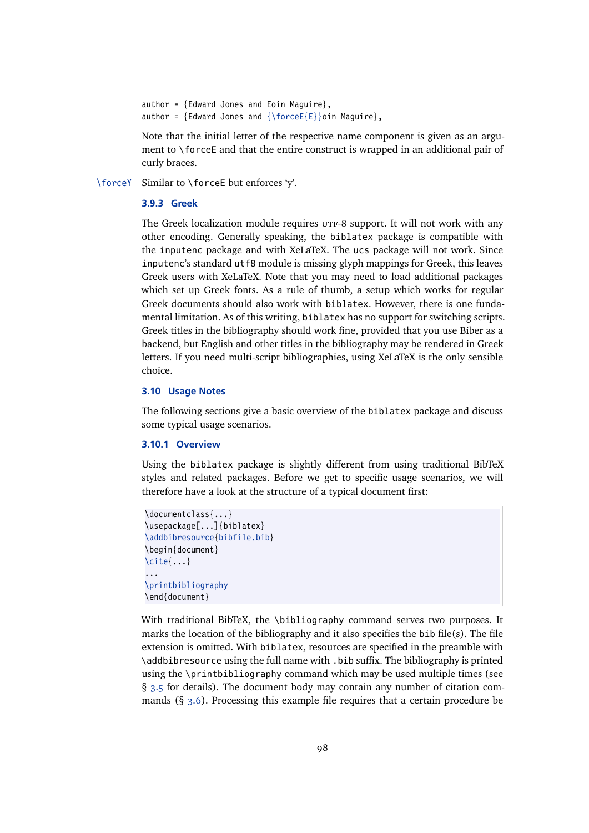```
author = {Edward Jones and Eoin Maguire},
author = {Edward Jones and {\forceE{E}}oin Maguire},
```
Note that the initial letter of the respective name component is given as an argument to \forceE and that the entire construct is wrapped in an additional pair of curly braces.

\forceY Similar to \forceE but enforces 'y'.

# **3.9.3 Greek**

The Greek localization module requires  $UTF-8$  support. It will not work with any other encoding. Generally speaking, the biblatex package is compatible with the inputenc package and with XeLaTeX. The ucs package will not work. Since inputenc's standard utf8 module is missing glyph mappings for Greek, this leaves Greek users with XeLaTeX. Note that you may need to load additional packages which set up Greek fonts. As a rule of thumb, a setup which works for regular Greek documents should also work with biblatex. However, there is one fundamental limitation. As of this writing, biblatex has no support for switching scripts. Greek titles in the bibliography should work fine, provided that you use Biber as a backend, but English and other titles in the bibliography may be rendered in Greek letters. If you need multi-script bibliographies, using XeLaTeX is the only sensible choice.

### **3.10 Usage Notes**

The following sections give a basic overview of the biblatex package and discuss some typical usage scenarios.

#### **3.10.1 Overview**

Using the biblatex package is slightly different from using traditional BibTeX styles and related packages. Before we get to specific usage scenarios, we will therefore have a look at the structure of a typical document first:

```
\documentclass{...}
\usepackage[...]{biblatex}
\addbibresource{bibfile.bib}
\begin{document}
\cite{...}
...
\printbibliography
\end{document}
```
With traditional BibTeX, the \bibliography command serves two purposes. It marks the location of the bibliography and it also specifies the bib file(s). The file extension is omitted. With biblatex, resources are specified in the preamble with \addbibresource using the full name with .bib suffix. The bibliography is printed using the \printbibliography command which may be used multiple times (see § [3.5](#page-67-0) for details). The document body may contain any number of citation commands (§ [3.6\)](#page-78-0). Processing this example file requires that a certain procedure be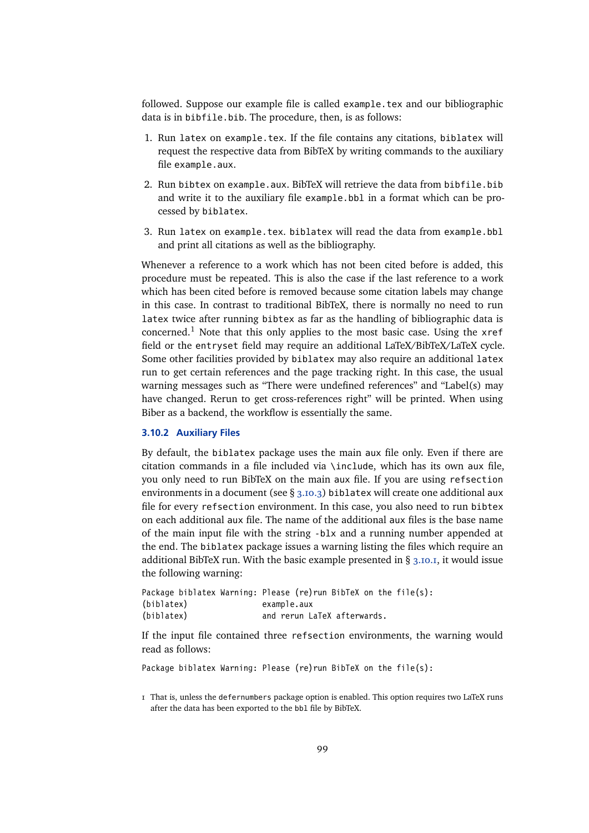<span id="page-98-0"></span>followed. Suppose our example file is called example.tex and our bibliographic data is in bibfile.bib. The procedure, then, is as follows:

- 1. Run latex on example.tex. If the file contains any citations, biblatex will request the respective data from BibTeX by writing commands to the auxiliary file example.aux.
- 2. Run bibtex on example.aux. BibTeX will retrieve the data from bibfile.bib and write it to the auxiliary file example.bbl in a format which can be processed by biblatex.
- 3. Run latex on example.tex. biblatex will read the data from example.bbl and print all citations as well as the bibliography.

Whenever a reference to a work which has not been cited before is added, this procedure must be repeated. This is also the case if the last reference to a work which has been cited before is removed because some citation labels may change in this case. In contrast to traditional BibTeX, there is normally no need to run latex twice after running bibtex as far as the handling of bibliographic data is concerned.<sup>1</sup> Note that this only applies to the most basic case. Using the  $xref$ field or the entryset field may require an additional LaTeX/BibTeX/LaTeX cycle. Some other facilities provided by biblatex may also require an additional latex run to get certain references and the page tracking right. In this case, the usual warning messages such as "There were undefined references" and "Label(s) may have changed. Rerun to get cross-references right" will be printed. When using Biber as a backend, the workflow is essentially the same.

#### **3.10.2 Auxiliary Files**

By default, the biblatex package uses the main aux file only. Even if there are citation commands in a file included via \include, which has its own aux file, you only need to run BibTeX on the main aux file. If you are using refsection environments in a document (see § [3.10.3\)](#page-99-0) biblatex will create one additional aux file for every refsection environment. In this case, you also need to run bibtex on each additional aux file. The name of the additional aux files is the base name of the main input file with the string -blx and a running number appended at the end. The biblatex package issues a warning listing the files which require an additional BibTeX run. With the basic example presented in  $\S$  [3.10.1,](#page-97-0) it would issue the following warning:

| Package biblatex Warning: Please (re)run BibTeX on the file(s): |             |                             |  |  |
|-----------------------------------------------------------------|-------------|-----------------------------|--|--|
| (biblatex)                                                      | example.aux |                             |  |  |
| (biblatex)                                                      |             | and rerun LaTeX afterwards. |  |  |

If the input file contained three refsection environments, the warning would read as follows:

Package biblatex Warning: Please (re) run BibTeX on the file(s):

<sup>1</sup> That is, unless the defernumbers package option is enabled. This option requires two LaTeX runs after the data has been exported to the bbl file by BibTeX.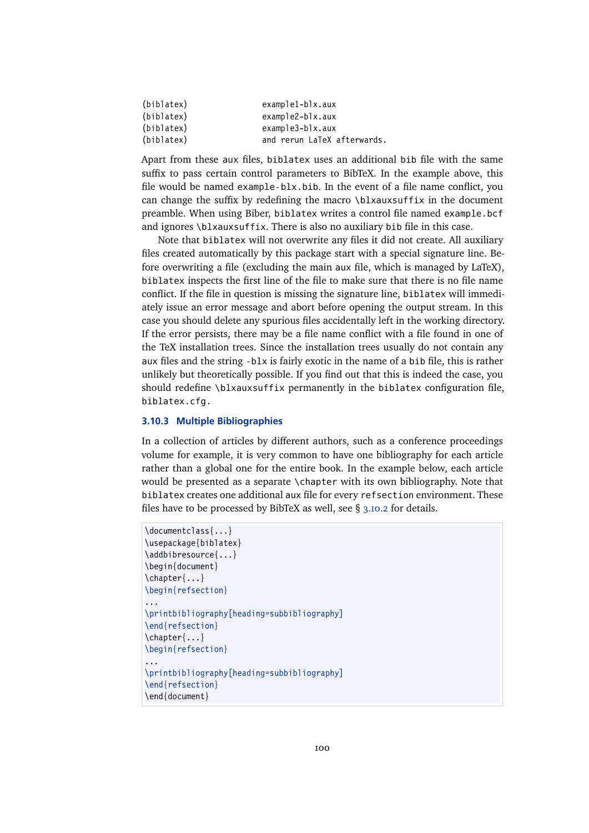<span id="page-99-0"></span>

| (biblatex) | $example1-b1x.aux$          |
|------------|-----------------------------|
| (biblatex) | $example2-b1x.aux$          |
| (biblatex) | $example3-b1x.aux$          |
| (biblatex) | and rerun LaTeX afterwards. |
|            |                             |

Apart from these aux files, biblatex uses an additional bib file with the same suffix to pass certain control parameters to BibTeX. In the example above, this file would be named example-blx.bib. In the event of a file name conflict, you can change the suffix by redefining the macro  $\blacksquare$ preamble. When using Biber, biblatex writes a control file named example.bcf and ignores \blxauxsuffix. There is also no auxiliary bib file in this case.

Note that biblatex will not overwrite any files it did not create. All auxiliary files created automatically by this package start with a special signature line. Before overwriting a file (excluding the main aux file, which is managed by LaTeX), biblatex inspects the first line of the file to make sure that there is no file name conflict. If the file in question is missing the signature line, biblatex will immediately issue an error message and abort before opening the output stream. In this case you should delete any spurious files accidentally left in the working directory. If the error persists, there may be a file name conflict with a file found in one of the TeX installation trees. Since the installation trees usually do not contain any aux files and the string -blx is fairly exotic in the name of a bib file, this is rather unlikely but theoretically possible. If you find out that this is indeed the case, you should redefine \blxauxsuffix permanently in the biblatex configuration file, biblatex.cfg.

#### **3.10.3 Multiple Bibliographies**

In a collection of articles by different authors, such as a conference proceedings volume for example, it is very common to have one bibliography for each article rather than a global one for the entire book. In the example below, each article would be presented as a separate \chapter with its own bibliography. Note that biblatex creates one additional aux file for every refsection environment. These files have to be processed by BibTeX as well, see § [3.10.2](#page-98-0) for details.

```
\documentclass{...}
\usepackage{biblatex}
\addbibresource{...}
\begin{document}
\chapter{...}
\begin{refsection}
...
\printbibliography[heading=subbibliography]
\end{refsection}
\chapter{...}
\begin{refsection}
...
\printbibliography[heading=subbibliography]
\end{refsection}
\end{document}
```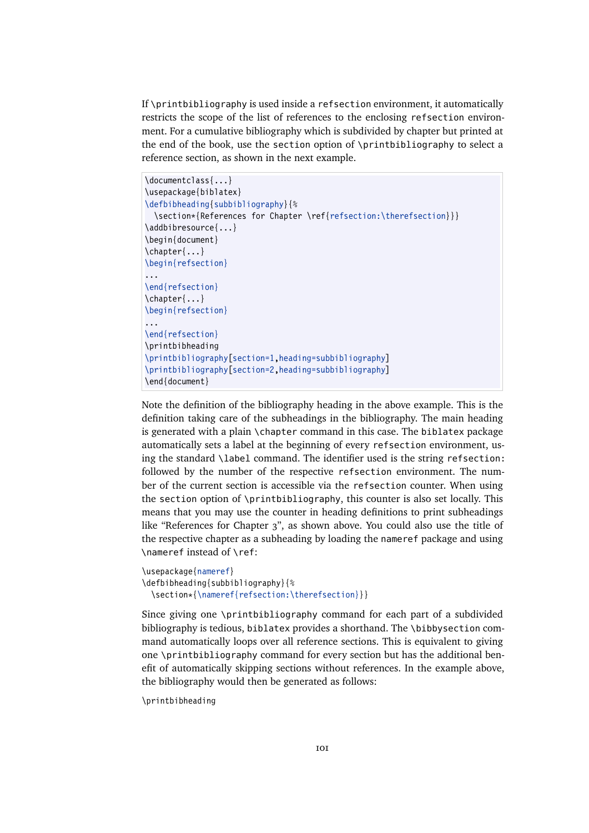If \printbibliography is used inside a refsection environment, it automatically restricts the scope of the list of references to the enclosing refsection environment. For a cumulative bibliography which is subdivided by chapter but printed at the end of the book, use the section option of \printbibliography to select a reference section, as shown in the next example.

```
\documentclass{...}
\usepackage{biblatex}
\defbibheading{subbibliography}{%
 \section*{References for Chapter \ref{refsection:\therefsection}}}
\addbibresource{...}
\begin{document}
\chapter{...}
\begin{refsection}
...
\end{refsection}
\chapter{...}
\begin{refsection}
...
\end{refsection}
\printbibheading
\printbibliography[section=1,heading=subbibliography]
\printbibliography[section=2,heading=subbibliography]
\end{document}
```
Note the definition of the bibliography heading in the above example. This is the definition taking care of the subheadings in the bibliography. The main heading is generated with a plain \chapter command in this case. The biblatex package automatically sets a label at the beginning of every refsection environment, using the standard \label command. The identifier used is the string refsection: followed by the number of the respective refsection environment. The number of the current section is accessible via the refsection counter. When using the section option of \printbibliography, this counter is also set locally. This means that you may use the counter in heading definitions to print subheadings like "References for Chapter 3", as shown above. You could also use the title of the respective chapter as a subheading by loading the nameref package and using \nameref instead of \ref:

```
\usepackage{nameref}
\defbibheading{subbibliography}{%
  \section*{\nameref{refsection:\therefsection}}}
```
Since giving one \printbibliography command for each part of a subdivided bibliography is tedious, biblatex provides a shorthand. The \bibbysection command automatically loops over all reference sections. This is equivalent to giving one \printbibliography command for every section but has the additional benefit of automatically skipping sections without references. In the example above, the bibliography would then be generated as follows:

\printbibheading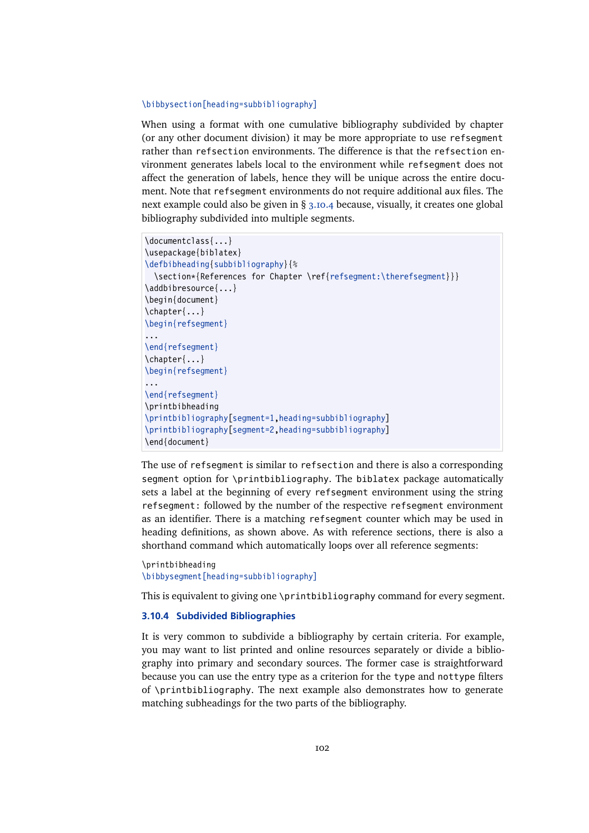#### <span id="page-101-0"></span>\bibbysection[heading=subbibliography]

When using a format with one cumulative bibliography subdivided by chapter (or any other document division) it may be more appropriate to use refsegment rather than refsection environments. The difference is that the refsection environment generates labels local to the environment while refsegment does not affect the generation of labels, hence they will be unique across the entire document. Note that refsegment environments do not require additional aux files. The next example could also be given in § 3.10.4 because, visually, it creates one global bibliography subdivided into multiple segments.

```
\documentclass{...}
\usepackage{biblatex}
\defbibheading{subbibliography}{%
 \section*{References for Chapter \ref{refsegment:\therefsegment}}}
\addbibresource{...}
\begin{document}
\chapter{...}
\begin{refsegment}
...
\end{refsegment}
\chapter{...}
\begin{refsegment}
...
\end{refsegment}
\printbibheading
\printbibliography[segment=1,heading=subbibliography]
\printbibliography[segment=2,heading=subbibliography]
\end{document}
```
The use of refsegment is similar to refsection and there is also a corresponding segment option for \printbibliography. The biblatex package automatically sets a label at the beginning of every refsegment environment using the string refsegment: followed by the number of the respective refsegment environment as an identifier. There is a matching refsegment counter which may be used in heading definitions, as shown above. As with reference sections, there is also a shorthand command which automatically loops over all reference segments:

```
\printbibheading
\bibbysegment[heading=subbibliography]
```
This is equivalent to giving one \printbibliography command for every segment.

#### **3.10.4 Subdivided Bibliographies**

It is very common to subdivide a bibliography by certain criteria. For example, you may want to list printed and online resources separately or divide a bibliography into primary and secondary sources. The former case is straightforward because you can use the entry type as a criterion for the type and nottype filters of \printbibliography. The next example also demonstrates how to generate matching subheadings for the two parts of the bibliography.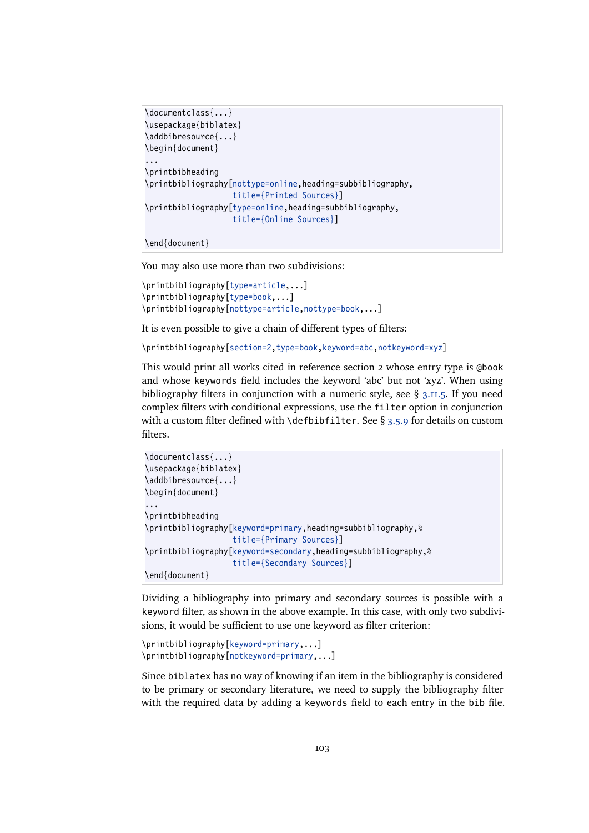```
\documentclass{...}
\usepackage{biblatex}
\addbibresource{...}
\begin{document}
...
\printbibheading
\printbibliography[nottype=online,heading=subbibliography,
                   title={Printed Sources}]
\printbibliography[type=online,heading=subbibliography,
                   title={Online Sources}]
```

```
\end{document}
```
You may also use more than two subdivisions:

```
\printbibliography[type=article,...]
\printbibliography[type=book,...]
\printbibliography[nottype=article,nottype=book,...]
```
It is even possible to give a chain of different types of filters:

```
\printbibliography[section=2,type=book,keyword=abc,notkeyword=xyz]
```
This would print all works cited in reference section 2 whose entry type is @book and whose keywords field includes the keyword 'abc' but not 'xyz'. When using bibliography filters in conjunction with a numeric style, see  $\S$  [3.11.5.](#page-112-0) If you need complex filters with conditional expressions, use the filter option in conjunction with a custom filter defined with \defbibfilter. See § [3.5.9](#page-76-0) for details on custom filters.

```
\documentclass{...}
\usepackage{biblatex}
\addbibresource{...}
\begin{document}
...
\printbibheading
\printbibliography[keyword=primary,heading=subbibliography,%
                   title={Primary Sources}]
\printbibliography[keyword=secondary,heading=subbibliography,%
                   title={Secondary Sources}]
\end{document}
```
Dividing a bibliography into primary and secondary sources is possible with a keyword filter, as shown in the above example. In this case, with only two subdivisions, it would be sufficient to use one keyword as filter criterion:

```
\printbibliography[keyword=primary,...]
\printbibliography[notkeyword=primary,...]
```
Since biblatex has no way of knowing if an item in the bibliography is considered to be primary or secondary literature, we need to supply the bibliography filter with the required data by adding a keywords field to each entry in the bib file.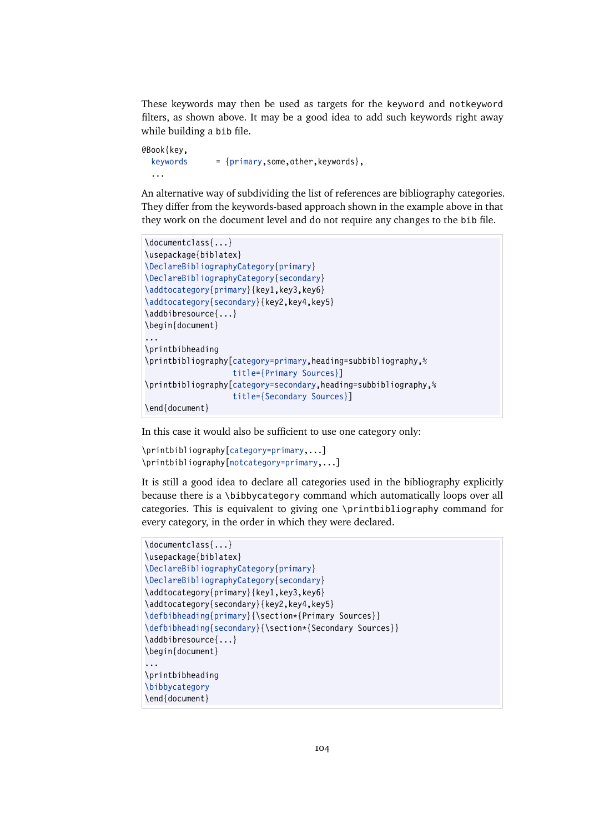These keywords may then be used as targets for the keyword and notkeyword filters, as shown above. It may be a good idea to add such keywords right away while building a bib file.

```
@Book{key,
  keywords = \{primary, some,other, keywords\}...
```
An alternative way of subdividing the list of references are bibliography categories. They differ from the keywords-based approach shown in the example above in that they work on the document level and do not require any changes to the bib file.

```
\documentclass{...}
\usepackage{biblatex}
\DeclareBibliographyCategory{primary}
\DeclareBibliographyCategory{secondary}
\addtocategory{primary}{key1,key3,key6}
\addtocategory{secondary}{key2,key4,key5}
\addbibresource{...}
\begin{document}
...
\printbibheading
\printbibliography[category=primary,heading=subbibliography,%
                   title={Primary Sources}]
\printbibliography[category=secondary,heading=subbibliography,%
                   title={Secondary Sources}]
\end{document}
```
In this case it would also be sufficient to use one category only:

```
\printbibliography[category=primary,...]
\printbibliography[notcategory=primary,...]
```
It is still a good idea to declare all categories used in the bibliography explicitly because there is a \bibbycategory command which automatically loops over all categories. This is equivalent to giving one \printbibliography command for every category, in the order in which they were declared.

```
\documentclass{...}
\usepackage{biblatex}
\DeclareBibliographyCategory{primary}
\DeclareBibliographyCategory{secondary}
\addtocategory{primary}{key1,key3,key6}
\addtocategory{secondary}{key2,key4,key5}
\defbibheading{primary}{\section*{Primary Sources}}
\defbibheading{secondary}{\section*{Secondary Sources}}
\addbibresource{...}
\begin{document}
...
\printbibheading
\bibbycategory
\end{document}
```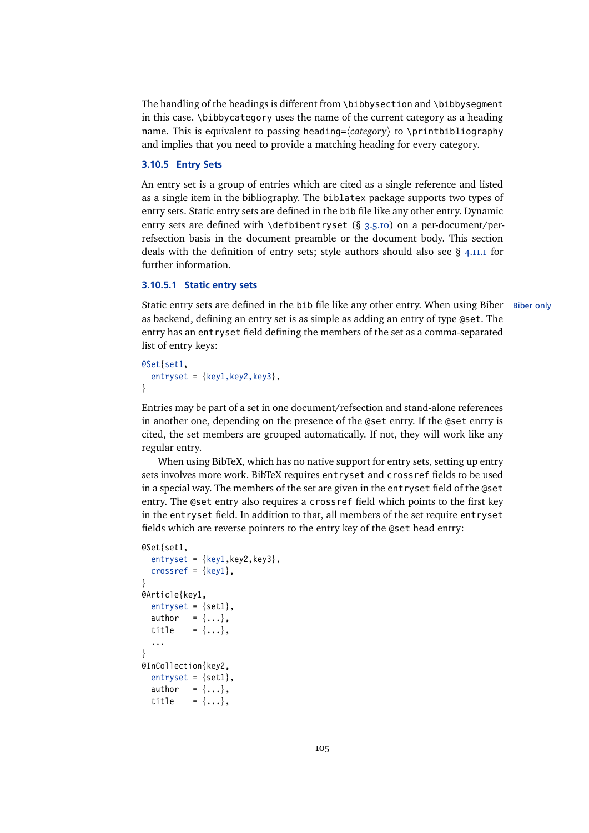<span id="page-104-0"></span>The handling of the headings is different from  $\big\{\phi\}$  bibbysection and  $\big\}$ bibbyseqment in this case. \bibbycategory uses the name of the current category as a heading name. This is equivalent to passing heading= $\langle category \rangle$  to \printbibliography and implies that you need to provide a matching heading for every category.

# **3.10.5 Entry Sets**

An entry set is a group of entries which are cited as a single reference and listed as a single item in the bibliography. The biblatex package supports two types of entry sets. Static entry sets are defined in the bib file like any other entry. Dynamic entry sets are defined with \defbibentryset (§ [3.5.10\)](#page-77-0) on a per-document/perrefsection basis in the document preamble or the document body. This section deals with the definition of entry sets; style authors should also see  $\S$  [4.11.1](#page-192-0) for further information.

#### **3.10.5.1 Static entry sets**

Static entry sets are defined in the bib file like any other entry. When using Biber Biber only as backend, defining an entry set is as simple as adding an entry of type @set. The entry has an entryset field defining the members of the set as a comma-separated list of entry keys:

```
@Set{set1,
  entryset = {key1, key2, key3},}
```
Entries may be part of a set in one document/refsection and stand-alone references in another one, depending on the presence of the @set entry. If the @set entry is cited, the set members are grouped automatically. If not, they will work like any regular entry.

When using BibTeX, which has no native support for entry sets, setting up entry sets involves more work. BibTeX requires entryset and crossref fields to be used in a special way. The members of the set are given in the entryset field of the @set entry. The @set entry also requires a crossref field which points to the first key in the entryset field. In addition to that, all members of the set require entryset fields which are reverse pointers to the entry key of the @set head entry:

```
@Set{set1,
  entryset = {key1, key2, key3},crossref = \{key1\},
}
@Article{key1,
  entryset = {set1},
  author = \{ \ldots \},
  title = \{... \},\...
}
@InCollection{key2,
  entryset = {set1},
  author = \{ \ldots \},\title = {...},
```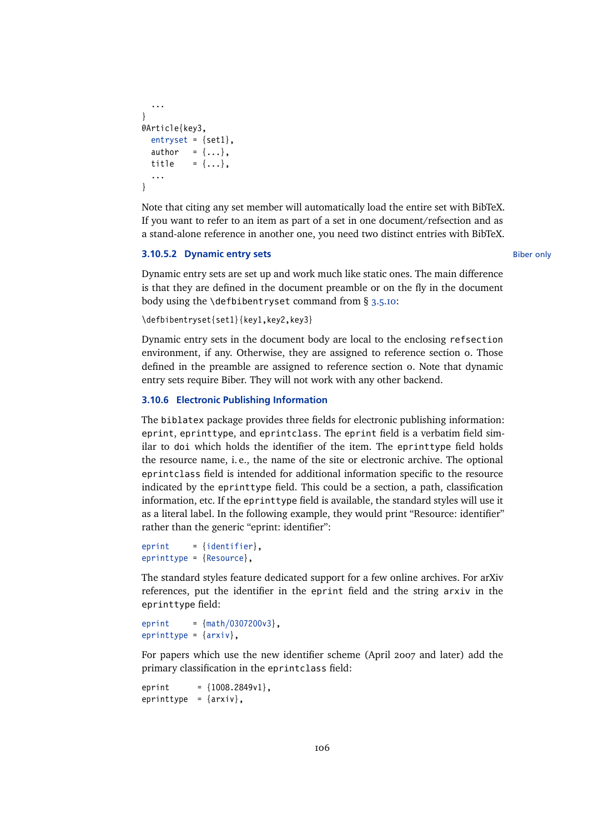```
...
}
@Article{key3,
  entryset = {set1},
  author = \{ \ldots \},\title = \{ \ldots \},
  ...
}
```
Note that citing any set member will automatically load the entire set with BibTeX. If you want to refer to an item as part of a set in one document/refsection and as a stand-alone reference in another one, you need two distinct entries with BibTeX.

# **3.10.5.2 Dynamic entry sets** Biber only

Dynamic entry sets are set up and work much like static ones. The main difference is that they are defined in the document preamble or on the fly in the document body using the \defbibentryset command from  $\S$  [3.5.10:](#page-77-0)

\defbibentryset{set1}{key1,key2,key3}

Dynamic entry sets in the document body are local to the enclosing refsection environment, if any. Otherwise, they are assigned to reference section 0. Those defined in the preamble are assigned to reference section 0. Note that dynamic entry sets require Biber. They will not work with any other backend.

### **3.10.6 Electronic Publishing Information**

The biblatex package provides three fields for electronic publishing information: eprint, eprinttype, and eprintclass. The eprint field is a verbatim field similar to doi which holds the identifier of the item. The eprinttype field holds the resource name, i. e., the name of the site or electronic archive. The optional eprintclass field is intended for additional information specific to the resource indicated by the eprinttype field. This could be a section, a path, classification information, etc. If the eprinttype field is available, the standard styles will use it as a literal label. In the following example, they would print "Resource: identifier" rather than the generic "eprint: identifier":

```
eprint = \{identityeprinttype = {Resource},
```
The standard styles feature dedicated support for a few online archives. For arXiv references, put the identifier in the eprint field and the string arxiv in the eprinttype field:

```
eprint = {math/0307200v3},
eprinttype = \{arxiv\},
```
For papers which use the new identifier scheme (April 2007 and later) add the primary classification in the eprintclass field:

eprint =  ${1008.2849v1}$ , eprinttype =  $\{arxiv\}$ ,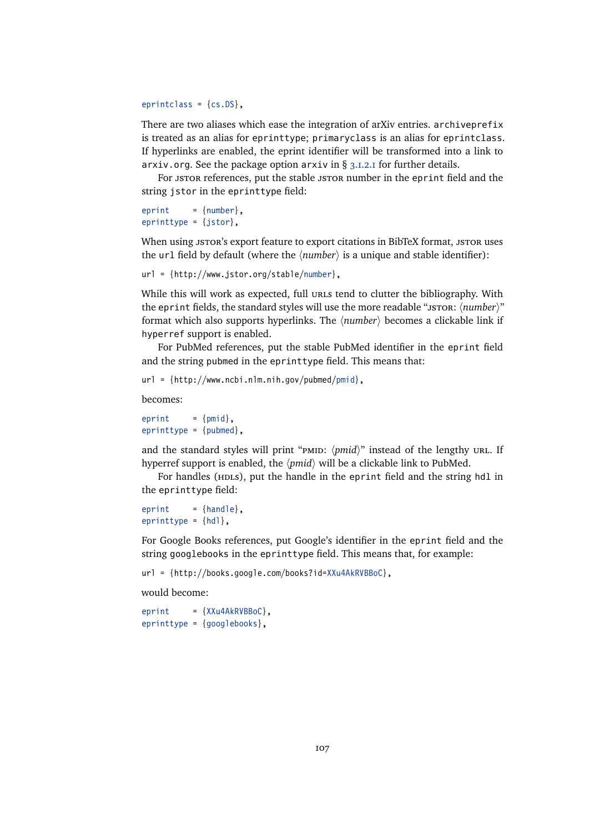eprintclass = {cs.DS},

There are two aliases which ease the integration of arXiv entries. archiveprefix is treated as an alias for eprinttype; primaryclass is an alias for eprintclass. If hyperlinks are enabled, the eprint identifier will be transformed into a link to arxiv.org. See the package option arxiv in  $\S$  [3.1.2.1](#page-43-0) for further details.

For JSTOR references, put the stable JSTOR number in the eprint field and the string jstor in the eprinttype field:

```
eprint = {number},
eprinttype = {jstor},
```
When using JSTOR's export feature to export citations in BibTeX format, JSTOR uses the url field by default (where the  $\langle number \rangle$  is a unique and stable identifier):

```
url = {http://www.jstor.org/stable/number},
```
While this will work as expected, full urles tend to clutter the bibliography. With the eprint fields, the standard styles will use the more readable "JSTOR:  $\langle number \rangle$ " format which also supports hyperlinks. The  $\langle number \rangle$  becomes a clickable link if hyperref support is enabled.

For PubMed references, put the stable PubMed identifier in the eprint field and the string pubmed in the eprinttype field. This means that:

url = {http://www.ncbi.nlm.nih.gov/pubmed/pmid},

becomes:

 $eprint = {pmid}$ .  $e$ printtype = {pubmed},

and the standard styles will print " $pmi$ " *(pmid)*" instead of the lengthy url. If hyperref support is enabled, the *(pmid)* will be a clickable link to PubMed.

For handles (HDLs), put the handle in the eprint field and the string hdl in the eprinttype field:

 $eprint = \{handle\}$ , eprinttype =  $\{hd\}$ ,

For Google Books references, put Google's identifier in the eprint field and the string googlebooks in the eprinttype field. This means that, for example:

url = {http://books.google.com/books?id=XXu4AkRVBBoC},

would become:

```
eprint = {XXu4AkRVBBoC},
eprinttype = {googlebooks},
```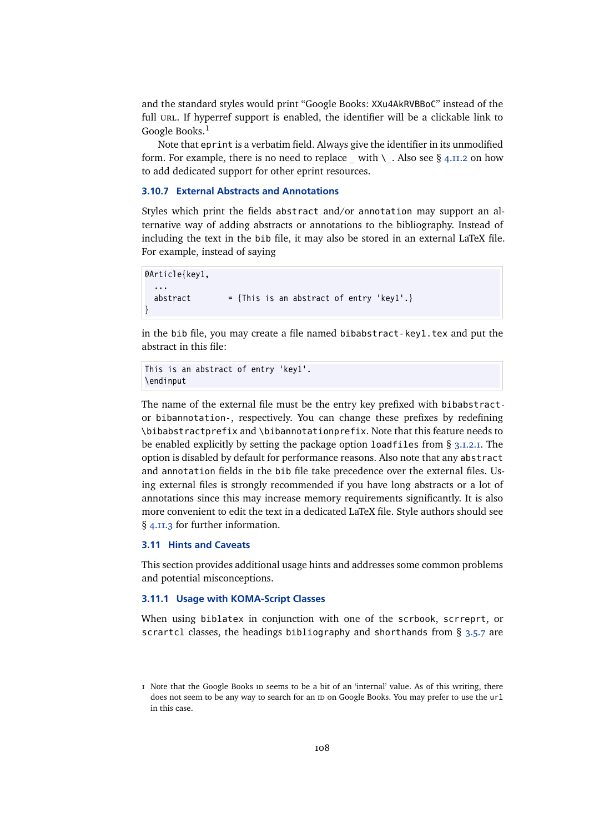<span id="page-107-0"></span>and the standard styles would print "Google Books: XXu4AkRVBBoC" instead of the full URL. If hyperref support is enabled, the identifier will be a clickable link to Google Books.<sup>1</sup>

Note that eprint is a verbatim field. Always give the identifier in its unmodified form. For example, there is no need to replace with  $\setminus$ . Also see § [4.11.2](#page-192-0) on how to add dedicated support for other eprint resources.

# **3.10.7 External Abstracts and Annotations**

Styles which print the fields abstract and/or annotation may support an alternative way of adding abstracts or annotations to the bibliography. Instead of including the text in the bib file, it may also be stored in an external LaTeX file. For example, instead of saying

```
@Article{key1,
  ...
 abstract = {This is an abstract of entry 'key1'.}}
```
in the bib file, you may create a file named bibabstract-key1.tex and put the abstract in this file:

```
This is an abstract of entry 'key1'.
\endinput
```
The name of the external file must be the entry key prefixed with bibabstractor bibannotation-, respectively. You can change these prefixes by redefining \bibabstractprefix and \bibannotationprefix. Note that this feature needs to be enabled explicitly by setting the package option loadfiles from § [3.1.2.1.](#page-43-0) The option is disabled by default for performance reasons. Also note that any abstract and annotation fields in the bib file take precedence over the external files. Using external files is strongly recommended if you have long abstracts or a lot of annotations since this may increase memory requirements significantly. It is also more convenient to edit the text in a dedicated LaTeX file. Style authors should see § [4.11.3](#page-193-0) for further information.

# **3.11 Hints and Caveats**

This section provides additional usage hints and addresses some common problems and potential misconceptions.

#### **3.11.1 Usage with KOMA-Script Classes**

When using biblatex in conjunction with one of the scrbook, scrreprt, or scrartcl classes, the headings bibliography and shorthands from § [3.5.7](#page-74-0) are

I Note that the Google Books in seems to be a bit of an 'internal' value. As of this writing, there does not seem to be any way to search for an ID on Google Books. You may prefer to use the url in this case.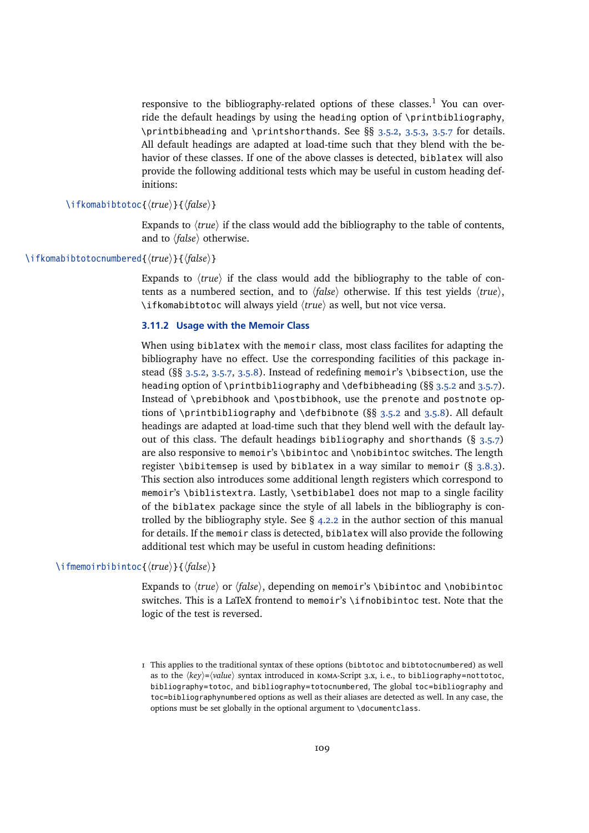responsive to the bibliography-related options of these classes.<sup>1</sup> You can override the default headings by using the heading option of \printbibliography, \printbibheading and \printshorthands. See §§ [3.5.2,](#page-68-0) [3.5.3,](#page-71-0) [3.5.7](#page-74-0) for details. All default headings are adapted at load-time such that they blend with the behavior of these classes. If one of the above classes is detected, biblatex will also provide the following additional tests which may be useful in custom heading definitions:

# \ifkomabibtotoc{ $\langle true \rangle$ }{ $\langle false \rangle$ }

Expands to  $\langle true \rangle$  if the class would add the bibliography to the table of contents, and to  $\langle false \rangle$  otherwise.

# \ifkomabibtotocnumbered{ $\langle true \rangle$ }{ $\langle false \rangle$ }

Expands to  $\langle true \rangle$  if the class would add the bibliography to the table of contents as a numbered section, and to  $\langle false \rangle$  otherwise. If this test yields  $\langle true \rangle$ , \ifkomabibtotoc will always yield  $\langle true \rangle$  as well, but not vice versa.

### **3.11.2 Usage with the Memoir Class**

When using biblatex with the memoir class, most class facilites for adapting the bibliography have no effect. Use the corresponding facilities of this package instead (§§ [3.5.2,](#page-68-0) [3.5.7,](#page-74-0) [3.5.8\)](#page-76-0). Instead of redefining memoir's \bibsection, use the heading option of \printbibliography and \defbibheading (§§ [3.5.2](#page-68-0) and [3.5.7\)](#page-74-0). Instead of \prebibhook and \postbibhook, use the prenote and postnote options of \printbibliography and \defbibnote ( $\S$ § [3.5.2](#page-68-0) and [3.5.8\)](#page-76-0). All default headings are adapted at load-time such that they blend well with the default layout of this class. The default headings bibliography and shorthands  $(§ 3.5.7)$  $(§ 3.5.7)$ are also responsive to memoir's \bibintoc and \nobibintoc switches. The length register \bibitemsep is used by biblatex in a way similar to memoir  $(\S 3.8.3)$  $(\S 3.8.3)$ . This section also introduces some additional length registers which correspond to memoir's \biblistextra. Lastly, \setbiblabel does not map to a single facility of the biblatex package since the style of all labels in the bibliography is controlled by the bibliography style. See  $\S$  [4.2.2](#page-118-0) in the author section of this manual for details. If the memoir class is detected, biblatex will also provide the following additional test which may be useful in custom heading definitions:

# \ifmemoirbibintoc{ $\langle true \rangle$ }{ $\langle false \rangle$ }

Expands to  $\langle true \rangle$  or  $\langle false \rangle$ , depending on memoir's \bibintoc and \nobibintoc switches. This is a LaTeX frontend to memoir's \ifnobibintoc test. Note that the logic of the test is reversed.

<sup>1</sup> This applies to the traditional syntax of these options (bibtotoc and bibtotocnumbered) as well as to the  $\langle key \rangle = \langle value \rangle$  syntax introduced in кома-Script 3.x, i.e., to bibliography=nottotoc, bibliography=totoc, and bibliography=totocnumbered, The global toc=bibliography and toc=bibliographynumbered options as well as their aliases are detected as well. In any case, the options must be set globally in the optional argument to \documentclass.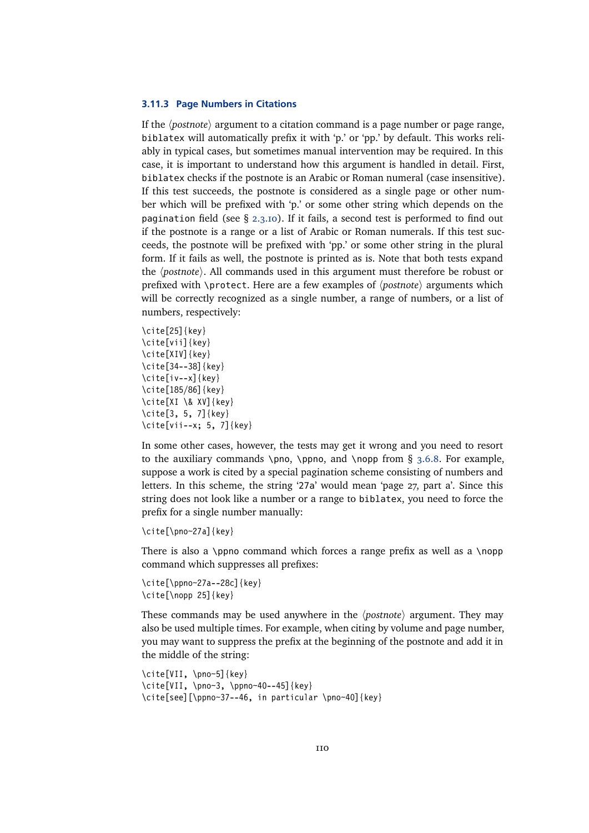## **3.11.3 Page Numbers in Citations**

If the *(postnote)* argument to a citation command is a page number or page range, biblatex will automatically prefix it with 'p.' or 'pp.' by default. This works reliably in typical cases, but sometimes manual intervention may be required. In this case, it is important to understand how this argument is handled in detail. First, biblatex checks if the postnote is an Arabic or Roman numeral (case insensitive). If this test succeeds, the postnote is considered as a single page or other number which will be prefixed with 'p.' or some other string which depends on the pagination field (see  $\S$  [2.3.10\)](#page-33-0). If it fails, a second test is performed to find out if the postnote is a range or a list of Arabic or Roman numerals. If this test succeeds, the postnote will be prefixed with 'pp.' or some other string in the plural form. If it fails as well, the postnote is printed as is. Note that both tests expand the *(postnote)*. All commands used in this argument must therefore be robust or prefixed with  $\preceq$  brotect. Here are a few examples of  $\{postnote\}$  arguments which will be correctly recognized as a single number, a range of numbers, or a list of numbers, respectively:

```
\cite[25]{key}
\cite[vii]{key}
\cite[XIV]{key}
\cite[34--38]{key}
\cite[iv--x]{key}
\cite[185/86]{key}
\cite[XI \& XV]{key}
\cite[3, 5, 7]{key}
\cite[vii--x; 5, 7]{key}
```
In some other cases, however, the tests may get it wrong and you need to resort to the auxiliary commands \pno, \ppno, and \nopp from  $\S$  [3.6.8.](#page-85-0) For example, suppose a work is cited by a special pagination scheme consisting of numbers and letters. In this scheme, the string '27a' would mean 'page 27, part a'. Since this string does not look like a number or a range to biblatex, you need to force the prefix for a single number manually:

```
\cite[\pno~27a]{key}
```
There is also a \ppno command which forces a range prefix as well as a \nopp command which suppresses all prefixes:

```
\cite[\ppno~27a--28c]{key}
\cite[\nopp 25]{key}
```
These commands may be used anywhere in the  $\langle$ *postnote* $\rangle$  argument. They may also be used multiple times. For example, when citing by volume and page number, you may want to suppress the prefix at the beginning of the postnote and add it in the middle of the string:

```
\cite[VII, \pno~5]{key}
\cite[VII, \pno~3, \ppno~40--45]{key}
\cite[see][\ppno~37--46, in particular \pno~40]{key}
```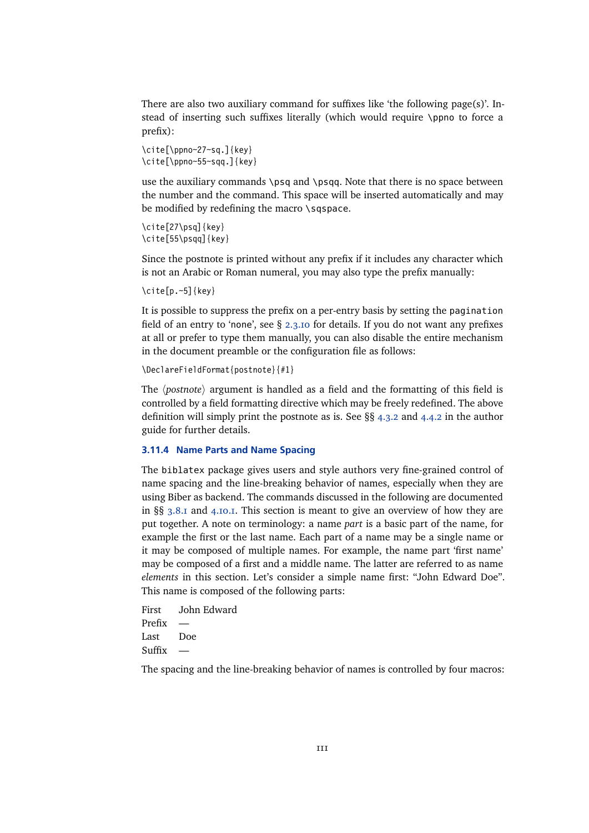<span id="page-110-0"></span>There are also two auxiliary command for suffixes like 'the following page(s)'. Instead of inserting such suffixes literally (which would require \ppno to force a prefix):

```
\cite[\ppno~27~sq.]{key}
\cite[\ppno~55~sqq.]{key}
```
use the auxiliary commands \psq and \psqq. Note that there is no space between the number and the command. This space will be inserted automatically and may be modified by redefining the macro \sqspace.

```
\cite[27\psq]{key}
\cite[55\psqq]{key}
```
Since the postnote is printed without any prefix if it includes any character which is not an Arabic or Roman numeral, you may also type the prefix manually:

\cite[p.~5]{key}

It is possible to suppress the prefix on a per-entry basis by setting the pagination field of an entry to 'none', see § [2.3.10](#page-33-0) for details. If you do not want any prefixes at all or prefer to type them manually, you can also disable the entire mechanism in the document preamble or the configuration file as follows:

```
\DeclareFieldFormat{postnote}{#1}
```
The *(postnote)* argument is handled as a field and the formatting of this field is controlled by a field formatting directive which may be freely redefined. The above definition will simply print the postnote as is. See §§ [4.3.2](#page-129-0) and [4.4.2](#page-134-0) in the author guide for further details.

# **3.11.4 Name Parts and Name Spacing**

The biblatex package gives users and style authors very fine-grained control of name spacing and the line-breaking behavior of names, especially when they are using Biber as backend. The commands discussed in the following are documented in §§ [3.8.1](#page-89-0) and [4.10.1.](#page-181-0) This section is meant to give an overview of how they are put together. A note on terminology: a name *part* is a basic part of the name, for example the first or the last name. Each part of a name may be a single name or it may be composed of multiple names. For example, the name part 'first name' may be composed of a first and a middle name. The latter are referred to as name *elements* in this section. Let's consider a simple name first: "John Edward Doe". This name is composed of the following parts:

First John Edward Prefix — Last Doe Suffix

The spacing and the line-breaking behavior of names is controlled by four macros: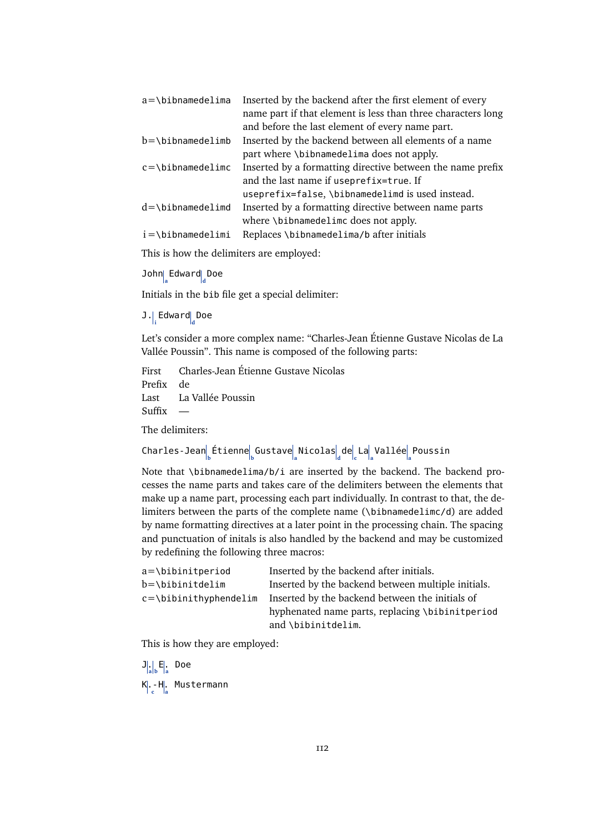| Inserted by the backend after the first element of every     |
|--------------------------------------------------------------|
| name part if that element is less than three characters long |
| and before the last element of every name part.              |
| Inserted by the backend between all elements of a name       |
| part where \bibnamedelima does not apply.                    |
| Inserted by a formatting directive between the name prefix   |
| and the last name if useprefix=true. If                      |
| useprefix=false, \bibnamedelimd is used instead.             |
| Inserted by a formatting directive between name parts        |
| where \bibnamedelimc does not apply.                         |
| Replaces \bibnamedelima/b after initials                     |
|                                                              |

This is how the delimiters are employed:

John $\int_{\text{a}}$ Edward $\int_{\text{d}}$ Doe

Initials in the bib file get a special delimiter:

J.<sub>,</sub>Edward<sub>d</sub>Doe

Let's consider a more complex name: "Charles-Jean Étienne Gustave Nicolas de La Vallée Poussin". This name is composed of the following parts:

First Charles-Jean Étienne Gustave Nicolas Prefix de Last La Vallée Poussin Suffix

The delimiters:

 $\textsf{Charles-Jean}^{\parallel}_{\textsf{b}}$ Etienne $\textsf{g}^{\parallel}_{\textsf{b}}$ Gustave $\textsf{a}^{\parallel}_{\textsf{a}}$  Nicolas $\textsf{a}^{\parallel}_{\textsf{d}}$  de $\textsf{c}^{\parallel}_{\textsf{a}}$  La $\textsf{a}^{\parallel}_{\textsf{a}}$  Vallée $\textsf{a}^{\parallel}_{\textsf{a}}$  Poussin

Note that \bibnamedelima/b/i are inserted by the backend. The backend processes the name parts and takes care of the delimiters between the elements that make up a name part, processing each part individually. In contrast to that, the delimiters between the parts of the complete name (\bibnamedelimc/d) are added by name formatting directives at a later point in the processing chain. The spacing and punctuation of initals is also handled by the backend and may be customized by redefining the following three macros:

| Inserted by the backend after initials.            |
|----------------------------------------------------|
| Inserted by the backend between multiple initials. |
| Inserted by the backend between the initials of    |
| hyphenated name parts, replacing \bibinitperiod    |
| and \bibinitdelim.                                 |
|                                                    |

This is how they are employed:

 $\left| \mathbf{J} \right|_a \left| \mathbf{F} \right|_a$ . Doe K.- **c** H. **a** Mustermann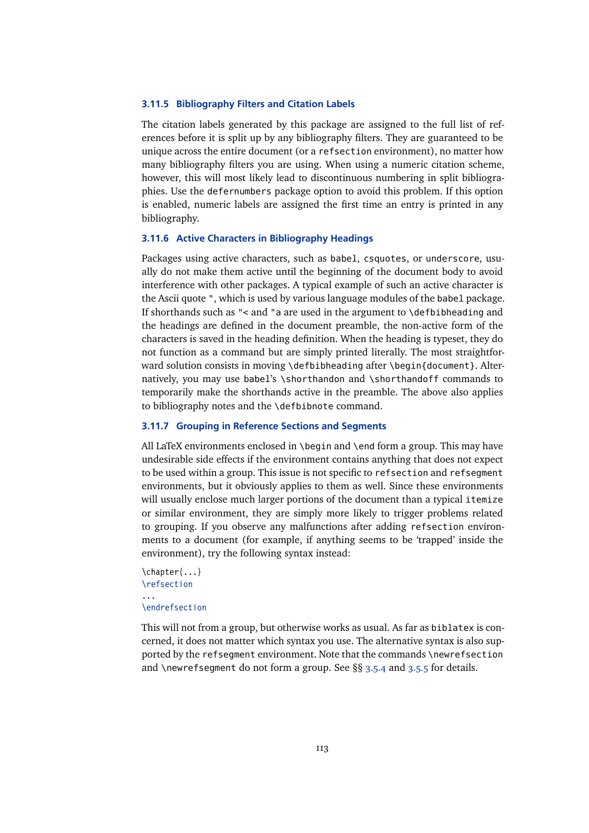## **3.11.5 Bibliography Filters and Citation Labels**

The citation labels generated by this package are assigned to the full list of references before it is split up by any bibliography filters. They are guaranteed to be unique across the entire document (or a refsection environment), no matter how many bibliography filters you are using. When using a numeric citation scheme, however, this will most likely lead to discontinuous numbering in split bibliographies. Use the defernumbers package option to avoid this problem. If this option is enabled, numeric labels are assigned the first time an entry is printed in any bibliography.

## **3.11.6 Active Characters in Bibliography Headings**

Packages using active characters, such as babel, csquotes, or underscore, usually do not make them active until the beginning of the document body to avoid interference with other packages. A typical example of such an active character is the Ascii quote ", which is used by various language modules of the babel package. If shorthands such as "< and "a are used in the argument to \defbibheading and the headings are defined in the document preamble, the non-active form of the characters is saved in the heading definition. When the heading is typeset, they do not function as a command but are simply printed literally. The most straightforward solution consists in moving \defbibheading after \begin{document}. Alternatively, you may use babel's \shorthandon and \shorthandoff commands to temporarily make the shorthands active in the preamble. The above also applies to bibliography notes and the \defbibnote command.

### **3.11.7 Grouping in Reference Sections and Segments**

All LaTeX environments enclosed in \begin and \end form a group. This may have undesirable side effects if the environment contains anything that does not expect to be used within a group. This issue is not specific to refsection and refsegment environments, but it obviously applies to them as well. Since these environments will usually enclose much larger portions of the document than a typical itemize or similar environment, they are simply more likely to trigger problems related to grouping. If you observe any malfunctions after adding refsection environments to a document (for example, if anything seems to be 'trapped' inside the environment), try the following syntax instead:

```
\chapter{...}
\refsection
...
\endrefsection
```
This will not from a group, but otherwise works as usual. As far as biblatex is concerned, it does not matter which syntax you use. The alternative syntax is also supported by the refsegment environment. Note that the commands \newrefsection and \newrefsegment do not form a group. See §§ [3.5.4](#page-72-0) and [3.5.5](#page-73-0) for details.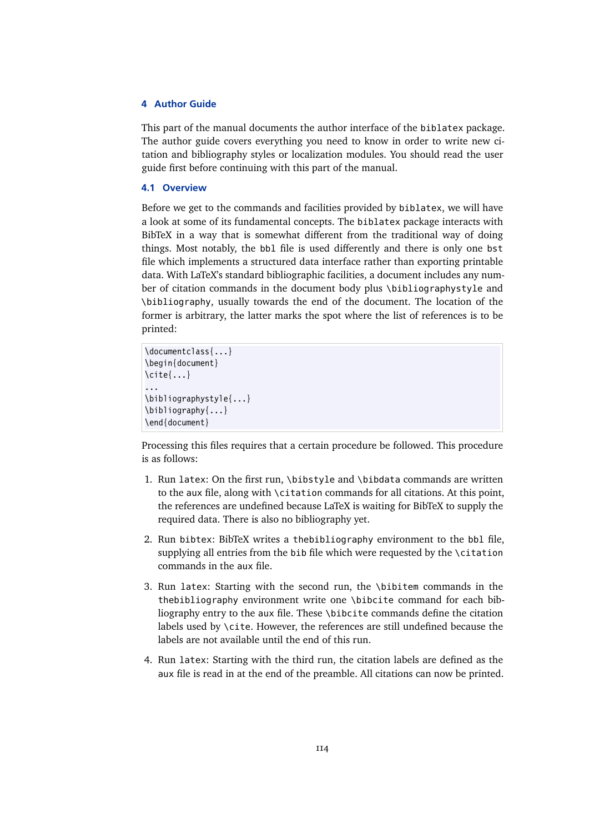# **4 Author Guide**

This part of the manual documents the author interface of the biblatex package. The author guide covers everything you need to know in order to write new citation and bibliography styles or localization modules. You should read the user guide first before continuing with this part of the manual.

## **4.1 Overview**

Before we get to the commands and facilities provided by biblatex, we will have a look at some of its fundamental concepts. The biblatex package interacts with BibTeX in a way that is somewhat different from the traditional way of doing things. Most notably, the bb1 file is used differently and there is only one bst file which implements a structured data interface rather than exporting printable data. With LaTeX's standard bibliographic facilities, a document includes any number of citation commands in the document body plus \bibliographystyle and \bibliography, usually towards the end of the document. The location of the former is arbitrary, the latter marks the spot where the list of references is to be printed:

```
\documentclass{...}
\begin{document}
\cite{...}
...
\bibliographystyle{...}
\bibliography{...}
\end{document}
```
Processing this files requires that a certain procedure be followed. This procedure is as follows:

- 1. Run latex: On the first run, \bibstyle and \bibdata commands are written to the aux file, along with \citation commands for all citations. At this point, the references are undefined because LaTeX is waiting for BibTeX to supply the required data. There is also no bibliography yet.
- 2. Run bibtex: BibTeX writes a thebibliography environment to the bbl file, supplying all entries from the bib file which were requested by the \citation commands in the aux file.
- 3. Run latex: Starting with the second run, the \bibitem commands in the thebibliography environment write one \bibcite command for each bibliography entry to the aux file. These \bibcite commands define the citation labels used by \cite. However, the references are still undefined because the labels are not available until the end of this run.
- 4. Run latex: Starting with the third run, the citation labels are defined as the aux file is read in at the end of the preamble. All citations can now be printed.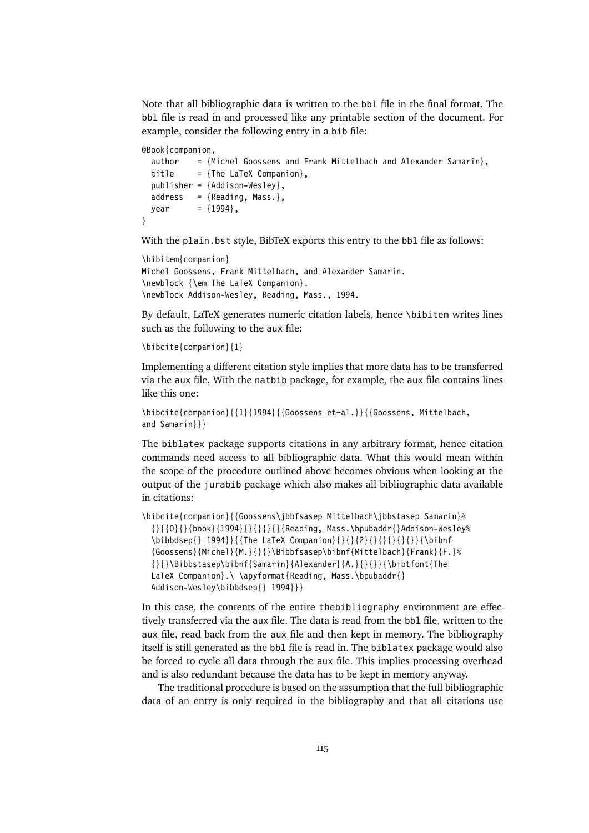Note that all bibliographic data is written to the bbl file in the final format. The bbl file is read in and processed like any printable section of the document. For example, consider the following entry in a bib file:

```
@Book{companion,
 author = {Michel Goossens and Frank Mittelbach and Alexander Samarin},
 title = {The LaTeX Companion},
 publisher = {Addison-Wesley},
 address = {Reading, Mass.},
 year = {1994},
}
```
With the plain.bst style, BibTeX exports this entry to the bbl file as follows:

```
\bibitem{companion}
Michel Goossens, Frank Mittelbach, and Alexander Samarin.
\newblock {\em The LaTeX Companion}.
\newblock Addison-Wesley, Reading, Mass., 1994.
```
By default, LaTeX generates numeric citation labels, hence \bibitem writes lines such as the following to the aux file:

\bibcite{companion}{1}

Implementing a different citation style implies that more data has to be transferred via the aux file. With the natbib package, for example, the aux file contains lines like this one:

```
\bibcite{companion}{{1}{1994}{{Goossens et~al.}}{{Goossens, Mittelbach,
and Samarin}}}
```
The biblatex package supports citations in any arbitrary format, hence citation commands need access to all bibliographic data. What this would mean within the scope of the procedure outlined above becomes obvious when looking at the output of the jurabib package which also makes all bibliographic data available in citations:

```
\bibcite{companion}{{Goossens\jbbfsasep Mittelbach\jbbstasep Samarin}%
  {\{\{0\}}{\{\{000k\}}\{1994\}}{\{\}\{\{\{\}\{\}\{Reading, Mass.\b)\}\n}\}Addison-Wesley%
  \bibbdsep{} 1994}}{{The LaTeX Companion}{}{}{2}{}{}{}{}{}}{\bibnf
  \{Goossens\}Michel\{A\}\Bibbfsasep\binf\{Mittelbach\}\frac{F.}{}{}\Bibbstasep\bibnf{Samarin}{Alexander}{A.}{}{}}{\bibtfont{The
  LaTeX Companion}.\ \apyformat{Reading, Mass.\bpubaddr{}
  Addison-Wesley\bibbdsep{} 1994}}}
```
In this case, the contents of the entire thebibliography environment are effectively transferred via the aux file. The data is read from the bbl file, written to the aux file, read back from the aux file and then kept in memory. The bibliography itself is still generated as the bbl file is read in. The biblatex package would also be forced to cycle all data through the aux file. This implies processing overhead and is also redundant because the data has to be kept in memory anyway.

The traditional procedure is based on the assumption that the full bibliographic data of an entry is only required in the bibliography and that all citations use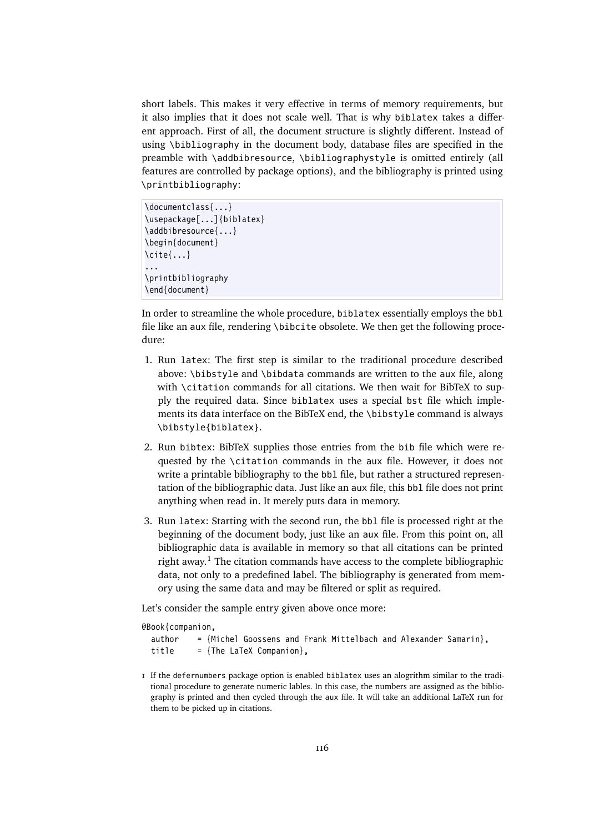short labels. This makes it very effective in terms of memory requirements, but it also implies that it does not scale well. That is why biblatex takes a different approach. First of all, the document structure is slightly different. Instead of using \bibliography in the document body, database files are specified in the preamble with \addbibresource, \bibliographystyle is omitted entirely (all features are controlled by package options), and the bibliography is printed using \printbibliography:

```
\documentclass{...}
\usepackage[...]{biblatex}
\addbibresource{...}
\begin{document}
\cite{...}
...
\printbibliography
\end{document}
```
In order to streamline the whole procedure, biblatex essentially employs the bbl file like an aux file, rendering \bibcite obsolete. We then get the following procedure:

- 1. Run latex: The first step is similar to the traditional procedure described above: \bibstyle and \bibdata commands are written to the aux file, along with \citation commands for all citations. We then wait for BibTeX to supply the required data. Since biblatex uses a special bst file which implements its data interface on the BibTeX end, the \bibstyle command is always \bibstyle{biblatex}.
- 2. Run bibtex: BibTeX supplies those entries from the bib file which were requested by the \citation commands in the aux file. However, it does not write a printable bibliography to the bbl file, but rather a structured representation of the bibliographic data. Just like an aux file, this bbl file does not print anything when read in. It merely puts data in memory.
- 3. Run latex: Starting with the second run, the bbl file is processed right at the beginning of the document body, just like an aux file. From this point on, all bibliographic data is available in memory so that all citations can be printed right away.<sup>1</sup> The citation commands have access to the complete bibliographic data, not only to a predefined label. The bibliography is generated from memory using the same data and may be filtered or split as required.

Let's consider the sample entry given above once more:

```
@Book{companion,
  author = {Michel Goossens and Frank Mittelbach and Alexander Samarin},
  title = {The LaTeX Companion},
```
1 If the defernumbers package option is enabled biblatex uses an alogrithm similar to the traditional procedure to generate numeric lables. In this case, the numbers are assigned as the bibliography is printed and then cycled through the aux file. It will take an additional LaTeX run for them to be picked up in citations.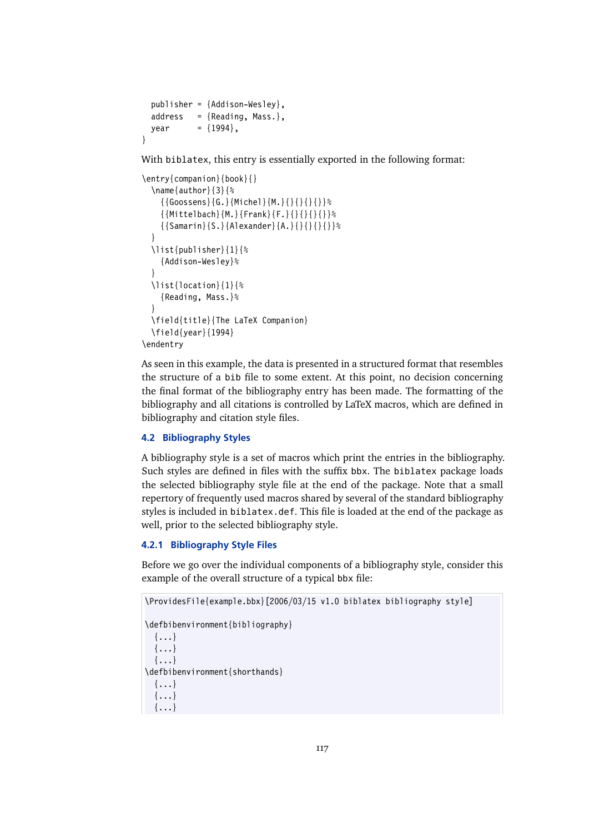```
publisher = {Addison-Wesley},
 address = {Reading, Mass.}year = {1994},}
```
With biblatex, this entry is essentially exported in the following format:

```
\entry{companion}{book}{}
  \name{author}{3}{%
     \{ {\text{Goossens}} {\text{G.}} {\text{Michel}} {\text{M.}} {\text{H}} {\text{H}} {\text{H}} {\text{H}} {\text{H}}\{ {Mittelbach} {M.} {Frank} {F.} {} {} {} } } %
     {{Samarin}{S.}{Alexander}{A.}{}{}{}{}}%
  }
  \list{publisher}{1}{%
     {Addison-Wesley}%
  }
  \list{location}{1}{%
     {Reading, Mass.}%
   }
  \field{title}{The LaTeX Companion}
  \field{year}{1994}
\endentry
```
As seen in this example, the data is presented in a structured format that resembles the structure of a bib file to some extent. At this point, no decision concerning the final format of the bibliography entry has been made. The formatting of the bibliography and all citations is controlled by LaTeX macros, which are defined in bibliography and citation style files.

## **4.2 Bibliography Styles**

A bibliography style is a set of macros which print the entries in the bibliography. Such styles are defined in files with the suffix bbx. The biblatex package loads the selected bibliography style file at the end of the package. Note that a small repertory of frequently used macros shared by several of the standard bibliography styles is included in biblatex.def. This file is loaded at the end of the package as well, prior to the selected bibliography style.

# **4.2.1 Bibliography Style Files**

Before we go over the individual components of a bibliography style, consider this example of the overall structure of a typical bbx file:

```
\ProvidesFile{example.bbx}[2006/03/15 v1.0 biblatex bibliography style]
\defbibenvironment{bibliography}
  {...}
  {...}
  {...}
\defbibenvironment{shorthands}
  {...}
  \{\ldots\}{...}
```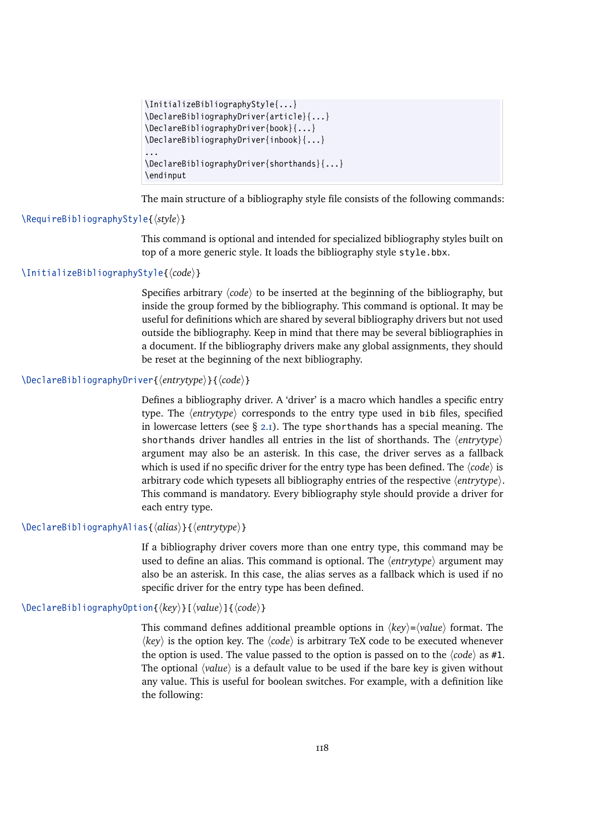```
\InitializeBibliographyStyle{...}
\DeclareBibliographyDriver{article}{...}
\DeclareBibliographyDriver{book}{...}
\DeclareBibliographyDriver{inbook}{...}
...
\DeclareBibliographyDriver{shorthands}{...}
\endinput
```
The main structure of a bibliography style file consists of the following commands:

### \RequireBibliographyStyle{ $\langle style\rangle$ <sup>}</sup>

This command is optional and intended for specialized bibliography styles built on top of a more generic style. It loads the bibliography style style.bbx.

# \InitializeBibliographyStyle{ $\langle code \rangle$ }

Specifies arbitrary  $\langle code \rangle$  to be inserted at the beginning of the bibliography, but inside the group formed by the bibliography. This command is optional. It may be useful for definitions which are shared by several bibliography drivers but not used outside the bibliography. Keep in mind that there may be several bibliographies in a document. If the bibliography drivers make any global assignments, they should be reset at the beginning of the next bibliography.

## \DeclareBibliographyDriver{*\entrytype*}}{*\code*}}

Defines a bibliography driver. A 'driver' is a macro which handles a specific entry type. The *(entrytype)* corresponds to the entry type used in bib files, specified in lowercase letters (see  $\S$  [2.1\)](#page-5-0). The type shorthands has a special meaning. The shorthands driver handles all entries in the list of shorthands. The *{entrytype}* argument may also be an asterisk. In this case, the driver serves as a fallback which is used if no specific driver for the entry type has been defined. The  $\langle code \rangle$  is arbitrary code which typesets all bibliography entries of the respective  $\langle$ *entrytype* $\rangle$ . This command is mandatory. Every bibliography style should provide a driver for each entry type.

# \DeclareBibliographyAlias{*{alias*}}{*{entrytype*}}

If a bibliography driver covers more than one entry type, this command may be used to define an alias. This command is optional. The  $\langle$ *entrytype* $\rangle$  argument may also be an asterisk. In this case, the alias serves as a fallback which is used if no specific driver for the entry type has been defined.

# \DeclareBibliographyOption{ $\langle key \rangle$ }[ $\langle value \rangle$ ]{ $\langle code \rangle$ }

This command defines additional preamble options in  $\langle key \rangle = \langle value \rangle$  format. The  $\langle key \rangle$  is the option key. The  $\langle code \rangle$  is arbitrary TeX code to be executed whenever the option is used. The value passed to the option is passed on to the  $\langle code \rangle$  as #1. The optional  $\langle value \rangle$  is a default value to be used if the bare key is given without any value. This is useful for boolean switches. For example, with a definition like the following: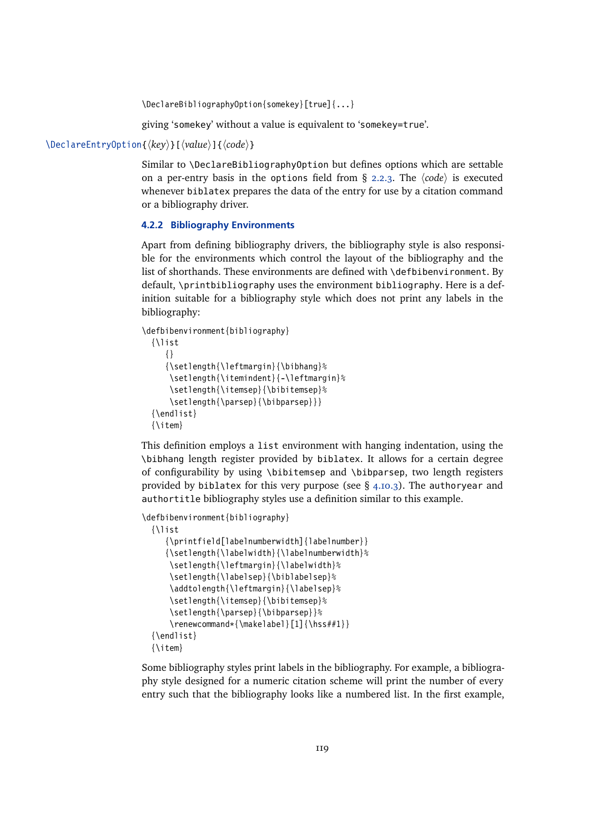\DeclareBibliographyOption{somekey}[true]{...}

giving 'somekey' without a value is equivalent to 'somekey=true'.

#### <span id="page-118-0"></span>\DeclareEntryOption{ $\langle key \rangle$ }[ $\langle value \rangle$ ]{ $\langle code \rangle$ }

Similar to \DeclareBibliographyOption but defines options which are settable on a per-entry basis in the options field from § [2.2.3.](#page-22-0) The  $\langle code \rangle$  is executed whenever biblatex prepares the data of the entry for use by a citation command or a bibliography driver.

## **4.2.2 Bibliography Environments**

Apart from defining bibliography drivers, the bibliography style is also responsible for the environments which control the layout of the bibliography and the list of shorthands. These environments are defined with \defbibenvironment. By default, \printbibliography uses the environment bibliography. Here is a definition suitable for a bibliography style which does not print any labels in the bibliography:

```
\defbibenvironment{bibliography}
  {\list
     {}
     {\setlength{\leftmargin}{\bibhang}%
      \setlength{\itemindent}{-\leftmargin}%
      \setlength{\itemsep}{\bibitemsep}%
      \setlength{\parsep}{\bibparsep}}}
  {\endlist}
  {\item}
```
This definition employs a list environment with hanging indentation, using the \bibhang length register provided by biblatex. It allows for a certain degree of configurability by using \bibitemsep and \bibparsep, two length registers provided by biblatex for this very purpose (see  $\S$  [4.10.3\)](#page-185-0). The authoryear and authortitle bibliography styles use a definition similar to this example.

```
\defbibenvironment{bibliography}
  {\list
     {\printfield[labelnumberwidth]{labelnumber}}
     {\setlength{\labelwidth}{\labelnumberwidth}%
      \setlength{\leftmargin}{\labelwidth}%
      \setlength{\labelsep}{\biblabelsep}%
      \addtolength{\leftmargin}{\labelsep}%
      \setlength{\itemsep}{\bibitemsep}%
      \setlength{\parsep}{\bibparsep}}%
      \renewcommand*{\makelabel}[1]{\hss##1}}
  {\endlist}
  {\item}
```
Some bibliography styles print labels in the bibliography. For example, a bibliography style designed for a numeric citation scheme will print the number of every entry such that the bibliography looks like a numbered list. In the first example,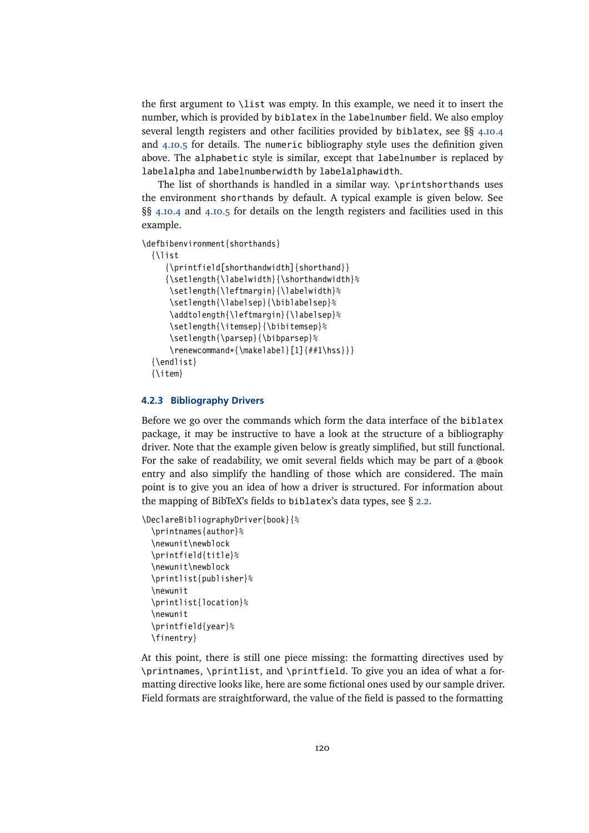the first argument to \list was empty. In this example, we need it to insert the number, which is provided by biblatex in the labelnumber field. We also employ several length registers and other facilities provided by biblatex, see §§ [4.10.4](#page-185-0) and [4.10.5](#page-188-0) for details. The numeric bibliography style uses the definition given above. The alphabetic style is similar, except that labelnumber is replaced by labelalpha and labelnumberwidth by labelalphawidth.

The list of shorthands is handled in a similar way. \printshorthands uses the environment shorthands by default. A typical example is given below. See §§ [4.10.4](#page-185-0) and [4.10.5](#page-188-0) for details on the length registers and facilities used in this example.

\defbibenvironment{shorthands}

```
{\list
  {\printfield[shorthandwidth]{shorthand}}
  {\setlength{\labelwidth}{\shorthandwidth}%
   \setlength{\leftmargin}{\labelwidth}%
   \setlength{\labelsep}{\biblabelsep}%
   \addtolength{\leftmargin}{\labelsep}%
   \setlength{\itemsep}{\bibitemsep}%
   \setlength{\parsep}{\bibparsep}%
   \renewcommand*{\makelabel}[1]{##1\hss}}}
{\endlist}
{\item}
```
#### **4.2.3 Bibliography Drivers**

Before we go over the commands which form the data interface of the biblatex package, it may be instructive to have a look at the structure of a bibliography driver. Note that the example given below is greatly simplified, but still functional. For the sake of readability, we omit several fields which may be part of a @book entry and also simplify the handling of those which are considered. The main point is to give you an idea of how a driver is structured. For information about the mapping of BibTeX's fields to biblatex's data types, see § [2.2.](#page-11-0)

```
\DeclareBibliographyDriver{book}{%
  \printnames{author}%
  \newunit\newblock
  \printfield{title}%
  \newunit\newblock
  \printlist{publisher}%
  \newunit
  \printlist{location}%
  \newunit
  \printfield{year}%
  \finentry}
```
At this point, there is still one piece missing: the formatting directives used by \printnames, \printlist, and \printfield. To give you an idea of what a formatting directive looks like, here are some fictional ones used by our sample driver. Field formats are straightforward, the value of the field is passed to the formatting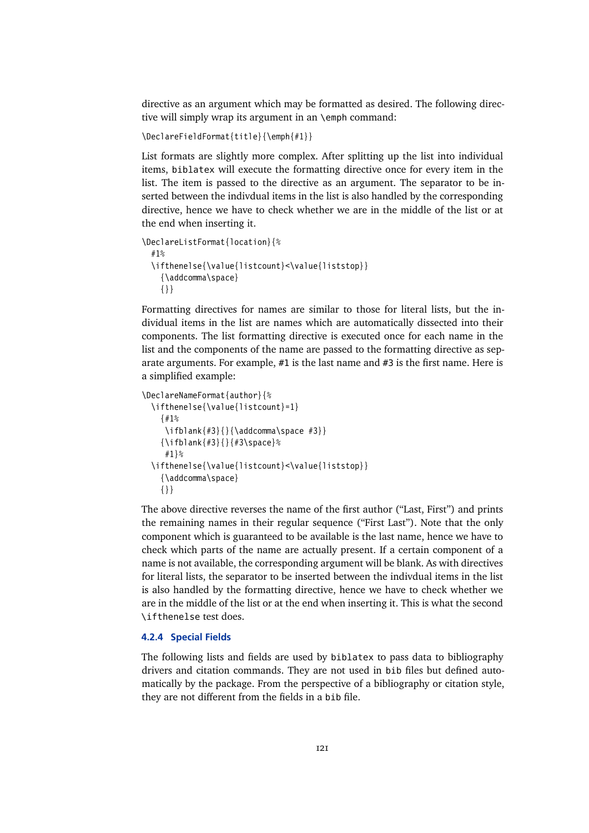<span id="page-120-0"></span>directive as an argument which may be formatted as desired. The following directive will simply wrap its argument in an \emph command:

```
\DeclareFieldFormat{title}{\emph{#1}}
```
List formats are slightly more complex. After splitting up the list into individual items, biblatex will execute the formatting directive once for every item in the list. The item is passed to the directive as an argument. The separator to be inserted between the indivdual items in the list is also handled by the corresponding directive, hence we have to check whether we are in the middle of the list or at the end when inserting it.

```
\DeclareListFormat{location}{%
  #1%
  \ifthenelse{\value{listcount}<\value{liststop}}
    {\addcomma\space}
    {}}
```
Formatting directives for names are similar to those for literal lists, but the individual items in the list are names which are automatically dissected into their components. The list formatting directive is executed once for each name in the list and the components of the name are passed to the formatting directive as separate arguments. For example, #1 is the last name and #3 is the first name. Here is a simplified example:

```
\DeclareNameFormat{author}{%
 \ifthenelse{\value{listcount}=1}
    {#1%
     \ifblank{#3}{}{\addcomma\space #3}}
    {\ifblank{#3}{}{#3\space}%
     #1}%
  \ifthenelse{\value{listcount}<\value{liststop}}
    {\addcomma\space}
    {}}
```
The above directive reverses the name of the first author ("Last, First") and prints the remaining names in their regular sequence ("First Last"). Note that the only component which is guaranteed to be available is the last name, hence we have to check which parts of the name are actually present. If a certain component of a name is not available, the corresponding argument will be blank. As with directives for literal lists, the separator to be inserted between the indivdual items in the list is also handled by the formatting directive, hence we have to check whether we are in the middle of the list or at the end when inserting it. This is what the second \ifthenelse test does.

# **4.2.4 Special Fields**

The following lists and fields are used by biblatex to pass data to bibliography drivers and citation commands. They are not used in bib files but defined automatically by the package. From the perspective of a bibliography or citation style, they are not different from the fields in a bib file.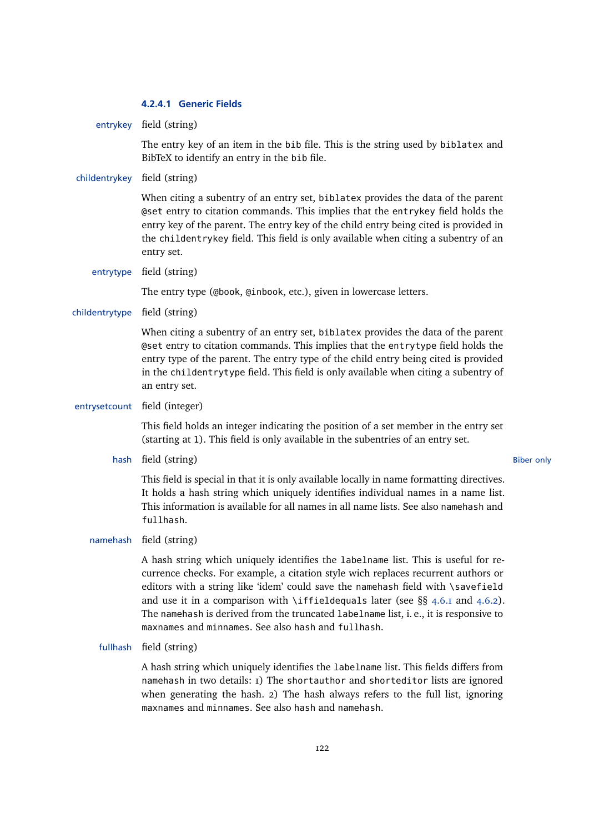# **4.2.4.1 Generic Fields**

entrykey field (string)

The entry key of an item in the bib file. This is the string used by biblatex and BibTeX to identify an entry in the bib file.

### childentrykey field (string)

When citing a subentry of an entry set, biblatex provides the data of the parent @set entry to citation commands. This implies that the entrykey field holds the entry key of the parent. The entry key of the child entry being cited is provided in the childentrykey field. This field is only available when citing a subentry of an entry set.

entrytype field (string)

The entry type (@book, @inbook, etc.), given in lowercase letters.

childentrytype field (string)

When citing a subentry of an entry set, biblatex provides the data of the parent @set entry to citation commands. This implies that the entrytype field holds the entry type of the parent. The entry type of the child entry being cited is provided in the childentrytype field. This field is only available when citing a subentry of an entry set.

entrysetcount field (integer)

This field holds an integer indicating the position of a set member in the entry set (starting at 1). This field is only available in the subentries of an entry set.

hash field (string) Biber only

This field is special in that it is only available locally in name formatting directives. It holds a hash string which uniquely identifies individual names in a name list. This information is available for all names in all name lists. See also namehash and fullhash.

namehash field (string)

A hash string which uniquely identifies the labelname list. This is useful for recurrence checks. For example, a citation style wich replaces recurrent authors or editors with a string like 'idem' could save the namehash field with \savefield and use it in a comparison with \iffieldequals later (see  $\S\S$  [4.6.1](#page-143-0) and [4.6.2\)](#page-145-0). The namehash is derived from the truncated labelname list, i. e., it is responsive to maxnames and minnames. See also hash and fullhash.

fullhash field (string)

A hash string which uniquely identifies the labelname list. This fields differs from namehash in two details: 1) The shortauthor and shorteditor lists are ignored when generating the hash. 2) The hash always refers to the full list, ignoring maxnames and minnames. See also hash and namehash.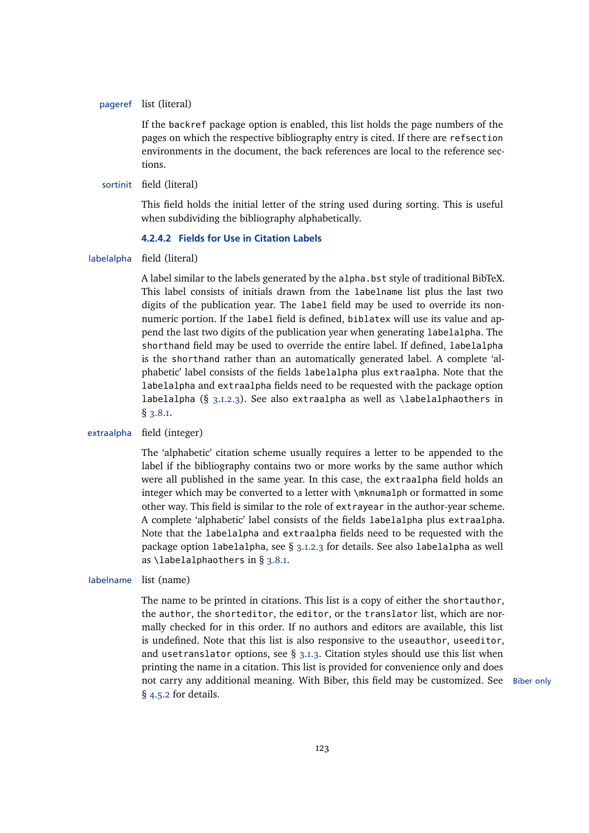### <span id="page-122-0"></span>pageref list (literal)

If the backref package option is enabled, this list holds the page numbers of the pages on which the respective bibliography entry is cited. If there are refsection environments in the document, the back references are local to the reference sections.

# sortinit field (literal)

This field holds the initial letter of the string used during sorting. This is useful when subdividing the bibliography alphabetically.

### **4.2.4.2 Fields for Use in Citation Labels**

labelalpha field (literal)

A label similar to the labels generated by the alpha.bst style of traditional BibTeX. This label consists of initials drawn from the labelname list plus the last two digits of the publication year. The label field may be used to override its nonnumeric portion. If the label field is defined, biblatex will use its value and append the last two digits of the publication year when generating labelalpha. The shorthand field may be used to override the entire label. If defined, labelalpha is the shorthand rather than an automatically generated label. A complete 'alphabetic' label consists of the fields labelalpha plus extraalpha. Note that the labelalpha and extraalpha fields need to be requested with the package option labelalpha (§ [3.1.2.3\)](#page-53-0). See also extraalpha as well as \labelalphaothers in § [3.8.1.](#page-89-0)

#### extraalpha field (integer)

The 'alphabetic' citation scheme usually requires a letter to be appended to the label if the bibliography contains two or more works by the same author which were all published in the same year. In this case, the extraalpha field holds an integer which may be converted to a letter with \mknumalph or formatted in some other way. This field is similar to the role of extrayear in the author-year scheme. A complete 'alphabetic' label consists of the fields labelalpha plus extraalpha. Note that the labelalpha and extraalpha fields need to be requested with the package option labelalpha, see § [3.1.2.3](#page-53-0) for details. See also labelalpha as well as  $\lambda$ labelalphaothers in § [3.8.1.](#page-89-0)

#### labelname list (name)

The name to be printed in citations. This list is a copy of either the shortauthor, the author, the shorteditor, the editor, or the translator list, which are normally checked for in this order. If no authors and editors are available, this list is undefined. Note that this list is also responsive to the useauthor, useeditor, and usetranslator options, see  $\S$  [3.1.3.](#page-57-0) Citation styles should use this list when printing the name in a citation. This list is provided for convenience only and does not carry any additional meaning. With Biber, this field may be customized. See Biber only § [4.5.2](#page-140-0) for details.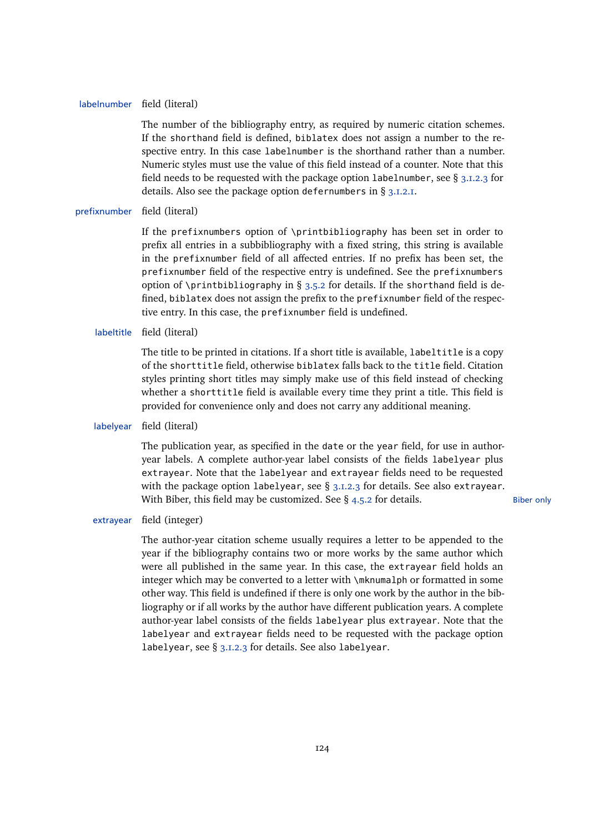#### labelnumber field (literal)

The number of the bibliography entry, as required by numeric citation schemes. If the shorthand field is defined, biblatex does not assign a number to the respective entry. In this case labelnumber is the shorthand rather than a number. Numeric styles must use the value of this field instead of a counter. Note that this field needs to be requested with the package option labelnumber, see § [3.1.2.3](#page-53-0) for details. Also see the package option defernumbers in § [3.1.2.1.](#page-43-0)

# prefixnumber field (literal)

If the prefixnumbers option of \printbibliography has been set in order to prefix all entries in a subbibliography with a fixed string, this string is available in the prefixnumber field of all affected entries. If no prefix has been set, the prefixnumber field of the respective entry is undefined. See the prefixnumbers option of \printbibliography in § [3.5.2](#page-68-0) for details. If the shorthand field is defined, biblatex does not assign the prefix to the prefixnumber field of the respective entry. In this case, the prefixnumber field is undefined.

labeltitle field (literal)

The title to be printed in citations. If a short title is available, labeltitle is a copy of the shorttitle field, otherwise biblatex falls back to the title field. Citation styles printing short titles may simply make use of this field instead of checking whether a shorttitle field is available every time they print a title. This field is provided for convenience only and does not carry any additional meaning.

labelyear field (literal)

The publication year, as specified in the date or the year field, for use in authoryear labels. A complete author-year label consists of the fields labelyear plus extrayear. Note that the labelyear and extrayear fields need to be requested with the package option labelyear, see  $\S$  [3.1.2.3](#page-53-0) for details. See also extrayear. With Biber, this field may be customized. See  $\S$  [4.5.2](#page-140-0) for details. Biber only

extrayear field (integer)

The author-year citation scheme usually requires a letter to be appended to the year if the bibliography contains two or more works by the same author which were all published in the same year. In this case, the extrayear field holds an integer which may be converted to a letter with \mknumalph or formatted in some other way. This field is undefined if there is only one work by the author in the bibliography or if all works by the author have different publication years. A complete author-year label consists of the fields labelyear plus extrayear. Note that the labelyear and extrayear fields need to be requested with the package option labelyear, see § [3.1.2.3](#page-53-0) for details. See also labelyear.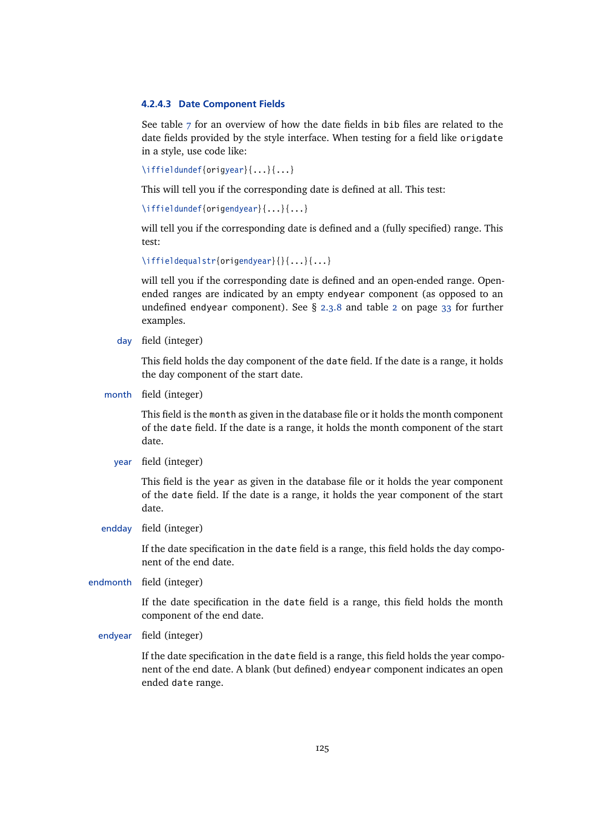#### <span id="page-124-0"></span>**4.2.4.3 Date Component Fields**

See table [7](#page-125-0) for an overview of how the date fields in bib files are related to the date fields provided by the style interface. When testing for a field like origdate in a style, use code like:

\iffieldundef{origyear}{...}{...}

This will tell you if the corresponding date is defined at all. This test:

\iffieldundef{origendyear}{...}{...}

will tell you if the corresponding date is defined and a (fully specified) range. This test:

\iffieldequalstr{origendyear}{}{...}{...}

will tell you if the corresponding date is defined and an open-ended range. Openended ranges are indicated by an empty endyear component (as opposed to an undefined endyear component). See § [2.3.8](#page-32-0) and table [2](#page-32-0) on page [33](#page-32-0) for further examples.

day field (integer)

This field holds the day component of the date field. If the date is a range, it holds the day component of the start date.

month field (integer)

This field is the month as given in the database file or it holds the month component of the date field. If the date is a range, it holds the month component of the start date.

year field (integer)

This field is the year as given in the database file or it holds the year component of the date field. If the date is a range, it holds the year component of the start date.

endday field (integer)

If the date specification in the date field is a range, this field holds the day component of the end date.

endmonth field (integer)

If the date specification in the date field is a range, this field holds the month component of the end date.

endyear field (integer)

If the date specification in the date field is a range, this field holds the year component of the end date. A blank (but defined) endyear component indicates an open ended date range.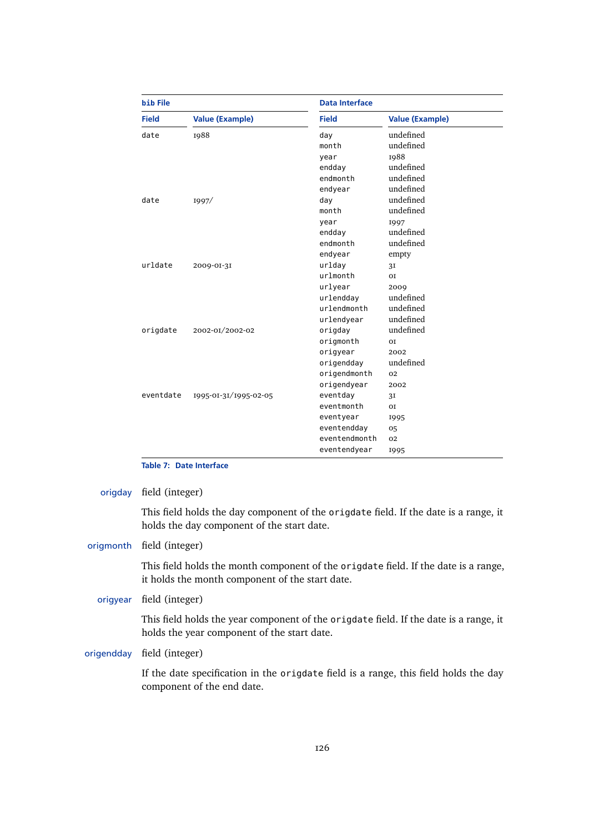<span id="page-125-0"></span>

| <b>bib File</b> |                        | <b>Data Interface</b> |                        |  |
|-----------------|------------------------|-----------------------|------------------------|--|
| <b>Field</b>    | <b>Value (Example)</b> | <b>Field</b>          | <b>Value (Example)</b> |  |
| date            | 1988                   | day                   | undefined              |  |
|                 |                        | month                 | undefined              |  |
|                 |                        | year                  | 1988                   |  |
|                 |                        | endday                | undefined              |  |
|                 |                        | endmonth              | undefined              |  |
|                 |                        | endyear               | undefined              |  |
| date            | 1997/                  | day                   | undefined              |  |
|                 |                        | month                 | undefined              |  |
|                 |                        | year                  | 1997                   |  |
|                 |                        | endday                | undefined              |  |
|                 |                        | endmonth              | undefined              |  |
|                 |                        | endyear               | empty                  |  |
| urldate         | 2009-01-31             | urlday                | 3I                     |  |
|                 |                        | urlmonth              | <b>OI</b>              |  |
|                 |                        | urlyear               | 2009                   |  |
|                 |                        | urlendday             | undefined              |  |
|                 |                        | urlendmonth           | undefined              |  |
|                 |                        | urlendyear            | undefined              |  |
| origdate        | 2002-01/2002-02        | origday               | undefined              |  |
|                 |                        | origmonth             | O <sub>T</sub>         |  |
|                 |                        | origyear              | 2002                   |  |
|                 |                        | origendday            | undefined              |  |
|                 |                        | origendmonth          | 02                     |  |
|                 |                        | origendyear           | 2002                   |  |
| eventdate       | 1995-01-31/1995-02-05  | eventday              | 3I                     |  |
|                 |                        | eventmonth            | <b>OI</b>              |  |
|                 |                        | eventyear             | 1995                   |  |
|                 |                        | eventendday           | 05                     |  |
|                 |                        | eventendmonth         | 02                     |  |
|                 |                        | eventendyear          | 1995                   |  |

# **Table 7: Date Interface**

origday field (integer)

This field holds the day component of the origdate field. If the date is a range, it holds the day component of the start date.

# origmonth field (integer)

This field holds the month component of the origdate field. If the date is a range, it holds the month component of the start date.

## origyear field (integer)

This field holds the year component of the origdate field. If the date is a range, it holds the year component of the start date.

origendday field (integer)

If the date specification in the origdate field is a range, this field holds the day component of the end date.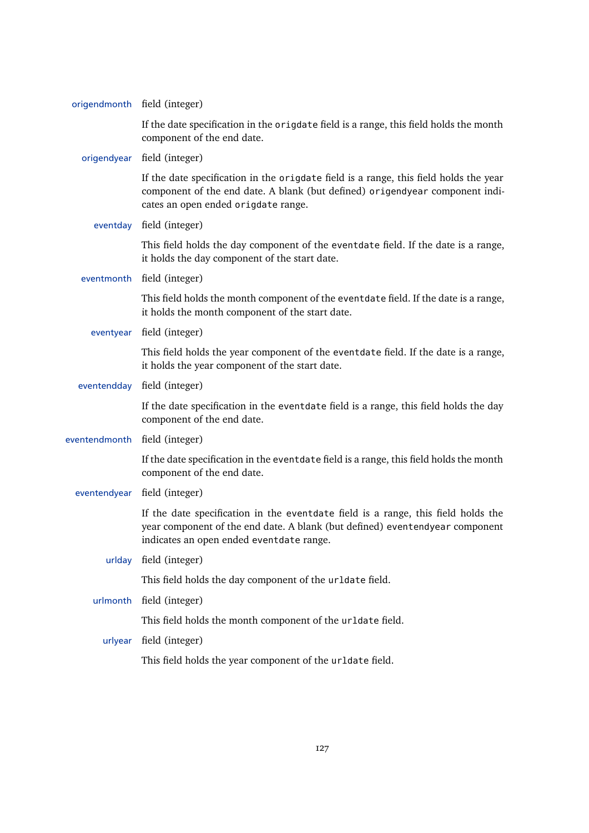|               | origendmonth field (integer)                                                                                                                                                                                  |
|---------------|---------------------------------------------------------------------------------------------------------------------------------------------------------------------------------------------------------------|
|               | If the date specification in the origdate field is a range, this field holds the month<br>component of the end date.                                                                                          |
|               | origendyear field (integer)                                                                                                                                                                                   |
|               | If the date specification in the origdate field is a range, this field holds the year<br>component of the end date. A blank (but defined) origendyear component indi-<br>cates an open ended origdate range.  |
| eventday      | field (integer)                                                                                                                                                                                               |
|               | This field holds the day component of the eventdate field. If the date is a range,<br>it holds the day component of the start date.                                                                           |
| eventmonth    | field (integer)                                                                                                                                                                                               |
|               | This field holds the month component of the eventdate field. If the date is a range,<br>it holds the month component of the start date.                                                                       |
| eventyear     | field (integer)                                                                                                                                                                                               |
|               | This field holds the year component of the eventdate field. If the date is a range,<br>it holds the year component of the start date.                                                                         |
| eventendday   | field (integer)                                                                                                                                                                                               |
|               | If the date specification in the eventdate field is a range, this field holds the day<br>component of the end date.                                                                                           |
| eventendmonth | field (integer)                                                                                                                                                                                               |
|               | If the date specification in the eventdate field is a range, this field holds the month<br>component of the end date.                                                                                         |
| eventendyear  | field (integer)                                                                                                                                                                                               |
|               | If the date specification in the eventdate field is a range, this field holds the<br>year component of the end date. A blank (but defined) eventendyear component<br>indicates an open ended eventdate range. |
| urlday        | field (integer)                                                                                                                                                                                               |
|               | This field holds the day component of the urldate field.                                                                                                                                                      |
| urlmonth      | field (integer)                                                                                                                                                                                               |
|               | This field holds the month component of the urldate field.                                                                                                                                                    |
| urlyear       | field (integer)                                                                                                                                                                                               |
|               | This field holds the year component of the urldate field.                                                                                                                                                     |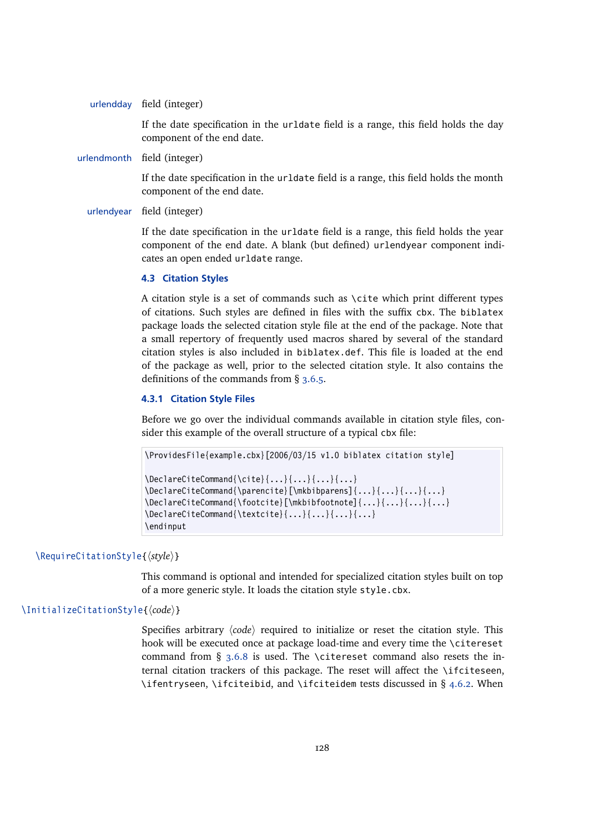urlendday field (integer)

If the date specification in the urldate field is a range, this field holds the day component of the end date.

urlendmonth field (integer)

If the date specification in the urldate field is a range, this field holds the month component of the end date.

# urlendyear field (integer)

If the date specification in the urldate field is a range, this field holds the year component of the end date. A blank (but defined) urlendyear component indicates an open ended urldate range.

# **4.3 Citation Styles**

A citation style is a set of commands such as  $\c{$ i}te which print different types of citations. Such styles are defined in files with the suffix cbx. The biblatex package loads the selected citation style file at the end of the package. Note that a small repertory of frequently used macros shared by several of the standard citation styles is also included in biblatex.def. This file is loaded at the end of the package as well, prior to the selected citation style. It also contains the definitions of the commands from § [3.6.5.](#page-82-0)

#### **4.3.1 Citation Style Files**

Before we go over the individual commands available in citation style files, consider this example of the overall structure of a typical cbx file:

```
\ProvidesFile{example.cbx}[2006/03/15 v1.0 biblatex citation style]
\Delta\{\cite{Command} {...}{...}{...}{...}}
\DeclareCiteCommand{\parencite}[\mkbibparens]{...}{...}{...}{...}
\DeclareCiteCommand{\footcite}[\mkbibfootnote]{...}{...}{...}{...}
\DeclareCiteCommand{\textcite}{...}{...}{...}{...}
\endinput
```
# \RequireCitationStyle{ $\langle style\rangle$ <sup>}</sup>

This command is optional and intended for specialized citation styles built on top of a more generic style. It loads the citation style style.cbx.

# \InitializeCitationStyle{ $\langle code \rangle$ }

Specifies arbitrary  $\langle code \rangle$  required to initialize or reset the citation style. This hook will be executed once at package load-time and every time the \citereset command from § [3.6.8](#page-85-0) is used. The \citereset command also resets the internal citation trackers of this package. The reset will affect the  $\iota$ ifciteseen, \ifentryseen, \ifciteibid, and \ifciteidem tests discussed in § [4.6.2.](#page-145-0) When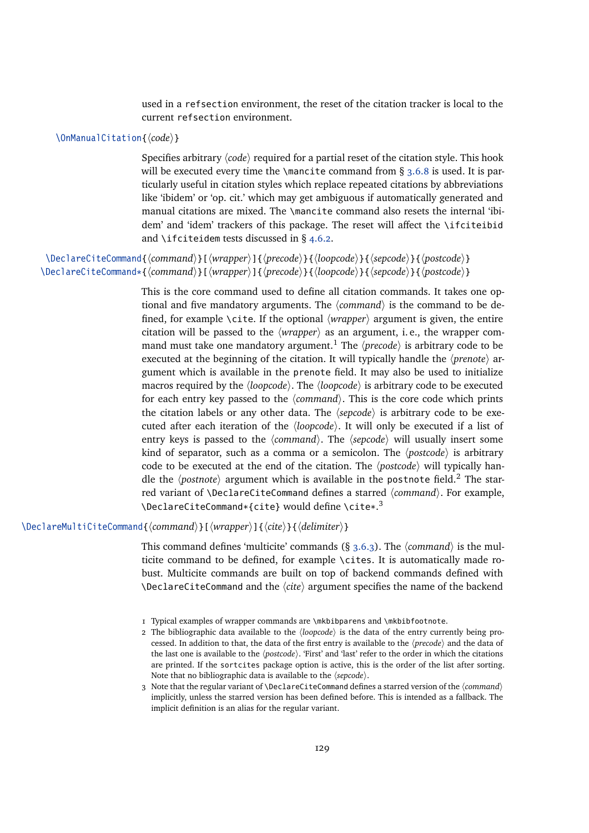used in a refsection environment, the reset of the citation tracker is local to the current refsection environment.

# \OnManualCitation{ $\langle code \rangle$ }

Specifies arbitrary  $\langle code \rangle$  required for a partial reset of the citation style. This hook will be executed every time the \mancite command from  $\S$  [3.6.8](#page-85-0) is used. It is particularly useful in citation styles which replace repeated citations by abbreviations like 'ibidem' or 'op. cit.' which may get ambiguous if automatically generated and manual citations are mixed. The \mancite command also resets the internal 'ibidem' and 'idem' trackers of this package. The reset will affect the \ifciteibid and \ifciteidem tests discussed in § [4.6.2.](#page-145-0)

\DeclareCiteCommand{*(command*)}[*\wrapper*)]{*\precode*}}{*\loopcode*}}{*\sepcode*}}{*\postcode*}} \DeclareCiteCommand\*{\*command*}}[\*wrapper*)]{\precode\}{\loopcode\}{\sepcode\}{\postcode\}

> This is the core command used to define all citation commands. It takes one optional and five mandatory arguments. The  $\langle$ *command* $\rangle$  is the command to be defined, for example \cite. If the optional  $\langle wrapper \rangle$  argument is given, the entire citation will be passed to the  $\langle wrapper \rangle$  as an argument, i. e., the wrapper command must take one mandatory argument.<sup>1</sup> The  $\langle precede \rangle$  is arbitrary code to be executed at the beginning of the citation. It will typically handle the *(prenote)* argument which is available in the prenote field. It may also be used to initialize macros required by the  $\langle loopcode\rangle$ . The  $\langle loopcode\rangle$  is arbitrary code to be executed for each entry key passed to the  $\langle command \rangle$ . This is the core code which prints the citation labels or any other data. The  $\langle$ sepcode $\rangle$  is arbitrary code to be executed after each iteration of the *(loopcode)*. It will only be executed if a list of entry keys is passed to the  $\langle command \rangle$ . The  $\langle sepcode \rangle$  will usually insert some kind of separator, such as a comma or a semicolon. The  $\langle postcode \rangle$  is arbitrary code to be executed at the end of the citation. The  $\langle$ *postcode* $\rangle$  will typically handle the  $\langle$ *postnote* $\rangle$  argument which is available in the postnote field.<sup>2</sup> The starred variant of \DeclareCiteCommand defines a starred *(command)*. For example, \DeclareCiteCommand\*{cite} would define \cite\*.<sup>3</sup>

\DeclareMultiCiteCommand{*\command*}}[ $\langle$ *vrapper*}]{ $\langle$ *cite*}}{\*delimiter*}}

This command defines 'multicite' commands  $(\S 3.6.3)$  $(\S 3.6.3)$ . The  $\langle command \rangle$  is the multicite command to be defined, for example \cites. It is automatically made robust. Multicite commands are built on top of backend commands defined with  $\Delta$ DeclareCiteCommand and the  $\langle$ *cite* $\rangle$  argument specifies the name of the backend

<sup>1</sup> Typical examples of wrapper commands are \mkbibparens and \mkbibfootnote.

<sup>2</sup> The bibliographic data available to the  $\langle loopcode \rangle$  is the data of the entry currently being processed. In addition to that, the data of the first entry is available to the  $\langle precode\rangle$  and the data of the last one is available to the  $\langle postcode \rangle$ . 'First' and 'last' refer to the order in which the citations are printed. If the sortcites package option is active, this is the order of the list after sorting. Note that no bibliographic data is available to the  $\langle$ sepcode $\rangle$ .

<sup>3</sup> Note that the regular variant of \DeclareCiteCommand defines a starred version of the  $\langle command \rangle$ implicitly, unless the starred version has been defined before. This is intended as a fallback. The implicit definition is an alias for the regular variant.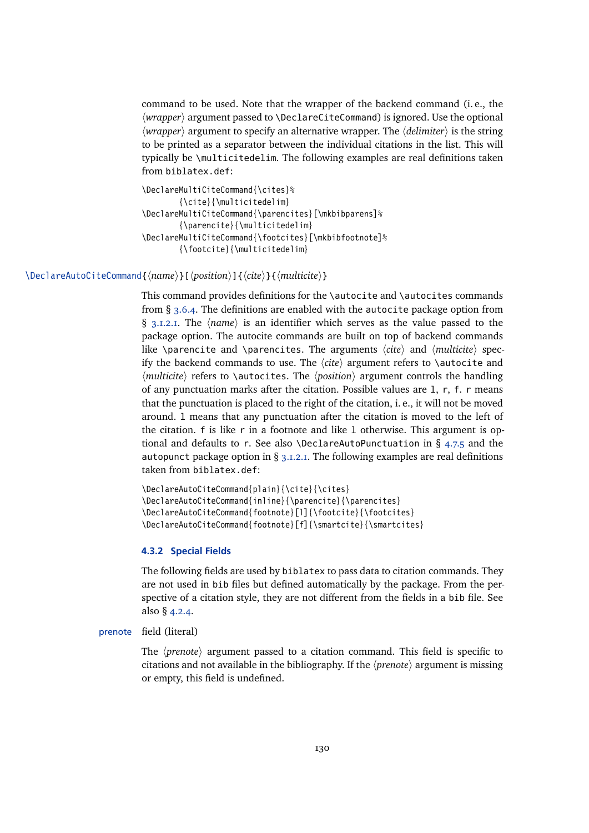<span id="page-129-0"></span>command to be used. Note that the wrapper of the backend command (i. e., the *(wrapper)* argument passed to *\DeclareCiteCommand)* is ignored. Use the optional  $\langle$ *wrapper* $\rangle$  argument to specify an alternative wrapper. The  $\langle$ *delimiter* $\rangle$  is the string to be printed as a separator between the individual citations in the list. This will typically be \multicitedelim. The following examples are real definitions taken from biblatex.def:

```
\DeclareMultiCiteCommand{\cites}%
        {\cite}{\multicitedelim}
\DeclareMultiCiteCommand{\parencites}[\mkbibparens]%
        {\parencite}{\multicitedelim}
\DeclareMultiCiteCommand{\footcites}[\mkbibfootnote]%
        {\footcite}{\multicitedelim}
```
\DeclareAutoCiteCommand{ $\langle name \rangle$ }[ $\langle position \rangle$ ]{ $\langle cite \rangle$ }{ $\langle multiple \rangle$ }

This command provides definitions for the \autocite and \autocites commands from § [3.6.4.](#page-81-0) The definitions are enabled with the autocite package option from § [3.1.2.1.](#page-43-0) The  $\langle name \rangle$  is an identifier which serves as the value passed to the package option. The autocite commands are built on top of backend commands like \parencite and \parencites. The arguments  $\langle$ *cite* $\rangle$  and  $\langle$ *multicite* $\rangle$  specify the backend commands to use. The  $\langle$ cite $\rangle$  argument refers to  $\lambda$ autocite and  $\langle$ *multicite* $\rangle$  refers to  $\langle$  autocites. The  $\langle$ *position* $\rangle$  argument controls the handling of any punctuation marks after the citation. Possible values are l, r, f. r means that the punctuation is placed to the right of the citation, i. e., it will not be moved around. l means that any punctuation after the citation is moved to the left of the citation. f is like r in a footnote and like l otherwise. This argument is optional and defaults to r. See also \DeclareAutoPunctuation in §  $4.7.5$  and the autopunct package option in  $\S$  [3.1.2.1.](#page-43-0) The following examples are real definitions taken from biblatex.def:

```
\DeclareAutoCiteCommand{plain}{\cite}{\cites}
\DeclareAutoCiteCommand{inline}{\parencite}{\parencites}
\DeclareAutoCiteCommand{footnote}[l]{\footcite}{\footcites}
\DeclareAutoCiteCommand{footnote}[f]{\smartcite}{\smartcites}
```
# **4.3.2 Special Fields**

The following fields are used by biblatex to pass data to citation commands. They are not used in bib files but defined automatically by the package. From the perspective of a citation style, they are not different from the fields in a bib file. See also § [4.2.4.](#page-120-0)

```
prenote field (literal)
```
The  $\langle$ *prenote* $\rangle$  argument passed to a citation command. This field is specific to citations and not available in the bibliography. If the  $\langle$ *prenote* $\rangle$  argument is missing or empty, this field is undefined.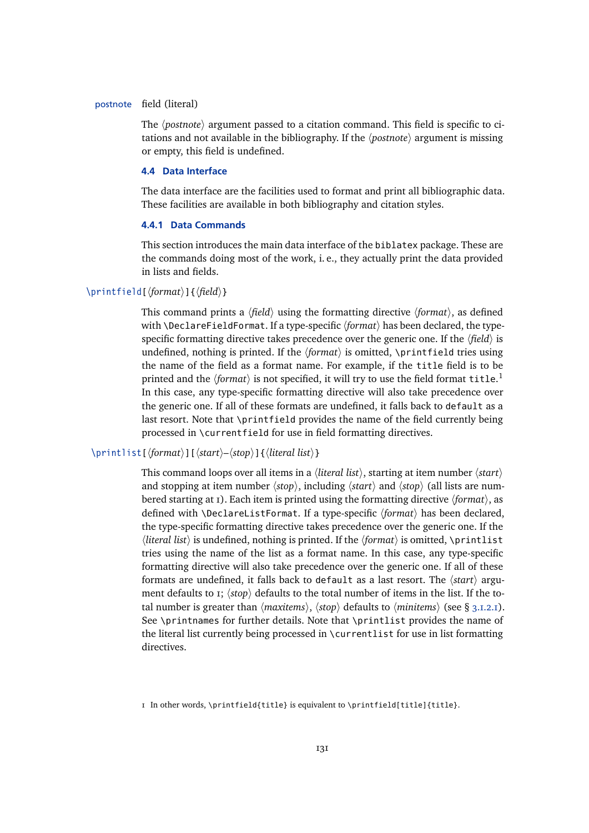#### <span id="page-130-0"></span>postnote field (literal)

The *(postnote)* argument passed to a citation command. This field is specific to citations and not available in the bibliography. If the *(postnote)* argument is missing or empty, this field is undefined.

## **4.4 Data Interface**

The data interface are the facilities used to format and print all bibliographic data. These facilities are available in both bibliography and citation styles.

## **4.4.1 Data Commands**

This section introduces the main data interface of the biblatex package. These are the commands doing most of the work, i. e., they actually print the data provided in lists and fields.

# \printfield[\*format*\]{\*field*\}

This command prints a  $\langle field \rangle$  using the formatting directive  $\langle format \rangle$ , as defined with \DeclareFieldFormat. If a type-specific  $\langle format \rangle$  has been declared, the typespecific formatting directive takes precedence over the generic one. If the  $\langle field \rangle$  is undefined, nothing is printed. If the  $\{format\}$  is omitted, \printfield tries using the name of the field as a format name. For example, if the title field is to be printed and the  $\langle format \rangle$  is not specified, it will try to use the field format  $\texttt{title}.^1$ In this case, any type-specific formatting directive will also take precedence over the generic one. If all of these formats are undefined, it falls back to default as a last resort. Note that \printfield provides the name of the field currently being processed in \currentfield for use in field formatting directives.

# \printlist[\*format*\}][\/\/start\inglefty \distart\inglefty \dist\}

This command loops over all items in a *(literal list)*, starting at item number *(start)* and stopping at item number  $\langle stop \rangle$ , including  $\langle start \rangle$  and  $\langle stop \rangle$  (all lists are numbered starting at 1). Each item is printed using the formatting directive *{format*}, as defined with *\DeclareListFormat. If a type-specific (format)* has been declared, the type-specific formatting directive takes precedence over the generic one. If the *literal list*) is undefined, nothing is printed. If the *format* is omitted,  $\partial$  is intimulated tries using the name of the list as a format name. In this case, any type-specific formatting directive will also take precedence over the generic one. If all of these formats are undefined, it falls back to default as a last resort. The  $\langle start \rangle$  argument defaults to  $r$ ;  $\langle$ stop $\rangle$  defaults to the total number of items in the list. If the total number is greater than  $\langle maxitems \rangle$ ,  $\langle stop \rangle$  defaults to  $\langle minitems \rangle$  (see § [3.1.2.1\)](#page-43-0). See \printnames for further details. Note that \printlist provides the name of the literal list currently being processed in \currentlist for use in list formatting directives.

1 In other words, \printfield{title} is equivalent to \printfield[title]{title}.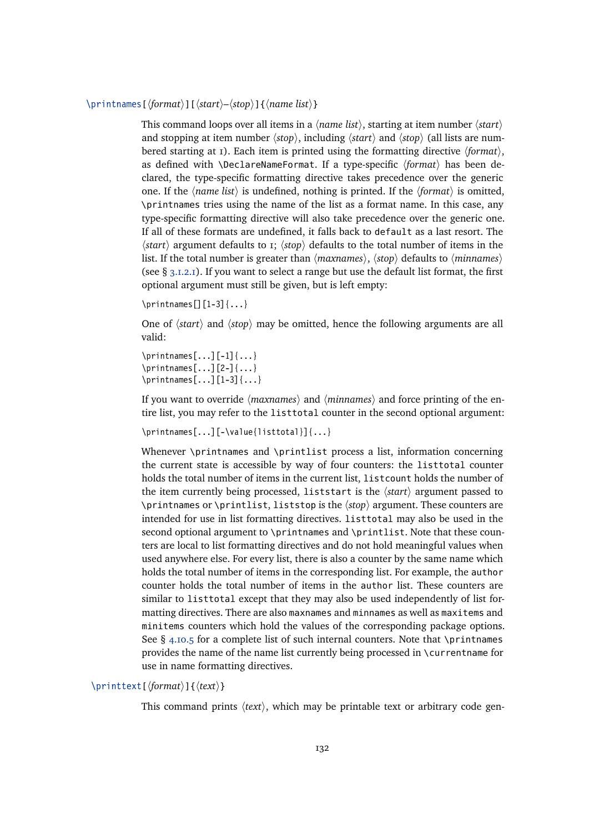\printnames[ $\langle$ format $\rangle$ ][ $\langle$ start $\rangle$ – $\langle$ stop $\rangle$ ]{ $\langle$ name list $\rangle$ }

This command loops over all items in a  $\langle$ *name list* $\rangle$ , starting at item number  $\langle$ *start* $\rangle$ and stopping at item number  $\langle stop \rangle$ , including  $\langle start \rangle$  and  $\langle stop \rangle$  (all lists are numbered starting at 1). Each item is printed using the formatting directive  $\langle format \rangle$ , as defined with \DeclareNameFormat. If a type-specific (format) has been declared, the type-specific formatting directive takes precedence over the generic one. If the  $\langle name \; list \rangle$  is undefined, nothing is printed. If the  $\langle format \rangle$  is omitted, \printnames tries using the name of the list as a format name. In this case, any type-specific formatting directive will also take precedence over the generic one. If all of these formats are undefined, it falls back to default as a last resort. The  $\langle start \rangle$  argument defaults to 1;  $\langle stop \rangle$  defaults to the total number of items in the list. If the total number is greater than  $\langle maxnames \rangle$ ,  $\langle stop \rangle$  defaults to  $\langle minnames \rangle$ (see  $\S$  [3.1.2.1\)](#page-43-0). If you want to select a range but use the default list format, the first optional argument must still be given, but is left empty:

```
\primerintnames[][1-3]\{...]
```
One of  $\langle start \rangle$  and  $\langle stop \rangle$  may be omitted, hence the following arguments are all valid:

 $\prime$ rintnames $[...][-1]{...}$  $\prime$ rintnames $[...][2-](...)$  $\prime$ rintnames $[...][1-3]{...}$ 

If you want to override  $\langle maxnames \rangle$  and  $\langle minnames \rangle$  and force printing of the entire list, you may refer to the listtotal counter in the second optional argument:

```
\printnames[...][-\value{listtotal}]{...}
```
Whenever \printnames and \printlist process a list, information concerning the current state is accessible by way of four counters: the listtotal counter holds the total number of items in the current list, listcount holds the number of the item currently being processed, liststart is the  $\langle start \rangle$  argument passed to \printnames or \printlist, liststop is the h*stop*i argument. These counters are intended for use in list formatting directives. listtotal may also be used in the second optional argument to \printnames and \printlist. Note that these counters are local to list formatting directives and do not hold meaningful values when used anywhere else. For every list, there is also a counter by the same name which holds the total number of items in the corresponding list. For example, the author counter holds the total number of items in the author list. These counters are similar to listtotal except that they may also be used independently of list formatting directives. There are also maxnames and minnames as well as maxitems and minitems counters which hold the values of the corresponding package options. See § [4.10.5](#page-188-0) for a complete list of such internal counters. Note that \printnames provides the name of the name list currently being processed in \currentname for use in name formatting directives.

# \printtext[\*format*\]{\*text*\}

This command prints  $\langle text \rangle$ , which may be printable text or arbitrary code gen-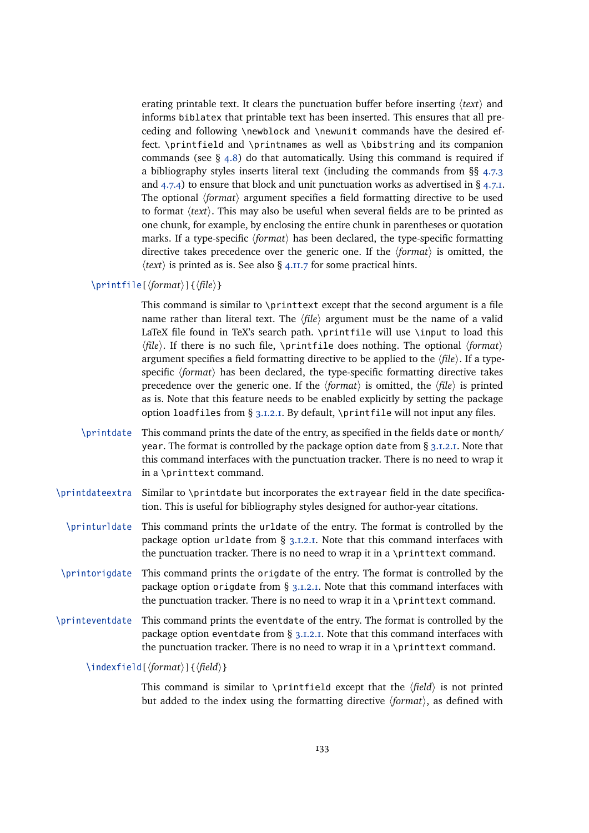erating printable text. It clears the punctuation buffer before inserting  $\langle text \rangle$  and informs biblatex that printable text has been inserted. This ensures that all preceding and following \newblock and \newunit commands have the desired effect. \printfield and \printnames as well as \bibstring and its companion commands (see  $\S$  [4.8\)](#page-168-0) do that automatically. Using this command is required if a bibliography styles inserts literal text (including the commands from §§ [4.7.3](#page-164-0) and  $(4.7.4)$  $(4.7.4)$  to ensure that block and unit punctuation works as advertised in §  $(4.7.1)$ . The optional  $\langle format \rangle$  argument specifies a field formatting directive to be used to format *(text)*. This may also be useful when several fields are to be printed as one chunk, for example, by enclosing the entire chunk in parentheses or quotation marks. If a type-specific  $\langle format \rangle$  has been declared, the type-specific formatting directive takes precedence over the generic one. If the  $\langle format \rangle$  is omitted, the  $\langle text \rangle$  is printed as is. See also § [4.11.7](#page-199-0) for some practical hints.

### $\prime$ intfile[ $\{format\}$ ]{ $\{file\}$ }

This command is similar to \printtext except that the second argument is a file name rather than literal text. The  $\langle file \rangle$  argument must be the name of a valid LaTeX file found in TeX's search path. \printfile will use \input to load this  $\langle file \rangle$ . If there is no such file, \printfile does nothing. The optional  $\langle format \rangle$ argument specifies a field formatting directive to be applied to the  $\langle$ *file* $\rangle$ . If a typespecific (format) has been declared, the type-specific formatting directive takes precedence over the generic one. If the  $\langle format \rangle$  is omitted, the  $\langle file \rangle$  is printed as is. Note that this feature needs to be enabled explicitly by setting the package option loadfiles from § [3.1.2.1.](#page-43-0) By default, \printfile will not input any files.

- \printdate This command prints the date of the entry, as specified in the fields date or month/ year. The format is controlled by the package option date from  $\S$  [3.1.2.1.](#page-43-0) Note that this command interfaces with the punctuation tracker. There is no need to wrap it in a \printtext command.
- \printdateextra Similar to \printdate but incorporates the extrayear field in the date specification. This is useful for bibliography styles designed for author-year citations.
	- \printurldate This command prints the urldate of the entry. The format is controlled by the package option urldate from § [3.1.2.1.](#page-43-0) Note that this command interfaces with the punctuation tracker. There is no need to wrap it in a \printtext command.
- \printorigdate This command prints the origdate of the entry. The format is controlled by the package option origdate from  $\S$  [3.1.2.1.](#page-43-0) Note that this command interfaces with the punctuation tracker. There is no need to wrap it in a \printtext command.
- \printeventdate This command prints the eventdate of the entry. The format is controlled by the package option eventdate from  $\S$  [3.1.2.1.](#page-43-0) Note that this command interfaces with the punctuation tracker. There is no need to wrap it in a \printtext command.

\indexfield[\*format*\]{\*field*\}

This command is similar to \printfield except that the  $\langle field \rangle$  is not printed but added to the index using the formatting directive  $\langle format \rangle$ , as defined with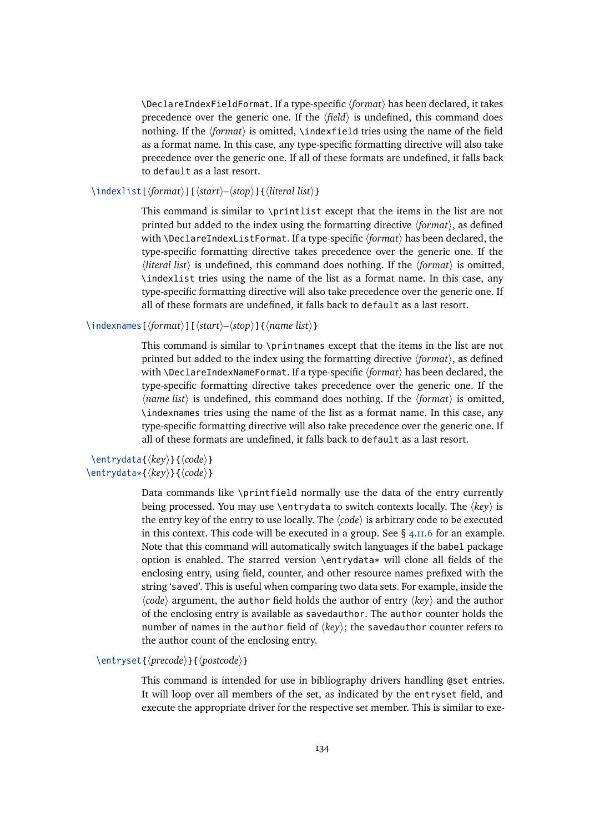\DeclareIndexFieldFormat. If a type-specific *(format)* has been declared, it takes precedence over the generic one. If the  $\langle field \rangle$  is undefined, this command does nothing. If the *(format)* is omitted, *\indexfield tries using the name of the field* as a format name. In this case, any type-specific formatting directive will also take precedence over the generic one. If all of these formats are undefined, it falls back to default as a last resort.

\indexlist[\*format*\ildextinat}][\distart\rightart\rightart\rightart\rightart\rightart\rightart\rightart\rightart\rightart\rightart\rightart\rightart\rightart\rightart\rightart\rightart\rightart\rightart\rightart\rightart

This command is similar to \printlist except that the items in the list are not printed but added to the index using the formatting directive  $\langle format \rangle$ , as defined with \DeclareIndexListFormat. If a type-specific  $\langle format \rangle$  has been declared, the type-specific formatting directive takes precedence over the generic one. If the  $\langle$ *literal list* $\rangle$  is undefined, this command does nothing. If the  $\langle$ *format* $\rangle$  is omitted, \indexlist tries using the name of the list as a format name. In this case, any type-specific formatting directive will also take precedence over the generic one. If all of these formats are undefined, it falls back to default as a last resort.

## \indexnames[h*format*i][h*start*i*–*h*stop*i]{h*name list*i}

This command is similar to \printnames except that the items in the list are not printed but added to the index using the formatting directive  $\langle format \rangle$ , as defined with \DeclareIndexNameFormat. If a type-specific  $\langle format \rangle$  has been declared, the type-specific formatting directive takes precedence over the generic one. If the  $\langle$  *name list* $\rangle$  is undefined, this command does nothing. If the  $\langle$  *format* $\rangle$  is omitted, \indexnames tries using the name of the list as a format name. In this case, any type-specific formatting directive will also take precedence over the generic one. If all of these formats are undefined, it falls back to default as a last resort.

# \entrydata{*\key*}}{*\code*}} \entrydata\*{ $\langle key \rangle$ }{ $\langle code \rangle$ }

Data commands like \printfield normally use the data of the entry currently being processed. You may use \entrydata to switch contexts locally. The  $\langle key \rangle$  is the entry key of the entry to use locally. The  $\langle code \rangle$  is arbitrary code to be executed in this context. This code will be executed in a group. See  $\S$  [4.11.6](#page-198-0) for an example. Note that this command will automatically switch languages if the babel package option is enabled. The starred version \entrydata\* will clone all fields of the enclosing entry, using field, counter, and other resource names prefixed with the string 'saved'. This is useful when comparing two data sets. For example, inside the  $\langle code \rangle$  argument, the author field holds the author of entry  $\langle key \rangle$  and the author of the enclosing entry is available as savedauthor. The author counter holds the number of names in the author field of  $\langle key \rangle$ ; the savedauthor counter refers to the author count of the enclosing entry.

# \entryset{*\precode*}}{*\postcode*}}

This command is intended for use in bibliography drivers handling @set entries. It will loop over all members of the set, as indicated by the entryset field, and execute the appropriate driver for the respective set member. This is similar to exe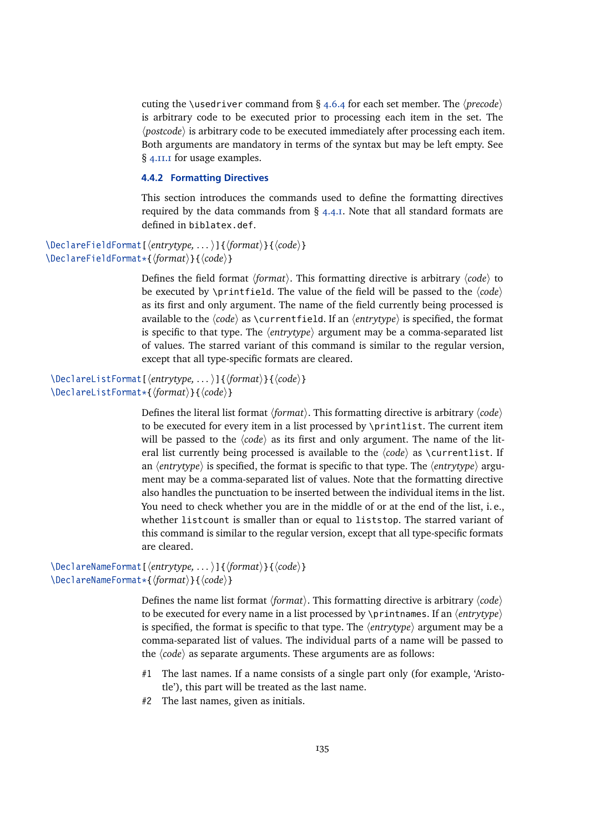<span id="page-134-0"></span>cuting the \usedriver command from  $\S$  [4.6.4](#page-154-0) for each set member. The  $\langle precede \rangle$ is arbitrary code to be executed prior to processing each item in the set. The  $\langle$ *postcode* $\rangle$  is arbitrary code to be executed immediately after processing each item. Both arguments are mandatory in terms of the syntax but may be left empty. See § [4.11.1](#page-192-0) for usage examples.

# **4.4.2 Formatting Directives**

This section introduces the commands used to define the formatting directives required by the data commands from  $\S$  [4.4.1.](#page-130-0) Note that all standard formats are defined in biblatex.def.

```
\DeclareFieldFormat[\entrytype, ... )]{\format}}{\code}}
\DeclareFieldFormat*{\format}}{\code}}
```
Defines the field format *(format)*. This formatting directive is arbitrary *(code)* to be executed by \printfield. The value of the field will be passed to the  $\langle code \rangle$ as its first and only argument. The name of the field currently being processed is available to the  $\langle code \rangle$  as  $\currentfield.$  If an  $\langle entropype \rangle$  is specified, the format is specific to that type. The  $\langle$ *entrytype* $\rangle$  argument may be a comma-separated list of values. The starred variant of this command is similar to the regular version, except that all type-specific formats are cleared.

```
\DeclareListFormat[\entrytype, ... )]{\format}}{\code}}
\DeclareListFormat*{\format}}{\code}}
```
Defines the literal list format  $\langle format \rangle$ . This formatting directive is arbitrary  $\langle code \rangle$ to be executed for every item in a list processed by \printlist. The current item will be passed to the  $\langle code \rangle$  as its first and only argument. The name of the literal list currently being processed is available to the  $\langle code \rangle$  as  $\zeta$  rentlist. If an  $\langle$ *entrytype* $\rangle$  is specified, the format is specific to that type. The  $\langle$ *entrytype* $\rangle$  argument may be a comma-separated list of values. Note that the formatting directive also handles the punctuation to be inserted between the individual items in the list. You need to check whether you are in the middle of or at the end of the list, i. e., whether listcount is smaller than or equal to liststop. The starred variant of this command is similar to the regular version, except that all type-specific formats are cleared.

```
\DeclareNameFormat[\langleentrytype,...)]{\langleformat\rangle}{\langlecode\rangle}
\DeclareNameFormat*{\format}}{\code}}
```
Defines the name list format *(format)*. This formatting directive is arbitrary *(code)* to be executed for every name in a list processed by \printnames. If an  $\langle$ *entrytype* $\rangle$ is specified, the format is specific to that type. The  $\langle$ *entrytype* $\rangle$  argument may be a comma-separated list of values. The individual parts of a name will be passed to the  $\langle code \rangle$  as separate arguments. These arguments are as follows:

- #1 The last names. If a name consists of a single part only (for example, 'Aristotle'), this part will be treated as the last name.
- #2 The last names, given as initials.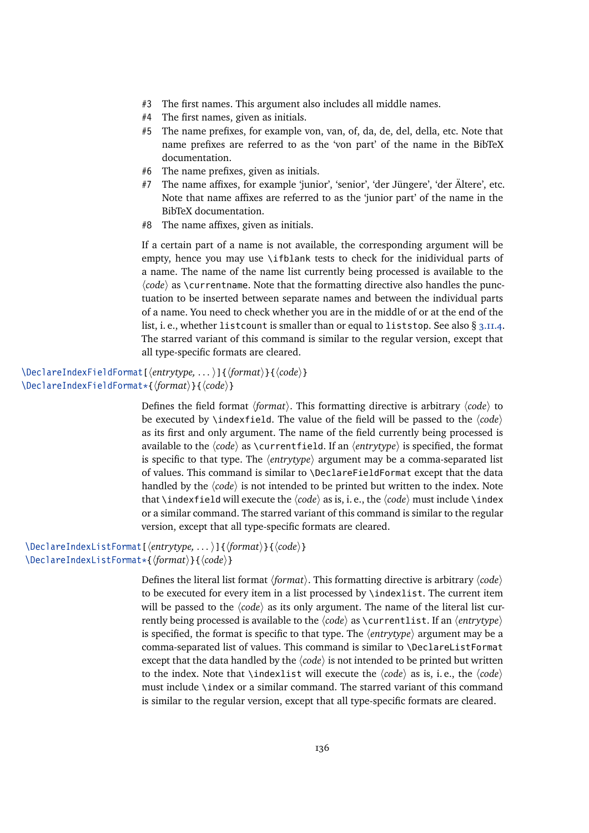- #3 The first names. This argument also includes all middle names.
- #4 The first names, given as initials.
- #5 The name prefixes, for example von, van, of, da, de, del, della, etc. Note that name prefixes are referred to as the 'von part' of the name in the BibTeX documentation.
- #6 The name prefixes, given as initials.
- #7 The name affixes, for example 'junior', 'senior', 'der Jüngere', 'der Ältere', etc. Note that name affixes are referred to as the 'junior part' of the name in the BibTeX documentation.
- $#8$  The name affixes, given as initials.

If a certain part of a name is not available, the corresponding argument will be empty, hence you may use \ifblank tests to check for the inidividual parts of a name. The name of the name list currently being processed is available to the  $\langle code \rangle$  as  $\langle currentname$ . Note that the formatting directive also handles the punctuation to be inserted between separate names and between the individual parts of a name. You need to check whether you are in the middle of or at the end of the list, i.e., whether listcount is smaller than or equal to liststop. See also § [3.11.4.](#page-110-0) The starred variant of this command is similar to the regular version, except that all type-specific formats are cleared.

```
\DeclareIndexFieldFormat[\langleentrytype,...)]{\langleformat\rangle}{\langlecode\rangle}
\DeclareIndexFieldFormat*{\format}}{\code}}
```
Defines the field format  $\langle format \rangle$ . This formatting directive is arbitrary  $\langle code \rangle$  to be executed by \indexfield. The value of the field will be passed to the  $\langle code \rangle$ as its first and only argument. The name of the field currently being processed is available to the  $\langle code \rangle$  as  $\currentfield.$  If an  $\langle entropype \rangle$  is specified, the format is specific to that type. The  $\langle$ *entrytype* $\rangle$  argument may be a comma-separated list of values. This command is similar to \DeclareFieldFormat except that the data handled by the  $\langle code \rangle$  is not intended to be printed but written to the index. Note that \indexfield will execute the  $\langle code \rangle$  as is, i. e., the  $\langle code \rangle$  must include \index or a similar command. The starred variant of this command is similar to the regular version, except that all type-specific formats are cleared.

```
\DeclareIndexListFormat[\entrytype, ... )]{\format}}{\code}}
\DeclareIndexListFormat*{\format}}{\code}}
```
Defines the literal list format  $\langle format \rangle$ . This formatting directive is arbitrary  $\langle code \rangle$ to be executed for every item in a list processed by \indexlist. The current item will be passed to the  $\langle code \rangle$  as its only argument. The name of the literal list currently being processed is available to the  $\langle code \rangle$  as  $\langle currentlist.$  If an  $\langle entrytype \rangle$ is specified, the format is specific to that type. The  $\langle$ *entrytype* $\rangle$  argument may be a comma-separated list of values. This command is similar to \DeclareListFormat except that the data handled by the  $\langle code \rangle$  is not intended to be printed but written to the index. Note that  $\ind$ exlist will execute the  $\langle code \rangle$  as is, i. e., the  $\langle code \rangle$ must include \index or a similar command. The starred variant of this command is similar to the regular version, except that all type-specific formats are cleared.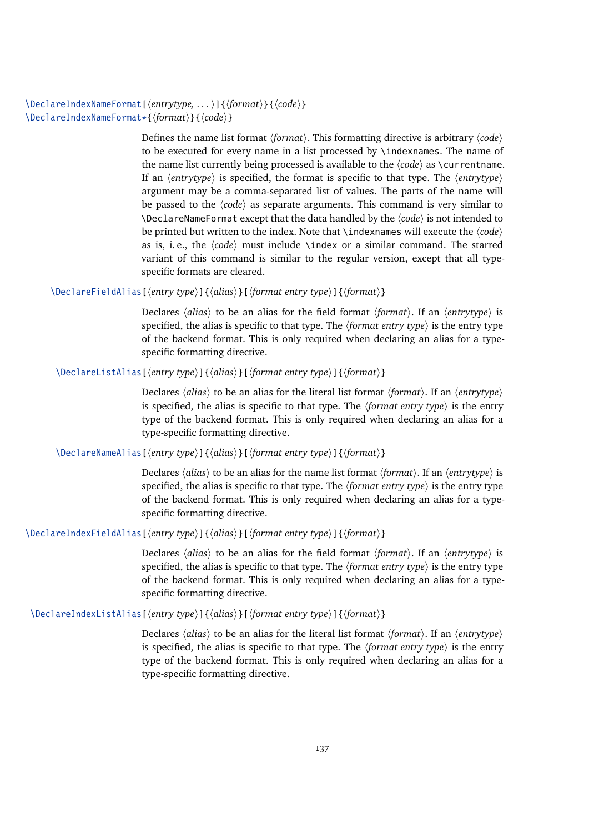\DeclareIndexNameFormat[ $\langle$ *entrytype,...*)]{ $\langle$ *format*)}{ $\langle$ *code*}} \DeclareIndexNameFormat\*{\*format*}}{\*code*}}

> Defines the name list format *(format)*. This formatting directive is arbitrary *(code)* to be executed for every name in a list processed by \indexnames. The name of the name list currently being processed is available to the  $\langle code \rangle$  as  $\zeta$ If an  $\langle$ *entrytype* $\rangle$  is specified, the format is specific to that type. The  $\langle$ *entrytype* $\rangle$ argument may be a comma-separated list of values. The parts of the name will be passed to the *(code)* as separate arguments. This command is very similar to  $\Delta$ DeclareNameFormat except that the data handled by the  $\langle code \rangle$  is not intended to be printed but written to the index. Note that  $\iota$  indexnames will execute the  $\langle code \rangle$ as is, i.e., the  $\langle code \rangle$  must include  $\langle$  or a similar command. The starred variant of this command is similar to the regular version, except that all typespecific formats are cleared.

\DeclareFieldAlias[ $\langle$ *entry type* $\rangle$ ]{ $\langle$ *alias* $\rangle$ }[ $\langle$ *format entry type* $\rangle$ ]{ $\langle$ *format* $\rangle$ }

Declares  $\langle \textit{alias} \rangle$  to be an alias for the field format  $\langle \textit{format} \rangle$ . If an  $\langle \textit{entrytype} \rangle$  is specified, the alias is specific to that type. The  $\langle$  *format entry type* $\rangle$  is the entry type of the backend format. This is only required when declaring an alias for a typespecific formatting directive.

\DeclareListAlias[ $\langle entry type \rangle$ ]{ $\langle alias \rangle$ }[*format entry type*}]{ $\langle format \rangle$ }

Declares  $\langle alias \rangle$  to be an alias for the literal list format  $\langle format \rangle$ . If an  $\langle entrytype \rangle$ is specified, the alias is specific to that type. The  $\langle$  *format entry type* $\rangle$  is the entry type of the backend format. This is only required when declaring an alias for a type-specific formatting directive.

\DeclareNameAlias[ $\langle$ *entry type*)]{ $\langle$ *alias*}}[ $\langle$ *format entry type*)]{ $\langle$ *format* $\rangle$ }

Declares *(alias)* to be an alias for the name list format *(format)*. If an *(entrytype)* is specified, the alias is specific to that type. The  $\langle$  *format entry type* $\rangle$  is the entry type of the backend format. This is only required when declaring an alias for a typespecific formatting directive.

\DeclareIndexFieldAlias[\/\/entry type\]{\/dias\displanetizing type\]{\/format\}

Declares  $\langle alias \rangle$  to be an alias for the field format  $\langle format \rangle$ . If an  $\langle entrytype \rangle$  is specified, the alias is specific to that type. The  $\langle$  *format entry type* $\rangle$  is the entry type of the backend format. This is only required when declaring an alias for a typespecific formatting directive.

\DeclareIndexListAlias[ $\{entry type\}$ ]{ $\{alias\}$ [ $\{format entry type\}$ ]{ $\{format\}$ }

Declares *(alias)* to be an alias for the literal list format *(format)*. If an *(entrytype)* is specified, the alias is specific to that type. The  $\langle$  *format entry type* $\rangle$  is the entry type of the backend format. This is only required when declaring an alias for a type-specific formatting directive.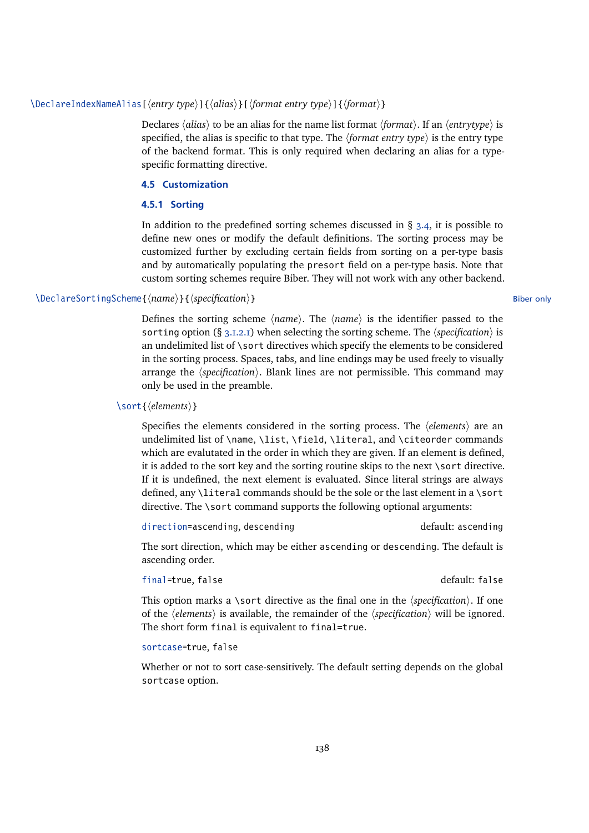# \DeclareIndexNameAlias[ $\{entry type\}$ ]{ $\{alias\}$ [ $\{format entry type\}$ ]{ $\{format\}$ }

Declares *(alias)* to be an alias for the name list format *(format)*. If an *(entrytype)* is specified, the alias is specific to that type. The  $\langle$  *format entry type* $\rangle$  is the entry type of the backend format. This is only required when declaring an alias for a typespecific formatting directive.

# **4.5 Customization**

## **4.5.1 Sorting**

In addition to the predefined sorting schemes discussed in  $\S$  [3.4,](#page-66-0) it is possible to define new ones or modify the default definitions. The sorting process may be customized further by excluding certain fields from sorting on a per-type basis and by automatically populating the presort field on a per-type basis. Note that custom sorting schemes require Biber. They will not work with any other backend.

# \DeclareSortingScheme{/*name*}}{/specification}} Biber only

Defines the sorting scheme  $\langle name \rangle$ . The  $\langle name \rangle$  is the identifier passed to the sorting option (§ [3.1.2.1\)](#page-43-0) when selecting the sorting scheme. The *specification*) is an undelimited list of \sort directives which specify the elements to be considered in the sorting process. Spaces, tabs, and line endings may be used freely to visually arrange the  $\langle specification \rangle$ . Blank lines are not permissible. This command may only be used in the preamble.

# \sort{*\elements*}}

Specifies the elements considered in the sorting process. The  $\langle$  *elements* $\rangle$  are an undelimited list of \name, \list, \field, \literal, and \citeorder commands which are evalutated in the order in which they are given. If an element is defined, it is added to the sort key and the sorting routine skips to the next \sort directive. If it is undefined, the next element is evaluated. Since literal strings are always defined, any \literal commands should be the sole or the last element in a \sort directive. The \sort command supports the following optional arguments:

direction=ascending, descending default: ascending

The sort direction, which may be either ascending or descending. The default is ascending order.

# final=true, false default: false

This option marks a \sort directive as the final one in the  $\langle specification \rangle$ . If one of the *(elements)* is available, the remainder of the *(specification)* will be ignored. The short form final is equivalent to final=true.

# sortcase=true, false

Whether or not to sort case-sensitively. The default setting depends on the global sortcase option.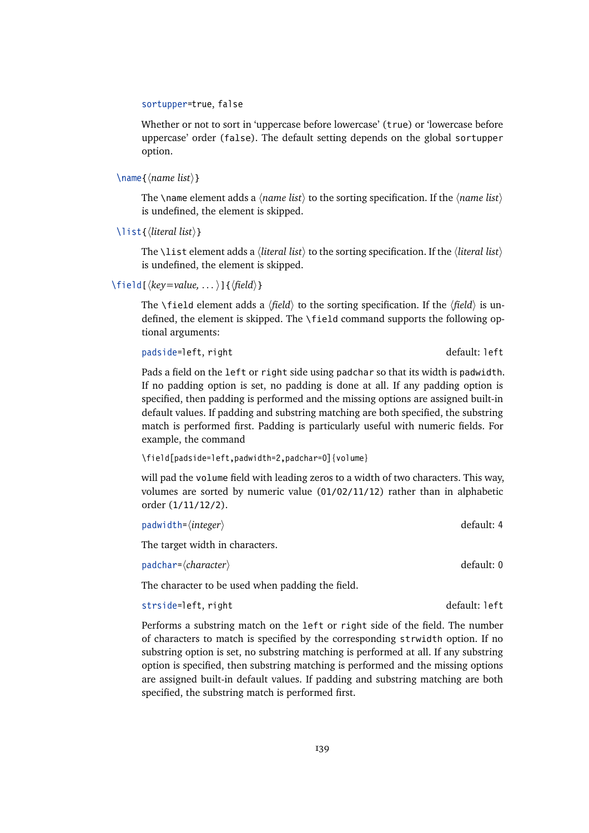#### sortupper=true, false

Whether or not to sort in 'uppercase before lowercase' (true) or 'lowercase before uppercase' order (false). The default setting depends on the global sortupper option.

 $\langle$  name { $\langle$ *name list*}}

The \name element adds a  $\langle name \; list \rangle$  to the sorting specification. If the  $\langle name \; list \rangle$ is undefined, the element is skipped.

\list{h*literal list*i}

The \list element adds a  $\langle$ *literal list* $\rangle$  to the sorting specification. If the  $\langle$ *literal list* $\rangle$ is undefined, the element is skipped.

 $\left\{ \frac{key=value, \ldots}{\left\{ \frac{field}{}\right\} } \right\}$ 

The \field element adds a  $\langle field \rangle$  to the sorting specification. If the  $\langle field \rangle$  is undefined, the element is skipped. The \field command supports the following optional arguments:

padside=left, right default: left

Pads a field on the left or right side using padchar so that its width is padwidth. If no padding option is set, no padding is done at all. If any padding option is specified, then padding is performed and the missing options are assigned built-in default values. If padding and substring matching are both specified, the substring match is performed first. Padding is particularly useful with numeric fields. For example, the command

\field[padside=left,padwidth=2,padchar=0]{volume}

will pad the volume field with leading zeros to a width of two characters. This way, volumes are sorted by numeric value (01/02/11/12) rather than in alphabetic order (1/11/12/2).

| $padwidth = \langle integer \rangle$ | default: 4 |
|--------------------------------------|------------|
| The target width in characters.      |            |
| $padchar=\langle character \rangle$  | default: 0 |

The character to be used when padding the field.

strside=left, right default: left

Performs a substring match on the left or right side of the field. The number of characters to match is specified by the corresponding strwidth option. If no substring option is set, no substring matching is performed at all. If any substring option is specified, then substring matching is performed and the missing options are assigned built-in default values. If padding and substring matching are both specified, the substring match is performed first.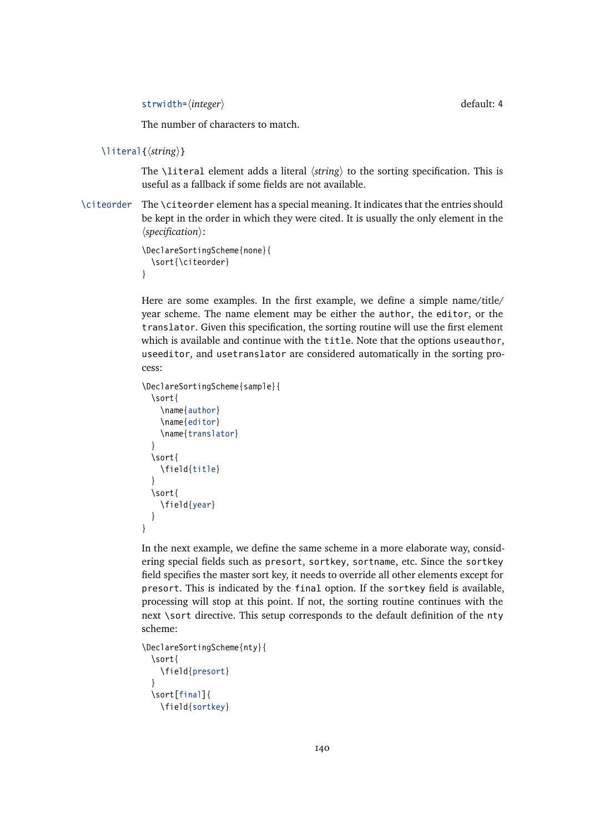strwidth=(*integer*) default: 4

The number of characters to match.

```
\literal{(string)}
```
The \literal element adds a literal  $\langle$ *string* $\rangle$  to the sorting specification. This is useful as a fallback if some fields are not available.

\citeorder The \citeorder element has a special meaning. It indicates that the entries should be kept in the order in which they were cited. It is usually the only element in the  $\langle specification \rangle$ :

```
\DeclareSortingScheme{none}{
  \sort{\citeorder}
}
```
Here are some examples. In the first example, we define a simple name/title/ year scheme. The name element may be either the author, the editor, or the translator. Given this specification, the sorting routine will use the first element which is available and continue with the title. Note that the options useauthor, useeditor, and usetranslator are considered automatically in the sorting process:

```
\DeclareSortingScheme{sample}{
  \sort{
    \name{author}
    \name{editor}
    \name{translator}
  }
  \sort{
    \field{title}
  }
  \sort{
    \field{year}
  }
}
```
In the next example, we define the same scheme in a more elaborate way, considering special fields such as presort, sortkey, sortname, etc. Since the sortkey field specifies the master sort key, it needs to override all other elements except for presort. This is indicated by the final option. If the sortkey field is available, processing will stop at this point. If not, the sorting routine continues with the next \sort directive. This setup corresponds to the default definition of the nty scheme:

```
\DeclareSortingScheme{nty}{
  \sort{
    \field{presort}
  }
  \sort[final]{
    \field{sortkey}
```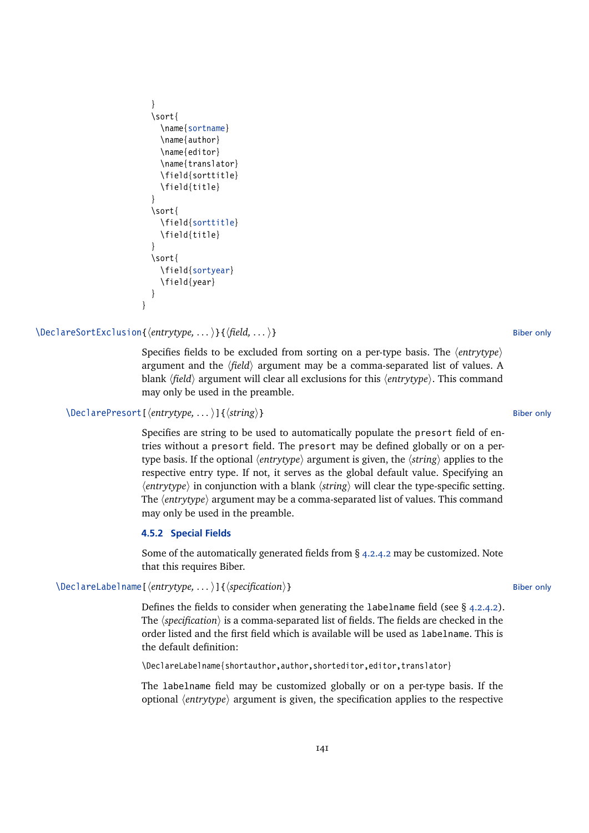```
}
  \sort{
    \name{sortname}
    \name{author}
    \name{editor}
    \name{translator}
    \field{sorttitle}
    \field{title}
  }
  \sort{
    \field{sorttitle}
    \field{title}
  }
  \sort{
    \field{sortyear}
    \field{year}
  }
}
```
# \DeclareSortExclusion{*\entrytype,...*)}{*\field,...*)} Biber only

Specifies fields to be excluded from sorting on a per-type basis. The *{entrytype}* argument and the  $\langle field \rangle$  argument may be a comma-separated list of values. A blank *(field*) argument will clear all exclusions for this *(entrytype)*. This command may only be used in the preamble.

```
\DeclarePresort[\entrytype, ... )]{\string}} Biber only
```
Specifies are string to be used to automatically populate the presort field of entries without a presort field. The presort may be defined globally or on a pertype basis. If the optional  $\langle$ *entrytype* $\rangle$  argument is given, the  $\langle$ *string* $\rangle$  applies to the respective entry type. If not, it serves as the global default value. Specifying an  $\langle$ *entrytype* $\rangle$  in conjunction with a blank  $\langle$ *string* $\rangle$  will clear the type-specific setting. The *(entrytype)* argument may be a comma-separated list of values. This command may only be used in the preamble.

#### **4.5.2 Special Fields**

Some of the automatically generated fields from § [4.2.4.2](#page-122-0) may be customized. Note that this requires Biber.

# \DeclareLabelname[ $\langle$ *entrytype,...*)]{ $\langle \text{specification} \rangle$ } Biber only

Defines the fields to consider when generating the labelname field (see  $\S$  [4.2.4.2\)](#page-122-0). The  $\langle \text{specification} \rangle$  is a comma-separated list of fields. The fields are checked in the order listed and the first field which is available will be used as labelname. This is the default definition:

\DeclareLabelname{shortauthor,author,shorteditor,editor,translator}

The labelname field may be customized globally or on a per-type basis. If the optional  $\langle$ *entrytype* $\rangle$  argument is given, the specification applies to the respective

#### 141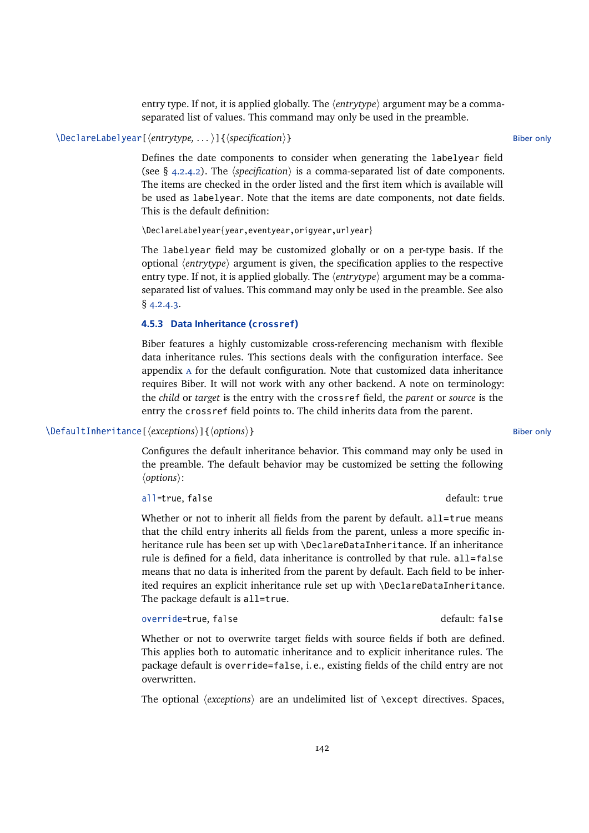entry type. If not, it is applied globally. The  $\langle$ *entrytype* $\rangle$  argument may be a commaseparated list of values. This command may only be used in the preamble.

# \DeclareLabelyear[\*entrytype, ...* )]{\*specification*}} Biber only

Defines the date components to consider when generating the labelyear field (see  $\S$  [4.2.4.2\)](#page-122-0). The *(specification)* is a comma-separated list of date components. The items are checked in the order listed and the first item which is available will be used as labelyear. Note that the items are date components, not date fields. This is the default definition:

\DeclareLabelyear{year,eventyear,origyear,urlyear}

The labelyear field may be customized globally or on a per-type basis. If the optional  $\langle$ *entrytype* $\rangle$  argument is given, the specification applies to the respective entry type. If not, it is applied globally. The  $\langle$ *entrytype* $\rangle$  argument may be a commaseparated list of values. This command may only be used in the preamble. See also § [4.2.4.3.](#page-124-0)

# **4.5.3 Data Inheritance (crossref)**

Biber features a highly customizable cross-referencing mechanism with flexible data inheritance rules. This sections deals with the configuration interface. See appendix [a](#page-206-0) for the default configuration. Note that customized data inheritance requires Biber. It will not work with any other backend. A note on terminology: the *child* or *target* is the entry with the crossref field, the *parent* or *source* is the entry the crossref field points to. The child inherits data from the parent.

## \DefaultInheritance[ $\langle$ *exceptions*}]{ $\langle$ *options*}} Biber only

Configures the default inheritance behavior. This command may only be used in the preamble. The default behavior may be customized be setting the following  $\langle options\rangle$ :

all=true, false default: true

Whether or not to inherit all fields from the parent by default,  $all = true$  means that the child entry inherits all fields from the parent, unless a more specific inheritance rule has been set up with \DeclareDataInheritance. If an inheritance rule is defined for a field, data inheritance is controlled by that rule. all=false means that no data is inherited from the parent by default. Each field to be inherited requires an explicit inheritance rule set up with \DeclareDataInheritance. The package default is all=true.

#### override=true, false default: false

Whether or not to overwrite target fields with source fields if both are defined. This applies both to automatic inheritance and to explicit inheritance rules. The package default is override=false, i. e., existing fields of the child entry are not overwritten.

The optional *(exceptions)* are an undelimited list of *\except directives*. Spaces,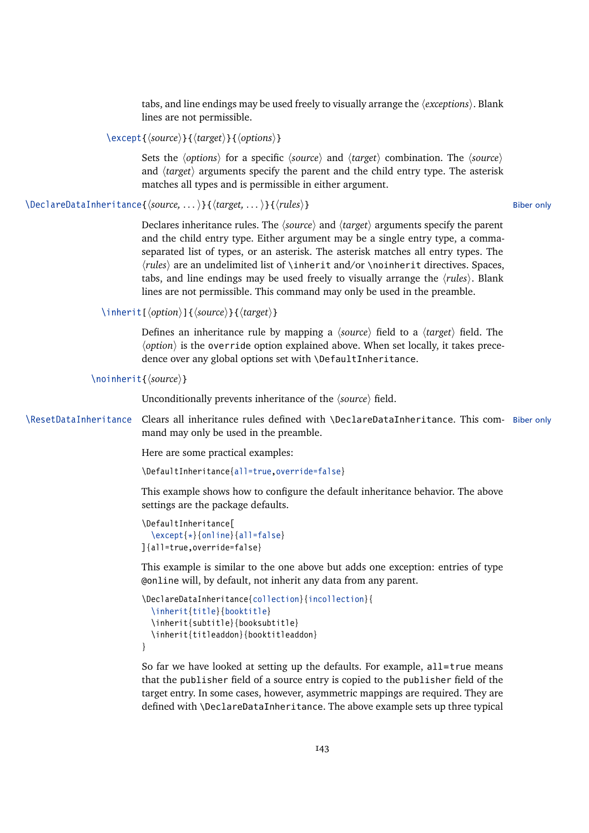tabs, and line endings may be used freely to visually arrange the *(exceptions)*. Blank lines are not permissible.

\except{*\source*}}{*\target*}}{*\options*}}

Sets the *(options)* for a specific *(source)* and *(target)* combination. The *(source)* and *(target)* arguments specify the parent and the child entry type. The asterisk matches all types and is permissible in either argument.

\DeclareDataInheritance{*\source, ...* )}{*\target, ...* )}{*\rules*}} Biber only

Declares inheritance rules. The *(source)* and *(target)* arguments specify the parent and the child entry type. Either argument may be a single entry type, a commaseparated list of types, or an asterisk. The asterisk matches all entry types. The *(rules)* are an undelimited list of \inherit and/or \noinherit directives. Spaces, tabs, and line endings may be used freely to visually arrange the *(rules)*. Blank lines are not permissible. This command may only be used in the preamble.

\inherit[\*option*\]{\*source*\}{\*target*\}

Defines an inheritance rule by mapping a *(source)* field to a *(target)* field. The  $\langle$ option $\rangle$  is the override option explained above. When set locally, it takes precedence over any global options set with \DefaultInheritance.

\noinherit{\*source*}}

Unconditionally prevents inheritance of the  $\langle source \rangle$  field.

\ResetDataInheritance Clears all inheritance rules defined with \DeclareDataInheritance. This com- Biber only mand may only be used in the preamble.

Here are some practical examples:

\DefaultInheritance{all=true,override=false}

This example shows how to configure the default inheritance behavior. The above settings are the package defaults.

```
\DefaultInheritance[
  \except{*}{online}{all=false}
]{all=true,override=false}
```
This example is similar to the one above but adds one exception: entries of type @online will, by default, not inherit any data from any parent.

```
\DeclareDataInheritance{collection}{incollection}{
  \inherit{title}{booktitle}
  \inherit{subtitle}{booksubtitle}
  \inherit{titleaddon}{booktitleaddon}
}
```
So far we have looked at setting up the defaults. For example, all=true means that the publisher field of a source entry is copied to the publisher field of the target entry. In some cases, however, asymmetric mappings are required. They are defined with \DeclareDataInheritance. The above example sets up three typical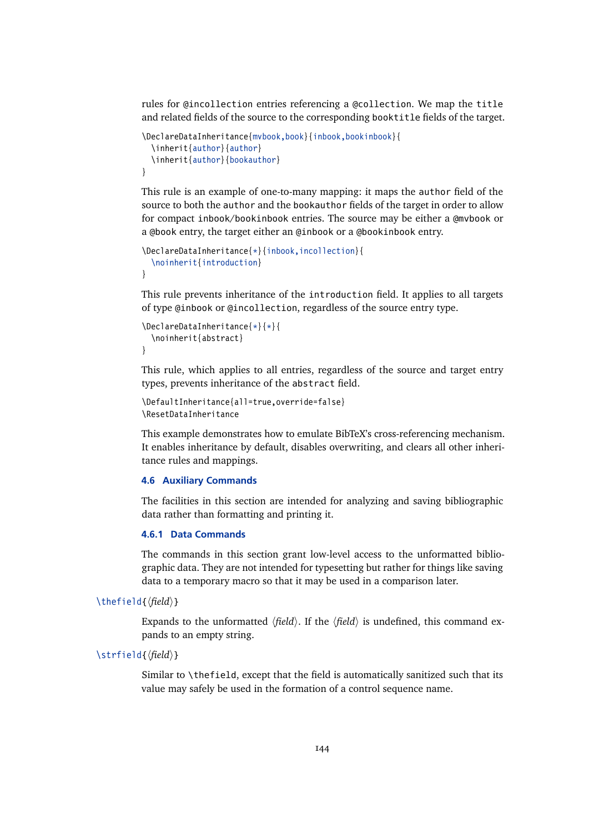<span id="page-143-0"></span>rules for @incollection entries referencing a @collection. We map the title and related fields of the source to the corresponding booktitle fields of the target.

```
\DeclareDataInheritance{mvbook,book}{inbook,bookinbook}{
  \inherit{author}{author}
  \inherit{author}{bookauthor}
}
```
This rule is an example of one-to-many mapping: it maps the author field of the source to both the author and the bookauthor fields of the target in order to allow for compact inbook/bookinbook entries. The source may be either a @mvbook or a @book entry, the target either an @inbook or a @bookinbook entry.

```
\DeclareDataInheritance{*}{inbook,incollection}{
 \noinherit{introduction}
}
```
This rule prevents inheritance of the introduction field. It applies to all targets of type @inbook or @incollection, regardless of the source entry type.

```
\DeclareDataInheritance{*}{*}{
  \noinherit{abstract}
}
```
This rule, which applies to all entries, regardless of the source and target entry types, prevents inheritance of the abstract field.

```
\DefaultInheritance{all=true,override=false}
\ResetDataInheritance
```
This example demonstrates how to emulate BibTeX's cross-referencing mechanism. It enables inheritance by default, disables overwriting, and clears all other inheritance rules and mappings.

# **4.6 Auxiliary Commands**

The facilities in this section are intended for analyzing and saving bibliographic data rather than formatting and printing it.

# **4.6.1 Data Commands**

The commands in this section grant low-level access to the unformatted bibliographic data. They are not intended for typesetting but rather for things like saving data to a temporary macro so that it may be used in a comparison later.

\thefield{\*field*}}

Expands to the unformatted  $\langle field \rangle$ . If the  $\langle field \rangle$  is undefined, this command expands to an empty string.

# $\left\{\frac{\text{field}}{\text{field}}\right\}$

Similar to \thefield, except that the field is automatically sanitized such that its value may safely be used in the formation of a control sequence name.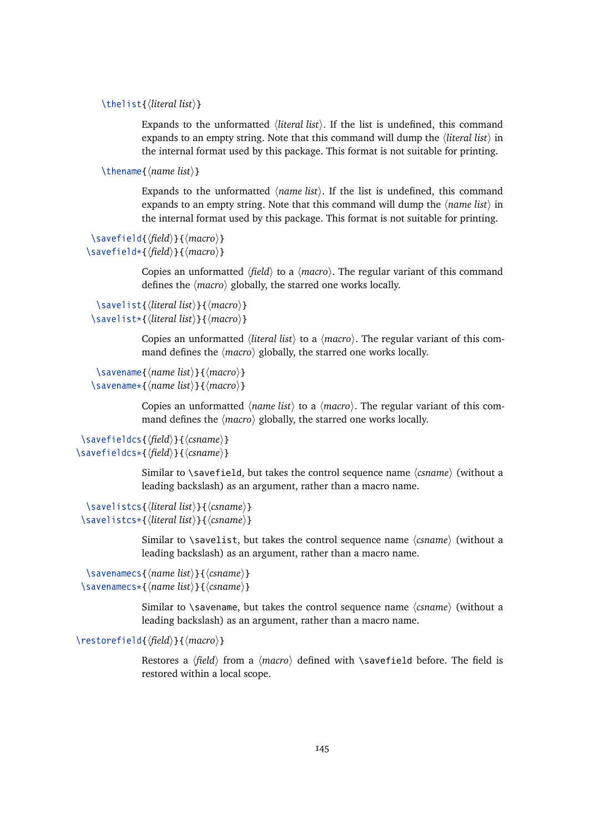\thelist{\*literal list*}}

Expands to the unformatted *(literal list)*. If the list is undefined, this command expands to an empty string. Note that this command will dump the *(literal list)* in the internal format used by this package. This format is not suitable for printing.

\thename{/*name list*}}

Expands to the unformatted  $\langle name \, list \rangle$ . If the list is undefined, this command expands to an empty string. Note that this command will dump the  $\langle name \; list \rangle$  in the internal format used by this package. This format is not suitable for printing.

```
\savefield{\field}}{\macro}}
\savefield*{\field\}{\macro\}
```
Copies an unformatted  $\langle field \rangle$  to a  $\langle macro \rangle$ . The regular variant of this command defines the  $\langle macro\rangle$  globally, the starred one works locally.

```
\savelist{hliteral listi}{hmacroi}
\savelist*{\literal list}}{\macro}}
```
Copies an unformatted *{literal list}* to a *{macro}*. The regular variant of this command defines the  $\langle macro\rangle$  globally, the starred one works locally.

```
\savename{\name list}}{\macro}}
\savename*{\name list}}{\macro}}
```
Copies an unformatted  $\langle name \; list \rangle$  to a  $\langle macro \rangle$ . The regular variant of this command defines the  $\langle macro\rangle$  globally, the starred one works locally.

```
\savefieldcs{\field\}{\csname}}
\savefieldcs*{\field}}{\csname}}
```
Similar to \savefield, but takes the control sequence name  $\langle$ *csname* $\rangle$  (without a leading backslash) as an argument, rather than a macro name.

```
\savelistcs{\literal list}}{\csname}}
\savelistcs*{\literal list}}{\csname}}
```
Similar to \savelist, but takes the control sequence name  $\langle$ *csname* $\rangle$  (without a leading backslash) as an argument, rather than a macro name.

```
\savenamecs{\langle name list \rangle}{\langle scanned \rangle}
\savenamecs*{\name list}}{\csname}}
```
Similar to \savename, but takes the control sequence name  $\langle$ *csname* $\rangle$  (without a leading backslash) as an argument, rather than a macro name.

\restorefield{*\field*}}{*\macro*}}

Restores a  $\langle field \rangle$  from a  $\langle macro \rangle$  defined with **\savefield** before. The field is restored within a local scope.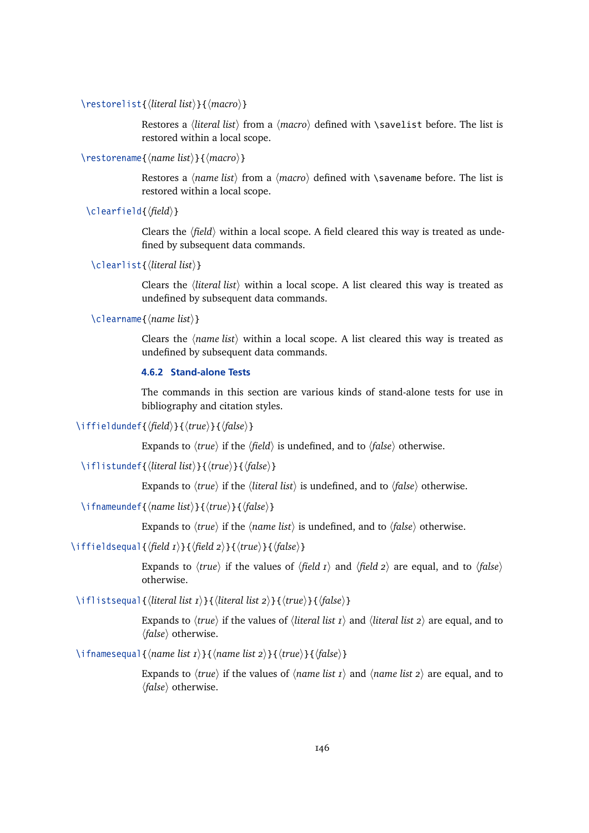<span id="page-145-0"></span>\restorelist{*\literal list*}}{*\macro*}}

Restores a *{literal list}* from a *{macro}* defined with *\savelist before. The list is* restored within a local scope.

\restorename{*\name list*}}{*\macro*}}

Restores a  $\langle$ *name list* $\rangle$  from a  $\langle$ *macro* $\rangle$  defined with  $\langle$  savename before. The list is restored within a local scope.

\clearfield{\*field*}}

Clears the  $\langle$ *field* $\rangle$  within a local scope. A field cleared this way is treated as undefined by subsequent data commands.

```
\clearlist{hliteral listi}
```
Clears the *(literal list)* within a local scope. A list cleared this way is treated as undefined by subsequent data commands.

\clearname{*\name list*}}

Clears the  $\langle$ *name list* $\rangle$  within a local scope. A list cleared this way is treated as undefined by subsequent data commands.

# **4.6.2 Stand-alone Tests**

The commands in this section are various kinds of stand-alone tests for use in bibliography and citation styles.

\iffieldundef{\*field*\}{\*true*\}{\*false*\}

Expands to  $\langle true \rangle$  if the  $\langle field \rangle$  is undefined, and to  $\langle false \rangle$  otherwise.

\iflistundef{\*literal list*}}{\*true*}}{\*false*}}

Expands to  $\langle true \rangle$  if the  $\langle literal \; list \rangle$  is undefined, and to  $\langle false \rangle$  otherwise.

\ifnameundef{\*hame list*\}{\*true*\}{\*false*\}

Expands to  $\langle true \rangle$  if the  $\langle name \; list \rangle$  is undefined, and to  $\langle false \rangle$  otherwise.

\iffieldsequal{ $\{field I\}$ }{ $\{field 2\}$ }{ $\{true\}$ }{ $\{false\}$ }

Expands to  $\langle true \rangle$  if the values of  $\langle field I \rangle$  and  $\langle field 2 \rangle$  are equal, and to  $\langle false \rangle$ otherwise.

\iflistsequal{*\literal list 1*}}{*\literal list 2*)}{*\true*}}{*\false*}}

Expands to  $\langle true \rangle$  if the values of  $\langle literal \, list \, t \rangle$  and  $\langle literal \, list \, z \rangle$  are equal, and to *(false)* otherwise.

\ifnamesequal{*\name list 1*}}{*\name list 2*}}{*\true*}}{*\false*}}

Expands to  $\langle true \rangle$  if the values of  $\langle name \, list \, i \rangle$  and  $\langle name \, list \, 2 \rangle$  are equal, and to  $\langle false \rangle$  otherwise.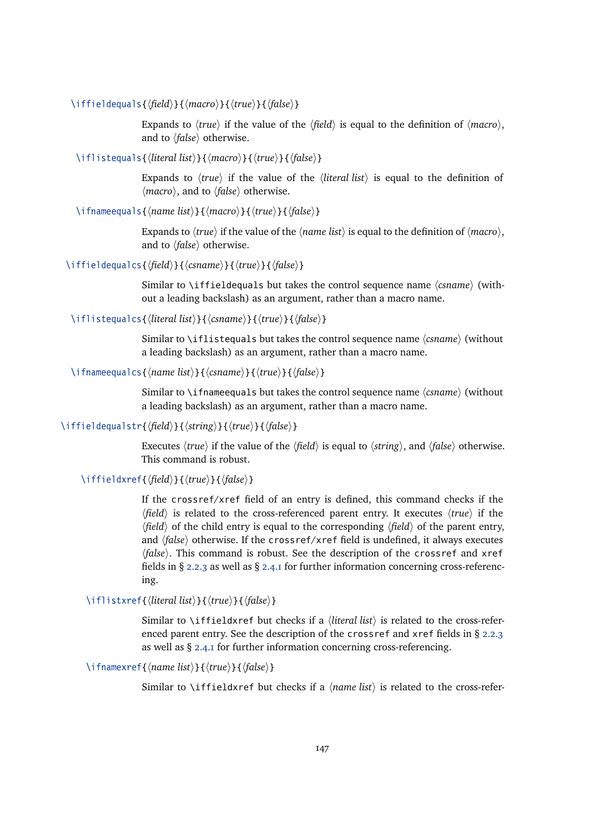\iffieldequals{h*field*i}{h*macro*i}{h*true*i}{h*false*i}

Expands to  $\langle true \rangle$  if the value of the  $\langle field \rangle$  is equal to the definition of  $\langle macro \rangle$ , and to  $\langle false \rangle$  otherwise.

\iflistequals{\*literal list*}}{\*macro*}}{\true}}{\*false*}}

Expands to  $\langle true \rangle$  if the value of the  $\langle literal \; list \rangle$  is equal to the definition of  $\langle macro\rangle$ , and to  $\langle false\rangle$  otherwise.

\ifnameequals{\*name list*\}{\*macro*}}{\*true*}}{\*false*}}

Expands to  $\langle true \rangle$  if the value of the  $\langle name \; list \rangle$  is equal to the definition of  $\langle macro \rangle$ , and to  $\langle false \rangle$  otherwise.

\iffieldequalcs{\*field*}}{\*csname*}}{\*true*}}{\*false*}}

Similar to \iffieldequals but takes the control sequence name  $\langle$ *csname* $\rangle$  (without a leading backslash) as an argument, rather than a macro name.

\iflistequalcs{\*literal list*}}{\*csname*}}{\*true*}}{\*false*}}

Similar to \iflistequals but takes the control sequence name  $\langle$ *csname*} (without a leading backslash) as an argument, rather than a macro name.

\ifnameequalcs{\*name list*}}{\*csname*}}{\*true*}}{\*false*}}

Similar to \ifnameequals but takes the control sequence name  $\langle$ *csname* $\rangle$  (without a leading backslash) as an argument, rather than a macro name.

\iffieldequalstr{\*field*}}{\/*string*}}{\*true*}}{\*false*}}

Executes  $\langle true \rangle$  if the value of the  $\langle field \rangle$  is equal to  $\langle string \rangle$ , and  $\langle false \rangle$  otherwise. This command is robust.

\iffieldxref{ $\langle$ *field* $\rangle$ }{ $\langle$ *frue* $\rangle$ }{ $\langle$ *false* $\rangle$ }

If the crossref/xref field of an entry is defined, this command checks if the  $\langle field \rangle$  is related to the cross-referenced parent entry. It executes  $\langle true \rangle$  if the  $\langle field \rangle$  of the child entry is equal to the corresponding  $\langle field \rangle$  of the parent entry, and  $\langle false \rangle$  otherwise. If the crossref/xref field is undefined, it always executes *(false)*. This command is robust. See the description of the crossref and xref fields in § [2.2.3](#page-22-0) as well as § [2.4.1](#page-34-0) for further information concerning cross-referencing.

\iflistxref{*\literal list*}}{*\true*}}{*\false*}}

Similar to \iffieldxref but checks if a  $\langle$ *literal list* $\rangle$  is related to the cross-referenced parent entry. See the description of the crossref and xref fields in § [2.2.3](#page-22-0) as well as § [2.4.1](#page-34-0) for further information concerning cross-referencing.

\ifnamexref{\*name list*\}{\*true*\}{\*false*\}

Similar to \iffieldxref but checks if a  $\langle$ *name list* $\rangle$  is related to the cross-refer-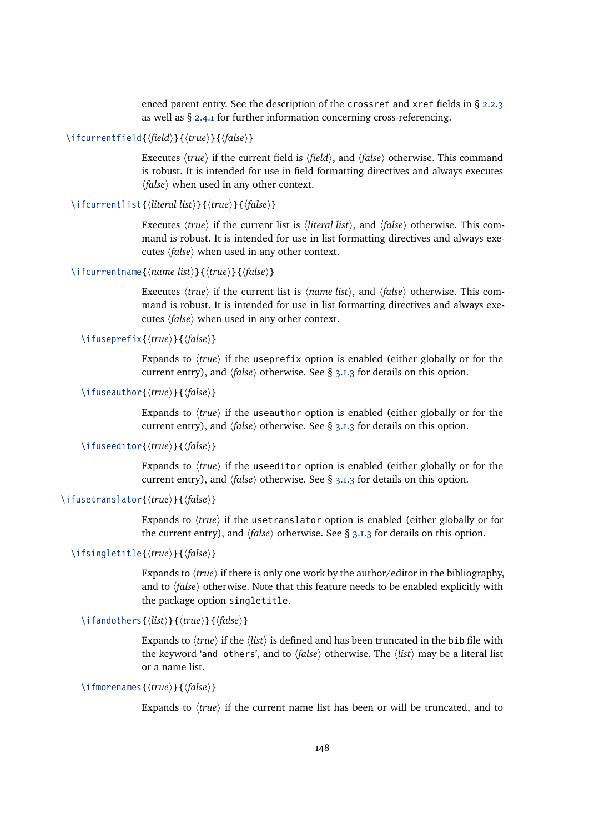enced parent entry. See the description of the crossref and xref fields in § [2.2.3](#page-22-0) as well as § [2.4.1](#page-34-0) for further information concerning cross-referencing.

\ifcurrentfield{*\field*}}{*\true*}}{*\false*}}

Executes  $\langle true \rangle$  if the current field is  $\langle field \rangle$ , and  $\langle false \rangle$  otherwise. This command is robust. It is intended for use in field formatting directives and always executes  $\langle false \rangle$  when used in any other context.

\ifcurrentlist{\*literal list*}}{\*true*}}{\*false*}}

Executes  $\langle true \rangle$  if the current list is  $\langle literal \; list \rangle$ , and  $\langle false \rangle$  otherwise. This command is robust. It is intended for use in list formatting directives and always executes  $\langle false \rangle$  when used in any other context.

```
\ifcurrentname{\name list}}{\true}}{\false}}
```
Executes  $\langle true \rangle$  if the current list is  $\langle name \; list \rangle$ , and  $\langle false \rangle$  otherwise. This command is robust. It is intended for use in list formatting directives and always executes  $\langle false \rangle$  when used in any other context.

\ifuseprefix{*\true*}}{*\false*}}

Expands to  $\langle true \rangle$  if the useprefix option is enabled (either globally or for the current entry), and  $\langle false \rangle$  otherwise. See § [3.1.3](#page-57-0) for details on this option.

\ifuseauthor{ $\langle true \rangle$ }{ $\langle false \rangle$ }

Expands to  $\langle true \rangle$  if the useauthor option is enabled (either globally or for the current entry), and  $\langle false \rangle$  otherwise. See § [3.1.3](#page-57-0) for details on this option.

\ifuseeditor{*\true*}}{*\false*}}

Expands to  $\langle true \rangle$  if the useeditor option is enabled (either globally or for the current entry), and  $\langle false \rangle$  otherwise. See § [3.1.3](#page-57-0) for details on this option.

# \ifusetranslator{*(true*)}{*(false)*}

Expands to *(true)* if the uset ranslator option is enabled (either globally or for the current entry), and  $\langle false \rangle$  otherwise. See § [3.1.3](#page-57-0) for details on this option.

# \ifsingletitle{*\true*}}{*\false*}}

Expands to  $\langle true \rangle$  if there is only one work by the author/editor in the bibliography, and to  $\langle false \rangle$  otherwise. Note that this feature needs to be enabled explicitly with the package option singletitle.

\ifandothers{ $\langle$ *list* $\rangle$ }{ $\langle$ *frue* $\rangle$ }{ $\langle$ *false* $\rangle$ }

Expands to  $\langle true \rangle$  if the  $\langle list \rangle$  is defined and has been truncated in the bib file with the keyword 'and others', and to  $\langle false \rangle$  otherwise. The  $\langle list \rangle$  may be a literal list or a name list.

# \ifmorenames{*\true*}}{*\false*}}

Expands to  $\langle true \rangle$  if the current name list has been or will be truncated, and to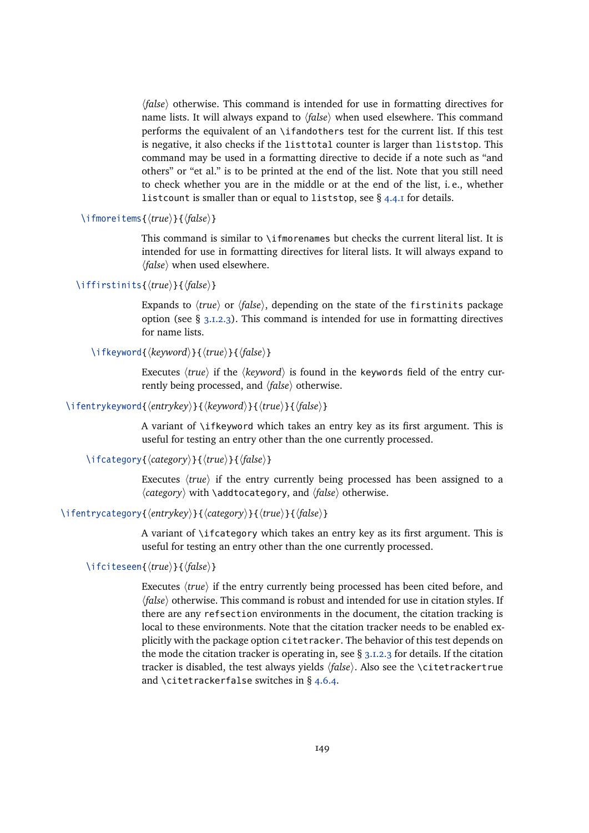h*false*i otherwise. This command is intended for use in formatting directives for name lists. It will always expand to  $\langle false \rangle$  when used elsewhere. This command performs the equivalent of an \ifandothers test for the current list. If this test is negative, it also checks if the listtotal counter is larger than liststop. This command may be used in a formatting directive to decide if a note such as "and others" or "et al." is to be printed at the end of the list. Note that you still need to check whether you are in the middle or at the end of the list, i. e., whether listcount is smaller than or equal to liststop, see § [4.4.1](#page-130-0) for details.

\ifmoreitems{ $\langle true \rangle$ }{ $\langle false \rangle$ }

This command is similar to \ifmorenames but checks the current literal list. It is intended for use in formatting directives for literal lists. It will always expand to  $\langle false \rangle$  when used elsewhere.

# \iffirstinits{\*true*}}{\*false*}}

Expands to  $\langle true \rangle$  or  $\langle false \rangle$ , depending on the state of the firstinits package option (see  $\S$  [3.1.2.3\)](#page-53-0). This command is intended for use in formatting directives for name lists.

# \ifkeyword{*\keyword*}}{\*true*}}{\*false*}}

Executes  $\langle true \rangle$  if the  $\langle keyword \rangle$  is found in the keywords field of the entry currently being processed, and  $\langle false \rangle$  otherwise.

# \ifentrykeyword{*\entrykey*}}{*\teyword*}}{*\true*}}{*\false*}}

A variant of \ifkeyword which takes an entry key as its first argument. This is useful for testing an entry other than the one currently processed.

# \ifcategory{ $\langle category{\rangle}{\langle true{\rangle}}{\{\langle false{\rangle}\}}$

Executes  $\langle true \rangle$  if the entry currently being processed has been assigned to a  $\langle category \rangle$  with \addtocategory, and  $\langle false \rangle$  otherwise.

# \ifentrycategory{*\entrykey*}}{*\category*}}{*\true*}}{*\false*}}

A variant of \ifcategory which takes an entry key as its first argument. This is useful for testing an entry other than the one currently processed.

# \ifciteseen{*\true*}}{*\false*}}

Executes  $\langle true \rangle$  if the entry currently being processed has been cited before, and  $\langle false \rangle$  otherwise. This command is robust and intended for use in citation styles. If there are any refsection environments in the document, the citation tracking is local to these environments. Note that the citation tracker needs to be enabled explicitly with the package option citetracker. The behavior of this test depends on the mode the citation tracker is operating in, see  $\S$  [3.1.2.3](#page-53-0) for details. If the citation tracker is disabled, the test always yields  $\langle false \rangle$ . Also see the \citetrackertrue and \citetrackerfalse switches in § [4.6.4.](#page-154-0)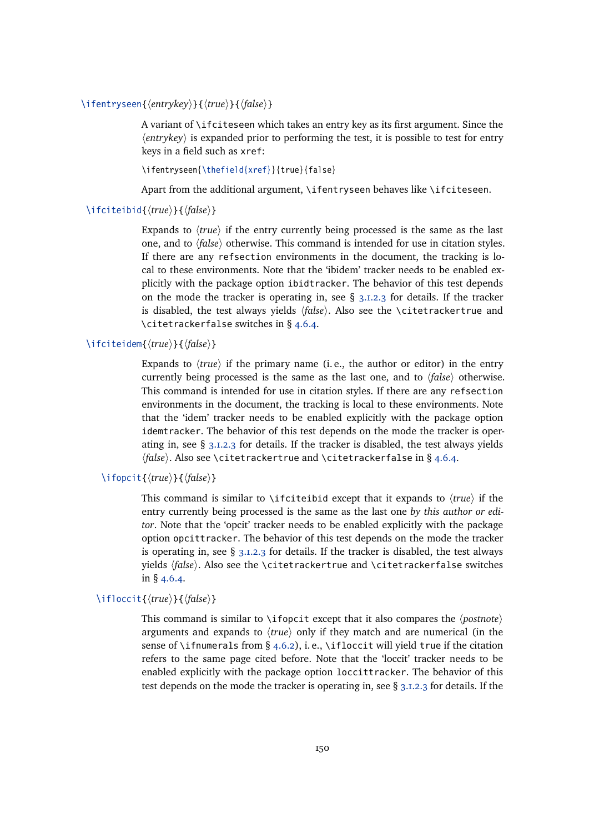\ifentryseen{*\entrykey*}}{*\true*}}{*\false*}}

A variant of \ifciteseen which takes an entry key as its first argument. Since the  $\langle$ *entrykey*) is expanded prior to performing the test, it is possible to test for entry keys in a field such as xref:

\ifentryseen{\thefield{xref}}{true}{false}

Apart from the additional argument, \ifentryseen behaves like \ifciteseen.

# \ifciteibid{\*true*}}{\*false*}}

Expands to  $\langle true \rangle$  if the entry currently being processed is the same as the last one, and to  $\langle false \rangle$  otherwise. This command is intended for use in citation styles. If there are any refsection environments in the document, the tracking is local to these environments. Note that the 'ibidem' tracker needs to be enabled explicitly with the package option ibidtracker. The behavior of this test depends on the mode the tracker is operating in, see  $\S$  [3.1.2.3](#page-53-0) for details. If the tracker is disabled, the test always yields  $\langle false \rangle$ . Also see the \citetrackertrue and \citetrackerfalse switches in § [4.6.4.](#page-154-0)

### \ifciteidem{*(true*)}{*(false)*}

Expands to  $\langle true \rangle$  if the primary name (i. e., the author or editor) in the entry currently being processed is the same as the last one, and to  $\langle false \rangle$  otherwise. This command is intended for use in citation styles. If there are any refsection environments in the document, the tracking is local to these environments. Note that the 'idem' tracker needs to be enabled explicitly with the package option idemtracker. The behavior of this test depends on the mode the tracker is operating in, see  $\S$  [3.1.2.3](#page-53-0) for details. If the tracker is disabled, the test always yields *\false*}. Also see \citetrackertrue and \citetrackerfalse in § [4.6.4.](#page-154-0)

## \ifopcit{\*true*}}{\*false*}}

This command is similar to \ifciteibid except that it expands to  $\langle true \rangle$  if the entry currently being processed is the same as the last one *by this author or editor*. Note that the 'opcit' tracker needs to be enabled explicitly with the package option opcittracker. The behavior of this test depends on the mode the tracker is operating in, see  $\S$  [3.1.2.3](#page-53-0) for details. If the tracker is disabled, the test always yields  $\{false\}$ . Also see the \citetrackertrue and \citetrackerfalse switches in § [4.6.4.](#page-154-0)

#### $\iint{occit}{\langle true \rangle}{\{\langle false \rangle\}}$

This command is similar to \ifopcit except that it also compares the  $\langle postnote \rangle$ arguments and expands to  $\langle true \rangle$  only if they match and are numerical (in the sense of \ifnumerals from § [4.6.2\)](#page-145-0), i.e., \ifloccit will yield true if the citation refers to the same page cited before. Note that the 'loccit' tracker needs to be enabled explicitly with the package option loccittracker. The behavior of this test depends on the mode the tracker is operating in, see § [3.1.2.3](#page-53-0) for details. If the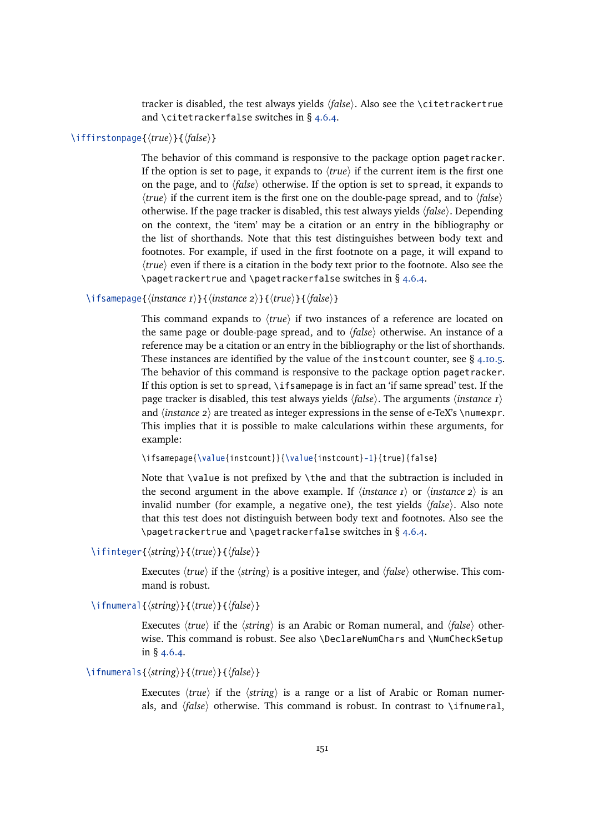tracker is disabled, the test always yields  $\langle false \rangle$ . Also see the \citetrackertrue and \citetrackerfalse switches in § [4.6.4.](#page-154-0)

# \iffirstonpage{*\true*}}{*\false*}}

The behavior of this command is responsive to the package option pagetracker. If the option is set to page, it expands to  $\langle true \rangle$  if the current item is the first one on the page, and to  $\langle false \rangle$  otherwise. If the option is set to spread, it expands to  $\langle true \rangle$  if the current item is the first one on the double-page spread, and to  $\langle false \rangle$ otherwise. If the page tracker is disabled, this test always yields  $\langle false \rangle$ . Depending on the context, the 'item' may be a citation or an entry in the bibliography or the list of shorthands. Note that this test distinguishes between body text and footnotes. For example, if used in the first footnote on a page, it will expand to  $\langle true \rangle$  even if there is a citation in the body text prior to the footnote. Also see the \pagetrackertrue and \pagetrackerfalse switches in § [4.6.4.](#page-154-0)

\ifsamepage{*\instance 1*}}{*\instance 2*}}{*\true*}}{*\false*}}

This command expands to  $\langle true \rangle$  if two instances of a reference are located on the same page or double-page spread, and to  $\langle false \rangle$  otherwise. An instance of a reference may be a citation or an entry in the bibliography or the list of shorthands. These instances are identified by the value of the instcount counter, see § [4.10.5.](#page-188-0) The behavior of this command is responsive to the package option pagetracker. If this option is set to spread, \ifsamepage is in fact an 'if same spread' test. If the page tracker is disabled, this test always yields  $\langle false \rangle$ . The arguments  $\langle instance I \rangle$ and  $\langle$ *instance 2* $\rangle$  are treated as integer expressions in the sense of e-TeX's \numexpr. This implies that it is possible to make calculations within these arguments, for example:

\ifsamepage{\value{instcount}}{\value{instcount}-1}{true}{false}

Note that \value is not prefixed by \the and that the subtraction is included in the second argument in the above example. If  $\langle$ *instance 1* $\rangle$  or  $\langle$ *instance 2* $\rangle$  is an invalid number (for example, a negative one), the test yields  $\langle false \rangle$ . Also note that this test does not distinguish between body text and footnotes. Also see the \pagetrackertrue and \pagetrackerfalse switches in § [4.6.4.](#page-154-0)

\ifinteger{ $\langle string \rangle$ }{ $\langle true \rangle$ }{ $\langle false \rangle$ }

Executes  $\langle true \rangle$  if the  $\langle string \rangle$  is a positive integer, and  $\langle false \rangle$  otherwise. This command is robust.

\ifnumeral{*\tring*}}{*\true*}}{*\false*}}

Executes  $\langle true \rangle$  if the  $\langle string \rangle$  is an Arabic or Roman numeral, and  $\langle false \rangle$  otherwise. This command is robust. See also \DeclareNumChars and \NumCheckSetup in § [4.6.4.](#page-154-0)

# \ifnumerals{\*false*}}{\*frue*}}{\*false*}}

Executes  $\langle true \rangle$  if the  $\langle string \rangle$  is a range or a list of Arabic or Roman numerals, and  $\langle false \rangle$  otherwise. This command is robust. In contrast to \ifnumeral,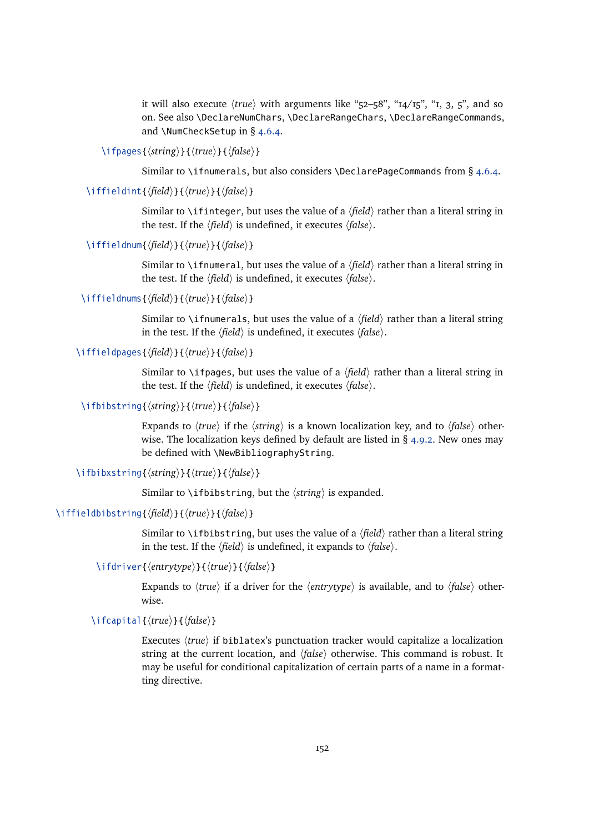it will also execute  $\langle true \rangle$  with arguments like "52–58", " $14/15$ ", "1, 3, 5", and so on. See also \DeclareNumChars, \DeclareRangeChars, \DeclareRangeCommands, and \NumCheckSetup in § [4.6.4.](#page-154-0)

\ifpages{\*{string*}}{\*{true*}}{\*{false*}}

Similar to \ifnumerals, but also considers \DeclarePageCommands from § [4.6.4.](#page-154-0)

\iffieldint{\*field*\}{\true\}{\*false*\}

Similar to \ifinteger, but uses the value of a  $\langle field \rangle$  rather than a literal string in the test. If the  $\langle field \rangle$  is undefined, it executes  $\langle false \rangle$ .

\iffieldnum{\*field*\}{\true\}{\*false*\}

Similar to \ifnumeral, but uses the value of a  $\langle$ *field* $\rangle$  rather than a literal string in the test. If the  $\langle field \rangle$  is undefined, it executes  $\langle false \rangle$ .

\iffieldnums{\*field*\}{\*true*\}{\*false*\}

Similar to \ifnumerals, but uses the value of a  $\langle$ *field* $\rangle$  rather than a literal string in the test. If the  $\langle \text{field} \rangle$  is undefined, it executes  $\langle \text{false} \rangle$ .

\iffieldpages{\*field*}}{\*true*}}{\*false*}}

Similar to \ifpages, but uses the value of a  $\langle field \rangle$  rather than a literal string in the test. If the  $\langle field \rangle$  is undefined, it executes  $\langle false \rangle$ .

# \ifbibstring{ $\langle string \rangle$ }{ $\langle true \rangle$ }{ $\langle false \rangle$ }

Expands to  $\langle true \rangle$  if the  $\langle string \rangle$  is a known localization key, and to  $\langle false \rangle$  otherwise. The localization keys defined by default are listed in  $\S$  [4.9.2.](#page-172-0) New ones may be defined with \NewBibliographyString.

\ifbibxstring{*\tring*}}{*\true*}}{*\false*}}

Similar to  $\iint_{\mathbb{R}}$  bistring, but the  $\langle$ *string* $\rangle$  is expanded.

#### \iffieldbibstring{*\field*}}{*\true*}}{*\false*}}

Similar to \ifbibstring, but uses the value of a  $\langle$ *field* $\rangle$  rather than a literal string in the test. If the  $\langle field \rangle$  is undefined, it expands to  $\langle false \rangle$ .

\ifdriver{\*entrytype*}}{\*true*}}{\*false*}}

Expands to  $\langle true \rangle$  if a driver for the  $\langle entrytype \rangle$  is available, and to  $\langle false \rangle$  otherwise.

# \ifcapital{*\true*}}{*\false*}}

Executes  $\langle true \rangle$  if biblatex's punctuation tracker would capitalize a localization string at the current location, and *{false}* otherwise. This command is robust. It may be useful for conditional capitalization of certain parts of a name in a formatting directive.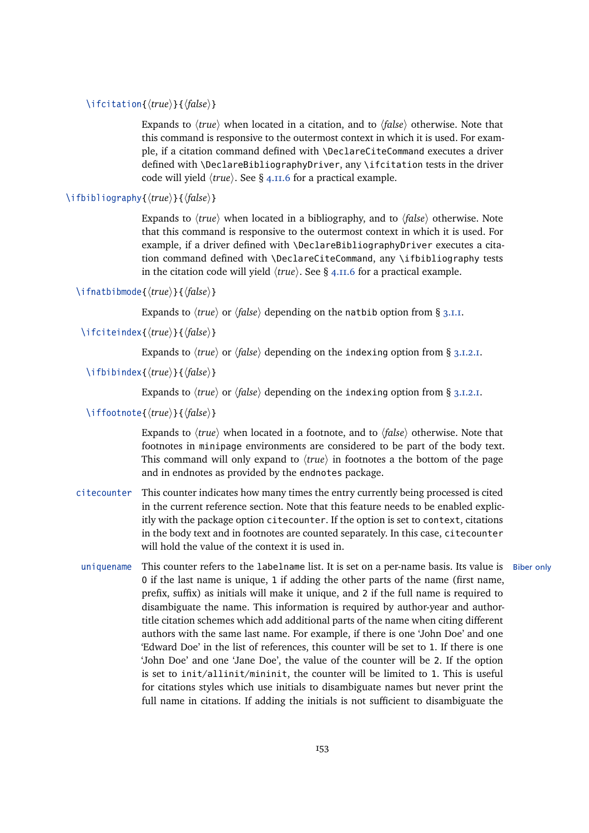# \ifcitation{*\true*}}{*\false*}}

Expands to  $\langle true \rangle$  when located in a citation, and to  $\langle false \rangle$  otherwise. Note that this command is responsive to the outermost context in which it is used. For example, if a citation command defined with \DeclareCiteCommand executes a driver defined with \DeclareBibliographyDriver, any \ifcitation tests in the driver code will yield  $\langle true \rangle$ . See § [4.11.6](#page-198-0) for a practical example.

#### \ifbibliography{ $\langle true \rangle$ }{ $\langle false \rangle$ }

Expands to  $\langle true \rangle$  when located in a bibliography, and to  $\langle false \rangle$  otherwise. Note that this command is responsive to the outermost context in which it is used. For example, if a driver defined with \DeclareBibliographyDriver executes a citation command defined with \DeclareCiteCommand, any \ifbibliography tests in the citation code will yield  $\langle true \rangle$ . See § [4.11.6](#page-198-0) for a practical example.

# \ifnatbibmode{*\true*}}{*\false*}}

Expands to  $\langle true \rangle$  or  $\langle false \rangle$  depending on the natbib option from § [3.1.1.](#page-42-0)

# \ifciteindex{\*true*}}{\*false*}}

Expands to  $\langle true \rangle$  or  $\langle false \rangle$  depending on the indexing option from § [3.1.2.1.](#page-43-0)

# \ifbibindex{\*true*}}{\*false*}}

Expands to  $\langle true \rangle$  or  $\langle false \rangle$  depending on the indexing option from § [3.1.2.1.](#page-43-0)

# \iffootnote{ $\langle true \rangle$ }{ $\langle false \rangle$ }

Expands to  $\langle true \rangle$  when located in a footnote, and to  $\langle false \rangle$  otherwise. Note that footnotes in minipage environments are considered to be part of the body text. This command will only expand to  $\langle true \rangle$  in footnotes a the bottom of the page and in endnotes as provided by the endnotes package.

- citecounter This counter indicates how many times the entry currently being processed is cited in the current reference section. Note that this feature needs to be enabled explicitly with the package option citecounter. If the option is set to context, citations in the body text and in footnotes are counted separately. In this case, citecounter will hold the value of the context it is used in.
- uniquename This counter refers to the labelname list. It is set on a per-name basis. Its value is Biber only 0 if the last name is unique, 1 if adding the other parts of the name (first name, prefix, suffix) as initials will make it unique, and 2 if the full name is required to disambiguate the name. This information is required by author-year and authortitle citation schemes which add additional parts of the name when citing different authors with the same last name. For example, if there is one 'John Doe' and one 'Edward Doe' in the list of references, this counter will be set to 1. If there is one 'John Doe' and one 'Jane Doe', the value of the counter will be 2. If the option is set to init/allinit/mininit, the counter will be limited to 1. This is useful for citations styles which use initials to disambiguate names but never print the full name in citations. If adding the initials is not sufficient to disambiguate the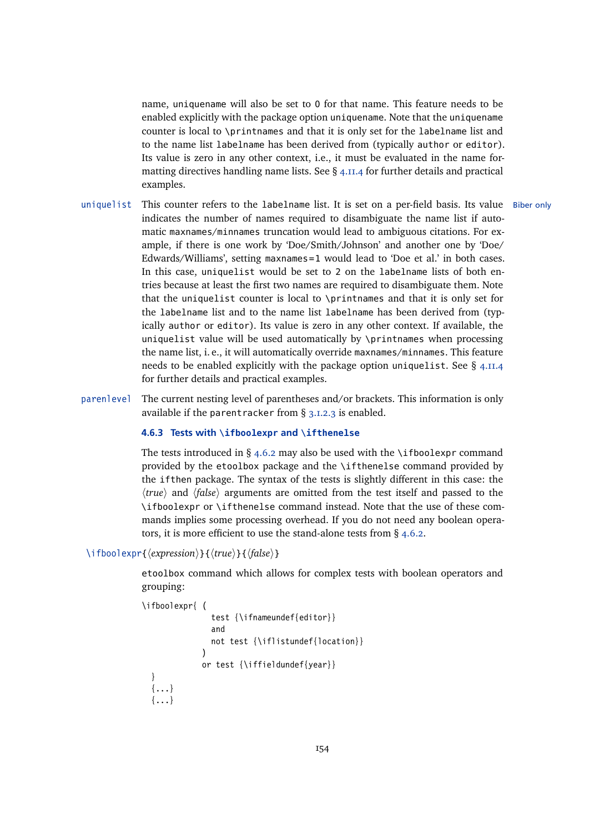name, uniquename will also be set to 0 for that name. This feature needs to be enabled explicitly with the package option uniquename. Note that the uniquename counter is local to \printnames and that it is only set for the labelname list and to the name list labelname has been derived from (typically author or editor). Its value is zero in any other context, i.e., it must be evaluated in the name formatting directives handling name lists. See § [4.11.4](#page-193-0) for further details and practical examples.

- uniquelist This counter refers to the labelname list. It is set on a per-field basis. Its value Biber only indicates the number of names required to disambiguate the name list if automatic maxnames/minnames truncation would lead to ambiguous citations. For example, if there is one work by 'Doe/Smith/Johnson' and another one by 'Doe/ Edwards/Williams', setting maxnames=1 would lead to 'Doe et al.' in both cases. In this case, uniquelist would be set to 2 on the labelname lists of both entries because at least the first two names are required to disambiguate them. Note that the uniquelist counter is local to \printnames and that it is only set for the labelname list and to the name list labelname has been derived from (typically author or editor). Its value is zero in any other context. If available, the uniquelist value will be used automatically by \printnames when processing the name list, i. e., it will automatically override maxnames/minnames. This feature needs to be enabled explicitly with the package option uniquelist. See  $\S$  [4.11.4](#page-193-0) for further details and practical examples.
- parenlevel The current nesting level of parentheses and/or brackets. This information is only available if the parentracker from § [3.1.2.3](#page-53-0) is enabled.

#### **4.6.3 Tests with \ifboolexpr and \ifthenelse**

The tests introduced in § [4.6.2](#page-145-0) may also be used with the \ifboolexpr command provided by the etoolbox package and the \ifthenelse command provided by the ifthen package. The syntax of the tests is slightly different in this case: the *h*  $\langle true \rangle$  and  $\langle false \rangle$  arguments are omitted from the test itself and passed to the \ifboolexpr or \ifthenelse command instead. Note that the use of these commands implies some processing overhead. If you do not need any boolean operators, it is more efficient to use the stand-alone tests from  $\S$  [4.6.2.](#page-145-0)

## \ifboolexpr{*\expression*}}{*\true*}}{*\false*}}

etoolbox command which allows for complex tests with boolean operators and grouping:

```
\ifboolexpr{ (
```
}

```
test {\ifnameundef{editor}}
             and
             not test {\iflistundef{location}}
           )
           or test {\iffieldundef{year}}
{...}
{...}
```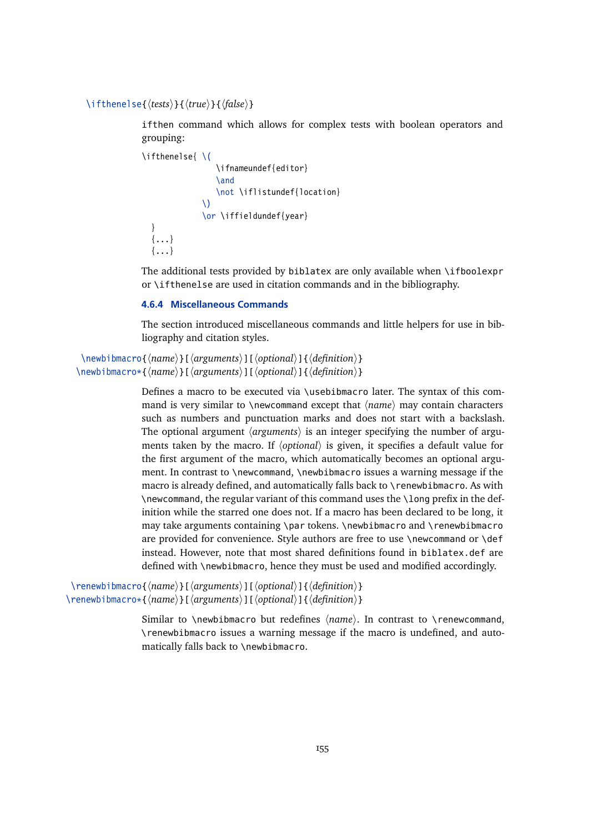### <span id="page-154-0"></span>\ifthenelse{*\tests*}}{*\true*}}{*\false*}}

ifthen command which allows for complex tests with boolean operators and grouping:

```
\ifthenelse{ \(
                  \ifnameundef{editor}
                  \and
                  \not \iflistundef{location}
              \setminus\or \iffieldundef{year}
  }
  {...}
  {...}
```
The additional tests provided by biblatex are only available when \ifboolexpr or \ifthenelse are used in citation commands and in the bibliography.

### **4.6.4 Miscellaneous Commands**

The section introduced miscellaneous commands and little helpers for use in bibliography and citation styles.

```
\langlenewbibmacro{\langlename\rangle}[\langlearguments\rangle][\langleoptional\rangle]{\langledefinition\rangle}
\newbibmacro*{\name}}[\arguments\end{\][\definition\}}
```
Defines a macro to be executed via \usebibmacro later. The syntax of this command is very similar to \newcommand except that  $\langle name \rangle$  may contain characters such as numbers and punctuation marks and does not start with a backslash. The optional argument  $\langle arguments \rangle$  is an integer specifying the number of arguments taken by the macro. If  $\langle$ *optional* $\rangle$  is given, it specifies a default value for the first argument of the macro, which automatically becomes an optional argument. In contrast to \newcommand, \newbibmacro issues a warning message if the macro is already defined, and automatically falls back to \renewbibmacro. As with \newcommand, the regular variant of this command uses the \long prefix in the definition while the starred one does not. If a macro has been declared to be long, it may take arguments containing \par tokens. \newbibmacro and \renewbibmacro are provided for convenience. Style authors are free to use \newcommand or \def instead. However, note that most shared definitions found in biblatex.def are defined with \newbibmacro, hence they must be used and modified accordingly.

```
\renewbibmacro{\name}}[\arguments\renewalleriginal\jeval{harger}}
\renewbibmacro*{\name}}[\arguments\dillarginglefinition\}}
```
Similar to \newbibmacro but redefines  $\langle name \rangle$ . In contrast to \renewcommand, \renewbibmacro issues a warning message if the macro is undefined, and automatically falls back to \newbibmacro.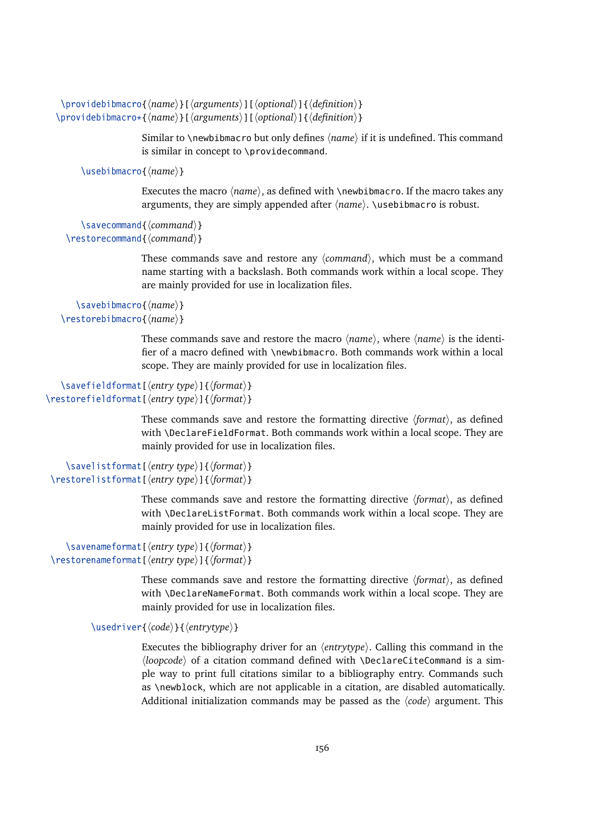```
\providebibmacro{\langle name \rangle}[\langle arguments \rangle][\langle optimal \rangle]{\langle definition \rangle}
\providebibmacro*{\langle name \rangle}[\langle arguments \rangle][\langle optimal \rangle]{\langle definition \rangle}
```
Similar to \newbibmacro but only defines *(name*) if it is undefined. This command is similar in concept to \providecommand.

\usebibmacro{*(name*)}

Executes the macro  $\langle name \rangle$ , as defined with  $\{\newline new \newline b \in \mathbb{N}\right\}$  and  $\newline$  are macro takes any arguments, they are simply appended after  $\langle name \rangle$ . \usebibmacro is robust.

```
\savecommand{\command}}
\restorecommand{\command}}
```
These commands save and restore any  $\langle command \rangle$ , which must be a command name starting with a backslash. Both commands work within a local scope. They are mainly provided for use in localization files.

```
\savebibmacro{\name}}
\restorebibmacro{\langle name \rangle}
```
These commands save and restore the macro  $\langle name \rangle$ , where  $\langle name \rangle$  is the identifier of a macro defined with \newbibmacro. Both commands work within a local scope. They are mainly provided for use in localization files.

```
\savefieldformat[\/entry type}]{\format}}
\restorefieldformat[\\\tenty type\]{\\tenty format\}
```
These commands save and restore the formatting directive  $\langle format \rangle$ , as defined with \DeclareFieldFormat. Both commands work within a local scope. They are mainly provided for use in localization files.

```
\savelistformat[\lentry type}]{\format}}
\restorelistformat[\lentry type}]{\format}}
```
These commands save and restore the formatting directive h*format*i, as defined with \DeclareListFormat. Both commands work within a local scope. They are mainly provided for use in localization files.

```
\savenameformat[\lentry type}]{\format}}
\restorenameformat[\{entry type}]{\format}}
```
These commands save and restore the formatting directive  $\langle format \rangle$ , as defined with \DeclareNameFormat. Both commands work within a local scope. They are mainly provided for use in localization files.

\usedriver{*\code*}}{*\entrytype*}}

Executes the bibliography driver for an  $\langle$ *entrytype* $\rangle$ . Calling this command in the h*loopcode*i of a citation command defined with \DeclareCiteCommand is a simple way to print full citations similar to a bibliography entry. Commands such as \newblock, which are not applicable in a citation, are disabled automatically. Additional initialization commands may be passed as the  $\langle code \rangle$  argument. This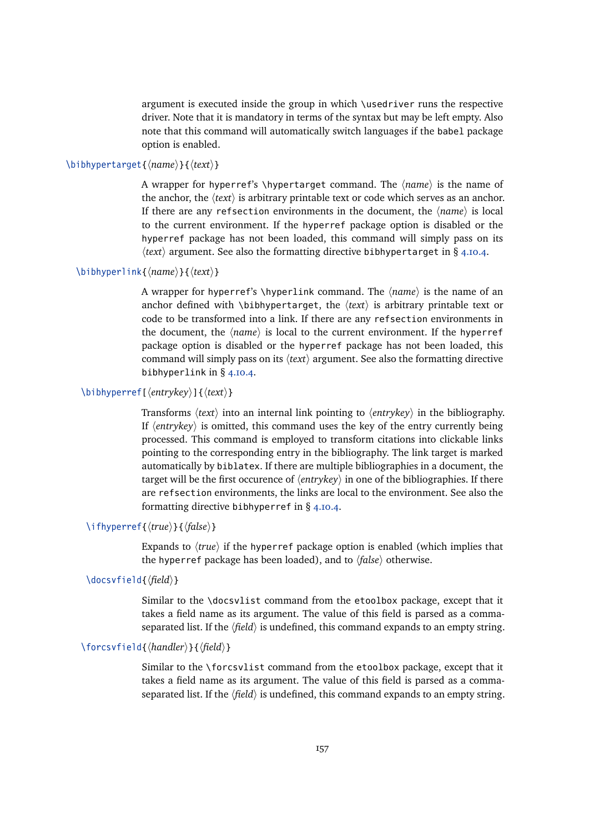argument is executed inside the group in which \usedriver runs the respective driver. Note that it is mandatory in terms of the syntax but may be left empty. Also note that this command will automatically switch languages if the babel package option is enabled.

# \bibhypertarget{\*name*}}{\*text*}}

A wrapper for hyperref's \hypertarget command. The  $\langle name \rangle$  is the name of the anchor, the  $\langle text \rangle$  is arbitrary printable text or code which serves as an anchor. If there are any refsection environments in the document, the  $\langle name \rangle$  is local to the current environment. If the hyperref package option is disabled or the hyperref package has not been loaded, this command will simply pass on its  $\langle text \rangle$  argument. See also the formatting directive bibhypertarget in § [4.10.4.](#page-185-0)

# \bibhyperlink{*\name*}}{*\text*}}

A wrapper for hyperref's \hyperlink command. The  $\langle name \rangle$  is the name of an anchor defined with \bibhypertarget, the  $\langle text \rangle$  is arbitrary printable text or code to be transformed into a link. If there are any refsection environments in the document, the  $\langle name \rangle$  is local to the current environment. If the hyperref package option is disabled or the hyperref package has not been loaded, this command will simply pass on its  $\langle text \rangle$  argument. See also the formatting directive bibhyperlink in § [4.10.4.](#page-185-0)

# \bibhyperref[\*{entrykey*}]{\*text*}}

Transforms  $\langle text \rangle$  into an internal link pointing to  $\langle entrykey \rangle$  in the bibliography. If  $\langle$ *entrykey* $\rangle$  is omitted, this command uses the key of the entry currently being processed. This command is employed to transform citations into clickable links pointing to the corresponding entry in the bibliography. The link target is marked automatically by biblatex. If there are multiple bibliographies in a document, the target will be the first occurence of  $\langle$ *entrykey* $\rangle$  in one of the bibliographies. If there are refsection environments, the links are local to the environment. See also the formatting directive bibhyperref in § [4.10.4.](#page-185-0)

# \ifhyperref{\*true*}}{\*false*}}

Expands to  $\langle true \rangle$  if the hyperref package option is enabled (which implies that the hyperref package has been loaded), and to  $\langle false \rangle$  otherwise.

# \docsvfield{*\field*}}

Similar to the \docsvlist command from the etoolbox package, except that it takes a field name as its argument. The value of this field is parsed as a commaseparated list. If the  $\langle field \rangle$  is undefined, this command expands to an empty string.

# \forcsvfield{*\handler*}}{*\field*}}

Similar to the \forcsvlist command from the etoolbox package, except that it takes a field name as its argument. The value of this field is parsed as a commaseparated list. If the  $\langle field \rangle$  is undefined, this command expands to an empty string.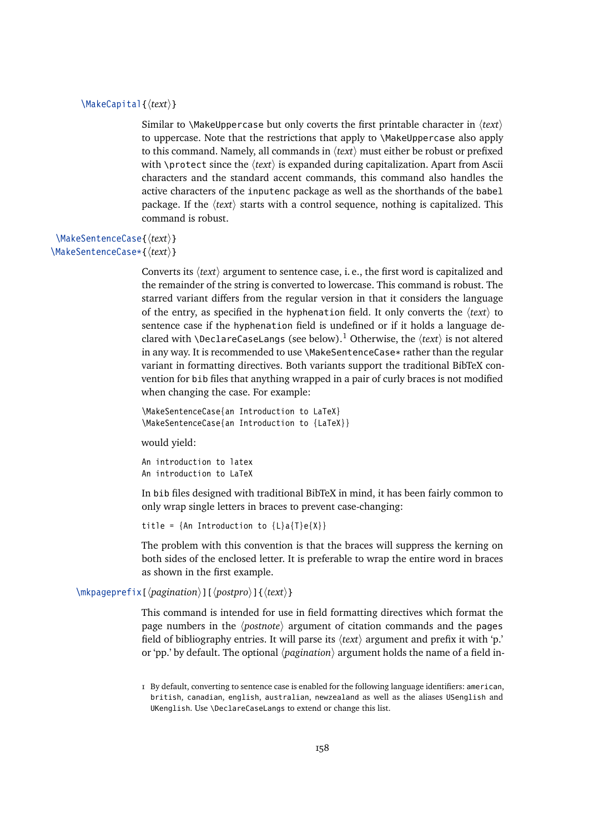#### \MakeCapital{h*text*i}

Similar to \MakeUppercase but only coverts the first printable character in  $\langle text \rangle$ to uppercase. Note that the restrictions that apply to \MakeUppercase also apply to this command. Namely, all commands in  $\langle text \rangle$  must either be robust or prefixed with \protect since the  $\langle text \rangle$  is expanded during capitalization. Apart from Ascii characters and the standard accent commands, this command also handles the active characters of the inputenc package as well as the shorthands of the babel package. If the  $\langle text \rangle$  starts with a control sequence, nothing is capitalized. This command is robust.

# \MakeSentenceCase{*\text*}} \MakeSentenceCase\*{\/text}}

Converts its *(text)* argument to sentence case, i. e., the first word is capitalized and the remainder of the string is converted to lowercase. This command is robust. The starred variant differs from the regular version in that it considers the language of the entry, as specified in the hyphenation field. It only converts the  $\langle text \rangle$  to sentence case if the hyphenation field is undefined or if it holds a language declared with \DeclareCaseLangs (see below).<sup>1</sup> Otherwise, the  $\langle text \rangle$  is not altered in any way. It is recommended to use \MakeSentenceCase\* rather than the regular variant in formatting directives. Both variants support the traditional BibTeX convention for bib files that anything wrapped in a pair of curly braces is not modified when changing the case. For example:

```
\MakeSentenceCase{an Introduction to LaTeX}
\MakeSentenceCase{an Introduction to {LaTeX}}
```
would yield:

An introduction to latex An introduction to LaTeX

In bib files designed with traditional BibTeX in mind, it has been fairly common to only wrap single letters in braces to prevent case-changing:

title = {An Introduction to  ${L}a{T}e{X}$ }

The problem with this convention is that the braces will suppress the kerning on both sides of the enclosed letter. It is preferable to wrap the entire word in braces as shown in the first example.

\mkpageprefix[ $\langle$ *pagination* $\rangle$ ][ $\langle$ *postpro* $\rangle$ ]{ $\langle$ *text* $\rangle$ }

This command is intended for use in field formatting directives which format the page numbers in the *(postnote)* argument of citation commands and the pages field of bibliography entries. It will parse its  $\langle text \rangle$  argument and prefix it with 'p.' or 'pp.' by default. The optional  $\langle$ *pagination* $\rangle$  argument holds the name of a field in-

<sup>1</sup> By default, converting to sentence case is enabled for the following language identifiers: american, british, canadian, english, australian, newzealand as well as the aliases USenglish and UKenglish. Use \DeclareCaseLangs to extend or change this list.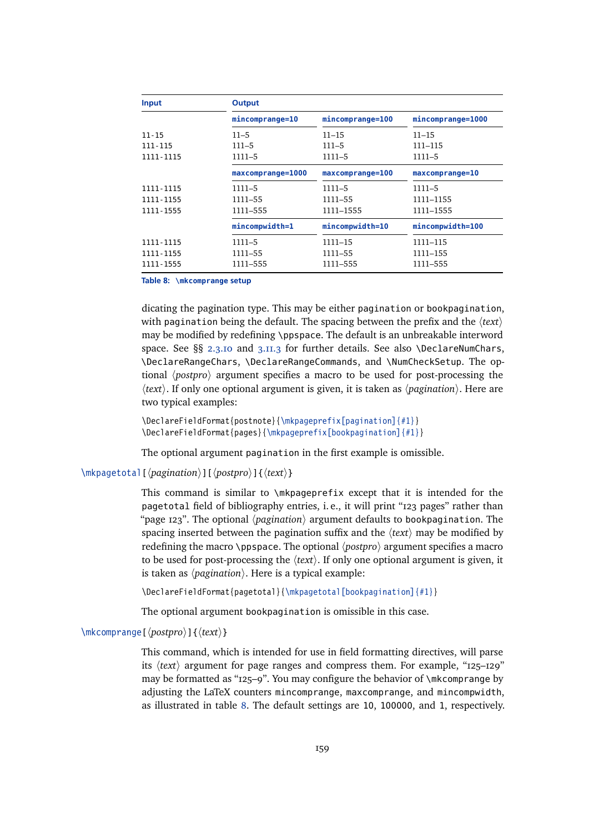| Input       | <b>Output</b>     |                  |                   |
|-------------|-------------------|------------------|-------------------|
|             | mincomprange=10   | mincomprange=100 | mincomprange=1000 |
| $11 - 15$   | $11 - 5$          | $11 - 15$        | 11–15             |
| 111-115     | $111 - 5$         | $111 - 5$        | 111–115           |
| 1111-1115   | $1111 - 5$        | $1111 - 5$       | $1111 - 5$        |
|             | maxcomprange=1000 | maxcomprange=100 | maxcomprange=10   |
| 1111-1115   | $1111 - 5$        | 1111-5           | $1111 - 5$        |
| 1111-1155   | $1111 - 55$       | 1111-55          | 1111-1155         |
| 1111 - 1555 | 1111–555          | 1111-1555        | 1111-1555         |
|             | mincompwidth=1    | mincompwidth=10  | mincompwidth=100  |
| 1111-1115   | $1111 - 5$        | 1111-15          | 1111-115          |
| 1111-1155   | 1111–55           | 1111–55          | 1111–155          |
| 1111 - 1555 | 1111–555          | 1111–555         | 1111–555          |

**Table 8: \mkcomprange setup**

dicating the pagination type. This may be either pagination or bookpagination, with pagination being the default. The spacing between the prefix and the  $\langle text \rangle$ may be modified by redefining \ppspace. The default is an unbreakable interword space. See §§ [2.3.10](#page-33-0) and [3.11.3](#page-109-0) for further details. See also \DeclareNumChars, \DeclareRangeChars, \DeclareRangeCommands, and \NumCheckSetup. The optional *(postpro)* argument specifies a macro to be used for post-processing the  $\langle text \rangle$ . If only one optional argument is given, it is taken as  $\langle$ *pagination* $\rangle$ . Here are two typical examples:

\DeclareFieldFormat{postnote}{\mkpageprefix[pagination]{#1}} \DeclareFieldFormat{pages}{\mkpageprefix[bookpagination]{#1}}

The optional argument pagination in the first example is omissible.

\mkpagetotal[ $\langle$ *pagination* $\rangle$ ][ $\langle$ *postpro* $\rangle$ ]{ $\langle$ *text* $\rangle$ }

This command is similar to \mkpageprefix except that it is intended for the pagetotal field of bibliography entries, i. e., it will print "123 pages" rather than "page  $123$ ". The optional  $\langle$ *pagination* $\rangle$  argument defaults to bookpagination. The spacing inserted between the pagination suffix and the  $\langle text \rangle$  may be modified by redefining the macro \ppspace. The optional  $\langle postpro \rangle$  argument specifies a macro to be used for post-processing the  $\langle text \rangle$ . If only one optional argument is given, it is taken as  $\langle$ *pagination* $\rangle$ . Here is a typical example:

\DeclareFieldFormat{pagetotal}{\mkpagetotal[bookpagination]{#1}}

The optional argument bookpagination is omissible in this case.

# \mkcomprange[ $\langle postpro \rangle$ ]{ $\langle text \rangle$ }

This command, which is intended for use in field formatting directives, will parse its  $\langle text \rangle$  argument for page ranges and compress them. For example, " $125$ – $129$ " may be formatted as "125–9". You may configure the behavior of \mkcomprange by adjusting the LaTeX counters mincomprange, maxcomprange, and mincompwidth, as illustrated in table 8. The default settings are 10, 100000, and 1, respectively.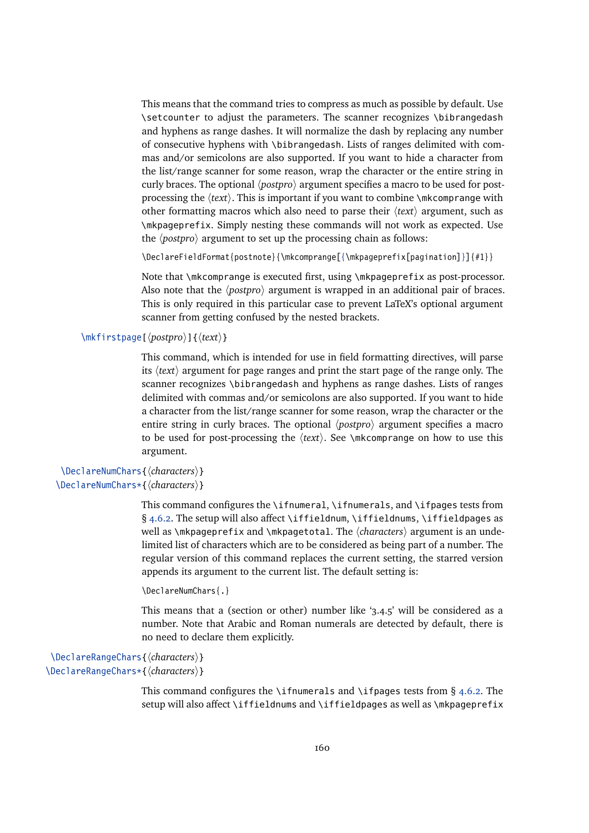This means that the command tries to compress as much as possible by default. Use \setcounter to adjust the parameters. The scanner recognizes \bibrangedash and hyphens as range dashes. It will normalize the dash by replacing any number of consecutive hyphens with \bibrangedash. Lists of ranges delimited with commas and/or semicolons are also supported. If you want to hide a character from the list/range scanner for some reason, wrap the character or the entire string in curly braces. The optional  $\langle postpro \rangle$  argument specifies a macro to be used for postprocessing the  $\text{text}$ . This is important if you want to combine \mkcomprange with other formatting macros which also need to parse their h*text*i argument, such as \mkpageprefix. Simply nesting these commands will not work as expected. Use the  $\langle postpro \rangle$  argument to set up the processing chain as follows:

\DeclareFieldFormat{postnote}{\mkcomprange[{\mkpageprefix[pagination]}]{#1}}

Note that \mkcomprange is executed first, using \mkpageprefix as post-processor. Also note that the  $\langle postpro \rangle$  argument is wrapped in an additional pair of braces. This is only required in this particular case to prevent LaTeX's optional argument scanner from getting confused by the nested brackets.

\mkfirstpage[ $\langle postpro \rangle$ ]{ $\langle text \rangle$ }

This command, which is intended for use in field formatting directives, will parse its *(text)* argument for page ranges and print the start page of the range only. The scanner recognizes \bibrangedash and hyphens as range dashes. Lists of ranges delimited with commas and/or semicolons are also supported. If you want to hide a character from the list/range scanner for some reason, wrap the character or the entire string in curly braces. The optional  $\langle postpro \rangle$  argument specifies a macro to be used for post-processing the  $\langle text \rangle$ . See \mkcomprange on how to use this argument.

```
\DeclareNumChars{\characters}}
\DeclareNumChars*{\characters}}
```
This command configures the \ifnumeral, \ifnumerals, and \ifpages tests from  $§$  [4.6.2.](#page-145-0) The setup will also affect \iffieldnum, \iffieldnums, \iffieldpages as well as \mkpageprefix and \mkpagetotal. The *\characters*} argument is an undelimited list of characters which are to be considered as being part of a number. The regular version of this command replaces the current setting, the starred version appends its argument to the current list. The default setting is:

```
\DeclareNumChars{.}
```
This means that a (section or other) number like '3.4.5' will be considered as a number. Note that Arabic and Roman numerals are detected by default, there is no need to declare them explicitly.

```
\DeclareRangeChars{(characters)}
\DeclareRangeChars*{\characters}}
```
This command configures the \ifnumerals and \ifpages tests from  $\S$  [4.6.2.](#page-145-0) The setup will also affect \iffieldnums and \iffieldpages as well as \mkpageprefix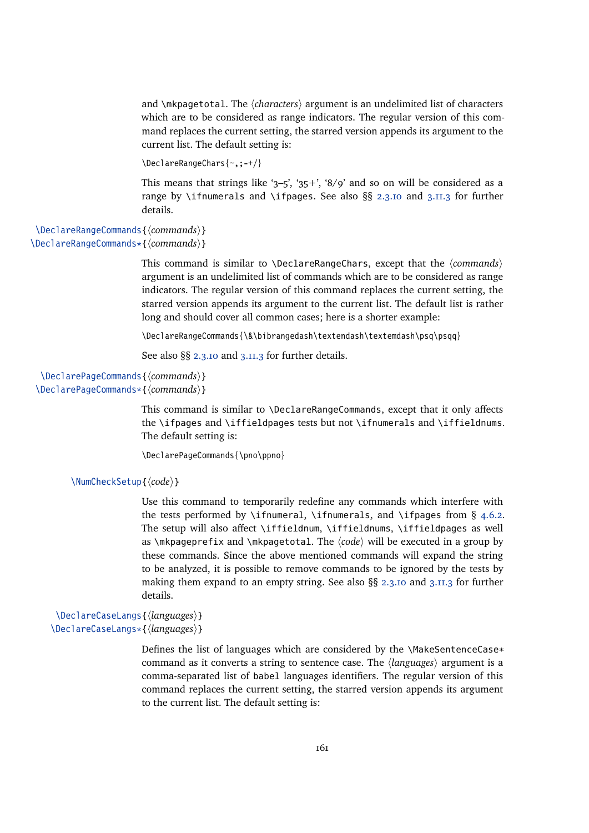and \mkpagetotal. The *(characters)* argument is an undelimited list of characters which are to be considered as range indicators. The regular version of this command replaces the current setting, the starred version appends its argument to the current list. The default setting is:

```
\DeclareRangeChars{~,;-+/}
```
This means that strings like '3-5', '35+', '8/9' and so on will be considered as a range by \ifnumerals and \ifpages. See also §§ [2.3.10](#page-33-0) and [3.11.3](#page-109-0) for further details.

\DeclareRangeCommands{*\commands*}} \DeclareRangeCommands\*{\*commands*}}

> This command is similar to  $\Delta$  beclareRangeChars, except that the  $\langle commands \rangle$ argument is an undelimited list of commands which are to be considered as range indicators. The regular version of this command replaces the current setting, the starred version appends its argument to the current list. The default list is rather long and should cover all common cases; here is a shorter example:

\DeclareRangeCommands{\&\bibrangedash\textendash\textemdash\psq\psqq}

See also §§ [2.3.10](#page-33-0) and [3.11.3](#page-109-0) for further details.

```
\DeclarePageCommands{\commands}}
\DeclarePageCommands*{\commands}}
```
This command is similar to  $\Delta$ -DeclareRangeCommands, except that it only affects the \ifpages and \iffieldpages tests but not \ifnumerals and \iffieldnums. The default setting is:

\DeclarePageCommands{\pno\ppno}

```
\NumCheckSetup{\langle code \rangle}
```
Use this command to temporarily redefine any commands which interfere with the tests performed by \ifnumeral, \ifnumerals, and \ifpages from  $\S$  [4.6.2.](#page-145-0) The setup will also affect \iffieldnum, \iffieldnums, \iffieldpages as well as  $\mathcal{A}$  mkpageprefix and  $\mathcal{A}$  mkpagetotal. The  $\langle code \rangle$  will be executed in a group by these commands. Since the above mentioned commands will expand the string to be analyzed, it is possible to remove commands to be ignored by the tests by making them expand to an empty string. See also §§ [2.3.10](#page-33-0) and [3.11.3](#page-109-0) for further details.

\DeclareCaseLangs{\*languages*}} \DeclareCaseLangs\*{\*languages*}}

> Defines the list of languages which are considered by the \MakeSentenceCase\* command as it converts a string to sentence case. The *languages* argument is a comma-separated list of babel languages identifiers. The regular version of this command replaces the current setting, the starred version appends its argument to the current list. The default setting is: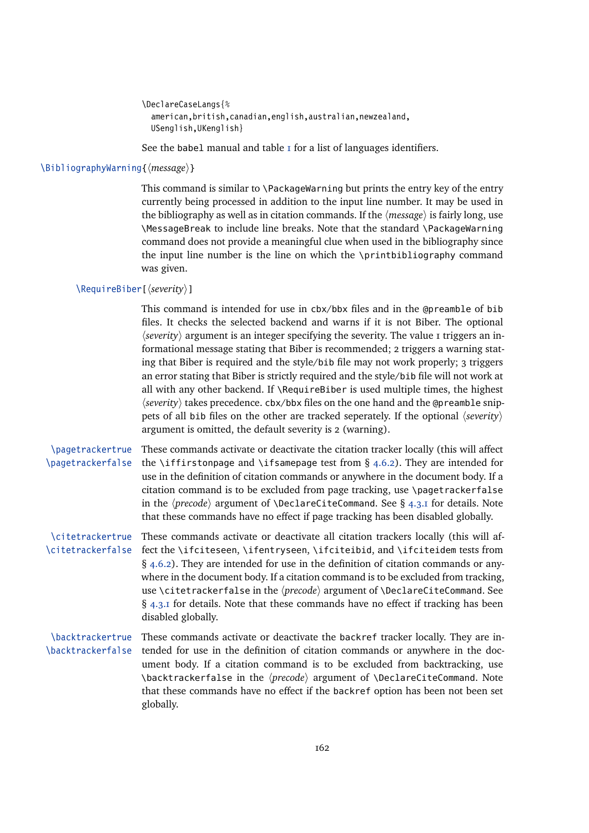```
\DeclareCaseLangs{%
  american,british,canadian,english,australian,newzealand,
  USenglish,UKenglish}
```
See the babel manual and table  $I$  for a list of languages identifiers.

#### \BibliographyWarning{*{message*}}

This command is similar to \PackageWarning but prints the entry key of the entry currently being processed in addition to the input line number. It may be used in the bibliography as well as in citation commands. If the  $\langle$ *message* $\rangle$  is fairly long, use \MessageBreak to include line breaks. Note that the standard \PackageWarning command does not provide a meaningful clue when used in the bibliography since the input line number is the line on which the \printbibliography command was given.

# \RequireBiber[h*severity*i]

This command is intended for use in cbx/bbx files and in the @preamble of bib files. It checks the selected backend and warns if it is not Biber. The optional  $\langle$ severity $\rangle$  argument is an integer specifying the severity. The value 1 triggers an informational message stating that Biber is recommended; 2 triggers a warning stating that Biber is required and the style/bib file may not work properly; 3 triggers an error stating that Biber is strictly required and the style/bib file will not work at all with any other backend. If  $\Re$  RequireBiber is used multiple times, the highest *\severity*} takes precedence. cbx/bbx files on the one hand and the @preamble snippets of all bib files on the other are tracked seperately. If the optional  $\langle severity \rangle$ argument is omitted, the default severity is 2 (warning).

\pagetrackertrue \pagetrackerfalse These commands activate or deactivate the citation tracker locally (this will affect the \iffirstonpage and \ifsamepage test from § [4.6.2\)](#page-145-0). They are intended for use in the definition of citation commands or anywhere in the document body. If a citation command is to be excluded from page tracking, use \pagetrackerfalse in the  $\langle precede \rangle$  argument of **\DeclareCiteCommand.** See § [4.3.1](#page-127-0) for details. Note that these commands have no effect if page tracking has been disabled globally.

\citetrackertrue \citetrackerfalse fect the \ifciteseen, \ifentryseen, \ifciteibid, and \ifciteidem tests from These commands activate or deactivate all citation trackers locally (this will af-§ [4.6.2\)](#page-145-0). They are intended for use in the definition of citation commands or anywhere in the document body. If a citation command is to be excluded from tracking, use \citetrackerfalse in the  $\langle precede \rangle$  argument of \DeclareCiteCommand. See  $\S$  [4.3.1](#page-127-0) for details. Note that these commands have no effect if tracking has been disabled globally.

#### \backtrackertrue \backtrackerfalse These commands activate or deactivate the backref tracker locally. They are intended for use in the definition of citation commands or anywhere in the document body. If a citation command is to be excluded from backtracking, use \backtrackerfalse in the *(precode*) argument of \DeclareCiteCommand. Note that these commands have no effect if the backref option has been not been set globally.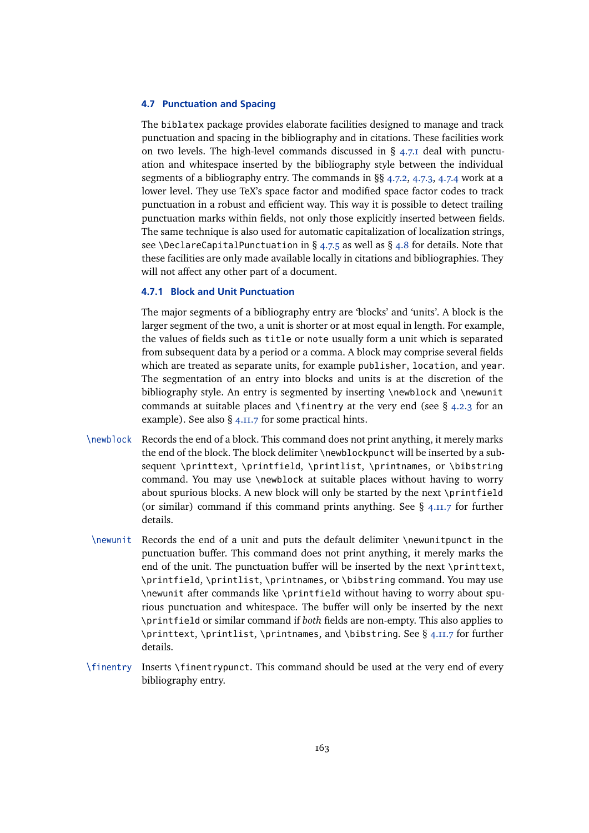#### <span id="page-162-0"></span>**4.7 Punctuation and Spacing**

The biblatex package provides elaborate facilities designed to manage and track punctuation and spacing in the bibliography and in citations. These facilities work on two levels. The high-level commands discussed in  $\S$  4.7.1 deal with punctuation and whitespace inserted by the bibliography style between the individual segments of a bibliography entry. The commands in §§ [4.7.2,](#page-163-0) [4.7.3,](#page-164-0) [4.7.4](#page-164-0) work at a lower level. They use TeX's space factor and modified space factor codes to track punctuation in a robust and efficient way. This way it is possible to detect trailing punctuation marks within fields, not only those explicitly inserted between fields. The same technique is also used for automatic capitalization of localization strings, see \DeclareCapitalPunctuation in § [4.7.5](#page-165-0) as well as § [4.8](#page-168-0) for details. Note that these facilities are only made available locally in citations and bibliographies. They will not affect any other part of a document.

#### **4.7.1 Block and Unit Punctuation**

The major segments of a bibliography entry are 'blocks' and 'units'. A block is the larger segment of the two, a unit is shorter or at most equal in length. For example, the values of fields such as title or note usually form a unit which is separated from subsequent data by a period or a comma. A block may comprise several fields which are treated as separate units, for example publisher, location, and year. The segmentation of an entry into blocks and units is at the discretion of the bibliography style. An entry is segmented by inserting \newblock and \newunit commands at suitable places and \finentry at the very end (see  $\S$  [4.2.3](#page-119-0) for an example). See also § [4.11.7](#page-199-0) for some practical hints.

- \newblock Records the end of a block. This command does not print anything, it merely marks the end of the block. The block delimiter \newblockpunct will be inserted by a subsequent \printtext, \printfield, \printlist, \printnames, or \bibstring command. You may use \newblock at suitable places without having to worry about spurious blocks. A new block will only be started by the next \printfield (or similar) command if this command prints anything. See § [4.11.7](#page-199-0) for further details.
- \newunit Records the end of a unit and puts the default delimiter \newunitpunct in the punctuation buffer. This command does not print anything, it merely marks the end of the unit. The punctuation buffer will be inserted by the next \printtext, \printfield, \printlist, \printnames, or \bibstring command. You may use \newunit after commands like \printfield without having to worry about spurious punctuation and whitespace. The buffer will only be inserted by the next \printfield or similar command if *both* fields are non-empty. This also applies to \printtext, \printlist, \printnames, and \bibstring. See § [4.11.7](#page-199-0) for further details.
- \finentry Inserts \finentrypunct. This command should be used at the very end of every bibliography entry.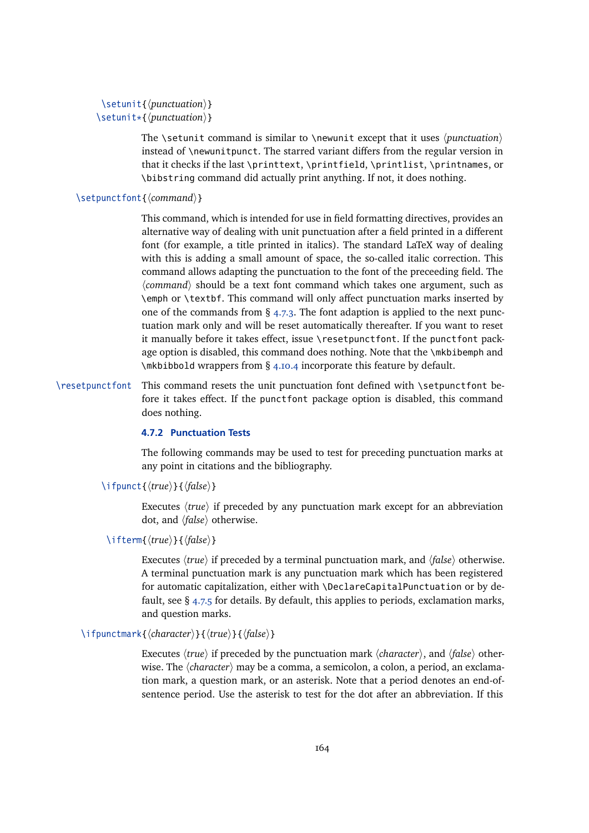```
\setunit{\punctuation}}
\setunit*{\punctuation\}
```
The \setunit command is similar to \newunit except that it uses  $\langle$  *punctuation* $\rangle$ instead of \newunitpunct. The starred variant differs from the regular version in that it checks if the last \printtext, \printfield, \printlist, \printnames, or \bibstring command did actually print anything. If not, it does nothing.

# \setpunctfont{\*/command*}}

This command, which is intended for use in field formatting directives, provides an alternative way of dealing with unit punctuation after a field printed in a different font (for example, a title printed in italics). The standard LaTeX way of dealing with this is adding a small amount of space, the so-called italic correction. This command allows adapting the punctuation to the font of the preceeding field. The  $\langle command \rangle$  should be a text font command which takes one argument, such as \emph or \textbf. This command will only affect punctuation marks inserted by one of the commands from § [4.7.3.](#page-164-0) The font adaption is applied to the next punctuation mark only and will be reset automatically thereafter. If you want to reset it manually before it takes effect, issue \resetpunctfont. If the punctfont package option is disabled, this command does nothing. Note that the \mkbibemph and \mkbibbold wrappers from § [4.10.4](#page-185-0) incorporate this feature by default.

\resetpunctfont This command resets the unit punctuation font defined with \setpunctfont before it takes effect. If the punctfont package option is disabled, this command does nothing.

#### **4.7.2 Punctuation Tests**

The following commands may be used to test for preceding punctuation marks at any point in citations and the bibliography.

\ifpunct{\*{true*}}{\*{false*}}

Executes  $\langle true \rangle$  if preceded by any punctuation mark except for an abbreviation dot, and *(false)* otherwise.

# \ifterm{*\true*}}{*\false*}}

Executes *(true)* if preceded by a terminal punctuation mark, and *(false)* otherwise. A terminal punctuation mark is any punctuation mark which has been registered for automatic capitalization, either with \DeclareCapitalPunctuation or by default, see § [4.7.5](#page-165-0) for details. By default, this applies to periods, exclamation marks, and question marks.

# \ifpunctmark{*\character*}}{*\true*}}{*\false*}}

Executes  $\langle true \rangle$  if preceded by the punctuation mark  $\langle character \rangle$ , and  $\langle false \rangle$  otherwise. The *(character)* may be a comma, a semicolon, a colon, a period, an exclamation mark, a question mark, or an asterisk. Note that a period denotes an end-ofsentence period. Use the asterisk to test for the dot after an abbreviation. If this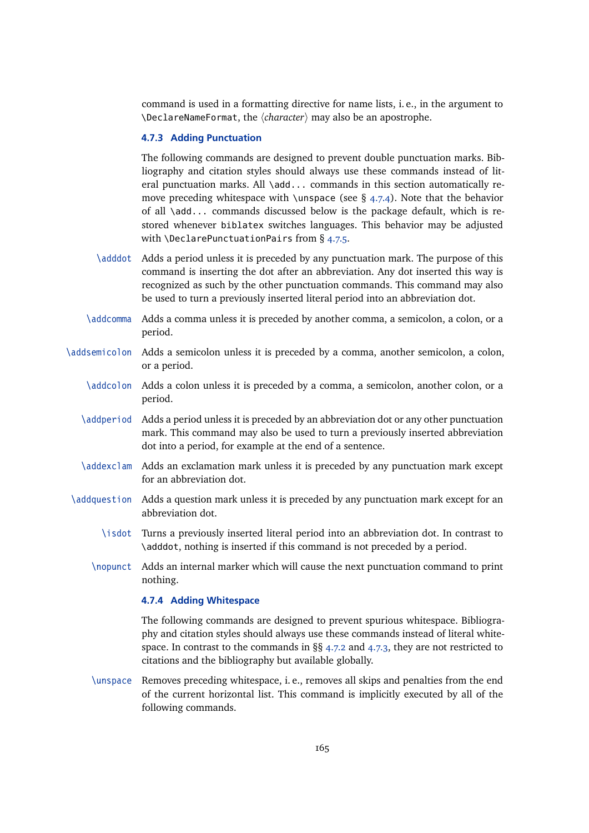<span id="page-164-0"></span>command is used in a formatting directive for name lists, i. e., in the argument to \DeclareNameFormat, the h*character*i may also be an apostrophe.

### **4.7.3 Adding Punctuation**

The following commands are designed to prevent double punctuation marks. Bibliography and citation styles should always use these commands instead of literal punctuation marks. All \add... commands in this section automatically remove preceding whitespace with \unspace (see  $\S$  4.7.4). Note that the behavior of all \add... commands discussed below is the package default, which is restored whenever biblatex switches languages. This behavior may be adjusted with \DeclarePunctuationPairs from § [4.7.5.](#page-165-0)

- \adddot Adds a period unless it is preceded by any punctuation mark. The purpose of this command is inserting the dot after an abbreviation. Any dot inserted this way is recognized as such by the other punctuation commands. This command may also be used to turn a previously inserted literal period into an abbreviation dot.
- \addcomma Adds a comma unless it is preceded by another comma, a semicolon, a colon, or a period.
- \addsemicolon Adds a semicolon unless it is preceded by a comma, another semicolon, a colon, or a period.
	- \addcolon Adds a colon unless it is preceded by a comma, a semicolon, another colon, or a period.
	- \addperiod Adds a period unless it is preceded by an abbreviation dot or any other punctuation mark. This command may also be used to turn a previously inserted abbreviation dot into a period, for example at the end of a sentence.
	- \addexclam Adds an exclamation mark unless it is preceded by any punctuation mark except for an abbreviation dot.
- \addquestion Adds a question mark unless it is preceded by any punctuation mark except for an abbreviation dot.
	- \isdot Turns a previously inserted literal period into an abbreviation dot. In contrast to \adddot, nothing is inserted if this command is not preceded by a period.
	- \nopunct Adds an internal marker which will cause the next punctuation command to print nothing.

# **4.7.4 Adding Whitespace**

The following commands are designed to prevent spurious whitespace. Bibliography and citation styles should always use these commands instead of literal whitespace. In contrast to the commands in §§ [4.7.2](#page-163-0) and 4.7.3, they are not restricted to citations and the bibliography but available globally.

\unspace Removes preceding whitespace, i. e., removes all skips and penalties from the end of the current horizontal list. This command is implicitly executed by all of the following commands.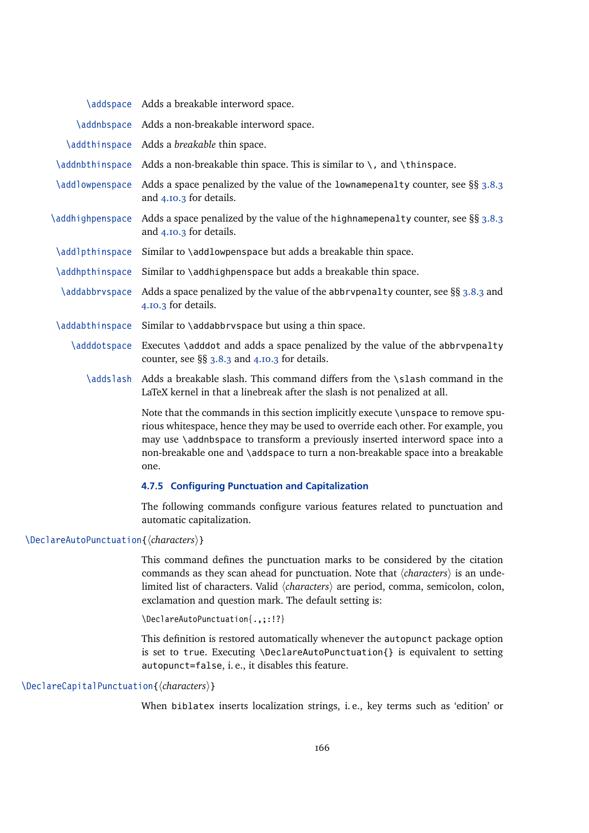<span id="page-165-0"></span>

|                                     | \addspace Adds a breakable interword space.                                                                                                                                                                                                                                                                                                       |
|-------------------------------------|---------------------------------------------------------------------------------------------------------------------------------------------------------------------------------------------------------------------------------------------------------------------------------------------------------------------------------------------------|
| <i><b>\addnbspace</b></i>           | Adds a non-breakable interword space.                                                                                                                                                                                                                                                                                                             |
| <i><u><b>Addthinspace</b></u></i>   | Adds a breakable thin space.                                                                                                                                                                                                                                                                                                                      |
| <i><u><b>Addnbthinspace</b></u></i> | Adds a non-breakable thin space. This is similar to $\setminus$ , and $\setminus$ thinspace.                                                                                                                                                                                                                                                      |
| \addlowpenspace                     | Adds a space penalized by the value of the lowname penalty counter, see $\S$ § 3.8.3<br>and 4.10.3 for details.                                                                                                                                                                                                                                   |
| \addhighpenspace                    | Adds a space penalized by the value of the highname penalty counter, see $\S$ § 3.8.3<br>and 4.10.3 for details.                                                                                                                                                                                                                                  |
| \addlpthinspace                     | Similar to \addlowpenspace but adds a breakable thin space.                                                                                                                                                                                                                                                                                       |
| <i><u><b>Addhpthinspace</b></u></i> | Similar to \addhighpenspace but adds a breakable thin space.                                                                                                                                                                                                                                                                                      |
| \addabbrvspace                      | Adds a space penalized by the value of the abbrypenalty counter, see $\S$ § 3.8.3 and<br>4.10.3 for details.                                                                                                                                                                                                                                      |
| <i><b>\addabthinspace</b></i>       | Similar to \addabbrvspace but using a thin space.                                                                                                                                                                                                                                                                                                 |
| \adddotspace                        | Executes \adddot and adds a space penalized by the value of the abbrypenalty<br>counter, see $\S$ § 3.8.3 and 4.10.3 for details.                                                                                                                                                                                                                 |
| \addslash                           | Adds a breakable slash. This command differs from the \slash command in the<br>LaTeX kernel in that a linebreak after the slash is not penalized at all.                                                                                                                                                                                          |
|                                     | Note that the commands in this section implicitly execute \unspace to remove spu-<br>rious whitespace, hence they may be used to override each other. For example, you<br>may use \addnbspace to transform a previously inserted interword space into a<br>non-breakable one and \addspace to turn a non-breakable space into a breakable<br>one. |
|                                     | 4.7.5 Configuring Punctuation and Capitalization                                                                                                                                                                                                                                                                                                  |

The following commands configure various features related to punctuation and automatic capitalization.

# \DeclareAutoPunctuation{\*characters*}}

This command defines the punctuation marks to be considered by the citation commands as they scan ahead for punctuation. Note that  $\langle characters \rangle$  is an undelimited list of characters. Valid  $\langle characters \rangle$  are period, comma, semicolon, colon, exclamation and question mark. The default setting is:

\DeclareAutoPunctuation{.,;:!?}

This definition is restored automatically whenever the autopunct package option is set to true. Executing \DeclareAutoPunctuation{} is equivalent to setting autopunct=false, i. e., it disables this feature.

#### \DeclareCapitalPunctuation{ $\langle characters \rangle$ }

When biblatex inserts localization strings, i. e., key terms such as 'edition' or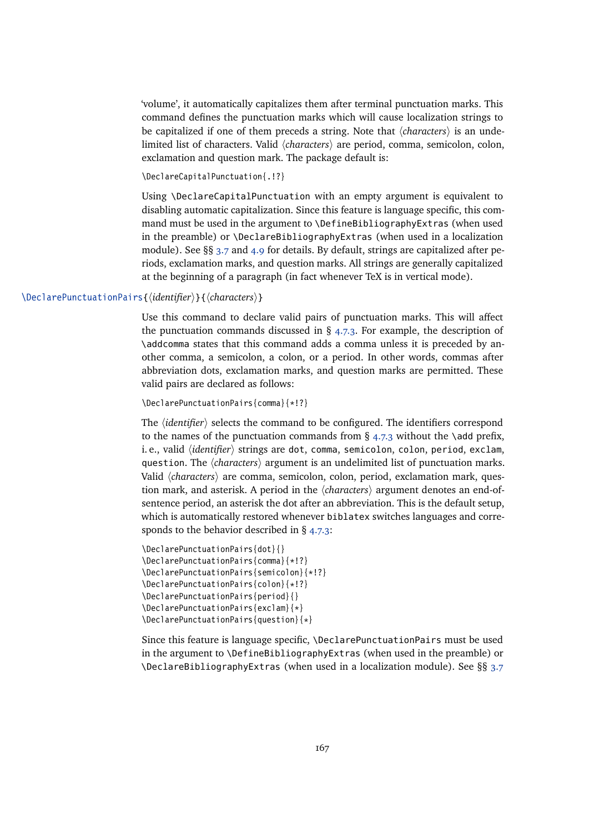'volume', it automatically capitalizes them after terminal punctuation marks. This command defines the punctuation marks which will cause localization strings to be capitalized if one of them preceds a string. Note that  $\langle characters \rangle$  is an undelimited list of characters. Valid  $\langle characters \rangle$  are period, comma, semicolon, colon, exclamation and question mark. The package default is:

\DeclareCapitalPunctuation{.!?}

Using \DeclareCapitalPunctuation with an empty argument is equivalent to disabling automatic capitalization. Since this feature is language specific, this command must be used in the argument to \DefineBibliographyExtras (when used in the preamble) or \DeclareBibliographyExtras (when used in a localization module). See §§ [3.7](#page-87-0) and [4.9](#page-169-0) for details. By default, strings are capitalized after periods, exclamation marks, and question marks. All strings are generally capitalized at the beginning of a paragraph (in fact whenever TeX is in vertical mode).

# \DeclarePunctuationPairs{\*identifier*}}{\*characters*}}

Use this command to declare valid pairs of punctuation marks. This will affect the punctuation commands discussed in  $\S$  [4.7.3.](#page-164-0) For example, the description of \addcomma states that this command adds a comma unless it is preceded by another comma, a semicolon, a colon, or a period. In other words, commas after abbreviation dots, exclamation marks, and question marks are permitted. These valid pairs are declared as follows:

\DeclarePunctuationPairs{comma}{\*!?}

The  $\langle$ *identifier* $\rangle$  selects the command to be configured. The identifiers correspond to the names of the punctuation commands from  $\S$  [4.7.3](#page-164-0) without the \add prefix, i.e., valid *(identifier)* strings are dot, comma, semicolon, colon, period, exclam, question. The  $\langle characters \rangle$  argument is an undelimited list of punctuation marks. Valid *(characters)* are comma, semicolon, colon, period, exclamation mark, question mark, and asterisk. A period in the *(characters)* argument denotes an end-ofsentence period, an asterisk the dot after an abbreviation. This is the default setup, which is automatically restored whenever biblatex switches languages and corresponds to the behavior described in § [4.7.3:](#page-164-0)

```
\DeclarePunctuationPairs{dot}{}
\DeclarePunctuationPairs{comma}{*!?}
\DeclarePunctuationPairs{semicolon}{*!?}
\DeclarePunctuationPairs{colon}{*!?}
\DeclarePunctuationPairs{period}{}
\DeclarePunctuationPairs{exclam}{*}
\DeclarePunctuationPairs{question}{*}
```
Since this feature is language specific, \DeclarePunctuationPairs must be used in the argument to \DefineBibliographyExtras (when used in the preamble) or \DeclareBibliographyExtras (when used in a localization module). See §§ [3.7](#page-87-0)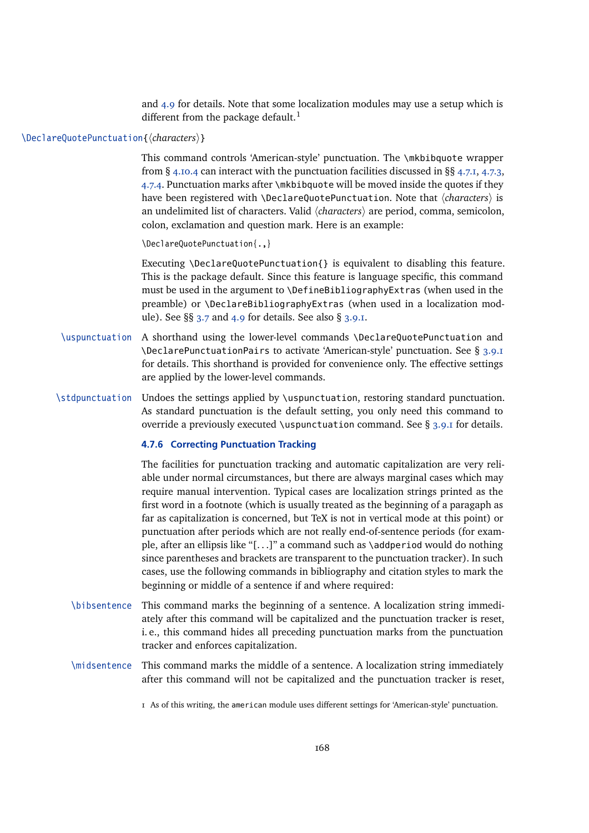and [4.9](#page-169-0) for details. Note that some localization modules may use a setup which is different from the package default.<sup>1</sup>

# \DeclareQuotePunctuation{*(characters)*}

This command controls 'American-style' punctuation. The \mkbibquote wrapper from § [4.10.4](#page-185-0) can interact with the punctuation facilities discussed in §§ [4.7.1,](#page-162-0) [4.7.3,](#page-164-0) [4.7.4.](#page-164-0) Punctuation marks after \mkbibquote will be moved inside the quotes if they have been registered with *\DeclareQuotePunctuation*. Note that  $\langle characters \rangle$  is an undelimited list of characters. Valid *(characters)* are period, comma, semicolon, colon, exclamation and question mark. Here is an example:

\DeclareQuotePunctuation{.,}

Executing \DeclareQuotePunctuation{} is equivalent to disabling this feature. This is the package default. Since this feature is language specific, this command must be used in the argument to \DefineBibliographyExtras (when used in the preamble) or \DeclareBibliographyExtras (when used in a localization module). See  $\S$ § [3.7](#page-87-0) and [4.9](#page-169-0) for details. See also § [3.9.1.](#page-96-0)

- \uspunctuation A shorthand using the lower-level commands \DeclareQuotePunctuation and \DeclarePunctuationPairs to activate 'American-style' punctuation. See § [3.9.1](#page-96-0) for details. This shorthand is provided for convenience only. The effective settings are applied by the lower-level commands.
- \stdpunctuation Undoes the settings applied by \uspunctuation, restoring standard punctuation. As standard punctuation is the default setting, you only need this command to override a previously executed \uspunctuation command. See § [3.9.1](#page-96-0) for details.

# **4.7.6 Correcting Punctuation Tracking**

The facilities for punctuation tracking and automatic capitalization are very reliable under normal circumstances, but there are always marginal cases which may require manual intervention. Typical cases are localization strings printed as the first word in a footnote (which is usually treated as the beginning of a paragaph as far as capitalization is concerned, but TeX is not in vertical mode at this point) or punctuation after periods which are not really end-of-sentence periods (for example, after an ellipsis like "[. . .]" a command such as \addperiod would do nothing since parentheses and brackets are transparent to the punctuation tracker). In such cases, use the following commands in bibliography and citation styles to mark the beginning or middle of a sentence if and where required:

- \bibsentence This command marks the beginning of a sentence. A localization string immediately after this command will be capitalized and the punctuation tracker is reset, i. e., this command hides all preceding punctuation marks from the punctuation tracker and enforces capitalization.
- \midsentence This command marks the middle of a sentence. A localization string immediately after this command will not be capitalized and the punctuation tracker is reset,

1 As of this writing, the american module uses different settings for 'American-style' punctuation.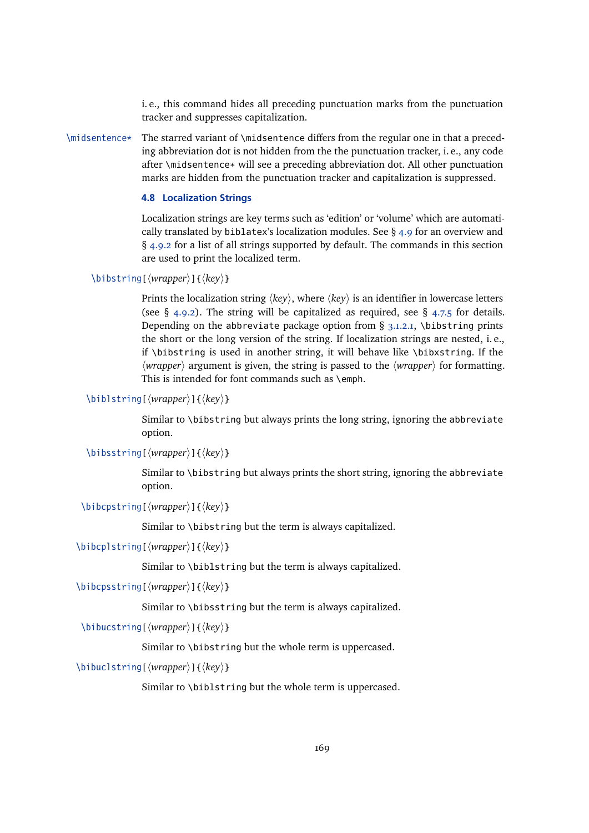i. e., this command hides all preceding punctuation marks from the punctuation tracker and suppresses capitalization.

<span id="page-168-0"></span> $\mid$  \midsentence\* The starred variant of \midsentence differs from the regular one in that a preceding abbreviation dot is not hidden from the the punctuation tracker, i. e., any code after \midsentence\* will see a preceding abbreviation dot. All other punctuation marks are hidden from the punctuation tracker and capitalization is suppressed.

# **4.8 Localization Strings**

Localization strings are key terms such as 'edition' or 'volume' which are automatically translated by biblatex's localization modules. See  $\S$  [4.9](#page-169-0) for an overview and § [4.9.2](#page-172-0) for a list of all strings supported by default. The commands in this section are used to print the localized term.

```
\bibstring[\langle wrapper \rangle]{\langle key \rangle}
```
Prints the localization string  $\langle key \rangle$ , where  $\langle key \rangle$  is an identifier in lowercase letters (see § [4.9.2\)](#page-172-0). The string will be capitalized as required, see § [4.7.5](#page-165-0) for details. Depending on the abbreviate package option from  $\S$  [3.1.2.1,](#page-43-0) \bibstring prints the short or the long version of the string. If localization strings are nested, i. e., if \bibstring is used in another string, it will behave like \bibxstring. If the  $\langle wrapper \rangle$  argument is given, the string is passed to the  $\langle wrapper \rangle$  for formatting. This is intended for font commands such as \emph.

```
\biblstring[\wrapper\]{\key\}
```
Similar to \bibstring but always prints the long string, ignoring the abbreviate option.

```
\bibsstring[\langle wrapper \rangle]{\langle key \rangle}
```
Similar to \bibstring but always prints the short string, ignoring the abbreviate option.

```
\bibcpstring[\langle wrapper \rangle]{\langle key \rangle}
```
Similar to \bibstring but the term is always capitalized.

```
\big\{\begin{array}{c}\n\{key\}\n\end{array}
```
Similar to \biblstring but the term is always capitalized.

```
\bibcpsstring[\langle wrapper \rangle]{\langle key \rangle}
```
Similar to \bibsstring but the term is always capitalized.

\bibucstring[ $\langle wrapper \rangle$ ]{ $\langle key \rangle$ }

Similar to \bibstring but the whole term is uppercased.

\bibuclstring[\*wrapper*)]{\*key*}}

Similar to \biblstring but the whole term is uppercased.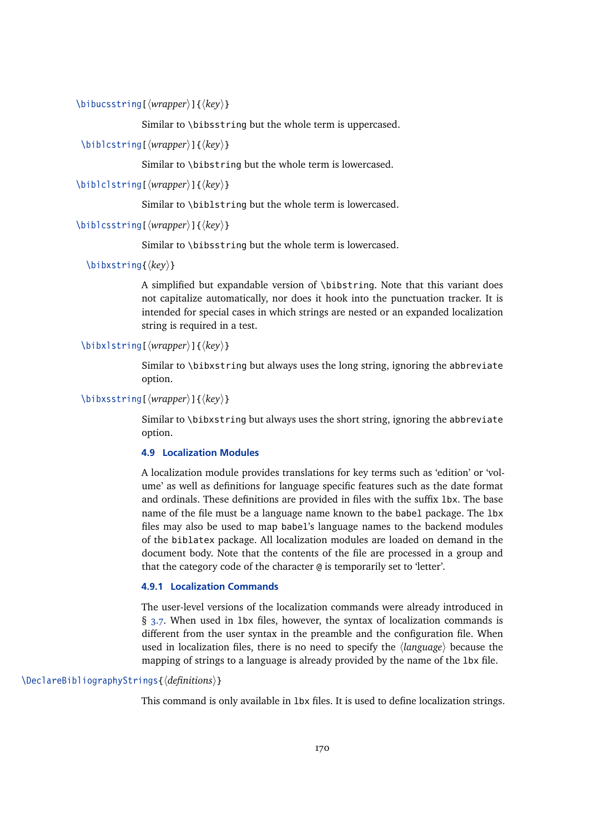<span id="page-169-0"></span>\bibucsstring[\*wrapper*\]{\*key*\}

Similar to \bibsstring but the whole term is uppercased.

\biblcstring[ $\langle wrapper \rangle$ ]{ $\langle key \rangle$ }

Similar to \bibstring but the whole term is lowercased.

\biblclstring[ $\langle wrapper \rangle$ ]{ $\langle key \rangle$ }

Similar to \biblstring but the whole term is lowercased.

```
\biblcsstring[\wrapper}]{\key}}
```
Similar to \bibsstring but the whole term is lowercased.

\bibxstring{*\key*}}

A simplified but expandable version of \bibstring. Note that this variant does not capitalize automatically, nor does it hook into the punctuation tracker. It is intended for special cases in which strings are nested or an expanded localization string is required in a test.

# \bibxlstring[ $\langle wrapper \rangle$ ]{ $\langle key \rangle$ }

Similar to \bibxstring but always uses the long string, ignoring the abbreviate option.

\bibxsstring[\*wrapper*\]{\*key*\}

Similar to \bibxstring but always uses the short string, ignoring the abbreviate option.

# **4.9 Localization Modules**

A localization module provides translations for key terms such as 'edition' or 'volume' as well as definitions for language specific features such as the date format and ordinals. These definitions are provided in files with the suffix 1bx. The base name of the file must be a language name known to the babel package. The lbx files may also be used to map babel's language names to the backend modules of the biblatex package. All localization modules are loaded on demand in the document body. Note that the contents of the file are processed in a group and that the category code of the character @ is temporarily set to 'letter'.

## **4.9.1 Localization Commands**

The user-level versions of the localization commands were already introduced in § [3.7.](#page-87-0) When used in lbx files, however, the syntax of localization commands is different from the user syntax in the preamble and the configuration file. When used in localization files, there is no need to specify the  $\langle \text{language} \rangle$  because the mapping of strings to a language is already provided by the name of the lbx file.

# \DeclareBibliographyStrings{\*definitions*}}

This command is only available in lbx files. It is used to define localization strings.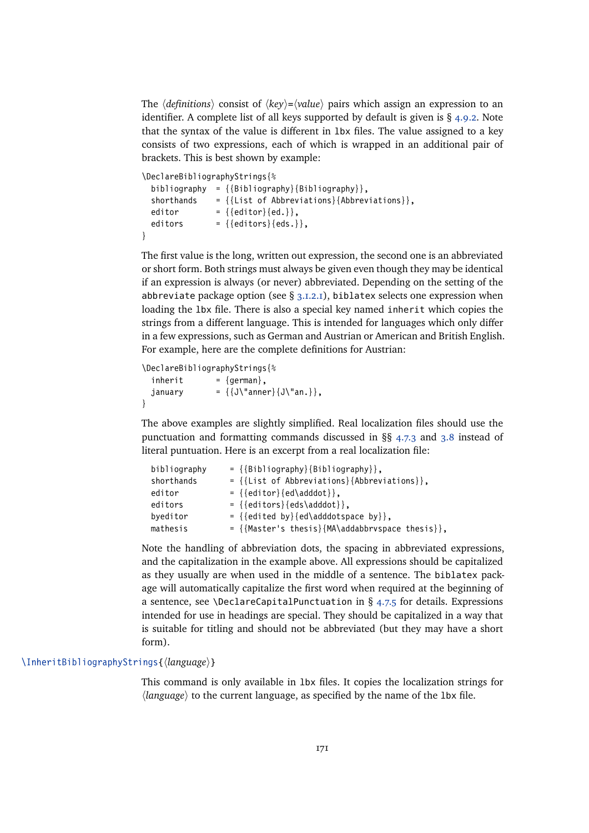The  $\langle definitions\rangle$  consist of  $\langle key\rangle = \langle value\rangle$  pairs which assign an expression to an identifier. A complete list of all keys supported by default is given is  $\S$  [4.9.2.](#page-172-0) Note that the syntax of the value is different in lbx files. The value assigned to a key consists of two expressions, each of which is wrapped in an additional pair of brackets. This is best shown by example:

```
\DeclareBibliographyStrings{%
```

```
bibliography = \{\{\text{Bibliography}\}\ = \{\text{Bibliography}\}\shorthands = {List of Abbreviations}{Abbreviations}editor = {\text{{{editor}},{ed.}}},editors = {\{editors\} \{eds.\}},}
```
The first value is the long, written out expression, the second one is an abbreviated or short form. Both strings must always be given even though they may be identical if an expression is always (or never) abbreviated. Depending on the setting of the abbreviate package option (see  $\S$  [3.1.2.1\)](#page-43-0), biblatex selects one expression when loading the lbx file. There is also a special key named inherit which copies the strings from a different language. This is intended for languages which only differ in a few expressions, such as German and Austrian or American and British English. For example, here are the complete definitions for Austrian:

```
\DeclareBibliographyStrings{%
 inherit = {german},
 january = \{J\"anner\{J\}'an.}},
}
```
The above examples are slightly simplified. Real localization files should use the punctuation and formatting commands discussed in §§ [4.7.3](#page-164-0) and [3.8](#page-89-0) instead of literal puntuation. Here is an excerpt from a real localization file:

```
bibliography = \{ \{ \text{Bibliography} \} \{ \text{Bibliography} \},
shorthands = {List of Abbreviations}{Abbreviations},editor = {\{editor\} {ed\} \cdot \},
editors = {\{editors\} {eds\}adddot}byeditor = {\{edited by} {ed\}addotspace by} \},mathesis = {\{Master's thesis\} {MA\} addabbrvspace thesis}
```
Note the handling of abbreviation dots, the spacing in abbreviated expressions, and the capitalization in the example above. All expressions should be capitalized as they usually are when used in the middle of a sentence. The biblatex package will automatically capitalize the first word when required at the beginning of a sentence, see \DeclareCapitalPunctuation in § [4.7.5](#page-165-0) for details. Expressions intended for use in headings are special. They should be capitalized in a way that is suitable for titling and should not be abbreviated (but they may have a short form).

#### \InheritBibliographyStrings{\*language*}}

This command is only available in lbx files. It copies the localization strings for  $\langle \text{language} \rangle$  to the current language, as specified by the name of the 1bx file.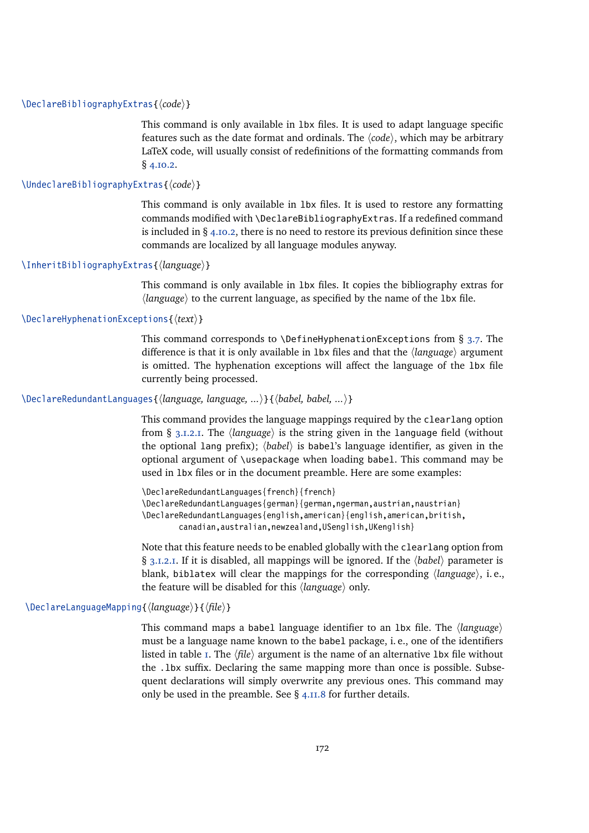### \DeclareBibliographyExtras{\*code*}}

This command is only available in lbx files. It is used to adapt language specific features such as the date format and ordinals. The  $\langle code \rangle$ , which may be arbitrary LaTeX code, will usually consist of redefinitions of the formatting commands from § [4.10.2.](#page-184-0)

# \UndeclareBibliographyExtras{ $\langle code \rangle$ }

This command is only available in lbx files. It is used to restore any formatting commands modified with \DeclareBibliographyExtras. If a redefined command is included in  $\S$  [4.10.2,](#page-184-0) there is no need to restore its previous definition since these commands are localized by all language modules anyway.

#### \InheritBibliographyExtras{\*language*}}

This command is only available in lbx files. It copies the bibliography extras for  $\langle$ language $\rangle$  to the current language, as specified by the name of the 1bx file.

# \DeclareHyphenationExceptions{ $\langle text \rangle$ }

This command corresponds to  $\Delta$  DefineHyphenationExceptions from § [3.7.](#page-87-0) The difference is that it is only available in 1bx files and that the *language* argument is omitted. The hyphenation exceptions will affect the language of the lbx file currently being processed.

# \DeclareRedundantLanguages{\language, language, ...\}{\babel, babel, ...\}

This command provides the language mappings required by the clearlang option from §  $3.1.2.1$ . The  $\langle$ *language* $\rangle$  is the string given in the language field (without the optional lang prefix);  $\langle babel \rangle$  is babel's language identifier, as given in the optional argument of \usepackage when loading babel. This command may be used in lbx files or in the document preamble. Here are some examples:

\DeclareRedundantLanguages{french}{french} \DeclareRedundantLanguages{german}{german,ngerman,austrian,naustrian} \DeclareRedundantLanguages{english,american}{english,american,british, canadian,australian,newzealand,USenglish,UKenglish}

Note that this feature needs to be enabled globally with the clearlang option from § [3.1.2.1.](#page-43-0) If it is disabled, all mappings will be ignored. If the *\babel*} parameter is blank, biblatex will clear the mappings for the corresponding  $\langle \text{language} \rangle$ , i.e., the feature will be disabled for this *(language)* only.

### \DeclareLanguageMapping{\*language*}}{\*file*}}

This command maps a babel language identifier to an lbx file. The *{language}* must be a language name known to the babel package, i. e., one of the identifiers listed in table  $I$ . The  $\langle file \rangle$  argument is the name of an alternative 1bx file without the .1bx suffix. Declaring the same mapping more than once is possible. Subsequent declarations will simply overwrite any previous ones. This command may only be used in the preamble. See  $\S$  [4.11.8](#page-204-0) for further details.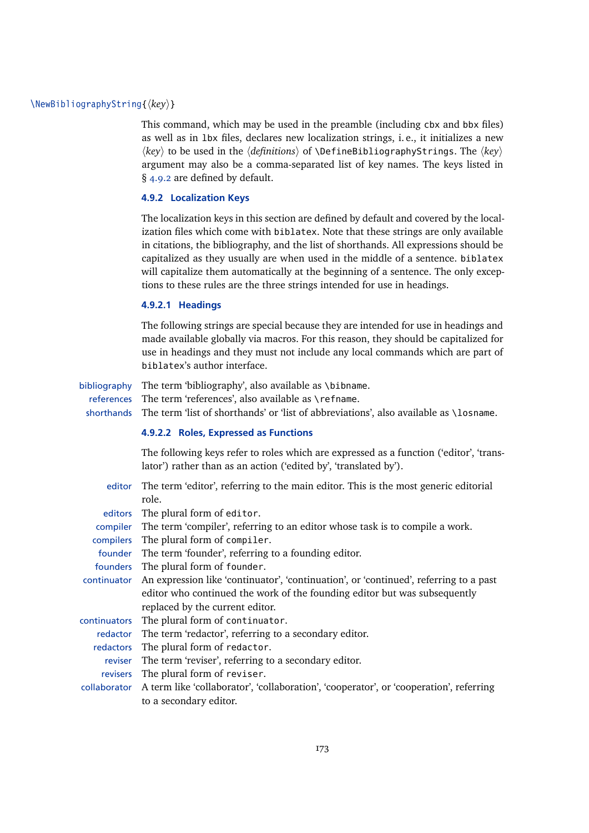# <span id="page-172-0"></span>\NewBibliographyString{ $\langle key \rangle$ }

This command, which may be used in the preamble (including cbx and bbx files) as well as in lbx files, declares new localization strings, i. e., it initializes a new  $\langle key \rangle$  to be used in the  $\langle definitions \rangle$  of  $\Delta$  **befineBibliographyStrings.** The  $\langle key \rangle$ argument may also be a comma-separated list of key names. The keys listed in § 4.9.2 are defined by default.

#### **4.9.2 Localization Keys**

The localization keys in this section are defined by default and covered by the localization files which come with biblatex. Note that these strings are only available in citations, the bibliography, and the list of shorthands. All expressions should be capitalized as they usually are when used in the middle of a sentence. biblatex will capitalize them automatically at the beginning of a sentence. The only exceptions to these rules are the three strings intended for use in headings.

#### **4.9.2.1 Headings**

The following strings are special because they are intended for use in headings and made available globally via macros. For this reason, they should be capitalized for use in headings and they must not include any local commands which are part of biblatex's author interface.

bibliography The term 'bibliography', also available as \bibname. references The term 'references', also available as \refname. shorthands The term 'list of shorthands' or 'list of abbreviations', also available as \losname.

#### **4.9.2.2 Roles, Expressed as Functions**

The following keys refer to roles which are expressed as a function ('editor', 'translator') rather than as an action ('edited by', 'translated by').

| editor       | The term 'editor', referring to the main editor. This is the most generic editorial    |
|--------------|----------------------------------------------------------------------------------------|
|              | role.                                                                                  |
| editors      | The plural form of editor.                                                             |
| compiler     | The term 'compiler', referring to an editor whose task is to compile a work.           |
| compilers    | The plural form of compiler.                                                           |
| founder      | The term 'founder', referring to a founding editor.                                    |
|              | founders The plural form of founder.                                                   |
| continuator  | An expression like 'continuator', 'continuation', or 'continued', referring to a past  |
|              | editor who continued the work of the founding editor but was subsequently              |
|              | replaced by the current editor.                                                        |
| continuators | The plural form of continuator.                                                        |
| redactor     | The term 'redactor', referring to a secondary editor.                                  |
| redactors    | The plural form of redactor.                                                           |
| reviser      | The term 'reviser', referring to a secondary editor.                                   |
| revisers     | The plural form of reviser.                                                            |
| collaborator | A term like 'collaborator', 'collaboration', 'cooperator', or 'cooperation', referring |
|              | to a secondary editor.                                                                 |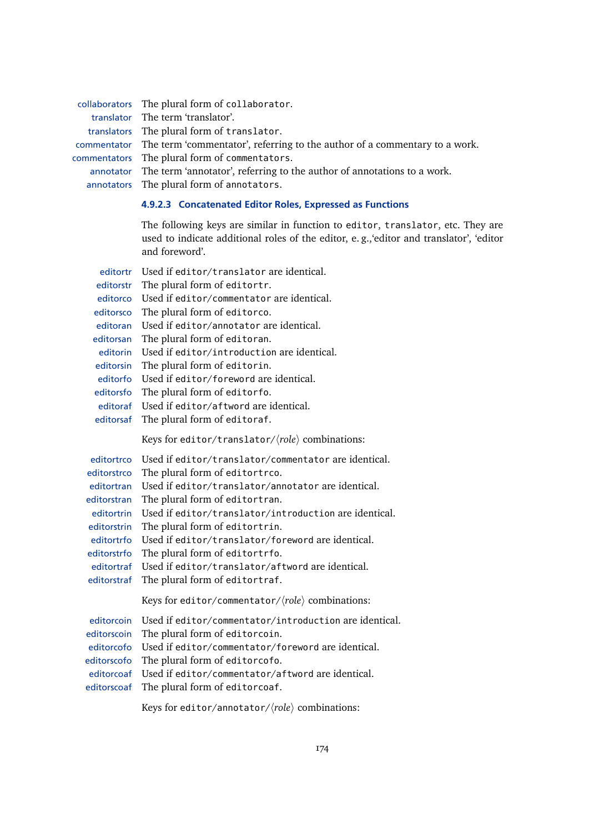collaborators The plural form of collaborator. translator The term 'translator'. translators The plural form of translator. commentator The term 'commentator', referring to the author of a commentary to a work. commentators The plural form of commentators. annotator The term 'annotator', referring to the author of annotations to a work. annotators The plural form of annotators.

# **4.9.2.3 Concatenated Editor Roles, Expressed as Functions**

The following keys are similar in function to editor, translator, etc. They are used to indicate additional roles of the editor, e. g.,'editor and translator', 'editor and foreword'.

| editortr    | Used if editor/translator are identical.                          |
|-------------|-------------------------------------------------------------------|
| editorstr   | The plural form of editortr.                                      |
| editorco    | Used if editor/commentator are identical.                         |
| editorsco   | The plural form of editorco.                                      |
| editoran    | Used if editor/annotator are identical.                           |
| editorsan   | The plural form of editoran.                                      |
| editorin    | Used if editor/introduction are identical.                        |
| editorsin   | The plural form of editorin.                                      |
| editorfo    | Used if editor/foreword are identical.                            |
| editorsfo   | The plural form of editorfo.                                      |
| editoraf    | Used if editor/aftword are identical.                             |
| editorsaf   | The plural form of editoraf.                                      |
|             | Keys for editor/translator/ $\langle role \rangle$ combinations:  |
| editortrco  | Used if editor/translator/commentator are identical.              |
| editorstrco | The plural form of editortrco.                                    |
| editortran  | Used if editor/translator/annotator are identical.                |
| editorstran | The plural form of editortran.                                    |
| editortrin  | Used if editor/translator/introduction are identical.             |
| editorstrin | The plural form of editortrin.                                    |
| editortrfo  | Used if editor/translator/foreword are identical.                 |
| editorstrfo | The plural form of editortrfo.                                    |
| editortraf  | Used if editor/translator/aftword are identical.                  |
| editorstraf | The plural form of editortraf.                                    |
|             | Keys for editor/commentator/ $\langle role \rangle$ combinations: |
| editorcoin  | Used if editor/commentator/introduction are identical.            |
| editorscoin | The plural form of editorcoin.                                    |
| editorcofo  | Used if editor/commentator/foreword are identical.                |
| editorscofo | The plural form of editorcofo.                                    |
| editorcoaf  | Used if editor/commentator/aftword are identical.                 |
| editorscoaf | The plural form of editorcoaf.                                    |
|             | Keys for editor/annotator/ $\langle role \rangle$ combinations:   |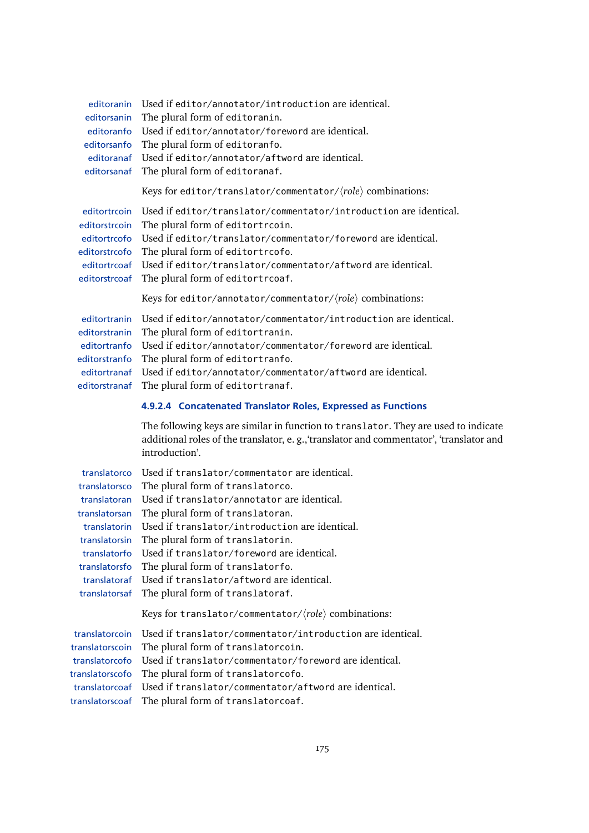| editoranin<br>editorsanin<br>editoranfo<br>editorsanfo<br>editorsanaf                                                                            | Used if editor/annotator/introduction are identical.<br>The plural form of editoranin.<br>Used if editor/annotator/foreword are identical.<br>The plural form of editoranfo.<br>editoranaf Used if editor/annotator/aftword are identical.<br>The plural form of editoranaf.                                                                                                                                                                |
|--------------------------------------------------------------------------------------------------------------------------------------------------|---------------------------------------------------------------------------------------------------------------------------------------------------------------------------------------------------------------------------------------------------------------------------------------------------------------------------------------------------------------------------------------------------------------------------------------------|
|                                                                                                                                                  | Keys for editor/translator/commentator/ $\langle role \rangle$ combinations:                                                                                                                                                                                                                                                                                                                                                                |
| editortrcoin<br>editorstrcoin<br>editortrcofo<br>editorstrcofo<br>editorstrcoaf                                                                  | Used if editor/translator/commentator/introduction are identical.<br>The plural form of editortrcoin.<br>Used if editor/translator/commentator/foreword are identical.<br>The plural form of editortrcofo.<br>editortrcoaf Used if editor/translator/commentator/aftword are identical.<br>The plural form of editortrcoaf.                                                                                                                 |
|                                                                                                                                                  | Keys for editor/annotator/commentator/ $\langle role \rangle$ combinations:                                                                                                                                                                                                                                                                                                                                                                 |
| editortranin<br>editorstranin<br>editortranfo<br>editorstranfo<br>editortranaf<br>editorstranaf                                                  | Used if editor/annotator/commentator/introduction are identical.<br>The plural form of editortranin.<br>Used if editor/annotator/commentator/foreword are identical.<br>The plural form of editortranfo.<br>Used if editor/annotator/commentator/aftword are identical.<br>The plural form of editortranaf.                                                                                                                                 |
|                                                                                                                                                  | 4.9.2.4 Concatenated Translator Roles, Expressed as Functions                                                                                                                                                                                                                                                                                                                                                                               |
|                                                                                                                                                  | The following keys are similar in function to translator. They are used to indicate<br>additional roles of the translator, e.g., 'translator and commentator', 'translator and<br>introduction'.                                                                                                                                                                                                                                            |
| translatorco<br>translatorsco<br>translatoran<br>translatorsan<br>translatorin<br>translatorfo<br>translatorsfo<br>translatoraf<br>translatorsaf | Used if translator/commentator are identical.<br>The plural form of translatorco.<br>Used if translator/annotator are identical.<br>The plural form of translatoran.<br>Used if translator/introduction are identical.<br>translatorsin The plural form of translatorin.<br>Used if translator/foreword are identical.<br>The plural form of translatorfo.<br>Used if translator/aftword are identical.<br>The plural form of translatoraf. |
|                                                                                                                                                  | Keys for translator/commentator/ $\langle role \rangle$ combinations:                                                                                                                                                                                                                                                                                                                                                                       |
| translatorcoin<br>translatorscoin<br>translatorcofo<br>translatorscofo<br>translatorcoaf<br>translatorscoaf                                      | Used if translator/commentator/introduction are identical.<br>The plural form of translatorcoin.<br>Used if translator/commentator/foreword are identical.<br>The plural form of translatorcofo.<br>Used if translator/commentator/aftword are identical.<br>The plural form of translatorcoaf.                                                                                                                                             |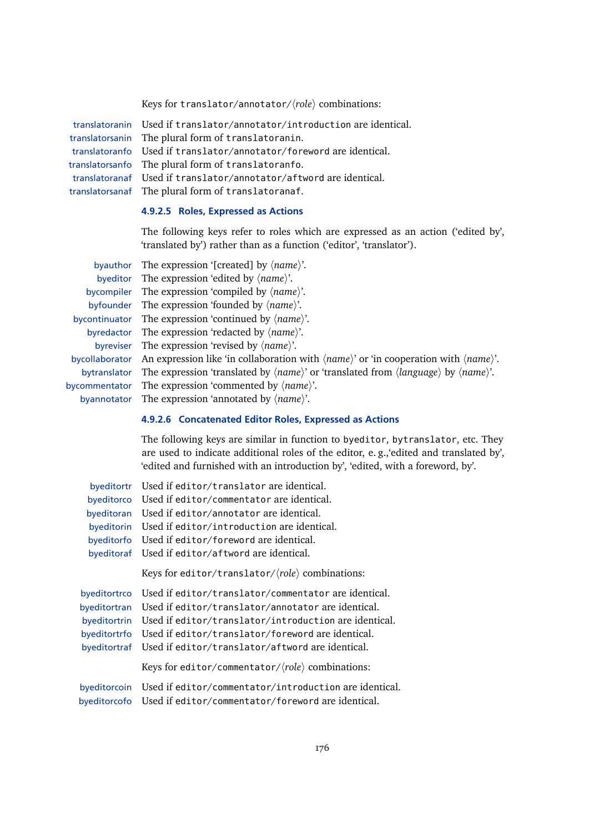Keys for translator/annotator/ $\langle role \rangle$  combinations:

translatoranin Used if translator/annotator/introduction are identical. translatorsanin The plural form of translatoranin. translatoranfo Used if translator/annotator/foreword are identical. translatorsanfo The plural form of translatoranfo. translatoranaf Used if translator/annotator/aftword are identical. translatorsanaf The plural form of translatoranaf.

# **4.9.2.5 Roles, Expressed as Actions**

The following keys refer to roles which are expressed as an action ('edited by', 'translated by') rather than as a function ('editor', 'translator').

| by author The expression '[created] by $\langle name \rangle$ '.                                                                                |
|-------------------------------------------------------------------------------------------------------------------------------------------------|
| byeditor The expression 'edited by $\langle name \rangle$ '.                                                                                    |
| by compiler The expression 'compiled by $\langle name \rangle$ '.                                                                               |
| byfounder The expression 'founded by $\langle name \rangle$ '.                                                                                  |
| by continuator The expression 'continued by $\langle name \rangle$ '.                                                                           |
| byredactor The expression 'redacted by $\langle name \rangle$ '.                                                                                |
| byreviser The expression 'revised by $\langle name \rangle$ '.                                                                                  |
| bycollaborator An expression like 'in collaboration with $\langle name \rangle$ ' or 'in cooperation with $\langle name \rangle$ '.             |
| bytranslator The expression 'translated by $\langle name \rangle$ ' or 'translated from $\langle language \rangle$ by $\langle name \rangle$ '. |
| bycommentator The expression 'commented by $\langle name \rangle$ '.                                                                            |
| by annotator The expression 'annotated by $\langle name \rangle$ '.                                                                             |

#### **4.9.2.6 Concatenated Editor Roles, Expressed as Actions**

The following keys are similar in function to byeditor, bytranslator, etc. They are used to indicate additional roles of the editor, e. g.,'edited and translated by', 'edited and furnished with an introduction by', 'edited, with a foreword, by'.

| byeditortr   | Used if editor/translator are identical.                          |
|--------------|-------------------------------------------------------------------|
| byeditorco   | Used if editor/commentator are identical.                         |
| byeditoran   | Used if editor/annotator are identical.                           |
| byeditorin   | Used if editor/introduction are identical.                        |
| byeditorfo   | Used if editor/foreword are identical.                            |
| byeditoraf   | Used if editor/aftword are identical.                             |
|              | Keys for editor/translator/ $\langle role \rangle$ combinations:  |
| byeditortrco | Used if editor/translator/commentator are identical.              |
| byeditortran | Used if editor/translator/annotator are identical.                |
| byeditortrin | Used if editor/translator/introduction are identical.             |
| byeditortrfo | Used if editor/translator/foreword are identical.                 |
| byeditortraf | Used if editor/translator/aftword are identical.                  |
|              | Keys for editor/commentator/ $\langle role \rangle$ combinations: |
| byeditorcoin | Used if editor/commentator/introduction are identical.            |
| byeditorcofo | Used if editor/commentator/foreword are identical.                |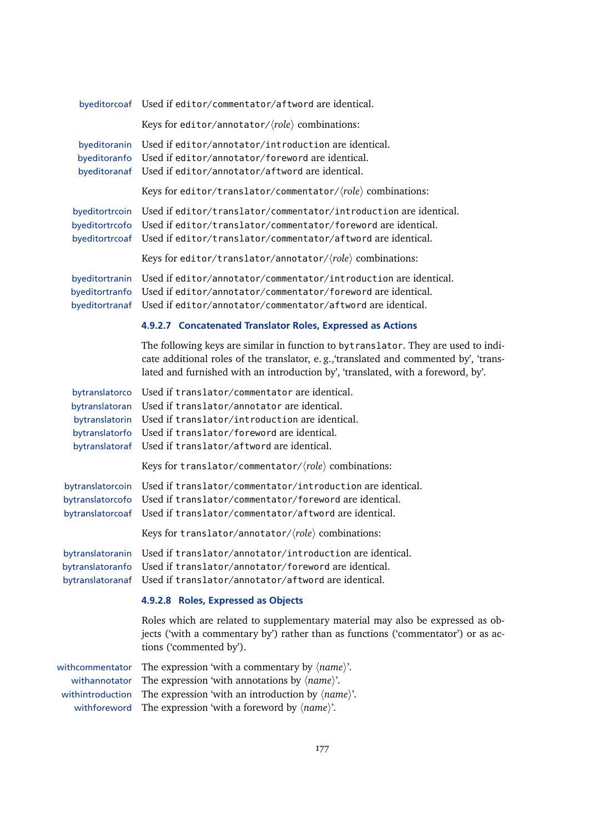|                                                                                        | byeditorcoaf Used if editor/commentator/aftword are identical.                                                                                                                                                                                                       |
|----------------------------------------------------------------------------------------|----------------------------------------------------------------------------------------------------------------------------------------------------------------------------------------------------------------------------------------------------------------------|
|                                                                                        | Keys for editor/annotator/ $\langle role \rangle$ combinations:                                                                                                                                                                                                      |
| byeditoranin<br>byeditoranfo<br>byeditoranaf                                           | Used if editor/annotator/introduction are identical.<br>Used if editor/annotator/foreword are identical.<br>Used if editor/annotator/aftword are identical.                                                                                                          |
|                                                                                        | Keys for editor/translator/commentator/ $\langle role \rangle$ combinations:                                                                                                                                                                                         |
| byeditortrcoin<br>byeditortrcofo<br>byeditortrcoaf                                     | Used if editor/translator/commentator/introduction are identical.<br>Used if editor/translator/commentator/foreword are identical.<br>Used if editor/translator/commentator/aftword are identical.                                                                   |
|                                                                                        | Keys for editor/translator/annotator/ $\langle role \rangle$ combinations:                                                                                                                                                                                           |
| byeditortranin<br>byeditortranfo<br>byeditortranaf                                     | Used if editor/annotator/commentator/introduction are identical.<br>Used if editor/annotator/commentator/foreword are identical.<br>Used if editor/annotator/commentator/aftword are identical.                                                                      |
|                                                                                        | 4.9.2.7 Concatenated Translator Roles, Expressed as Actions                                                                                                                                                                                                          |
|                                                                                        | The following keys are similar in function to bytranslator. They are used to indi-<br>cate additional roles of the translator, e.g., 'translated and commented by', 'trans-<br>lated and furnished with an introduction by', 'translated, with a foreword, by'.      |
| bytranslatorco<br>bytranslatoran<br>bytranslatorin<br>bytranslatorfo<br>bytranslatoraf | Used if translator/commentator are identical.<br>Used if translator/annotator are identical.<br>Used if translator/introduction are identical.<br>Used if translator/foreword are identical.<br>Used if translator/aftword are identical.                            |
|                                                                                        | Keys for translator/commentator/ $\langle role \rangle$ combinations:                                                                                                                                                                                                |
| bytranslatorcoin<br>bytranslatorcofo<br>bytranslatorcoaf                               | Used if translator/commentator/introduction are identical.<br>Used if translator/commentator/foreword are identical.<br>Used if translator/commentator/aftword are identical.                                                                                        |
|                                                                                        | Keys for translator/annotator/ $\langle role \rangle$ combinations:                                                                                                                                                                                                  |
| bytranslatoranin<br>bytranslatoranfo<br>bytranslatoranaf                               | Used if translator/annotator/introduction are identical.<br>Used if translator/annotator/foreword are identical.<br>Used if translator/annotator/aftword are identical.                                                                                              |
|                                                                                        | 4.9.2.8 Roles, Expressed as Objects                                                                                                                                                                                                                                  |
|                                                                                        | Roles which are related to supplementary material may also be expressed as ob-<br>jects ('with a commentary by') rather than as functions ('commentator') or as ac-<br>tions ('commented by').                                                                       |
| withcommentator<br>withannotator<br>withintroduction<br>withforeword                   | The expression 'with a commentary by $\langle name \rangle$ '.<br>The expression 'with annotations by $\langle name \rangle$ '.<br>The expression 'with an introduction by $\langle name \rangle$ '.<br>The expression 'with a foreword by $\langle name \rangle$ '. |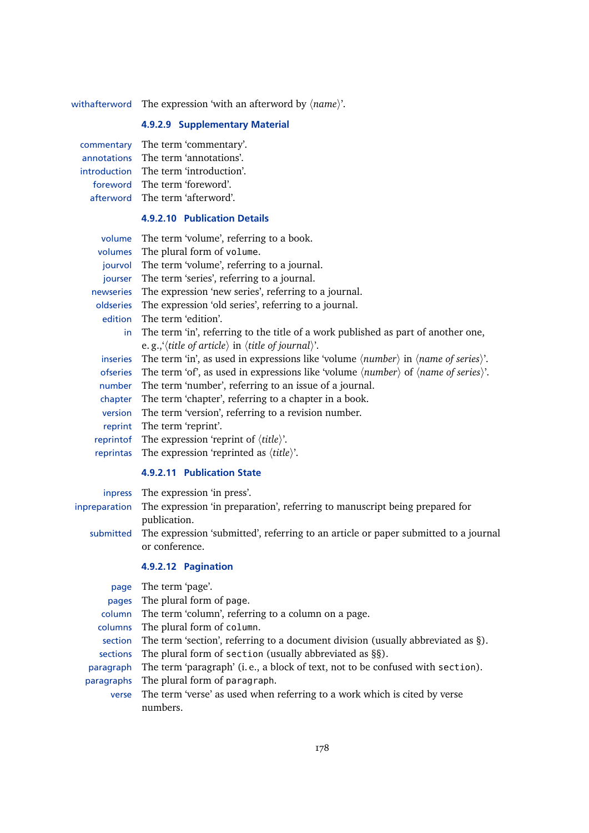withafterword The expression 'with an afterword by  $\langle name \rangle$ '.

# **4.9.2.9 Supplementary Material**

| commentary The term 'commentary'.     |
|---------------------------------------|
| annotations The term 'annotations'.   |
| introduction The term 'introduction'. |
| foreword The term 'foreword'.         |
| afterword The term 'afterword'.       |

# **4.9.2.10 Publication Details**

| volume    | The term 'volume', referring to a book.                                                                                          |
|-----------|----------------------------------------------------------------------------------------------------------------------------------|
| volumes   | The plural form of volume.                                                                                                       |
|           | jourvol The term 'volume', referring to a journal.                                                                               |
| jourser   | The term 'series', referring to a journal.                                                                                       |
| newseries | The expression 'new series', referring to a journal.                                                                             |
| oldseries | The expression 'old series', referring to a journal.                                                                             |
| edition   | The term 'edition'.                                                                                                              |
|           | in The term 'in', referring to the title of a work published as part of another one,                                             |
|           | e.g., '(title of article) in (title of journal)'.                                                                                |
|           | inseries The term 'in', as used in expressions like 'volume $\langle number \rangle$ in $\langle name \ of \ series \rangle'$ '. |
| ofseries  | The term 'of', as used in expressions like 'volume $\langle number \rangle$ of $\langle name \ of \ series \rangle$ '.           |
| number    | The term 'number', referring to an issue of a journal.                                                                           |
| chapter   | The term 'chapter', referring to a chapter in a book.                                                                            |
| version   | The term 'version', referring to a revision number.                                                                              |
|           | reprint The term 'reprint'.                                                                                                      |
|           | reprint of The expression 'reprint of $\langle title \rangle$ '.                                                                 |
|           | reprintas The expression 'reprinted as $\langle title \rangle$ '.                                                                |

# **4.9.2.11 Publication State**

| inpress The expression 'in press'.                                                            |
|-----------------------------------------------------------------------------------------------|
| inpreparation The expression 'in preparation', referring to manuscript being prepared for     |
| publication.                                                                                  |
| submitted The expression 'submitted', referring to an article or paper submitted to a journal |
| or conference.                                                                                |
| $10212$ Domination                                                                            |

# **4.9.2.12 Pagination**

| page       | The term 'page'.                                                                         |
|------------|------------------------------------------------------------------------------------------|
| pages      | The plural form of page.                                                                 |
|            | column The term 'column', referring to a column on a page.                               |
|            | columns The plural form of column.                                                       |
|            | section The term 'section', referring to a document division (usually abbreviated as §). |
|            | sections The plural form of section (usually abbreviated as §§).                         |
|            | paragraph The term 'paragraph' (i.e., a block of text, not to be confused with section). |
| paragraphs | The plural form of paragraph.                                                            |
| verse      | The term 'verse' as used when referring to a work which is cited by verse                |
|            | numhers                                                                                  |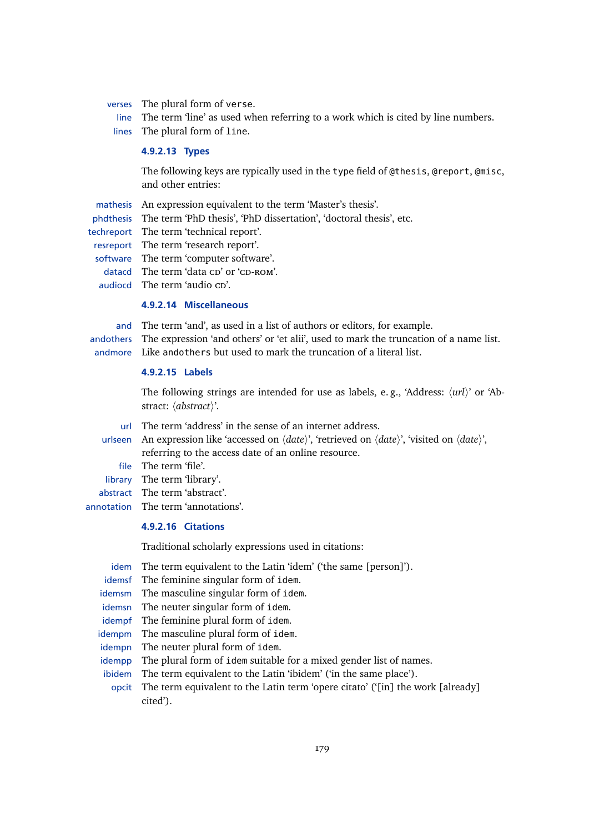verses The plural form of verse.

line The term 'line' as used when referring to a work which is cited by line numbers. lines The plural form of line.

#### **4.9.2.13 Types**

The following keys are typically used in the type field of @thesis, @report, @misc, and other entries:

mathesis An expression equivalent to the term 'Master's thesis'.

phdthesis The term 'PhD thesis', 'PhD dissertation', 'doctoral thesis', etc.

techreport The term 'technical report'.

- resreport The term 'research report'.
- software The term 'computer software'.
- datacd The term 'data CD' or 'CD-ROM'.
- audiocd The term 'audio cp'.

#### **4.9.2.14 Miscellaneous**

and The term 'and', as used in a list of authors or editors, for example. andothers The expression 'and others' or 'et alii', used to mark the truncation of a name list. andmore Like andothers but used to mark the truncation of a literal list.

# **4.9.2.15 Labels**

The following strings are intended for use as labels, e.g., 'Address:  $\langle \text{url}\rangle$ ' or 'Abstract:  $\langle abstract \rangle'.$ 

- url The term 'address' in the sense of an internet address.
- urlseen An expression like 'accessed on  $\langle date \rangle$ ', 'retrieved on  $\langle date \rangle'$ , 'visited on  $\langle date \rangle'$ , referring to the access date of an online resource.
- file The term 'file'.
- library The term 'library'.
- abstract The term 'abstract'.
- annotation The term 'annotations'.

# **4.9.2.16 Citations**

Traditional scholarly expressions used in citations:

- idem The term equivalent to the Latin 'idem' ('the same [person]').
- idemsf The feminine singular form of idem.
- idemsm The masculine singular form of idem.
- idemsn The neuter singular form of idem.
- idempf The feminine plural form of idem.
- idempm The masculine plural form of idem.
- idempn The neuter plural form of idem.
- idempp The plural form of idem suitable for a mixed gender list of names.
- ibidem The term equivalent to the Latin 'ibidem' ('in the same place').
- opcit The term equivalent to the Latin term 'opere citato' ('[in] the work [already] cited').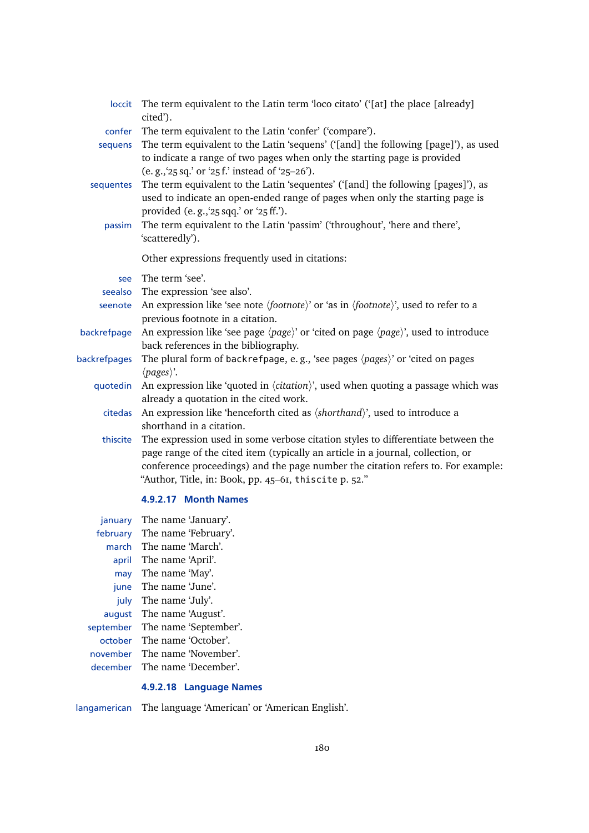| loccit       | The term equivalent to the Latin term 'loco citato' ('[at] the place [already]<br>cited').                                                                                                                                                                                                                       |
|--------------|------------------------------------------------------------------------------------------------------------------------------------------------------------------------------------------------------------------------------------------------------------------------------------------------------------------|
| confer       | The term equivalent to the Latin 'confer' ('compare').                                                                                                                                                                                                                                                           |
| sequens      | The term equivalent to the Latin 'sequens' ('[and] the following [page]'), as used<br>to indicate a range of two pages when only the starting page is provided<br>(e.g., '25 sq.' or '25 f.' instead of '25-26').                                                                                                |
| sequentes    | The term equivalent to the Latin 'sequentes' ('[and] the following [pages]'), as<br>used to indicate an open-ended range of pages when only the starting page is<br>provided (e.g., '25 sqq.' or '25 ff.').                                                                                                      |
| passim       | The term equivalent to the Latin 'passim' ('throughout', 'here and there',<br>'scatteredly').                                                                                                                                                                                                                    |
|              | Other expressions frequently used in citations:                                                                                                                                                                                                                                                                  |
| see          | The term 'see'.                                                                                                                                                                                                                                                                                                  |
| seealso      | The expression 'see also'.                                                                                                                                                                                                                                                                                       |
| seenote      | An expression like 'see note $\langle footnote \rangle$ ' or 'as in $\langle footnote \rangle'$ , used to refer to a<br>previous footnote in a citation.                                                                                                                                                         |
| backrefpage  | An expression like 'see page $\langle page \rangle$ ' or 'cited on page $\langle page \rangle$ ', used to introduce<br>back references in the bibliography.                                                                                                                                                      |
| backrefpages | The plural form of backrefpage, e.g., 'see pages $\langle pages \rangle$ ' or 'cited on pages<br>$\langle pages \rangle$ '.                                                                                                                                                                                      |
| quotedin     | An expression like 'quoted in $\langle$ <i>citation</i> $\rangle$ ', used when quoting a passage which was<br>already a quotation in the cited work.                                                                                                                                                             |
| citedas      | An expression like 'henceforth cited as $\langle shorthand \rangle$ ', used to introduce a<br>shorthand in a citation.                                                                                                                                                                                           |
| thiscite     | The expression used in some verbose citation styles to differentiate between the<br>page range of the cited item (typically an article in a journal, collection, or<br>conference proceedings) and the page number the citation refers to. For example:<br>"Author, Title, in: Book, pp. 45-61, thiscite p. 52." |
|              | 4.9.2.17 Month Names                                                                                                                                                                                                                                                                                             |
| january      | The name 'January'.                                                                                                                                                                                                                                                                                              |

february The name 'February'. march The name 'March'. april The name 'April'. may The name 'May'. june The name 'June'. july The name 'July'. august The name 'August'. september The name 'September'. october The name 'October'. november The name 'November'. december The name 'December'.

# **4.9.2.18 Language Names**

langamerican The language 'American' or 'American English'.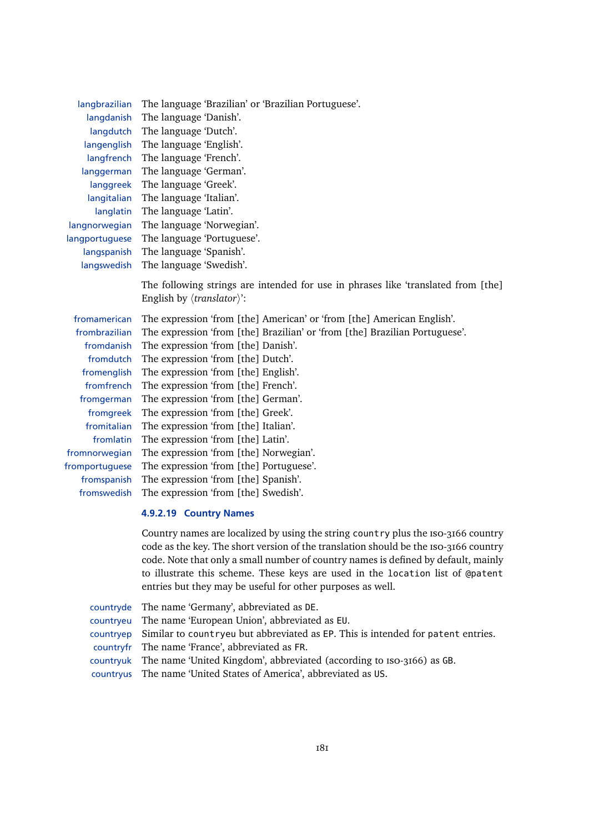| langbrazilian  | The language 'Brazilian' or 'Brazilian Portuguese'.                                                                                     |
|----------------|-----------------------------------------------------------------------------------------------------------------------------------------|
| langdanish     | The language 'Danish'.                                                                                                                  |
| langdutch      | The language 'Dutch'.                                                                                                                   |
| langenglish    | The language 'English'.                                                                                                                 |
| langfrench     | The language 'French'.                                                                                                                  |
| langgerman     | The language 'German'.                                                                                                                  |
| langgreek      | The language 'Greek'.                                                                                                                   |
| langitalian    | The language 'Italian'.                                                                                                                 |
| langlatin      | The language 'Latin'.                                                                                                                   |
| langnorwegian  | The language 'Norwegian'.                                                                                                               |
| langportuguese | The language 'Portuguese'.                                                                                                              |
| langspanish    | The language 'Spanish'.                                                                                                                 |
| langswedish    | The language 'Swedish'.                                                                                                                 |
|                | The following strings are intended for use in phrases like 'translated from [the]<br>English by $\langle$ <i>translator</i> $\rangle$ : |
| fromamerican   | The expression 'from [the] American' or 'from [the] American English'.                                                                  |
| frombrazilian  | The expression 'from [the] Brazilian' or 'from [the] Brazilian Portuguese'.                                                             |
| fromdanish     | The expression 'from [the] Danish'.                                                                                                     |
| fromdutch      | The expression 'from [the] Dutch'.                                                                                                      |
| fromenglish    | The expression 'from [the] English'.                                                                                                    |
| fromfrench     | The expression 'from [the] French'.                                                                                                     |
| fromgerman     | The expression 'from [the] German'.                                                                                                     |
| fromgreek      | The expression 'from [the] Greek'.                                                                                                      |
| fromitalian    | The expression 'from [the] Italian'.                                                                                                    |
| fromlatin      | The expression 'from [the] Latin'.                                                                                                      |
| fromnorwegian  | The expression 'from [the] Norwegian'.                                                                                                  |
| fromportuguese | The expression 'from [the] Portuguese'.                                                                                                 |
| fromspanish    | The expression 'from [the] Spanish'.                                                                                                    |
| fromswedish    | The expression 'from [the] Swedish'.                                                                                                    |

#### **4.9.2.19 Country Names**

Country names are localized by using the string country plus the iso-3166 country code as the key. The short version of the translation should be the iso-3166 country code. Note that only a small number of country names is defined by default, mainly to illustrate this scheme. These keys are used in the location list of @patent entries but they may be useful for other purposes as well.

| countryde The name 'Germany', abbreviated as DE.                                           |
|--------------------------------------------------------------------------------------------|
| countryeu The name 'European Union', abbreviated as EU.                                    |
| countryep Similar to countryeu but abbreviated as EP. This is intended for patent entries. |
| countryfr The name 'France', abbreviated as FR.                                            |
| countryuk The name 'United Kingdom', abbreviated (according to Iso-3166) as GB.            |
| countryus The name 'United States of America', abbreviated as US.                          |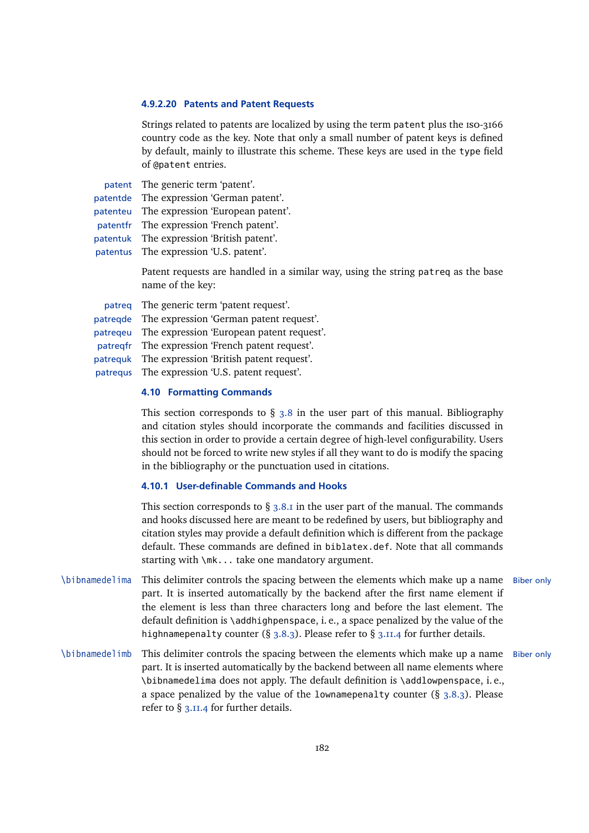#### **4.9.2.20 Patents and Patent Requests**

Strings related to patents are localized by using the term patent plus the iso-3166 country code as the key. Note that only a small number of patent keys is defined by default, mainly to illustrate this scheme. These keys are used in the type field of @patent entries.

| patent The generic term 'patent'.          |
|--------------------------------------------|
| patent de The expression 'German patent'.  |
| patenteu The expression 'European patent'. |
| patentfr The expression 'French patent'.   |
| patentuk The expression 'British patent'.  |
| patentus The expression 'U.S. patent'.     |

Patent requests are handled in a similar way, using the string patreq as the base name of the key:

patreq The generic term 'patent request'. patreqde The expression 'German patent request'. patreqeu The expression 'European patent request'. patreqfr The expression 'French patent request'. patrequk The expression 'British patent request'. patrequs The expression 'U.S. patent request'.

#### **4.10 Formatting Commands**

This section corresponds to  $\S$  [3.8](#page-89-0) in the user part of this manual. Bibliography and citation styles should incorporate the commands and facilities discussed in this section in order to provide a certain degree of high-level configurability. Users should not be forced to write new styles if all they want to do is modify the spacing in the bibliography or the punctuation used in citations.

#### **4.10.1 User-definable Commands and Hooks**

This section corresponds to  $\S$  [3.8.1](#page-89-0) in the user part of the manual. The commands and hooks discussed here are meant to be redefined by users, but bibliography and citation styles may provide a default definition which is different from the package default. These commands are defined in biblatex.def. Note that all commands starting with \mk... take one mandatory argument.

- \bibnamedelima This delimiter controls the spacing between the elements which make up a name Biber only part. It is inserted automatically by the backend after the first name element if the element is less than three characters long and before the last element. The default definition is \addhighpenspace, i. e., a space penalized by the value of the highnamepenalty counter (§ [3.8.3\)](#page-93-0). Please refer to § [3.11.4](#page-110-0) for further details.
- \bibnamedelimb This delimiter controls the spacing between the elements which make up a name Biber only part. It is inserted automatically by the backend between all name elements where \bibnamedelima does not apply. The default definition is \addlowpenspace, i. e., a space penalized by the value of the lownamepenalty counter  $(\S 3.8.3)$  $(\S 3.8.3)$ . Please refer to § [3.11.4](#page-110-0) for further details.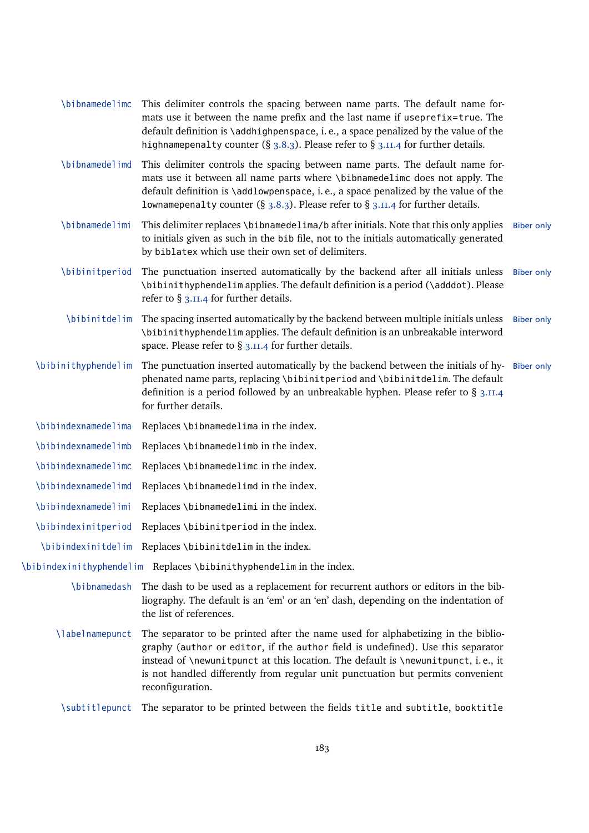| \bibnamedelimc      | This delimiter controls the spacing between name parts. The default name for-<br>mats use it between the name prefix and the last name if useprefix=true. The<br>default definition is \addhighpenspace, i.e., a space penalized by the value of the<br>highnamepenalty counter (§ 3.8.3). Please refer to § 3.11.4 for further details.                        |                   |
|---------------------|-----------------------------------------------------------------------------------------------------------------------------------------------------------------------------------------------------------------------------------------------------------------------------------------------------------------------------------------------------------------|-------------------|
| \bibnamedelimd      | This delimiter controls the spacing between name parts. The default name for-<br>mats use it between all name parts where \bibnamedelimc does not apply. The<br>default definition is \addlowpenspace, i.e., a space penalized by the value of the<br>lownamepenalty counter (§ 3.8.3). Please refer to § 3.11.4 for further details.                           |                   |
| \bibnamedelimi      | This delimiter replaces \bibnamedelima/b after initials. Note that this only applies<br>to initials given as such in the bib file, not to the initials automatically generated<br>by biblatex which use their own set of delimiters.                                                                                                                            | <b>Biber only</b> |
| \bibinitperiod      | The punctuation inserted automatically by the backend after all initials unless<br>\bibinithyphendelim applies. The default definition is a period (\adddot). Please<br>refer to $\S$ 3.11.4 for further details.                                                                                                                                               | <b>Biber only</b> |
| \bibinitdelim       | The spacing inserted automatically by the backend between multiple initials unless<br>\bibinithyphendelim applies. The default definition is an unbreakable interword<br>space. Please refer to $\S$ 3.11.4 for further details.                                                                                                                                | <b>Biber only</b> |
| \bibinithyphendelim | The punctuation inserted automatically by the backend between the initials of hy-Biber only<br>phenated name parts, replacing \bibinitperiod and \bibinitdelim. The default<br>definition is a period followed by an unbreakable hyphen. Please refer to § 3.11.4<br>for further details.                                                                       |                   |
| \bibindexnamedelima | Replaces \bibnamedelima in the index.                                                                                                                                                                                                                                                                                                                           |                   |
| \bibindexnamedelimb | Replaces \bibnamedelimb in the index.                                                                                                                                                                                                                                                                                                                           |                   |
| \bibindexnamedelimc | Replaces \bibnamedelimc in the index.                                                                                                                                                                                                                                                                                                                           |                   |
| \bibindexnamedelimd | Replaces \bibnamedelimd in the index.                                                                                                                                                                                                                                                                                                                           |                   |
| \bibindexnamedelimi | Replaces \bibnamedelimi in the index.                                                                                                                                                                                                                                                                                                                           |                   |
| \bibindexinitperiod | Replaces \bibinitperiod in the index.                                                                                                                                                                                                                                                                                                                           |                   |
|                     | \bibindexinitdelim Replaces \bibinitdelim in the index.                                                                                                                                                                                                                                                                                                         |                   |
|                     | \bibindexinithyphendelim Replaces \bibinithyphendelim in the index.                                                                                                                                                                                                                                                                                             |                   |
|                     | \bibnamedash The dash to be used as a replacement for recurrent authors or editors in the bib-<br>liography. The default is an 'em' or an 'en' dash, depending on the indentation of<br>the list of references.                                                                                                                                                 |                   |
| \labelnamepunct     | The separator to be printed after the name used for alphabetizing in the biblio-<br>graphy (author or editor, if the author field is undefined). Use this separator<br>instead of \newunitpunct at this location. The default is \newunitpunct, i.e., it<br>is not handled differently from regular unit punctuation but permits convenient<br>reconfiguration. |                   |
| \subtitlepunct      | The separator to be printed between the fields title and subtitle, booktitle                                                                                                                                                                                                                                                                                    |                   |
|                     |                                                                                                                                                                                                                                                                                                                                                                 |                   |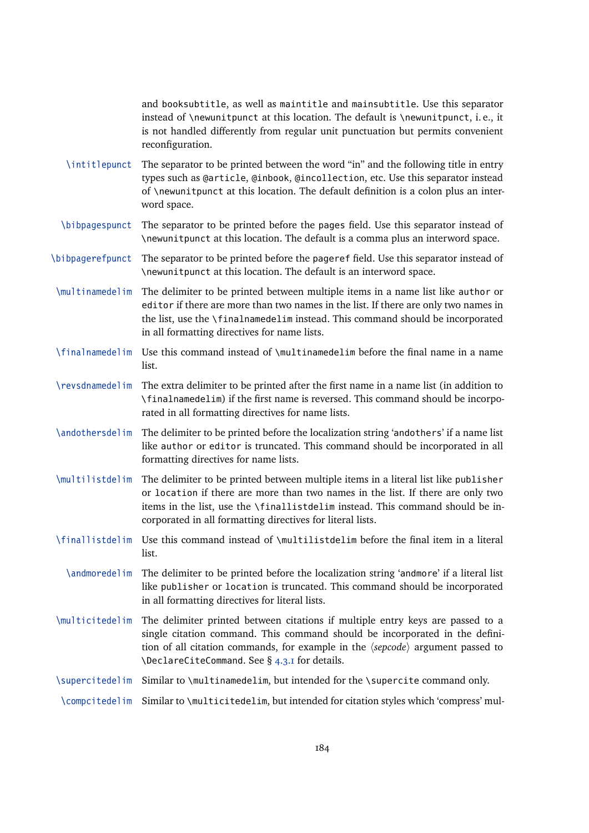and booksubtitle, as well as maintitle and mainsubtitle. Use this separator instead of \newunitpunct at this location. The default is \newunitpunct, i. e., it is not handled differently from regular unit punctuation but permits convenient reconfiguration.

- \intitlepunct The separator to be printed between the word "in" and the following title in entry types such as @article, @inbook, @incollection, etc. Use this separator instead of \newunitpunct at this location. The default definition is a colon plus an interword space.
- \bibpagespunct The separator to be printed before the pages field. Use this separator instead of \newunitpunct at this location. The default is a comma plus an interword space.
- \bibpagerefpunct The separator to be printed before the pageref field. Use this separator instead of \newunitpunct at this location. The default is an interword space.
- \multinamedelim The delimiter to be printed between multiple items in a name list like author or editor if there are more than two names in the list. If there are only two names in the list, use the \finalnamedelim instead. This command should be incorporated in all formatting directives for name lists.
- \finalnamedelim Use this command instead of \multinamedelim before the final name in a name list.
- \revsdnamedelim The extra delimiter to be printed after the first name in a name list (in addition to \finalnamedelim) if the first name is reversed. This command should be incorporated in all formatting directives for name lists.
- \andothersdelim The delimiter to be printed before the localization string 'andothers' if a name list like author or editor is truncated. This command should be incorporated in all formatting directives for name lists.
- \multilistdelim The delimiter to be printed between multiple items in a literal list like publisher or location if there are more than two names in the list. If there are only two items in the list, use the \finallistdelim instead. This command should be incorporated in all formatting directives for literal lists.
- \finallistdelim Use this command instead of \multilistdelim before the final item in a literal list.
	- \andmoredelim The delimiter to be printed before the localization string 'andmore' if a literal list like publisher or location is truncated. This command should be incorporated in all formatting directives for literal lists.
- \multicitedelim The delimiter printed between citations if multiple entry keys are passed to a single citation command. This command should be incorporated in the definition of all citation commands, for example in the  $\langle$ sepcode $\rangle$  argument passed to \DeclareCiteCommand. See § [4.3.1](#page-127-0) for details.
- \supercitedelim Similar to \multinamedelim, but intended for the \supercite command only.

\compcitedelim Similar to \multicitedelim, but intended for citation styles which 'compress' mul-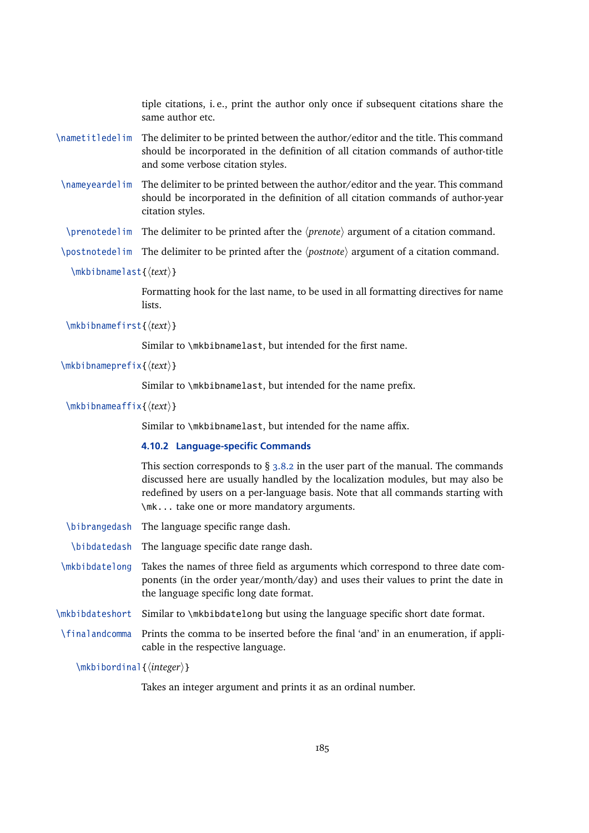tiple citations, i. e., print the author only once if subsequent citations share the same author etc.

- \nametitledelim The delimiter to be printed between the author/editor and the title. This command should be incorporated in the definition of all citation commands of author-title and some verbose citation styles.
- \nameyeardelim The delimiter to be printed between the author/editor and the year. This command should be incorporated in the definition of all citation commands of author-year citation styles.
- \prenotedelim The delimiter to be printed after the  $\langle$ *prenote* $\rangle$  argument of a citation command.
- \postnotedelim The delimiter to be printed after the *\postnote*\ argument of a citation command.

\mkbibnamelast{*\text*}}

Formatting hook for the last name, to be used in all formatting directives for name lists.

\mkbibnamefirst{*(text*)}

Similar to \mkbibnamelast, but intended for the first name.

```
\mkbibnameprefix{htexti}
```
Similar to \mkbibnamelast, but intended for the name prefix.

\mkbibnameaffix{h*text*i}

Similar to \mkbibnamelast, but intended for the name affix.

#### **4.10.2 Language-specific Commands**

This section corresponds to  $\S$  [3.8.2](#page-92-0) in the user part of the manual. The commands discussed here are usually handled by the localization modules, but may also be redefined by users on a per-language basis. Note that all commands starting with \mk... take one or more mandatory arguments.

- \bibrangedash The language specific range dash.
- \bibdatedash The language specific date range dash.
- \mkbibdatelong Takes the names of three field as arguments which correspond to three date components (in the order year/month/day) and uses their values to print the date in the language specific long date format.
- \mkbibdateshort Similar to \mkbibdatelong but using the language specific short date format.
- \finalandcomma Prints the comma to be inserted before the final 'and' in an enumeration, if applicable in the respective language.

\mkbibordinal{*\integer*}}

Takes an integer argument and prints it as an ordinal number.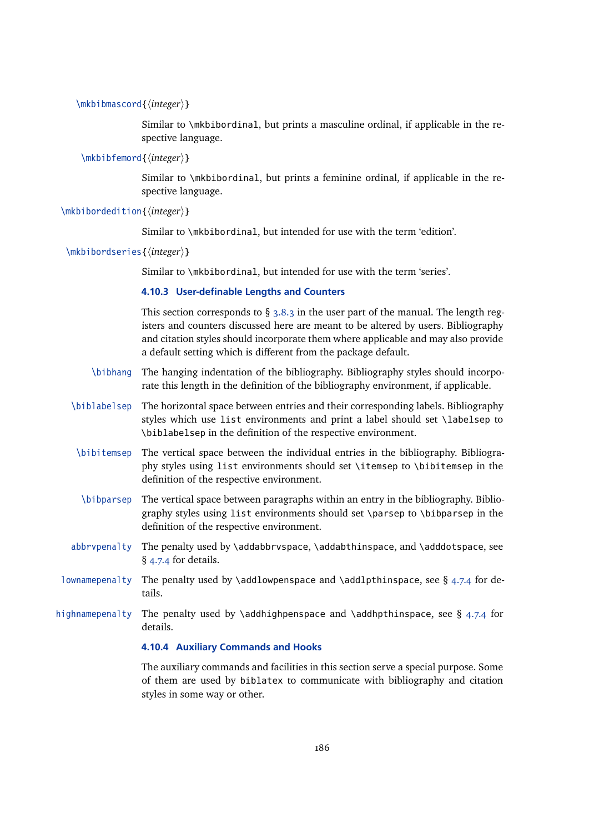```
\mkbibmascord{\integer}}
```
Similar to \mkbibordinal, but prints a masculine ordinal, if applicable in the respective language.

\mkbibfemord{*\integer*}}

Similar to \mkbibordinal, but prints a feminine ordinal, if applicable in the respective language.

\mkbibordedition{*\integer*}}

Similar to \mkbibordinal, but intended for use with the term 'edition'.

\mkbibordseries{*\integer*}}

Similar to \mkbibordinal, but intended for use with the term 'series'.

## **4.10.3 User-definable Lengths and Counters**

This section corresponds to  $\S$  [3.8.3](#page-93-0) in the user part of the manual. The length registers and counters discussed here are meant to be altered by users. Bibliography and citation styles should incorporate them where applicable and may also provide a default setting which is different from the package default.

- \bibhang The hanging indentation of the bibliography. Bibliography styles should incorporate this length in the definition of the bibliography environment, if applicable.
- \biblabelsep The horizontal space between entries and their corresponding labels. Bibliography styles which use list environments and print a label should set \labelsep to \biblabelsep in the definition of the respective environment.
- \bibitemsep The vertical space between the individual entries in the bibliography. Bibliography styles using list environments should set \itemsep to \bibitemsep in the definition of the respective environment.
- \bibparsep The vertical space between paragraphs within an entry in the bibliography. Bibliography styles using list environments should set \parsep to \bibparsep in the definition of the respective environment.
- abbrvpenalty The penalty used by \addabbrvspace, \addabthinspace, and \adddotspace, see § [4.7.4](#page-164-0) for details.
- lownamepenalty The penalty used by \addlowpenspace and \addlpthinspace, see § [4.7.4](#page-164-0) for details.
- highnamepenalty The penalty used by \addhighpenspace and \addhpthinspace, see § [4.7.4](#page-164-0) for details.

## **4.10.4 Auxiliary Commands and Hooks**

The auxiliary commands and facilities in this section serve a special purpose. Some of them are used by biblatex to communicate with bibliography and citation styles in some way or other.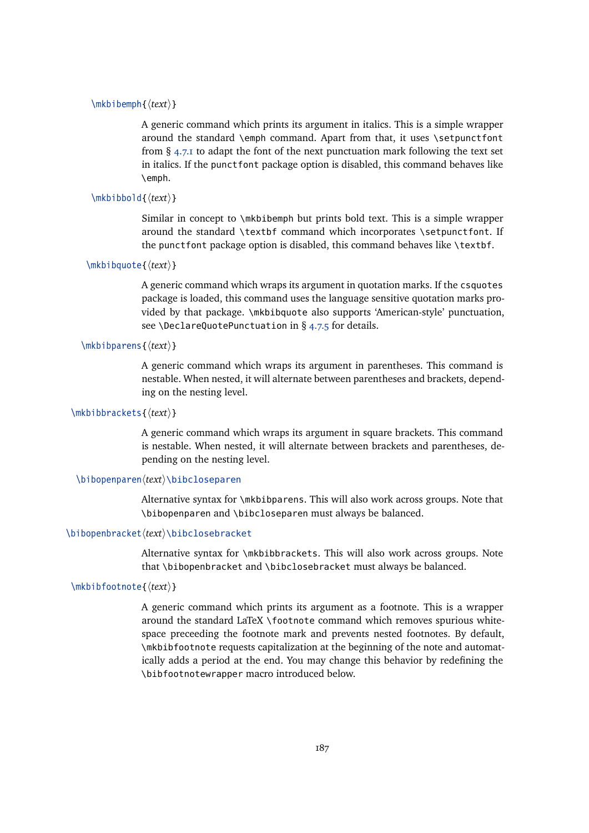## \mkbibemph{ $\langle text \rangle$ }

A generic command which prints its argument in italics. This is a simple wrapper around the standard \emph command. Apart from that, it uses \setpunctfont from  $\S$  [4.7.1](#page-162-0) to adapt the font of the next punctuation mark following the text set in italics. If the punctfont package option is disabled, this command behaves like \emph.

```
\mbox{\mathsf{text}}
```
Similar in concept to \mkbibemph but prints bold text. This is a simple wrapper around the standard \textbf command which incorporates \setpunctfont. If the punctfont package option is disabled, this command behaves like \textbf.

```
\mkbibquote{\langle text \rangle}
```
A generic command which wraps its argument in quotation marks. If the csquotes package is loaded, this command uses the language sensitive quotation marks provided by that package. \mkbibquote also supports 'American-style' punctuation, see \DeclareQuotePunctuation in § [4.7.5](#page-165-0) for details.

## \mkbibparens{*\text*}}

A generic command which wraps its argument in parentheses. This command is nestable. When nested, it will alternate between parentheses and brackets, depending on the nesting level.

### \mkbibbrackets{*\text*}}

A generic command which wraps its argument in square brackets. This command is nestable. When nested, it will alternate between brackets and parentheses, depending on the nesting level.

#### \bibopenparen\*text*\\bibcloseparen

Alternative syntax for \mkbibparens. This will also work across groups. Note that \bibopenparen and \bibcloseparen must always be balanced.

#### \bibopenbracket/text\\bibclosebracket

Alternative syntax for \mkbibbrackets. This will also work across groups. Note that \bibopenbracket and \bibclosebracket must always be balanced.

## \mkbibfootnote{h*text*i}

A generic command which prints its argument as a footnote. This is a wrapper around the standard LaTeX \footnote command which removes spurious whitespace preceeding the footnote mark and prevents nested footnotes. By default, \mkbibfootnote requests capitalization at the beginning of the note and automatically adds a period at the end. You may change this behavior by redefining the \bibfootnotewrapper macro introduced below.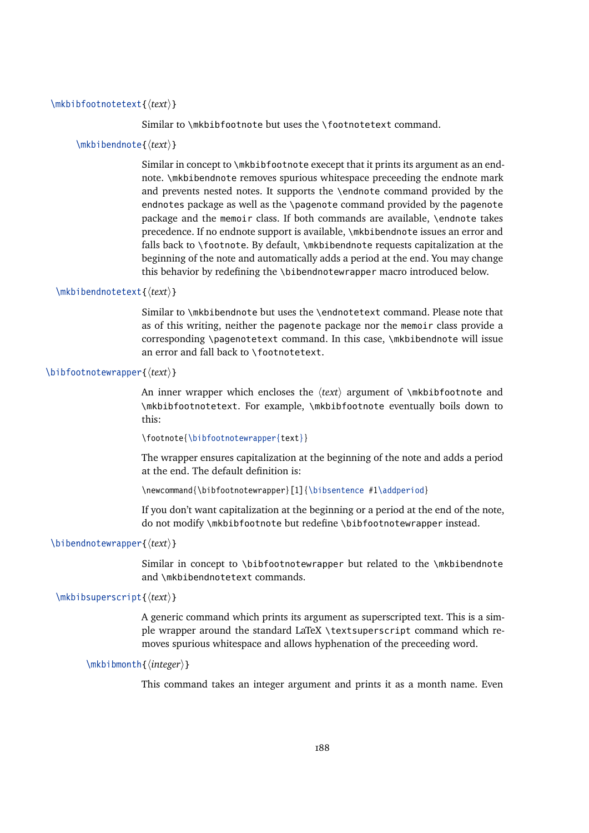## \mkbibfootnotetext{h*text*i}

Similar to \mkbibfootnote but uses the \footnotetext command.

#### \mkbibendnote{h*text*i}

Similar in concept to \mkbibfootnote execept that it prints its argument as an endnote. \mkbibendnote removes spurious whitespace preceeding the endnote mark and prevents nested notes. It supports the \endnote command provided by the endnotes package as well as the \pagenote command provided by the pagenote package and the memoir class. If both commands are available, \endnote takes precedence. If no endnote support is available, \mkbibendnote issues an error and falls back to \footnote. By default, \mkbibendnote requests capitalization at the beginning of the note and automatically adds a period at the end. You may change this behavior by redefining the \bibendnotewrapper macro introduced below.

## \mkbibendnotetext{h*text*i}

Similar to \mkbibendnote but uses the \endnotetext command. Please note that as of this writing, neither the pagenote package nor the memoir class provide a corresponding \pagenotetext command. In this case, \mkbibendnote will issue an error and fall back to \footnotetext.

## \bibfootnotewrapper{ $\langle text \rangle$ }

An inner wrapper which encloses the  $\langle \text{text} \rangle$  argument of  $\mathcal{N}$  arkhibfootnote and \mkbibfootnotetext. For example, \mkbibfootnote eventually boils down to this:

\footnote{\bibfootnotewrapper{text}}

The wrapper ensures capitalization at the beginning of the note and adds a period at the end. The default definition is:

\newcommand{\bibfootnotewrapper}[1]{\bibsentence #1\addperiod}

If you don't want capitalization at the beginning or a period at the end of the note, do not modify \mkbibfootnote but redefine \bibfootnotewrapper instead.

### \bibendnotewrapper{*\text*}}

Similar in concept to \bibfootnotewrapper but related to the \mkbibendnote and \mkbibendnotetext commands.

### \mkbibsuperscript{ $\langle text \rangle$ }

A generic command which prints its argument as superscripted text. This is a simple wrapper around the standard LaTeX \textsuperscript command which removes spurious whitespace and allows hyphenation of the preceeding word.

```
\mkbibmonth{\integer}}
```
This command takes an integer argument and prints it as a month name. Even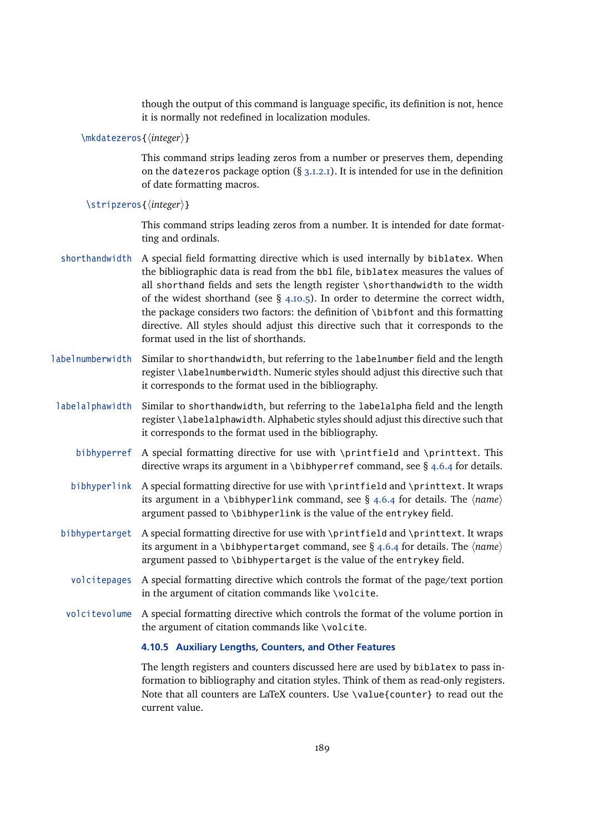though the output of this command is language specific, its definition is not, hence it is normally not redefined in localization modules.

\mkdatezeros{*\integer*}}

This command strips leading zeros from a number or preserves them, depending on the datezeros package option  $(\S 3.1.2.1)$  $(\S 3.1.2.1)$ . It is intended for use in the definition of date formatting macros.

\stripzeros{\*integer*}}

This command strips leading zeros from a number. It is intended for date formatting and ordinals.

- shorthandwidth A special field formatting directive which is used internally by biblatex. When the bibliographic data is read from the bbl file, biblatex measures the values of all shorthand fields and sets the length register \shorthandwidth to the width of the widest shorthand (see § 4.10.5). In order to determine the correct width, the package considers two factors: the definition of \bibfont and this formatting directive. All styles should adjust this directive such that it corresponds to the format used in the list of shorthands.
- labelnumberwidth Similar to shorthandwidth, but referring to the labelnumber field and the length register \labelnumberwidth. Numeric styles should adjust this directive such that it corresponds to the format used in the bibliography.
- labelalphawidth Similar to shorthandwidth, but referring to the labelalpha field and the length register \labelalphawidth. Alphabetic styles should adjust this directive such that it corresponds to the format used in the bibliography.
	- bibhyperref A special formatting directive for use with \printfield and \printtext. This directive wraps its argument in a \bibhyperref command, see  $\S$  [4.6.4](#page-154-0) for details.
	- bibhyperlink A special formatting directive for use with \printfield and \printtext. It wraps its argument in a \bibhyperlink command, see  $\S$  [4.6.4](#page-154-0) for details. The  $\langle name \rangle$ argument passed to \bibhyperlink is the value of the entrykey field.
- bibhypertarget A special formatting directive for use with \printfield and \printtext. It wraps its argument in a \bibhypertarget command, see  $\S$  [4.6.4](#page-154-0) for details. The  $\langle name \rangle$ argument passed to \bibhypertarget is the value of the entrykey field.
	- volcitepages A special formatting directive which controls the format of the page/text portion in the argument of citation commands like \volcite.
- volcitevolume A special formatting directive which controls the format of the volume portion in the argument of citation commands like \volcite.

## **4.10.5 Auxiliary Lengths, Counters, and Other Features**

The length registers and counters discussed here are used by biblatex to pass information to bibliography and citation styles. Think of them as read-only registers. Note that all counters are LaTeX counters. Use \value{counter} to read out the current value.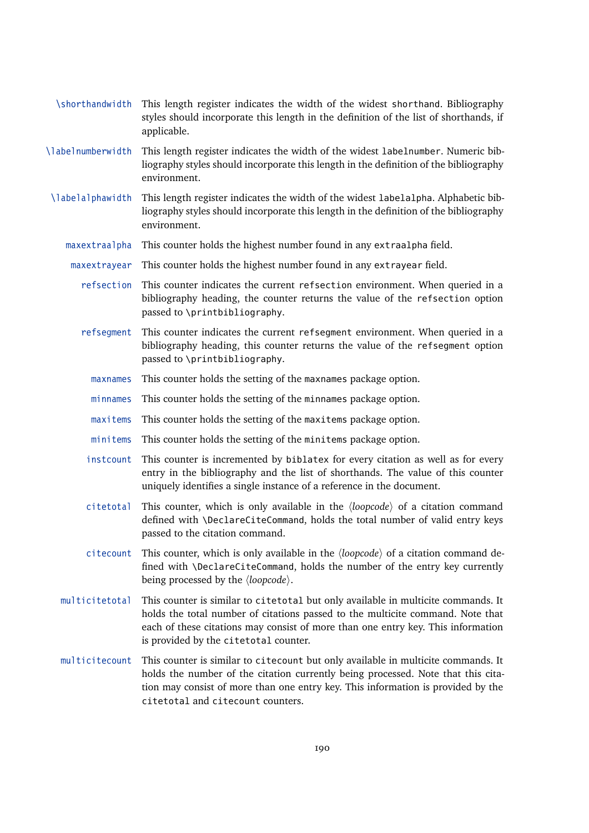| \shorthandwidth   | This length register indicates the width of the widest shorthand. Bibliography<br>styles should incorporate this length in the definition of the list of shorthands, if<br>applicable.                                                                                                           |
|-------------------|--------------------------------------------------------------------------------------------------------------------------------------------------------------------------------------------------------------------------------------------------------------------------------------------------|
| \labelnumberwidth | This length register indicates the width of the widest labelnumber. Numeric bib-<br>liography styles should incorporate this length in the definition of the bibliography<br>environment.                                                                                                        |
| \labelalphawidth  | This length register indicates the width of the widest labelalpha. Alphabetic bib-<br>liography styles should incorporate this length in the definition of the bibliography<br>environment.                                                                                                      |
| maxextraalpha     | This counter holds the highest number found in any extraalpha field.                                                                                                                                                                                                                             |
| maxextrayear      | This counter holds the highest number found in any extrayear field.                                                                                                                                                                                                                              |
| refsection        | This counter indicates the current refsection environment. When queried in a<br>bibliography heading, the counter returns the value of the refsection option<br>passed to \printbibliography.                                                                                                    |
| refsegment        | This counter indicates the current refsegment environment. When queried in a<br>bibliography heading, this counter returns the value of the refsegment option<br>passed to \printbibliography.                                                                                                   |
| maxnames          | This counter holds the setting of the maxnames package option.                                                                                                                                                                                                                                   |
| minnames          | This counter holds the setting of the minnames package option.                                                                                                                                                                                                                                   |
| maxitems          | This counter holds the setting of the maxitems package option.                                                                                                                                                                                                                                   |
| minitems          | This counter holds the setting of the minitems package option.                                                                                                                                                                                                                                   |
| instcount         | This counter is incremented by biblatex for every citation as well as for every<br>entry in the bibliography and the list of shorthands. The value of this counter<br>uniquely identifies a single instance of a reference in the document.                                                      |
| citetotal         | This counter, which is only available in the $\langle loopcode \rangle$ of a citation command<br>defined with \DeclareCiteCommand, holds the total number of valid entry keys<br>passed to the citation command.                                                                                 |
| citecount         | This counter, which is only available in the $\langle loopcode \rangle$ of a citation command de-<br>fined with \DeclareCiteCommand, holds the number of the entry key currently<br>being processed by the $\langle loopcode \rangle$ .                                                          |
| multicitetotal    | This counter is similar to citetotal but only available in multicite commands. It<br>holds the total number of citations passed to the multicite command. Note that<br>each of these citations may consist of more than one entry key. This information<br>is provided by the citetotal counter. |
| multicitecount    | This counter is similar to citecount but only available in multicite commands. It<br>holds the number of the citation currently being processed. Note that this cita-<br>tion may consist of more than one entry key. This information is provided by the<br>citetotal and citecount counters.   |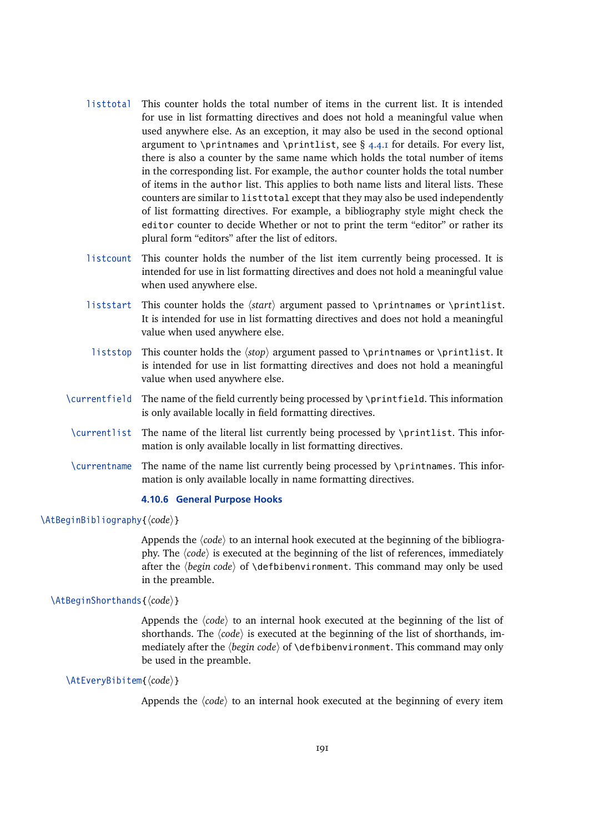- listtotal This counter holds the total number of items in the current list. It is intended for use in list formatting directives and does not hold a meaningful value when used anywhere else. As an exception, it may also be used in the second optional argument to \printnames and \printlist, see  $\S$  [4.4.1](#page-130-0) for details. For every list, there is also a counter by the same name which holds the total number of items in the corresponding list. For example, the author counter holds the total number of items in the author list. This applies to both name lists and literal lists. These counters are similar to listtotal except that they may also be used independently of list formatting directives. For example, a bibliography style might check the editor counter to decide Whether or not to print the term "editor" or rather its plural form "editors" after the list of editors.
- listcount This counter holds the number of the list item currently being processed. It is intended for use in list formatting directives and does not hold a meaningful value when used anywhere else.
- liststart This counter holds the  $\langle start \rangle$  argument passed to \printnames or \printlist. It is intended for use in list formatting directives and does not hold a meaningful value when used anywhere else.
- liststop This counter holds the  $\langle stop \rangle$  argument passed to \printnames or \printlist. It is intended for use in list formatting directives and does not hold a meaningful value when used anywhere else.
- \currentfield The name of the field currently being processed by \printfield. This information is only available locally in field formatting directives.
- \currentlist The name of the literal list currently being processed by \printlist. This information is only available locally in list formatting directives.
- \currentname The name of the name list currently being processed by \printnames. This information is only available locally in name formatting directives.

## **4.10.6 General Purpose Hooks**

\AtBeginBibliography{ $\langle code \rangle$ }

Appends the  $\langle code \rangle$  to an internal hook executed at the beginning of the bibliography. The  $\langle code \rangle$  is executed at the beginning of the list of references, immediately after the *(begin code)* of *\defbibenvironment*. This command may only be used in the preamble.

### \AtBeginShorthands{ $\langle code \rangle$ }

Appends the  $\langle code \rangle$  to an internal hook executed at the beginning of the list of shorthands. The  $\langle code \rangle$  is executed at the beginning of the list of shorthands, immediately after the  $\langle begin \ code \rangle$  of  $\delta$  defbibenvironment. This command may only be used in the preamble.

```
\AtEveryBibitem{\langle code \rangle}
```
Appends the  $\langle code \rangle$  to an internal hook executed at the beginning of every item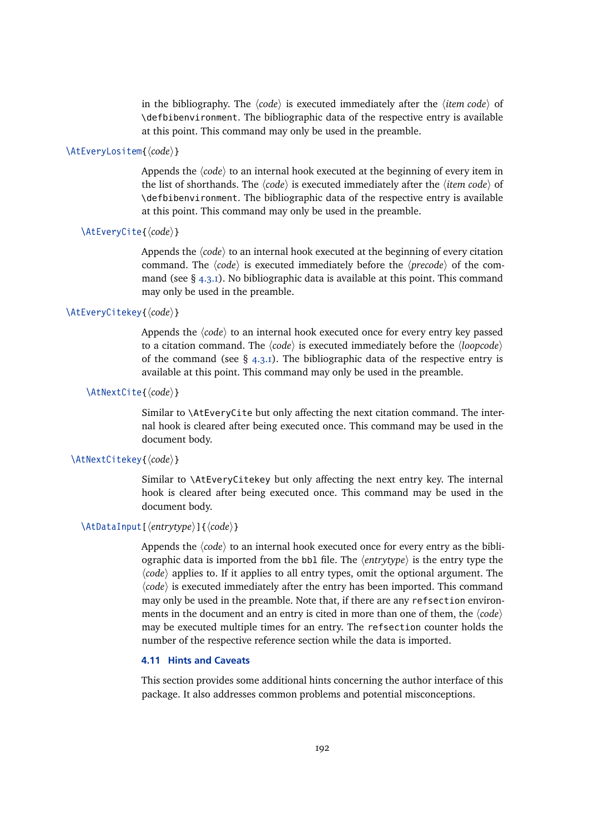in the bibliography. The  $\langle code \rangle$  is executed immediately after the  $\langle item code \rangle$  of \defbibenvironment. The bibliographic data of the respective entry is available at this point. This command may only be used in the preamble.

## \AtEveryLositem{*(code*)}

Appends the  $\langle code \rangle$  to an internal hook executed at the beginning of every item in the list of shorthands. The  $\langle code \rangle$  is executed immediately after the  $\langle item code \rangle$  of \defbibenvironment. The bibliographic data of the respective entry is available at this point. This command may only be used in the preamble.

### \AtEveryCite{*\code*}}

Appends the  $\langle code \rangle$  to an internal hook executed at the beginning of every citation command. The  $\langle code \rangle$  is executed immediately before the  $\langle precede \rangle$  of the command (see  $\S$  [4.3.1\)](#page-127-0). No bibliographic data is available at this point. This command may only be used in the preamble.

## \AtEveryCitekey{ $\langle code \rangle$ }

Appends the  $\langle code \rangle$  to an internal hook executed once for every entry key passed to a citation command. The  $\langle code \rangle$  is executed immediately before the  $\langle loopcode \rangle$ of the command (see  $\S$  [4.3.1\)](#page-127-0). The bibliographic data of the respective entry is available at this point. This command may only be used in the preamble.

## \AtNextCite{\*code*}}

Similar to \AtEveryCite but only affecting the next citation command. The internal hook is cleared after being executed once. This command may be used in the document body.

## \AtNextCitekey{ $\langle code \rangle$ }

Similar to \AtEveryCitekey but only affecting the next entry key. The internal hook is cleared after being executed once. This command may be used in the document body.

## \AtDataInput[\*entrytype*}]{\*code*}}

Appends the  $\langle code \rangle$  to an internal hook executed once for every entry as the bibliographic data is imported from the bbl file. The  $\langle$ *entrytype* $\rangle$  is the entry type the  $\langle code \rangle$  applies to. If it applies to all entry types, omit the optional argument. The  $\langle code \rangle$  is executed immediately after the entry has been imported. This command may only be used in the preamble. Note that, if there are any refsection environments in the document and an entry is cited in more than one of them, the  $\langle code \rangle$ may be executed multiple times for an entry. The refsection counter holds the number of the respective reference section while the data is imported.

#### **4.11 Hints and Caveats**

This section provides some additional hints concerning the author interface of this package. It also addresses common problems and potential misconceptions.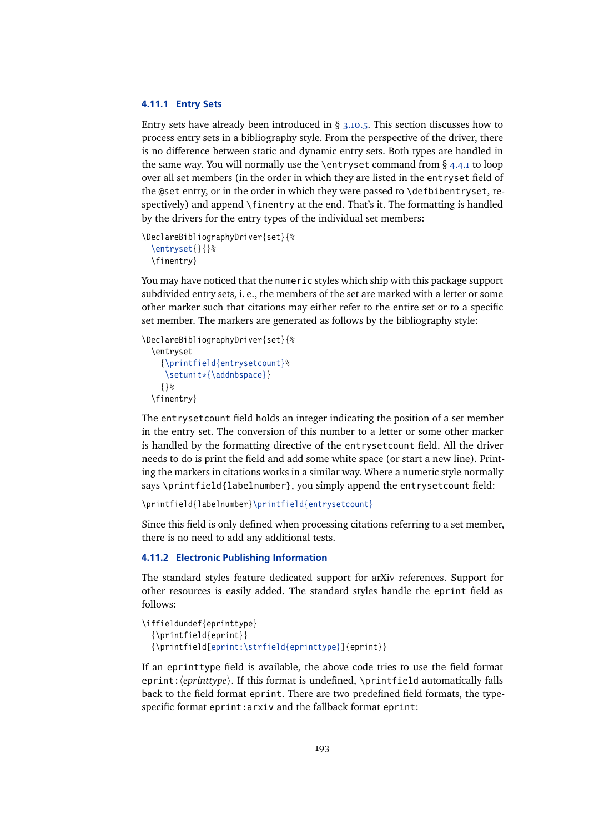### **4.11.1 Entry Sets**

Entry sets have already been introduced in § [3.10.5.](#page-104-0) This section discusses how to process entry sets in a bibliography style. From the perspective of the driver, there is no difference between static and dynamic entry sets. Both types are handled in the same way. You will normally use the \entryset command from § [4.4.1](#page-130-0) to loop over all set members (in the order in which they are listed in the entryset field of the @set entry, or in the order in which they were passed to \defbibentryset, respectively) and append \finentry at the end. That's it. The formatting is handled by the drivers for the entry types of the individual set members:

\DeclareBibliographyDriver{set}{% \entryset{}{}% \finentry}

You may have noticed that the numeric styles which ship with this package support subdivided entry sets, i. e., the members of the set are marked with a letter or some other marker such that citations may either refer to the entire set or to a specific set member. The markers are generated as follows by the bibliography style:

```
\DeclareBibliographyDriver{set}{%
  \entryset
    {\printfield{entrysetcount}%
     \setunit*{\addnbspace}}
    {}%
  \finentry}
```
The entrysetcount field holds an integer indicating the position of a set member in the entry set. The conversion of this number to a letter or some other marker is handled by the formatting directive of the entrysetcount field. All the driver needs to do is print the field and add some white space (or start a new line). Printing the markers in citations works in a similar way. Where a numeric style normally says \printfield{labelnumber}, you simply append the entrysetcount field:

```
\printfield{labelnumber}\printfield{entrysetcount}
```
Since this field is only defined when processing citations referring to a set member, there is no need to add any additional tests.

## **4.11.2 Electronic Publishing Information**

The standard styles feature dedicated support for arXiv references. Support for other resources is easily added. The standard styles handle the eprint field as follows:

```
\iffieldundef{eprinttype}
  {\printfield{eprint}}
  {\printfield[eprint:\strfield{eprinttype}]{eprint}}
```
If an eprinttype field is available, the above code tries to use the field format eprint:  $\langle$ *eprinttype* $\rangle$ . If this format is undefined, \printfield automatically falls back to the field format eprint. There are two predefined field formats, the typespecific format eprint: arxiv and the fallback format eprint: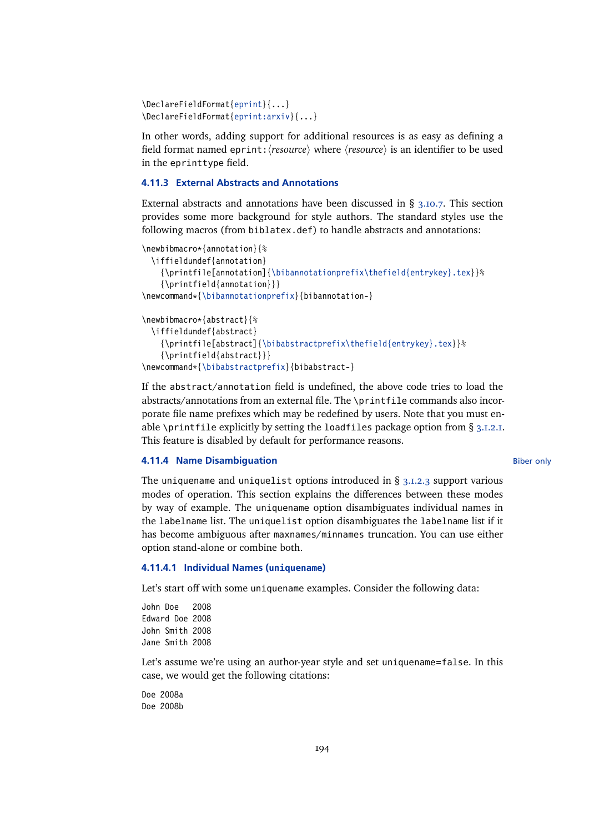```
\DeclareFieldFormat{eprint}{...}
\DeclareFieldFormat{eprint:arxiv}{...}
```
In other words, adding support for additional resources is as easy as defining a field format named eprint:  $\langle resource \rangle$  where  $\langle resource \rangle$  is an identifier to be used in the eprinttype field.

## **4.11.3 External Abstracts and Annotations**

External abstracts and annotations have been discussed in § [3.10.7.](#page-107-0) This section provides some more background for style authors. The standard styles use the following macros (from biblatex.def) to handle abstracts and annotations:

```
\newbibmacro*{annotation}{%
  \iffieldundef{annotation}
    {\printfile[annotation]{\bibannotationprefix\thefield{entrykey}.tex}}%
    {\printfield{annotation}}}
\newcommand*{\bibannotationprefix}{bibannotation-}
\newbibmacro*{abstract}{%
  \iffieldundef{abstract}
    {\printfile[abstract]{\bibabstractprefix\thefield{entrykey}.tex}}%
```

```
{\printfield{abstract}}}
```

```
\newcommand*{\bibabstractprefix}{bibabstract-}
```
If the abstract/annotation field is undefined, the above code tries to load the abstracts/annotations from an external file. The \printfile commands also incorporate file name prefixes which may be redefined by users. Note that you must enable \printfile explicitly by setting the loadfiles package option from  $\S$  [3.1.2.1.](#page-43-0) This feature is disabled by default for performance reasons.

#### **4.11.4 Name Disambiguation** Biber only and the state of the state of the Biber only

The uniquename and uniquelist options introduced in  $\S$  [3.1.2.3](#page-53-0) support various modes of operation. This section explains the differences between these modes by way of example. The uniquename option disambiguates individual names in the labelname list. The uniquelist option disambiguates the labelname list if it has become ambiguous after maxnames/minnames truncation. You can use either option stand-alone or combine both.

### **4.11.4.1 Individual Names (uniquename)**

Let's start off with some uniquename examples. Consider the following data:<br>-lohn-loa = 2008

John Doe Edward Doe 2008 John Smith 2008 Jane Smith 2008

Let's assume we're using an author-year style and set uniquename=false. In this case, we would get the following citations:

Doe 2008a Doe 2008b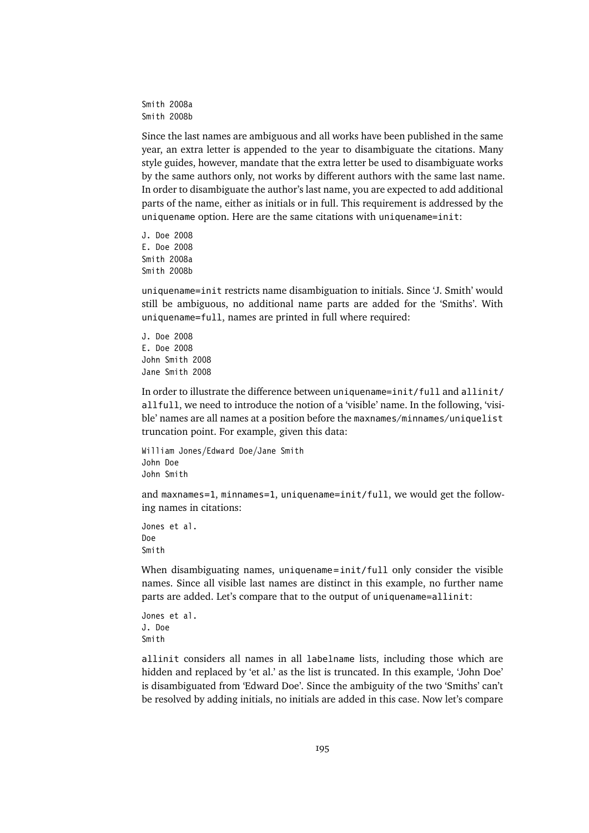Smith 2008a Smith 2008b

Since the last names are ambiguous and all works have been published in the same year, an extra letter is appended to the year to disambiguate the citations. Many style guides, however, mandate that the extra letter be used to disambiguate works by the same authors only, not works by different authors with the same last name. In order to disambiguate the author's last name, you are expected to add additional parts of the name, either as initials or in full. This requirement is addressed by the uniquename option. Here are the same citations with uniquename=init:

J. Doe 2008 E. Doe 2008 Smith 2008a Smith 2008b

uniquename=init restricts name disambiguation to initials. Since 'J. Smith' would still be ambiguous, no additional name parts are added for the 'Smiths'. With uniquename=full, names are printed in full where required:

J. Doe 2008 E. Doe 2008 John Smith 2008 Jane Smith 2008

In order to illustrate the difference between uniquename=init/full and allinit/ allfull, we need to introduce the notion of a 'visible' name. In the following, 'visible' names are all names at a position before the maxnames/minnames/uniquelist truncation point. For example, given this data:

William Jones/Edward Doe/Jane Smith John Doe John Smith

and maxnames=1, minnames=1, uniquename=init/full, we would get the following names in citations:

Jones et al. Doe Smith

When disambiguating names, uniquename=init/full only consider the visible names. Since all visible last names are distinct in this example, no further name parts are added. Let's compare that to the output of uniquename=allinit:

Jones et al. J. Doe Smith

allinit considers all names in all labelname lists, including those which are hidden and replaced by 'et al.' as the list is truncated. In this example, 'John Doe' is disambiguated from 'Edward Doe'. Since the ambiguity of the two 'Smiths' can't be resolved by adding initials, no initials are added in this case. Now let's compare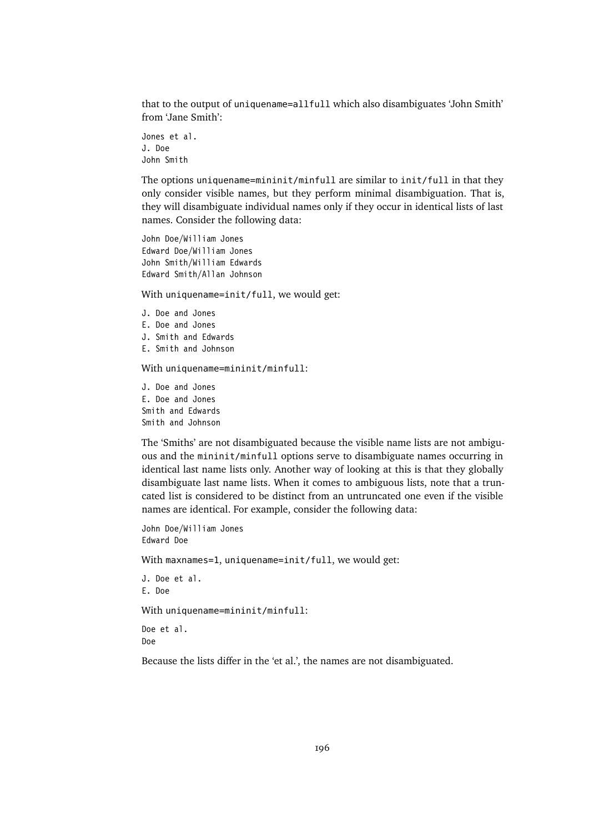that to the output of uniquename=allfull which also disambiguates 'John Smith' from 'Jane Smith':

Jones et al. J. Doe John Smith

The options uniquename=mininit/minfull are similar to init/full in that they only consider visible names, but they perform minimal disambiguation. That is, they will disambiguate individual names only if they occur in identical lists of last names. Consider the following data:

John Doe/William Jones Edward Doe/William Jones John Smith/William Edwards Edward Smith/Allan Johnson

With uniquename=init/full, we would get:

J. Doe and Jones E. Doe and Jones J. Smith and Edwards E. Smith and Johnson

With uniquename=mininit/minfull:

J. Doe and Jones E. Doe and Jones Smith and Edwards Smith and Johnson

The 'Smiths' are not disambiguated because the visible name lists are not ambiguous and the mininit/minfull options serve to disambiguate names occurring in identical last name lists only. Another way of looking at this is that they globally disambiguate last name lists. When it comes to ambiguous lists, note that a truncated list is considered to be distinct from an untruncated one even if the visible names are identical. For example, consider the following data:

```
John Doe/William Jones
Edward Doe
```
With maxnames=1, uniquename=init/full, we would get:

```
J. Doe et al.
E. Doe
```
With uniquename=mininit/minfull:

```
Doe et al.
Doe
```
Because the lists differ in the 'et al.', the names are not disambiguated.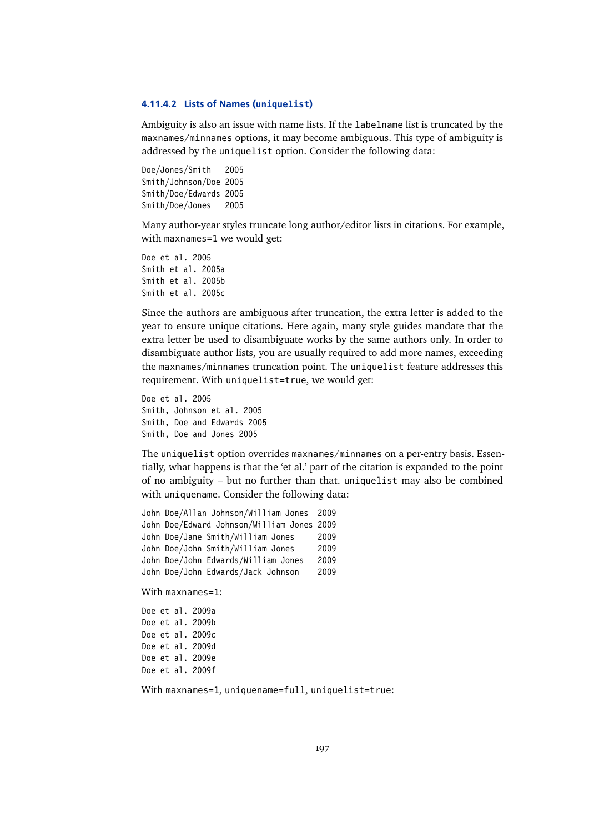#### **4.11.4.2 Lists of Names (uniquelist)**

Ambiguity is also an issue with name lists. If the labelname list is truncated by the maxnames/minnames options, it may become ambiguous. This type of ambiguity is addressed by the uniquelist option. Consider the following data:

Doe/Jones/Smith 2005 Smith/Johnson/Doe 2005 Smith/Doe/Edwards 2005 Smith/Doe/Jones 2005

Many author-year styles truncate long author/editor lists in citations. For example, with maxnames=1 we would get:

Doe et al. 2005 Smith et al. 2005a Smith et al. 2005b Smith et al. 2005c

Since the authors are ambiguous after truncation, the extra letter is added to the year to ensure unique citations. Here again, many style guides mandate that the extra letter be used to disambiguate works by the same authors only. In order to disambiguate author lists, you are usually required to add more names, exceeding the maxnames/minnames truncation point. The uniquelist feature addresses this requirement. With uniquelist=true, we would get:

Doe et al. 2005 Smith, Johnson et al. 2005 Smith, Doe and Edwards 2005 Smith, Doe and Jones 2005

The uniquelist option overrides maxnames/minnames on a per-entry basis. Essentially, what happens is that the 'et al.' part of the citation is expanded to the point of no ambiguity – but no further than that. uniquelist may also be combined with uniquename. Consider the following data:

John Doe/Allan Johnson/William Jones 2009 John Doe/Edward Johnson/William Jones 2009 John Doe/Jane Smith/William Jones 2009 John Doe/John Smith/William Jones 2009 John Doe/John Edwards/William Jones 2009 John Doe/John Edwards/Jack Johnson 2009

With maxnames=1:

Doe et al. 2009a Doe et al. 2009b Doe et al. 2009c Doe et al. 2009d Doe et al. 2009e Doe et al. 2009f

With maxnames=1, uniquename=full, uniquelist=true: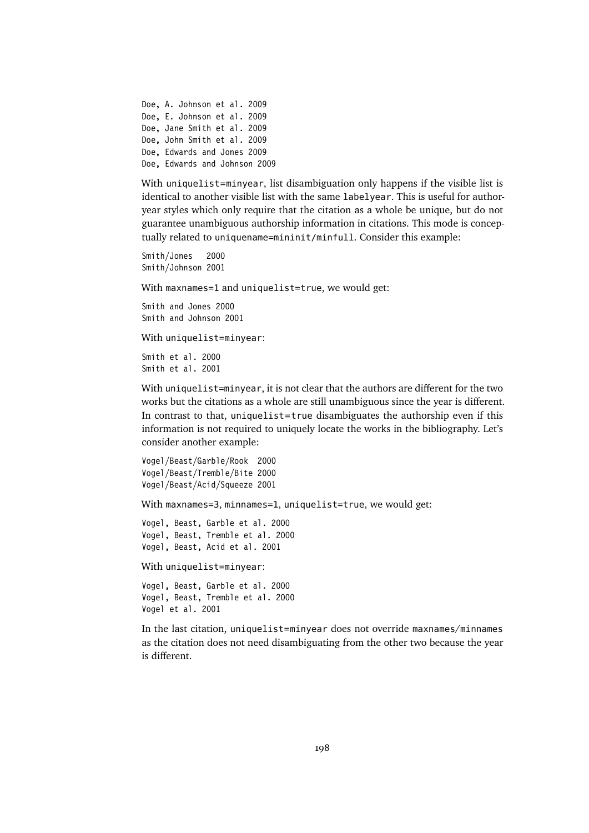Doe, A. Johnson et al. 2009 Doe, E. Johnson et al. 2009 Doe, Jane Smith et al. 2009 Doe, John Smith et al. 2009 Doe, Edwards and Jones 2009 Doe, Edwards and Johnson 2009

With uniquelist=minyear, list disambiguation only happens if the visible list is identical to another visible list with the same labelyear. This is useful for authoryear styles which only require that the citation as a whole be unique, but do not guarantee unambiguous authorship information in citations. This mode is conceptually related to uniquename=mininit/minfull. Consider this example:

Smith/Jones 2000 Smith/Johnson 2001

With maxnames=1 and uniquelist=true, we would get:

Smith and Jones 2000 Smith and Johnson 2001

With uniquelist=minyear:

Smith et al. 2000 Smith et al. 2001

With uniquelist=minyear, it is not clear that the authors are different for the two works but the citations as a whole are still unambiguous since the year is different. In contrast to that, uniquelist=true disambiguates the authorship even if this information is not required to uniquely locate the works in the bibliography. Let's consider another example:

```
Vogel/Beast/Garble/Rook 2000
Vogel/Beast/Tremble/Bite 2000
Vogel/Beast/Acid/Squeeze 2001
```
With maxnames=3, minnames=1, uniquelist=true, we would get:

```
Vogel, Beast, Garble et al. 2000
Vogel, Beast, Tremble et al. 2000
Vogel, Beast, Acid et al. 2001
```
With uniquelist=minyear:

Vogel, Beast, Garble et al. 2000 Vogel, Beast, Tremble et al. 2000 Vogel et al. 2001

In the last citation, uniquelist=minyear does not override maxnames/minnames as the citation does not need disambiguating from the other two because the year is different.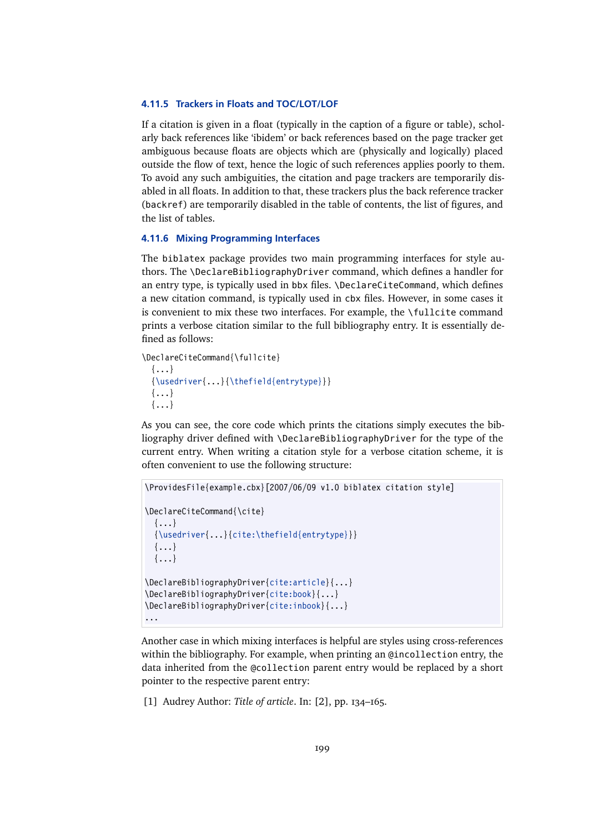## **4.11.5 Trackers in Floats and TOC/LOT/LOF**

If a citation is given in a float (typically in the caption of a figure or table), scholarly back references like 'ibidem' or back references based on the page tracker get ambiguous because floats are objects which are (physically and logically) placed outside the flow of text, hence the logic of such references applies poorly to them. To avoid any such ambiguities, the citation and page trackers are temporarily disabled in all floats. In addition to that, these trackers plus the back reference tracker (backref) are temporarily disabled in the table of contents, the list of figures, and the list of tables.

## **4.11.6 Mixing Programming Interfaces**

The biblatex package provides two main programming interfaces for style authors. The \DeclareBibliographyDriver command, which defines a handler for an entry type, is typically used in bbx files. \DeclareCiteCommand, which defines a new citation command, is typically used in cbx files. However, in some cases it is convenient to mix these two interfaces. For example, the \fullcite command prints a verbose citation similar to the full bibliography entry. It is essentially defined as follows:

```
\DeclareCiteCommand{\fullcite}
  \{ \ldots \}{\usedriver{...}{\thefield{entrytype}}}
  \{\ldots\}{...}
```
As you can see, the core code which prints the citations simply executes the bibliography driver defined with \DeclareBibliographyDriver for the type of the current entry. When writing a citation style for a verbose citation scheme, it is often convenient to use the following structure:

```
\ProvidesFile{example.cbx}[2007/06/09 v1.0 biblatex citation style]
\DeclareCiteCommand{\cite}
  {...}
  {\usedriver{...}{cite:\thefield{entrytype}}}
  \{ \ldots \}{...}
\DeclareBibliographyDriver{cite:article}{...}
\DeclareBibliographyDriver{cite:book}{...}
\DeclareBibliographyDriver{cite:inbook}{...}
...
```
Another case in which mixing interfaces is helpful are styles using cross-references within the bibliography. For example, when printing an @incollection entry, the data inherited from the @collection parent entry would be replaced by a short pointer to the respective parent entry:

[1] Audrey Author: *Title of article*. In: [2], pp. 134–165.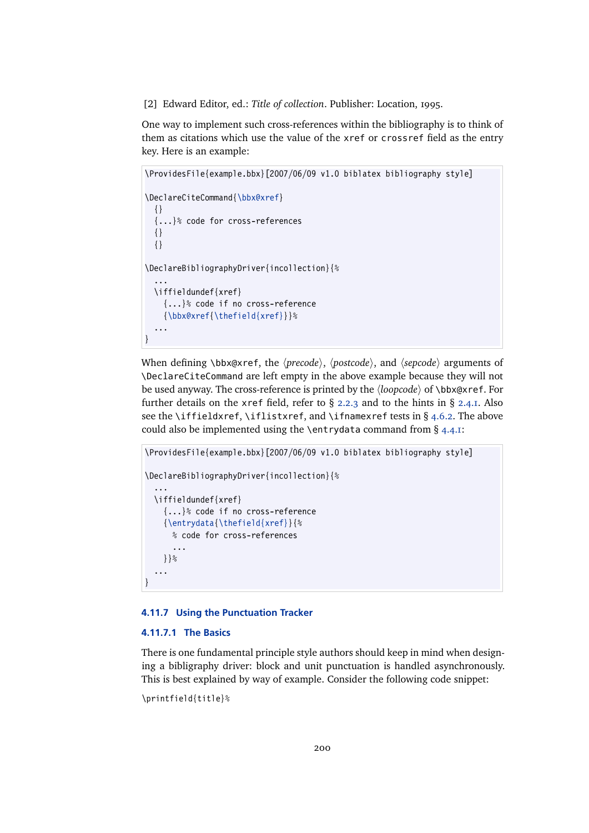[2] Edward Editor, ed.: *Title of collection*. Publisher: Location, 1995.

One way to implement such cross-references within the bibliography is to think of them as citations which use the value of the xref or crossref field as the entry key. Here is an example:

```
\ProvidesFile{example.bbx}[2007/06/09 v1.0 biblatex bibliography style]
\DeclareCiteCommand{\bbx@xref}
 {}
  {...}% code for cross-references
 {}
 {}
\DeclareBibliographyDriver{incollection}{%
  ...
 \iffieldundef{xref}
    {...}% code if no cross-reference
    {\bbx@xref{\thefield{xref}}}%
  ...
}
```
When defining \bbx@xref, the  $\langle$ *precode* $\rangle$ ,  $\langle$ *postcode* $\rangle$ , and  $\langle$ *sepcode* $\rangle$  arguments of \DeclareCiteCommand are left empty in the above example because they will not be used anyway. The cross-reference is printed by the  $\langle loopcode \rangle$  of  $\backslash$ bbx@xref. For further details on the xref field, refer to  $\S$  [2.2.3](#page-22-0) and to the hints in  $\S$  [2.4.1.](#page-34-0) Also see the \iffieldxref, \iflistxref, and \ifnamexref tests in § [4.6.2.](#page-145-0) The above could also be implemented using the \entrydata command from § [4.4.1:](#page-130-0)

```
\ProvidesFile{example.bbx}[2007/06/09 v1.0 biblatex bibliography style]
\DeclareBibliographyDriver{incollection}{%
  ...
 \iffieldundef{xref}
   {...}% code if no cross-reference
    {\entrydata{\thefield{xref}}{%
     % code for cross-references
      ...
    }}%
  ...
}
```
## **4.11.7 Using the Punctuation Tracker**

## **4.11.7.1 The Basics**

There is one fundamental principle style authors should keep in mind when designing a bibligraphy driver: block and unit punctuation is handled asynchronously. This is best explained by way of example. Consider the following code snippet:

```
\printfield{title}%
```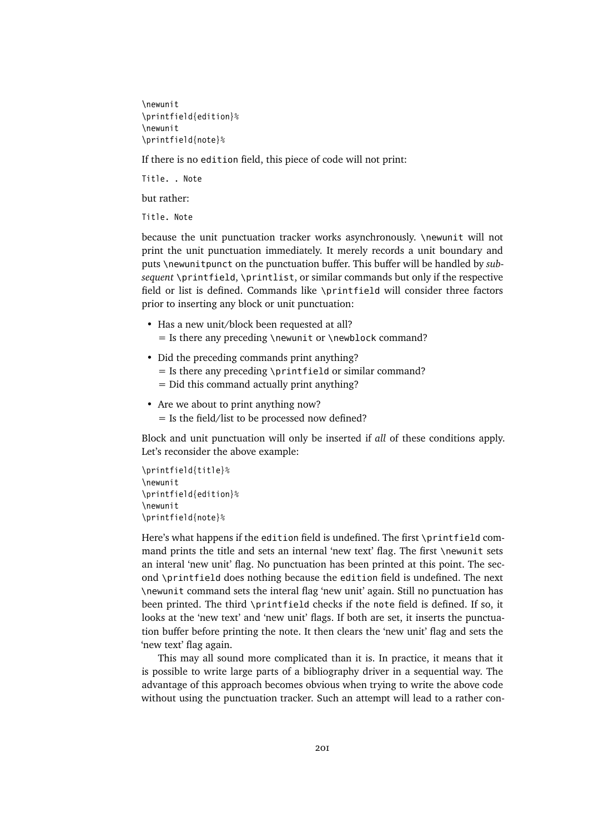\newunit \printfield{edition}% \newunit \printfield{note}%

If there is no edition field, this piece of code will not print:

Title. . Note

but rather:

Title. Note

because the unit punctuation tracker works asynchronously. \newunit will not print the unit punctuation immediately. It merely records a unit boundary and puts \newunitpunct on the punctuation buffer. This buffer will be handled by *subsequent* \printfield, \printlist, or similar commands but only if the respective field or list is defined. Commands like \printfield will consider three factors prior to inserting any block or unit punctuation:

- Has a new unit/block been requested at all?  $=$  Is there any preceding \newunit or \newblock command?
- Did the preceding commands print anything?
	- $=$  Is there any preceding \printfield or similar command?
	- = Did this command actually print anything?
- Are we about to print anything now?
	- = Is the field/list to be processed now defined?

Block and unit punctuation will only be inserted if *all* of these conditions apply. Let's reconsider the above example:

```
\printfield{title}%
\newunit
\printfield{edition}%
\newunit
\printfield{note}%
```
Here's what happens if the edition field is undefined. The first \printfield command prints the title and sets an internal 'new text' flag. The first \newunit sets an interal 'new unit' flag. No punctuation has been printed at this point. The second \printfield does nothing because the edition field is undefined. The next \newunit command sets the interal flag 'new unit' again. Still no punctuation has been printed. The third \printfield checks if the note field is defined. If so, it looks at the 'new text' and 'new unit' flags. If both are set, it inserts the punctuation buffer before printing the note. It then clears the 'new unit' flag and sets the 'new text' flag again.

This may all sound more complicated than it is. In practice, it means that it is possible to write large parts of a bibliography driver in a sequential way. The advantage of this approach becomes obvious when trying to write the above code without using the punctuation tracker. Such an attempt will lead to a rather con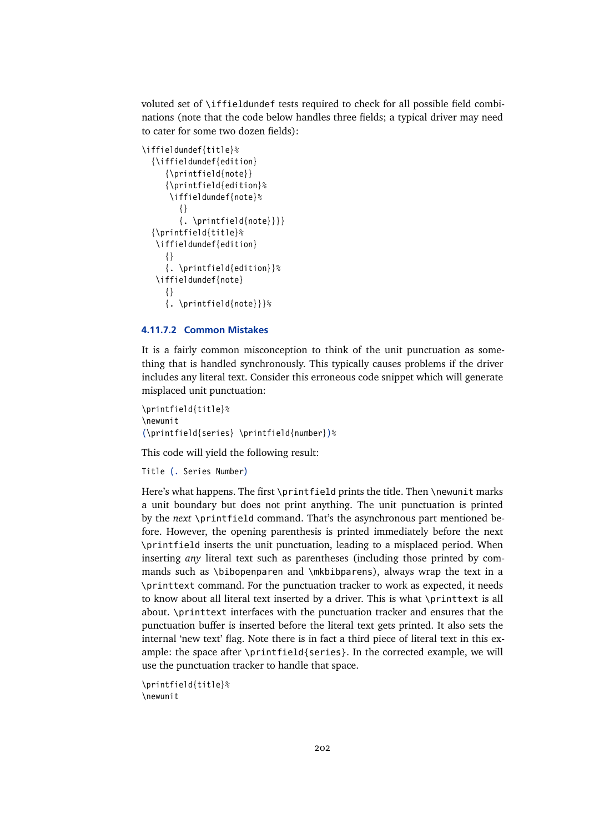voluted set of \iffieldundef tests required to check for all possible field combinations (note that the code below handles three fields; a typical driver may need to cater for some two dozen fields):

```
\iffieldundef{title}%
  {\iffieldundef{edition}
     {\printfield{note}}
     {\printfield{edition}%
     \iffieldundef{note}%
        {}
        \{ . \prime\}{\printfield{title}%
   \iffieldundef{edition}
    {}
     {. \printfield{edition}}%
   \iffieldundef{note}
     {}
     {. \printfield{note}}}%
```
## **4.11.7.2 Common Mistakes**

It is a fairly common misconception to think of the unit punctuation as something that is handled synchronously. This typically causes problems if the driver includes any literal text. Consider this erroneous code snippet which will generate misplaced unit punctuation:

```
\printfield{title}%
\newunit
(\printfield{series} \printfield{number})%
```
This code will yield the following result:

Title (. Series Number)

Here's what happens. The first \printfield prints the title. Then \newunit marks a unit boundary but does not print anything. The unit punctuation is printed by the *next* \printfield command. That's the asynchronous part mentioned before. However, the opening parenthesis is printed immediately before the next \printfield inserts the unit punctuation, leading to a misplaced period. When inserting *any* literal text such as parentheses (including those printed by commands such as \bibopenparen and \mkbibparens), always wrap the text in a \printtext command. For the punctuation tracker to work as expected, it needs to know about all literal text inserted by a driver. This is what \printtext is all about. \printtext interfaces with the punctuation tracker and ensures that the punctuation buffer is inserted before the literal text gets printed. It also sets the internal 'new text' flag. Note there is in fact a third piece of literal text in this example: the space after \printfield{series}. In the corrected example, we will use the punctuation tracker to handle that space.

```
\printfield{title}%
\newunit
```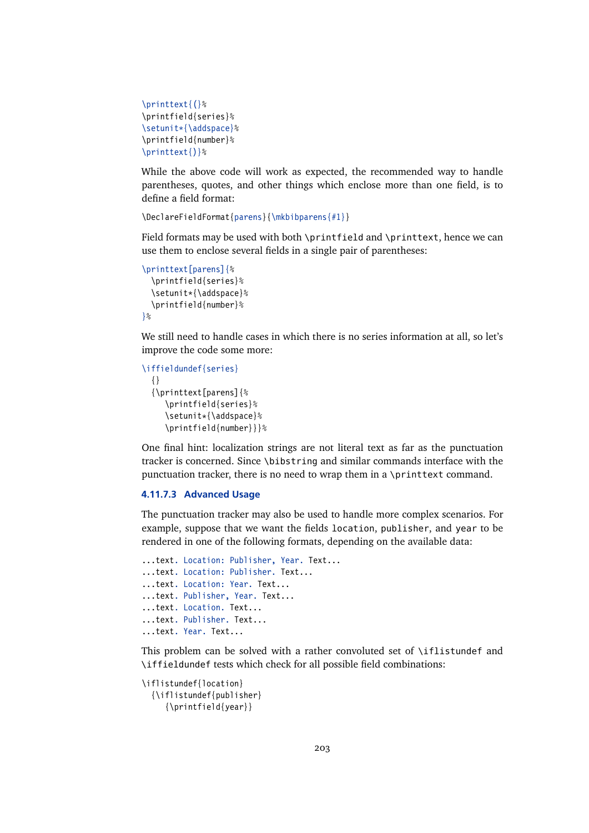```
\printtext{(}%
\printfield{series}%
\setunit*{\addspace}%
\printfield{number}%
\printtext{)}%
```
While the above code will work as expected, the recommended way to handle parentheses, quotes, and other things which enclose more than one field, is to define a field format:

\DeclareFieldFormat{parens}{\mkbibparens{#1}}

Field formats may be used with both \printfield and \printtext, hence we can use them to enclose several fields in a single pair of parentheses:

```
\printtext[parens]{%
  \printfield{series}%
  \setunit*{\addspace}%
  \printfield{number}%
}%
```
We still need to handle cases in which there is no series information at all, so let's improve the code some more:

```
\iffieldundef{series}
  {}
  {\printtext[parens]{%
     \printfield{series}%
     \setunit*{\addspace}%
     \printfield{number}}}%
```
One final hint: localization strings are not literal text as far as the punctuation tracker is concerned. Since \bibstring and similar commands interface with the punctuation tracker, there is no need to wrap them in a \printtext command.

## **4.11.7.3 Advanced Usage**

The punctuation tracker may also be used to handle more complex scenarios. For example, suppose that we want the fields location, publisher, and year to be rendered in one of the following formats, depending on the available data:

```
...text. Location: Publisher, Year. Text...
...text. Location: Publisher. Text...
...text. Location: Year. Text...
...text. Publisher, Year. Text...
...text. Location. Text...
...text. Publisher. Text...
...text. Year. Text...
```
This problem can be solved with a rather convoluted set of \iflistundef and \iffieldundef tests which check for all possible field combinations:

```
\iflistundef{location}
  {\iflistundef{publisher}
     {\printfield{year}}
```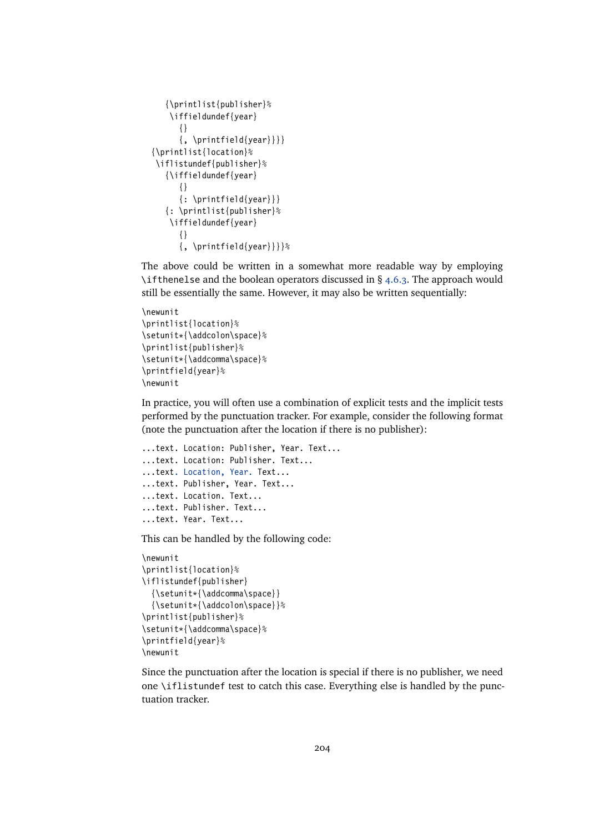```
{\printlist{publisher}%
   \iffieldundef{year}
      {}
      \{, \printfield{year}}}}
{\printlist{location}%
\iflistundef{publisher}%
  {\iffieldundef{year}
      {}
      {: \printfield{year}}}
  {: \printlist{publisher}%
   \iffieldundef{year}
     {}
      \{, \printfield{year}}}}%
```
The above could be written in a somewhat more readable way by employing \ifthenelse and the boolean operators discussed in  $\S$  [4.6.3.](#page-153-0) The approach would still be essentially the same. However, it may also be written sequentially:

```
\newunit
\printlist{location}%
\setunit*{\addcolon\space}%
\printlist{publisher}%
\setunit*{\addcomma\space}%
\printfield{year}%
\newunit
```
In practice, you will often use a combination of explicit tests and the implicit tests performed by the punctuation tracker. For example, consider the following format (note the punctuation after the location if there is no publisher):

```
...text. Location: Publisher, Year. Text...
...text. Location: Publisher. Text...
...text. Location, Year. Text...
...text. Publisher, Year. Text...
...text. Location. Text...
...text. Publisher. Text...
...text. Year. Text...
```
This can be handled by the following code:

```
\newunit
\printlist{location}%
\iflistundef{publisher}
  {\setunit*{\addcomma\space}}
  {\setunit*{\addcolon\space}}%
\printlist{publisher}%
\setunit*{\addcomma\space}%
\printfield{year}%
\newunit
```
Since the punctuation after the location is special if there is no publisher, we need one \iflistundef test to catch this case. Everything else is handled by the punctuation tracker.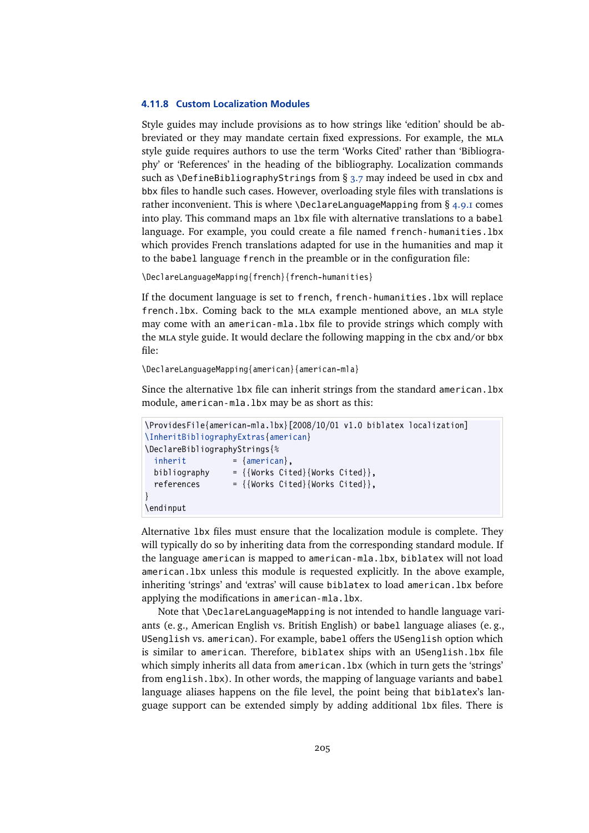#### **4.11.8 Custom Localization Modules**

Style guides may include provisions as to how strings like 'edition' should be abbreviated or they may mandate certain fixed expressions. For example, the mla style guide requires authors to use the term 'Works Cited' rather than 'Bibliography' or 'References' in the heading of the bibliography. Localization commands such as \DefineBibliographyStrings from § [3.7](#page-87-0) may indeed be used in cbx and bbx files to handle such cases. However, overloading style files with translations is rather inconvenient. This is where  $\Delta$  eclareLanguageMapping from § [4.9.1](#page-169-0) comes into play. This command maps an lbx file with alternative translations to a babel language. For example, you could create a file named french-humanities.lbx which provides French translations adapted for use in the humanities and map it to the babel language french in the preamble or in the configuration file:

\DeclareLanguageMapping{french}{french-humanities}

If the document language is set to french, french-humanities.lbx will replace french.lbx. Coming back to the mla example mentioned above, an mla style may come with an american-mla.lbx file to provide strings which comply with the mla style guide. It would declare the following mapping in the cbx and/or bbx file:

\DeclareLanguageMapping{american}{american-mla}

Since the alternative 1bx file can inherit strings from the standard american. 1bx module, american-mla.lbx may be as short as this:

```
\ProvidesFile{american-mla.lbx}[2008/10/01 v1.0 biblatex localization]
\InheritBibliographyExtras{american}
\DeclareBibliographyStrings{%
  \{i\} = \{american\},
 bibliography = {\{Works\, Cited\}\{Works\, Cited\}},references = {\{Works\, Cited\} \{Works\, Cited\}},}
\endinput
```
Alternative lbx files must ensure that the localization module is complete. They will typically do so by inheriting data from the corresponding standard module. If the language american is mapped to american-mla.lbx, biblatex will not load american.lbx unless this module is requested explicitly. In the above example, inheriting 'strings' and 'extras' will cause biblatex to load american.lbx before applying the modifications in american-mla.lbx.

Note that \DeclareLanguageMapping is not intended to handle language variants (e. g., American English vs. British English) or babel language aliases (e. g., USenglish vs. american). For example, babel offers the USenglish option which is similar to american. Therefore, biblatex ships with an USenglish.lbx file which simply inherits all data from american. lbx (which in turn gets the 'strings' from english.lbx). In other words, the mapping of language variants and babel language aliases happens on the file level, the point being that biblatex's language support can be extended simply by adding additional lbx files. There is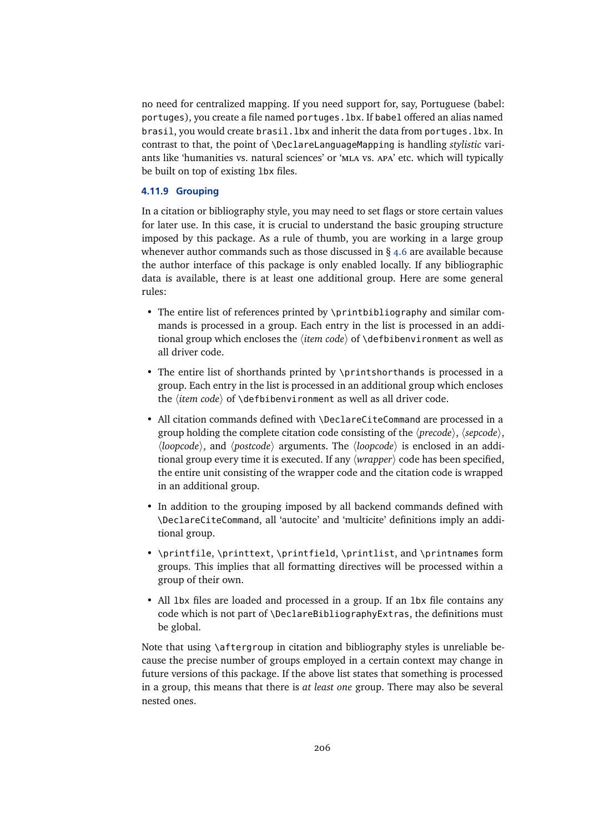no need for centralized mapping. If you need support for, say, Portuguese (babel: portuges), you create a file named portuges. lbx. If babel offered an alias named brasil, you would create brasil.lbx and inherit the data from portuges.lbx. In contrast to that, the point of \DeclareLanguageMapping is handling *stylistic* variants like 'humanities vs. natural sciences' or 'mla vs. apa' etc. which will typically be built on top of existing lbx files.

## **4.11.9 Grouping**

In a citation or bibliography style, you may need to set flags or store certain values for later use. In this case, it is crucial to understand the basic grouping structure imposed by this package. As a rule of thumb, you are working in a large group whenever author commands such as those discussed in  $\S$  [4.6](#page-143-0) are available because the author interface of this package is only enabled locally. If any bibliographic data is available, there is at least one additional group. Here are some general rules:

- The entire list of references printed by \printbibliography and similar commands is processed in a group. Each entry in the list is processed in an additional group which encloses the *(item code)* of *\defbibenvironment* as well as all driver code.
- The entire list of shorthands printed by \printshorthands is processed in a group. Each entry in the list is processed in an additional group which encloses the  $\langle item code \rangle$  of  $\delta$  defbibenvironment as well as all driver code.
- All citation commands defined with \DeclareCiteCommand are processed in a group holding the complete citation code consisting of the  $\langle precode \rangle$ ,  $\langle sepcode \rangle$ ,  $\langle loopcode\rangle$ , and  $\langle postcode\rangle$  arguments. The  $\langle loopcode\rangle$  is enclosed in an additional group every time it is executed. If any  $\langle wrapper \rangle$  code has been specified, the entire unit consisting of the wrapper code and the citation code is wrapped in an additional group.
- In addition to the grouping imposed by all backend commands defined with \DeclareCiteCommand, all 'autocite' and 'multicite' definitions imply an additional group.
- \printfile, \printtext, \printfield, \printlist, and \printnames form groups. This implies that all formatting directives will be processed within a group of their own.
- All lbx files are loaded and processed in a group. If an lbx file contains any code which is not part of \DeclareBibliographyExtras, the definitions must be global.

Note that using \aftergroup in citation and bibliography styles is unreliable because the precise number of groups employed in a certain context may change in future versions of this package. If the above list states that something is processed in a group, this means that there is *at least one* group. There may also be several nested ones.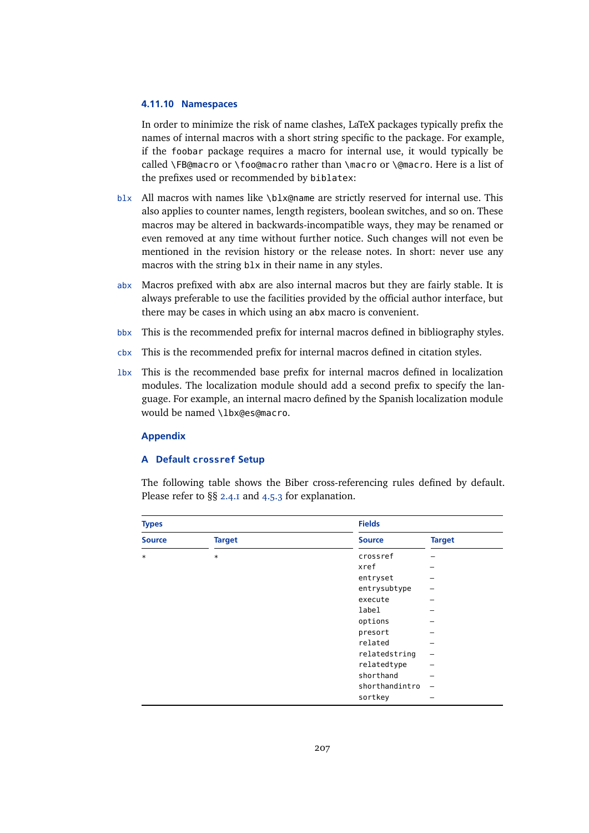#### **4.11.10 Namespaces**

In order to minimize the risk of name clashes, LaTeX packages typically prefix the names of internal macros with a short string specific to the package. For example, if the foobar package requires a macro for internal use, it would typically be called \FB@macro or \foo@macro rather than \macro or \@macro. Here is a list of the prefixes used or recommended by biblatex:

- blx All macros with names like \blx@name are strictly reserved for internal use. This also applies to counter names, length registers, boolean switches, and so on. These macros may be altered in backwards-incompatible ways, they may be renamed or even removed at any time without further notice. Such changes will not even be mentioned in the revision history or the release notes. In short: never use any macros with the string blx in their name in any styles.
- abx Macros prefixed with abx are also internal macros but they are fairly stable. It is always preferable to use the facilities provided by the official author interface, but there may be cases in which using an abx macro is convenient.
- bbx This is the recommended prefix for internal macros defined in bibliography styles.
- cbx This is the recommended prefix for internal macros defined in citation styles.
- lbx This is the recommended base prefix for internal macros defined in localization modules. The localization module should add a second prefix to specify the language. For example, an internal macro defined by the Spanish localization module would be named \lbx@es@macro.

#### **Appendix**

### **A Default crossref Setup**

The following table shows the Biber cross-referencing rules defined by default. Please refer to §§ [2.4.1](#page-34-0) and [4.5.3](#page-141-0) for explanation.

| <b>Types</b>  |               | <b>Fields</b>  |               |  |
|---------------|---------------|----------------|---------------|--|
| <b>Source</b> | <b>Target</b> | <b>Source</b>  | <b>Target</b> |  |
| $\ast$        | $\ast$        | crossref       |               |  |
|               |               | xref           |               |  |
|               |               | entryset       |               |  |
|               |               | entrysubtype   |               |  |
|               |               | execute        |               |  |
|               |               | label          |               |  |
|               |               | options        |               |  |
|               |               | presort        |               |  |
|               |               | related        |               |  |
|               |               | relatedstring  |               |  |
|               |               | relatedtype    |               |  |
|               |               | shorthand      |               |  |
|               |               | shorthandintro |               |  |
|               |               | sortkey        |               |  |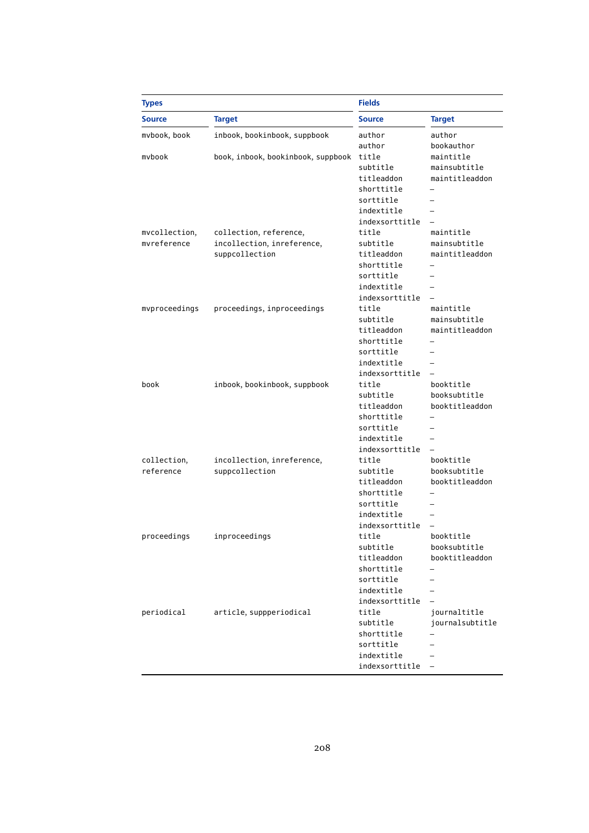| <b>Types</b>  |                                    | <b>Fields</b>  |                 |
|---------------|------------------------------------|----------------|-----------------|
| <b>Source</b> | <b>Target</b>                      | <b>Source</b>  | <b>Target</b>   |
| mvbook, book  | inbook, bookinbook, suppbook       | author         | author          |
|               |                                    | author         | bookauthor      |
| mybook        | book, inbook, bookinbook, suppbook | title          | maintitle       |
|               |                                    | subtitle       | mainsubtitle    |
|               |                                    | titleaddon     | maintitleaddon  |
|               |                                    | shorttitle     |                 |
|               |                                    | sorttitle      |                 |
|               |                                    | indextitle     |                 |
|               |                                    | indexsorttitle |                 |
| mvcollection, | collection, reference,             | title          | maintitle       |
| mvreference   | incollection, inreference,         | subtitle       | mainsubtitle    |
|               | suppcollection                     | titleaddon     | maintitleaddon  |
|               |                                    | shorttitle     |                 |
|               |                                    | sorttitle      |                 |
|               |                                    | indextitle     |                 |
|               |                                    | indexsorttitle |                 |
| mvproceedings | proceedings, inproceedings         | title          | maintitle       |
|               |                                    | subtitle       | mainsubtitle    |
|               |                                    | titleaddon     | maintitleaddon  |
|               |                                    | shorttitle     |                 |
|               |                                    | sorttitle      |                 |
|               |                                    | indextitle     |                 |
|               |                                    | indexsorttitle |                 |
| book          | inbook, bookinbook, suppbook       | title          | booktitle       |
|               |                                    | subtitle       | booksubtitle    |
|               |                                    | titleaddon     | booktitleaddon  |
|               |                                    | shorttitle     |                 |
|               |                                    | sorttitle      |                 |
|               |                                    | indextitle     |                 |
|               |                                    | indexsorttitle |                 |
| collection,   | incollection, inreference,         | title          | booktitle       |
| reference     | suppcollection                     | subtitle       | booksubtitle    |
|               |                                    | titleaddon     | booktitleaddon  |
|               |                                    | shorttitle     |                 |
|               |                                    | sorttitle      |                 |
|               |                                    | indextitle     |                 |
|               |                                    | indexsorttitle |                 |
| proceedings   | inproceedings                      | title          | booktitle       |
|               |                                    | subtitle       | booksubtitle    |
|               |                                    | titleaddon     | booktitleaddon  |
|               |                                    | shorttitle     |                 |
|               |                                    | sorttitle      |                 |
|               |                                    | indextitle     |                 |
|               |                                    | indexsorttitle |                 |
| periodical    | article, suppperiodical            | title          | journaltitle    |
|               |                                    | subtitle       | journalsubtitle |
|               |                                    | shorttitle     |                 |
|               |                                    | sorttitle      |                 |
|               |                                    | indextitle     |                 |
|               |                                    | indexsorttitle |                 |
|               |                                    |                |                 |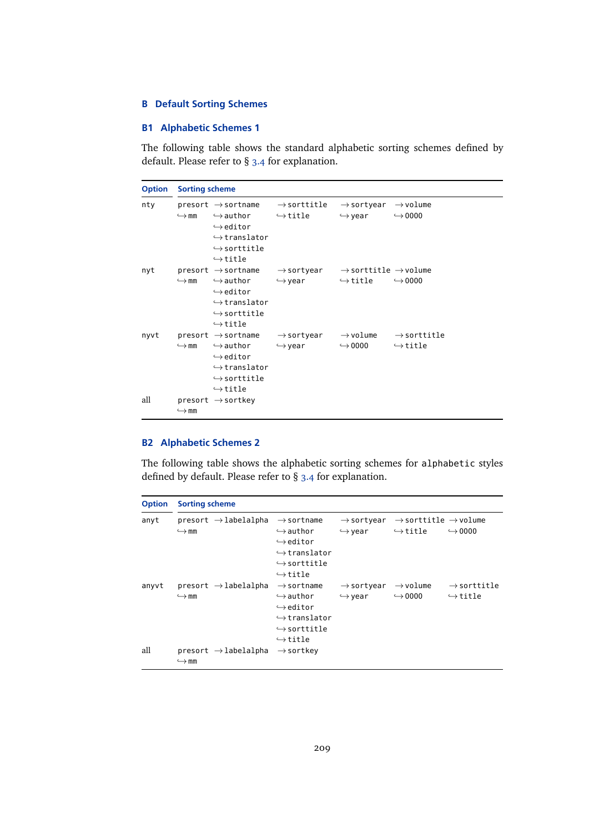## **B Default Sorting Schemes**

## **B1 Alphabetic Schemes 1**

The following table shows the standard alphabetic sorting schemes defined by default. Please refer to § [3.4](#page-66-0) for explanation.

| <b>Option</b> | <b>Sorting scheme</b> |                                                                                                                                                                                  |                                                                                                                              |                                                                       |                                              |
|---------------|-----------------------|----------------------------------------------------------------------------------------------------------------------------------------------------------------------------------|------------------------------------------------------------------------------------------------------------------------------|-----------------------------------------------------------------------|----------------------------------------------|
| nty           | $\hookrightarrow$ mm  | $\hookrightarrow$ author $\hookrightarrow$ title<br>$\hookrightarrow$ editor<br>$\hookrightarrow$ translator<br>$\hookrightarrow$ sorttitle<br>$\hookrightarrow$ title           | $\mathsf{presort}\to\mathsf{sortname}\quad\to\mathsf{sorttitle}$                                                             | $\rightarrow$ sortyear $\rightarrow$ volume<br>$\hookrightarrow$ year | $\leftrightarrow$ 0000                       |
| nyt           | $\hookrightarrow$ mm  | $\hookrightarrow$ author<br>$\hookrightarrow$ editor<br>$\hookrightarrow$ translator<br>$\hookrightarrow$ sorttitle<br>$\hookrightarrow$ title                                   | presort $\rightarrow$ sortname $\rightarrow$ sortyear $\rightarrow$ sorttitle $\rightarrow$ volume<br>$\hookrightarrow$ year | $\hookrightarrow$ title                                               | $\hookrightarrow 0000$                       |
| nyvt          | $\hookrightarrow$ mm  | presort $\rightarrow$ sortname<br>$\hookrightarrow$ author<br>$\hookrightarrow$ editor<br>$\hookrightarrow$ translator<br>$\hookrightarrow$ sorttitle<br>$\hookrightarrow$ title | $\rightarrow$ sortyear<br>$\hookrightarrow$ year                                                                             | $\hookrightarrow$ 0000 $\hookrightarrow$ title                        | $\rightarrow$ volume $\rightarrow$ sorttitle |
| all           | $\hookrightarrow$ mm  | $present \rightarrow sortkey$                                                                                                                                                    |                                                                                                                              |                                                                       |                                              |

## **B2 Alphabetic Schemes 2**

The following table shows the alphabetic sorting schemes for alphabetic styles defined by default. Please refer to § [3.4](#page-66-0) for explanation.

| <b>Option</b> | <b>Sorting scheme</b>                                    |                                                                                                                                                                          |                                                  |                                                                         |                                                    |
|---------------|----------------------------------------------------------|--------------------------------------------------------------------------------------------------------------------------------------------------------------------------|--------------------------------------------------|-------------------------------------------------------------------------|----------------------------------------------------|
| anyt          | $present \rightarrow labelalpha$<br>$\hookrightarrow$ mm | $\rightarrow$ sortname<br>$\hookrightarrow$ author<br>$\hookrightarrow$ editor<br>$\hookrightarrow$ translator<br>$\hookrightarrow$ sorttitle<br>$\hookrightarrow$ title | $\rightarrow$ sortyear<br>$\hookrightarrow$ year | $\rightarrow$ sorttitle $\rightarrow$ volume<br>$\hookrightarrow$ title | $\hookrightarrow$ 0000                             |
| anyvt         | $present \rightarrow labelalpha$<br>$\hookrightarrow$ mm | $\rightarrow$ sortname<br>$\hookrightarrow$ author<br>$\hookrightarrow$ editor<br>$\hookrightarrow$ translator<br>$\hookrightarrow$ sorttitle<br>$\hookrightarrow$ title | $\rightarrow$ sortyear<br>$\hookrightarrow$ year | $\rightarrow$ volume<br>$\hookrightarrow$ 0000                          | $\rightarrow$ sorttitle<br>$\hookrightarrow$ title |
| all           | $present \rightarrow labelalpha$<br>$\hookrightarrow$ mm | $\rightarrow$ sortkey                                                                                                                                                    |                                                  |                                                                         |                                                    |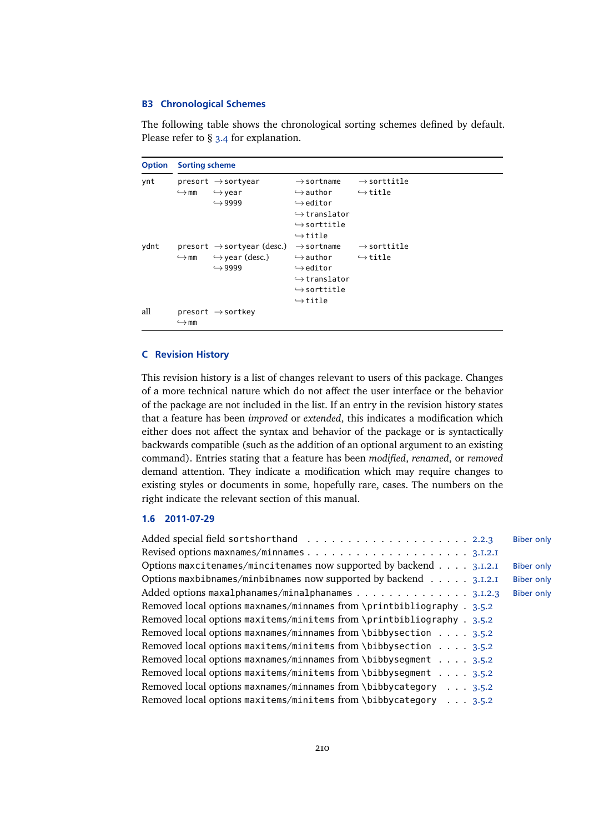#### **B3 Chronological Schemes**

The following table shows the chronological sorting schemes defined by default. Please refer to § [3.4](#page-66-0) for explanation.

```
Option Sorting scheme
ynt presort → sortyear
             \hookrightarrowmm
                           \hookrightarrow vear
                           \hookrightarrow9999
                                                           \rightarrowsortname
                                                           \hookrightarrowauthor
                                                           \hookrightarroweditor
                                                           \hookrightarrowtranslator
                                                           \hookrightarrowsorttitle
                                                           \hookrightarrowtitle
                                                                                    \rightarrowsorttitle
                                                                                    \hookrightarrowtitle
ydnt presort → sortyear (desc.) → sortname
             \hookrightarrow mm
                        \hookrightarrow year (desc.)
                           \hookrightarrow9999
                                                           \hookrightarrowauthor
                                                           ,→editor
                                                           \hookrightarrowtranslator
                                                           \hookrightarrowsorttitle
                                                           \hookrightarrowtitle
                                                                                    \rightarrowsorttitle
                                                                                    \hookrightarrowtitle
all presort → sortkey
              \hookrightarrowmm
```
#### **C Revision History**

This revision history is a list of changes relevant to users of this package. Changes of a more technical nature which do not affect the user interface or the behavior of the package are not included in the list. If an entry in the revision history states that a feature has been *improved* or *extended*, this indicates a modification which either does not affect the syntax and behavior of the package or is syntactically backwards compatible (such as the addition of an optional argument to an existing command). Entries stating that a feature has been *modified*, *renamed*, or *removed* demand attention. They indicate a modification which may require changes to existing styles or documents in some, hopefully rare, cases. The numbers on the right indicate the relevant section of this manual.

## **1.6 2011-07-29**

|                                                                           | <b>Biber only</b> |
|---------------------------------------------------------------------------|-------------------|
|                                                                           |                   |
| Options maxcitenames/mincitenames now supported by backend 3.1.2.1        | <b>Biber only</b> |
| Options maxbibnames/minbibnames now supported by backend $\ldots$ 3.1.2.1 | <b>Biber only</b> |
| Added options maxalphanames/minalphanames 3.I.2.3                         | <b>Biber only</b> |
| Removed local options maxnames/minnames from \printbibliography . 3.5.2   |                   |
| Removed local options maxitems/minitems from \printbibliography . 3.5.2   |                   |
| Removed local options maxnames/minnames from \bibbysection 3.5.2          |                   |
| Removed local options maxitems/minitems from \bibbysection 3.5.2          |                   |
| Removed local options maxnames/minnames from \bibbysegment 3.5.2          |                   |
| Removed local options maxitems/minitems from \bibbyseqment $\dots$ 3.5.2  |                   |
| Removed local options maxnames/minnames from \bibbycategory 3.5.2         |                   |
| Removed local options maxitems/minitems from \bibbycategory 3.5.2         |                   |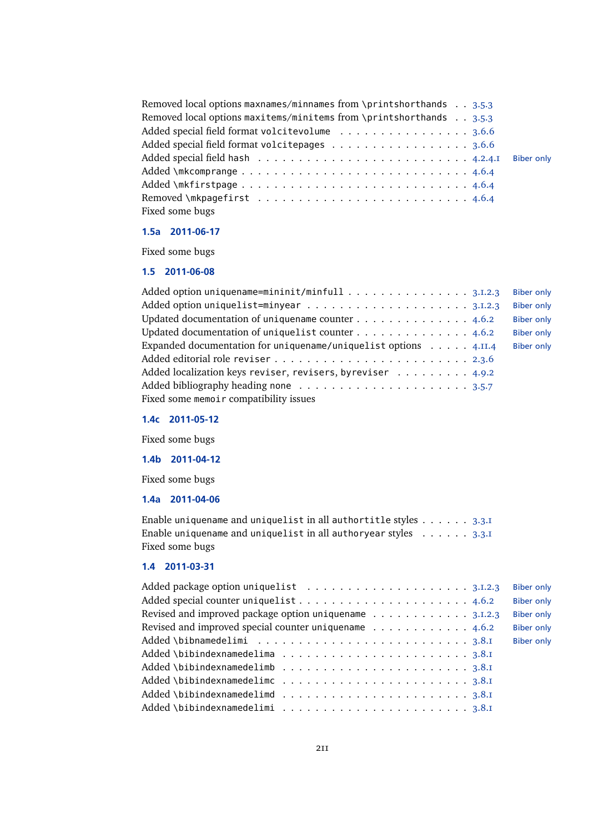| Removed local options maxnames/minnames from \printshorthands 3.5.3 |                   |
|---------------------------------------------------------------------|-------------------|
| Removed local options maxitems/minitems from \printshorthands 3.5.3 |                   |
| Added special field format volcitevolume 3.6.6                      |                   |
| Added special field format volcitepages 3.6.6                       |                   |
|                                                                     | <b>Biber only</b> |
|                                                                     |                   |
|                                                                     |                   |
|                                                                     |                   |
| Fixed some bugs                                                     |                   |

## **1.5a 2011-06-17**

Fixed some bugs

## **1.5 2011-06-08**

| Added option uniquename=mininit/minfull $\dots \dots \dots \dots \dots \dots$ 3.1.2.3 | <b>Biber only</b> |
|---------------------------------------------------------------------------------------|-------------------|
|                                                                                       | <b>Biber only</b> |
| Updated documentation of uniquename counter 4.6.2                                     | <b>Biber only</b> |
| Updated documentation of uniquelist counter 4.6.2                                     | <b>Biber only</b> |
| Expanded documentation for uniquename/uniquelist options $\dots$ . $4.11.4$           | <b>Biber only</b> |
|                                                                                       |                   |
| Added localization keys reviser, revisers, byreviser 4.9.2                            |                   |
|                                                                                       |                   |
| Fixed some memoir compatibility issues                                                |                   |

## **1.4c 2011-05-12**

Fixed some bugs

**1.4b 2011-04-12**

Fixed some bugs

## **1.4a 2011-04-06**

Enable uniquename and uniquelist in all authortitle styles  $\dots \dots$  [3.3.1](#page-60-0) Enable uniquename and uniquelist in all authoryear styles . . . . . . [3.3.1](#page-60-0) Fixed some bugs

## **1.4 2011-03-31**

|                                                                                     | <b>Biber only</b> |
|-------------------------------------------------------------------------------------|-------------------|
|                                                                                     | <b>Biber only</b> |
| Revised and improved package option uniquename 3.I.2.3                              | <b>Biber only</b> |
| Revised and improved special counter uniquename $\ldots \ldots \ldots \ldots$ 4.6.2 | <b>Biber only</b> |
|                                                                                     | <b>Biber only</b> |
|                                                                                     |                   |
| Added \bibindexnamedelimb $\dots \dots \dots \dots \dots \dots \dots \dots \dots$   |                   |
|                                                                                     |                   |
|                                                                                     |                   |
|                                                                                     |                   |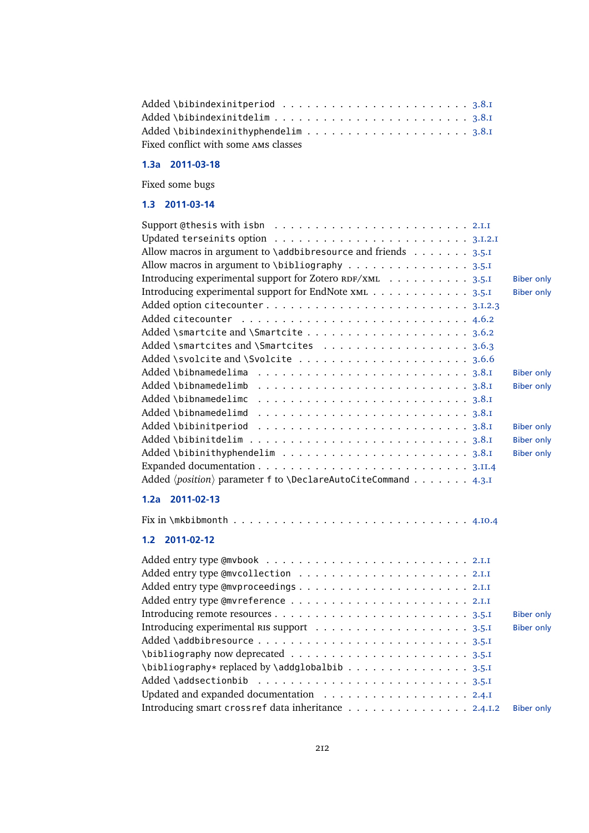| Fixed conflict with some AMS classes |  |
|--------------------------------------|--|

## **1.3a 2011-03-18**

Fixed some bugs

## **1.3 2011-03-14**

| Allow macros in argument to \addbibresource and friends 3.5.I              |                   |
|----------------------------------------------------------------------------|-------------------|
| Allow macros in argument to \bibliography 3.5.1                            |                   |
| Introducing experimental support for Zotero RDF/XML 3.5.I                  | <b>Biber only</b> |
| Introducing experimental support for EndNote xML 3.5.1                     | <b>Biber only</b> |
| Added option citecounter3.1.2.3                                            |                   |
|                                                                            |                   |
|                                                                            |                   |
| Added \smartcites and \Smartcites 3.6.3                                    |                   |
|                                                                            |                   |
|                                                                            | <b>Biber only</b> |
| Added \bibnamedelimb $\dots\dots\dots\dots\dots\dots\dots\dots\dots$ 3.8.1 | <b>Biber only</b> |
| Added \bibnamedelimc                                                       |                   |
|                                                                            |                   |
|                                                                            | <b>Biber only</b> |
|                                                                            | <b>Biber only</b> |
|                                                                            | <b>Biber only</b> |
|                                                                            |                   |
| Added (position) parameter f to \DeclareAutoCiteCommand 4.3.I              |                   |
| 1.2a 2011-02-13                                                            |                   |
|                                                                            |                   |
|                                                                            |                   |
| 2011-02-12<br>1.2 <sub>2</sub>                                             |                   |
|                                                                            |                   |
|                                                                            |                   |
|                                                                            |                   |
|                                                                            |                   |
|                                                                            | <b>Biber only</b> |
|                                                                            | <b>Biber only</b> |
|                                                                            |                   |
|                                                                            |                   |
| \bibliography* replaced by \addglobalbib 3.5.I                             |                   |
|                                                                            |                   |
| Updated and expanded documentation 2.4.I                                   |                   |
| Introducing smart crossref data inheritance 2.4.1.2                        | <b>Biber only</b> |
|                                                                            |                   |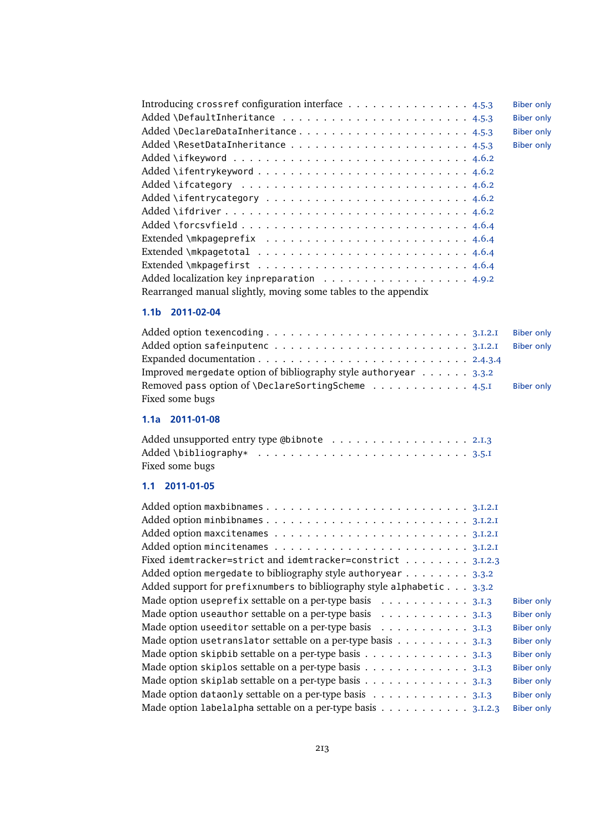| Introducing crossref configuration interface 4.5.3                               | <b>Biber only</b> |
|----------------------------------------------------------------------------------|-------------------|
|                                                                                  | <b>Biber only</b> |
| Added \DeclareDataInheritance4.5.3                                               | <b>Biber only</b> |
|                                                                                  | <b>Biber only</b> |
|                                                                                  |                   |
|                                                                                  |                   |
|                                                                                  |                   |
|                                                                                  |                   |
|                                                                                  |                   |
|                                                                                  |                   |
|                                                                                  |                   |
|                                                                                  |                   |
|                                                                                  |                   |
| Added localization key inpreparation $\dots \dots \dots \dots \dots \dots \dots$ |                   |
| Rearranged manual slightly, moving some tables to the appendix                   |                   |

## **1.1b 2011-02-04**

| Added option texencoding $\dots \dots \dots \dots \dots \dots \dots \dots \dots \dots \dots$ | <b>Biber only</b> |
|----------------------------------------------------------------------------------------------|-------------------|
|                                                                                              | <b>Biber only</b> |
|                                                                                              |                   |
| Improved mergedate option of bibliography style authoryear $\ldots$ 3.3.2                    |                   |
| Removed pass option of \DeclareSortingScheme 4.5.I                                           | <b>Biber only</b> |
| Fixed some bugs                                                                              |                   |

# **1.1a 2011-01-08**

| Added unsupported entry type @bibnote $\dots\dots\dots\dots\dots\dots\dots$          |  |  |  |  |  |  |  |  |  |
|--------------------------------------------------------------------------------------|--|--|--|--|--|--|--|--|--|
| Added \bibliography* $\ldots \ldots \ldots \ldots \ldots \ldots \ldots \ldots 3.5.1$ |  |  |  |  |  |  |  |  |  |
| Fixed some bugs                                                                      |  |  |  |  |  |  |  |  |  |

## **1.1 2011-01-05**

| Fixed idemtracker=strict and idemtracker=constrict 3.1.2.3             |                   |
|------------------------------------------------------------------------|-------------------|
| Added option mergedate to bibliography style authoryear 3.3.2          |                   |
| Added support for prefixnumbers to bibliography style alphabetic 3.3.2 |                   |
| Made option useprefix settable on a per-type basis 3.1.3               | <b>Biber only</b> |
| Made option useauthor settable on a per-type basis 3.1.3               | <b>Biber only</b> |
| Made option useeditor settable on a per-type basis 3.1.3               | <b>Biber only</b> |
| Made option uset ranslator settable on a per-type basis 3.1.3          | <b>Biber only</b> |
| Made option skipbib settable on a per-type basis 3.1.3                 | <b>Biber only</b> |
| Made option skiplos settable on a per-type basis 3.1.3                 | <b>Biber only</b> |
| Made option skiplab settable on a per-type basis 3.1.3                 | <b>Biber only</b> |
| Made option dataonly settable on a per-type basis 3.1.3                | <b>Biber only</b> |
| Made option labelalpha settable on a per-type basis 3.1.2.3            | <b>Biber only</b> |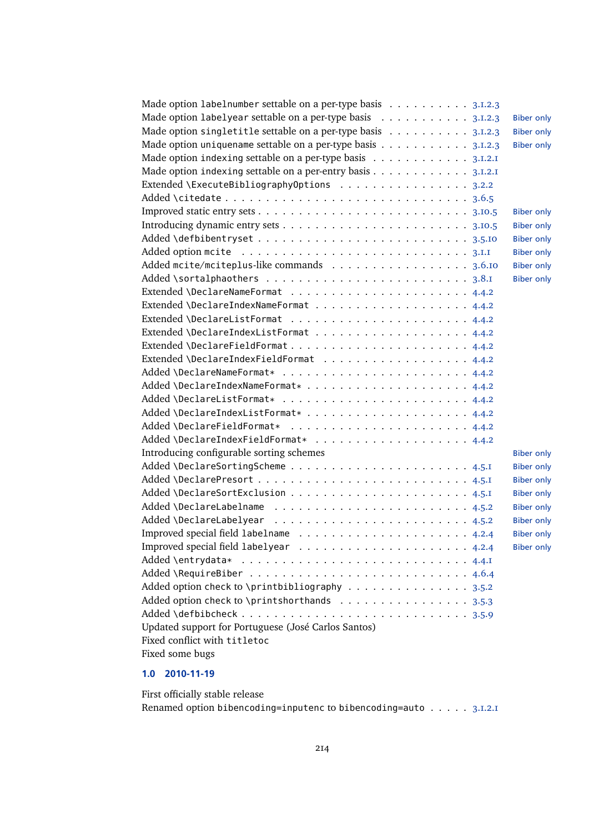| Made option labelnumber settable on a per-type basis 3.1.2.3 |                   |
|--------------------------------------------------------------|-------------------|
| Made option labelyear settable on a per-type basis 3.1.2.3   | <b>Biber only</b> |
| Made option singletitle settable on a per-type basis 3.1.2.3 | <b>Biber only</b> |
| Made option uniquename settable on a per-type basis 3.1.2.3  | <b>Biber only</b> |
| Made option indexing settable on a per-type basis 3.I.2.I    |                   |
| Made option indexing settable on a per-entry basis 3.1.2.1   |                   |
| Extended \ExecuteBibliographyOptions 3.2.2                   |                   |
|                                                              |                   |
|                                                              | <b>Biber only</b> |
|                                                              | <b>Biber only</b> |
|                                                              | <b>Biber only</b> |
|                                                              | <b>Biber only</b> |
| Added mcite/mciteplus-like commands 3.6.10                   | <b>Biber only</b> |
|                                                              | <b>Biber only</b> |
|                                                              |                   |
|                                                              |                   |
|                                                              |                   |
|                                                              |                   |
|                                                              |                   |
| Extended \DeclareIndexFieldFormat 4.4.2                      |                   |
|                                                              |                   |
|                                                              |                   |
|                                                              |                   |
|                                                              |                   |
|                                                              |                   |
|                                                              |                   |
| Introducing configurable sorting schemes                     | <b>Biber only</b> |
|                                                              | <b>Biber only</b> |
|                                                              | <b>Biber only</b> |
|                                                              | <b>Biber only</b> |
|                                                              | <b>Biber only</b> |
|                                                              | <b>Biber only</b> |
|                                                              | <b>Biber only</b> |
|                                                              | <b>Biber only</b> |
|                                                              |                   |
|                                                              |                   |
| Added option check to \printbibliography 3.5.2               |                   |
| Added option check to \printshorthands 3.5.3                 |                   |
|                                                              |                   |
| Updated support for Portuguese (José Carlos Santos)          |                   |
| Fixed conflict with titletoc                                 |                   |
| Fixed some bugs                                              |                   |
|                                                              |                   |

# **1.0 2010-11-19**

First officially stable release Renamed option bibencoding=inputenc to bibencoding=auto . . . . . [3.1.2.1](#page-43-0)